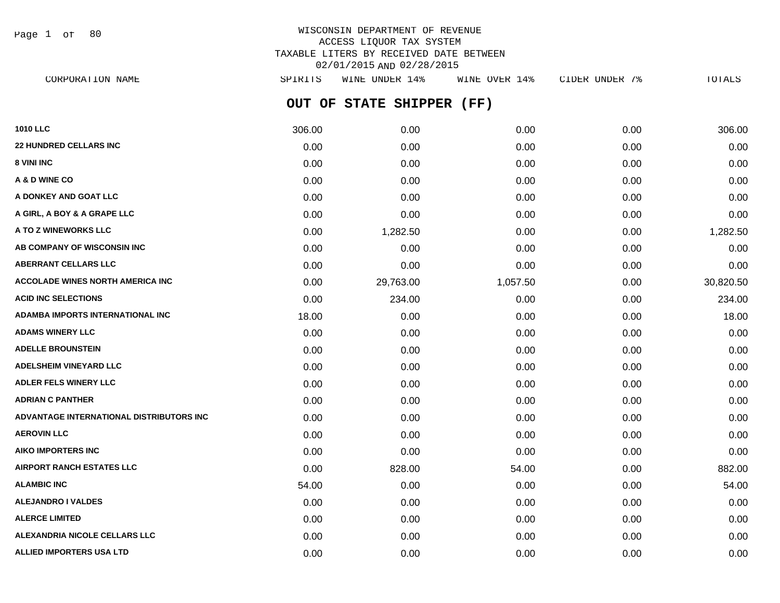Page 1 of 80

| CORPORATION NAME                         | SPIRITS | WINE UNDER 14%            | WINE OVER 14% | CIDER UNDER 7% | TOTALS    |
|------------------------------------------|---------|---------------------------|---------------|----------------|-----------|
|                                          |         | OUT OF STATE SHIPPER (FF) |               |                |           |
| <b>1010 LLC</b>                          | 306.00  | 0.00                      | 0.00          | 0.00           | 306.00    |
| <b>22 HUNDRED CELLARS INC</b>            | 0.00    | 0.00                      | 0.00          | 0.00           | 0.00      |
| 8 VINI INC                               | 0.00    | 0.00                      | 0.00          | 0.00           | 0.00      |
| A & D WINE CO                            | 0.00    | 0.00                      | 0.00          | 0.00           | 0.00      |
| A DONKEY AND GOAT LLC                    | 0.00    | 0.00                      | 0.00          | 0.00           | 0.00      |
| A GIRL, A BOY & A GRAPE LLC              | 0.00    | 0.00                      | 0.00          | 0.00           | 0.00      |
| A TO Z WINEWORKS LLC                     | 0.00    | 1,282.50                  | 0.00          | 0.00           | 1,282.50  |
| AB COMPANY OF WISCONSIN INC              | 0.00    | 0.00                      | 0.00          | 0.00           | 0.00      |
| <b>ABERRANT CELLARS LLC</b>              | 0.00    | 0.00                      | 0.00          | 0.00           | 0.00      |
| <b>ACCOLADE WINES NORTH AMERICA INC</b>  | 0.00    | 29,763.00                 | 1,057.50      | 0.00           | 30,820.50 |
| <b>ACID INC SELECTIONS</b>               | 0.00    | 234.00                    | 0.00          | 0.00           | 234.00    |
| <b>ADAMBA IMPORTS INTERNATIONAL INC</b>  | 18.00   | 0.00                      | 0.00          | 0.00           | 18.00     |
| <b>ADAMS WINERY LLC</b>                  | 0.00    | 0.00                      | 0.00          | 0.00           | 0.00      |
| <b>ADELLE BROUNSTEIN</b>                 | 0.00    | 0.00                      | 0.00          | 0.00           | 0.00      |
| <b>ADELSHEIM VINEYARD LLC</b>            | 0.00    | 0.00                      | 0.00          | 0.00           | 0.00      |
| <b>ADLER FELS WINERY LLC</b>             | 0.00    | 0.00                      | 0.00          | 0.00           | 0.00      |
| <b>ADRIAN C PANTHER</b>                  | 0.00    | 0.00                      | 0.00          | 0.00           | 0.00      |
| ADVANTAGE INTERNATIONAL DISTRIBUTORS INC | 0.00    | 0.00                      | 0.00          | 0.00           | 0.00      |
| <b>AEROVIN LLC</b>                       | 0.00    | 0.00                      | 0.00          | 0.00           | 0.00      |
| <b>AIKO IMPORTERS INC</b>                | 0.00    | 0.00                      | 0.00          | 0.00           | 0.00      |
| <b>AIRPORT RANCH ESTATES LLC</b>         | 0.00    | 828.00                    | 54.00         | 0.00           | 882.00    |
| <b>ALAMBIC INC</b>                       | 54.00   | 0.00                      | 0.00          | 0.00           | 54.00     |
| <b>ALEJANDRO I VALDES</b>                | 0.00    | 0.00                      | 0.00          | 0.00           | 0.00      |
| <b>ALERCE LIMITED</b>                    | 0.00    | 0.00                      | 0.00          | 0.00           | 0.00      |
| <b>ALEXANDRIA NICOLE CELLARS LLC</b>     | 0.00    | 0.00                      | 0.00          | 0.00           | 0.00      |
| <b>ALLIED IMPORTERS USA LTD</b>          | 0.00    | 0.00                      | 0.00          | 0.00           | 0.00      |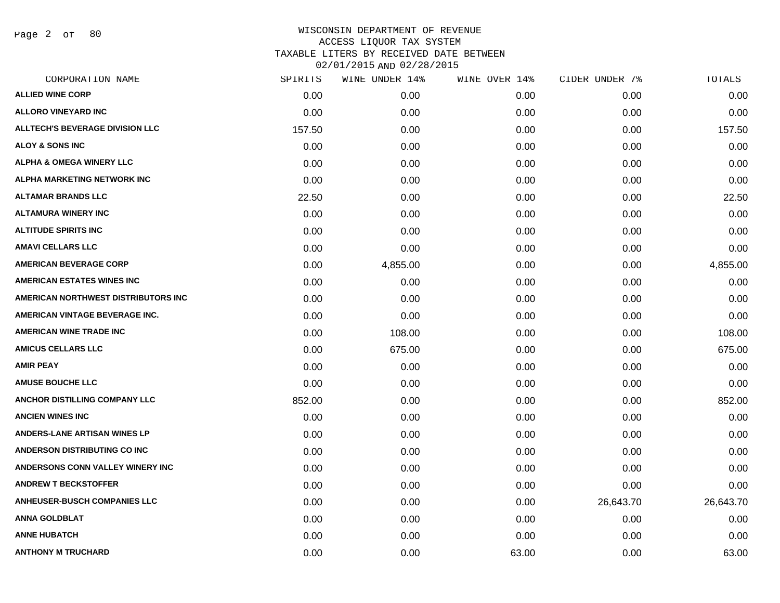Page 2 of 80

| CORPORATION NAME                       | SPIRITS | WINE UNDER 14% | WINE OVER 14% | CIDER UNDER 7% | TOTALS    |
|----------------------------------------|---------|----------------|---------------|----------------|-----------|
| <b>ALLIED WINE CORP</b>                | 0.00    | 0.00           | 0.00          | 0.00           | 0.00      |
| <b>ALLORO VINEYARD INC</b>             | 0.00    | 0.00           | 0.00          | 0.00           | 0.00      |
| <b>ALLTECH'S BEVERAGE DIVISION LLC</b> | 157.50  | 0.00           | 0.00          | 0.00           | 157.50    |
| <b>ALOY &amp; SONS INC</b>             | 0.00    | 0.00           | 0.00          | 0.00           | 0.00      |
| <b>ALPHA &amp; OMEGA WINERY LLC</b>    | 0.00    | 0.00           | 0.00          | 0.00           | 0.00      |
| ALPHA MARKETING NETWORK INC            | 0.00    | 0.00           | 0.00          | 0.00           | 0.00      |
| <b>ALTAMAR BRANDS LLC</b>              | 22.50   | 0.00           | 0.00          | 0.00           | 22.50     |
| <b>ALTAMURA WINERY INC</b>             | 0.00    | 0.00           | 0.00          | 0.00           | 0.00      |
| <b>ALTITUDE SPIRITS INC</b>            | 0.00    | 0.00           | 0.00          | 0.00           | 0.00      |
| <b>AMAVI CELLARS LLC</b>               | 0.00    | 0.00           | 0.00          | 0.00           | 0.00      |
| <b>AMERICAN BEVERAGE CORP</b>          | 0.00    | 4,855.00       | 0.00          | 0.00           | 4,855.00  |
| <b>AMERICAN ESTATES WINES INC</b>      | 0.00    | 0.00           | 0.00          | 0.00           | 0.00      |
| AMERICAN NORTHWEST DISTRIBUTORS INC    | 0.00    | 0.00           | 0.00          | 0.00           | 0.00      |
| AMERICAN VINTAGE BEVERAGE INC.         | 0.00    | 0.00           | 0.00          | 0.00           | 0.00      |
| AMERICAN WINE TRADE INC                | 0.00    | 108.00         | 0.00          | 0.00           | 108.00    |
| <b>AMICUS CELLARS LLC</b>              | 0.00    | 675.00         | 0.00          | 0.00           | 675.00    |
| <b>AMIR PEAY</b>                       | 0.00    | 0.00           | 0.00          | 0.00           | 0.00      |
| <b>AMUSE BOUCHE LLC</b>                | 0.00    | 0.00           | 0.00          | 0.00           | 0.00      |
| ANCHOR DISTILLING COMPANY LLC          | 852.00  | 0.00           | 0.00          | 0.00           | 852.00    |
| <b>ANCIEN WINES INC</b>                | 0.00    | 0.00           | 0.00          | 0.00           | 0.00      |
| <b>ANDERS-LANE ARTISAN WINES LP</b>    | 0.00    | 0.00           | 0.00          | 0.00           | 0.00      |
| ANDERSON DISTRIBUTING CO INC           | 0.00    | 0.00           | 0.00          | 0.00           | 0.00      |
| ANDERSONS CONN VALLEY WINERY INC       | 0.00    | 0.00           | 0.00          | 0.00           | 0.00      |
| <b>ANDREW T BECKSTOFFER</b>            | 0.00    | 0.00           | 0.00          | 0.00           | 0.00      |
| <b>ANHEUSER-BUSCH COMPANIES LLC</b>    | 0.00    | 0.00           | 0.00          | 26,643.70      | 26,643.70 |
| <b>ANNA GOLDBLAT</b>                   | 0.00    | 0.00           | 0.00          | 0.00           | 0.00      |
| <b>ANNE HUBATCH</b>                    | 0.00    | 0.00           | 0.00          | 0.00           | 0.00      |
| <b>ANTHONY M TRUCHARD</b>              | 0.00    | 0.00           | 63.00         | 0.00           | 63.00     |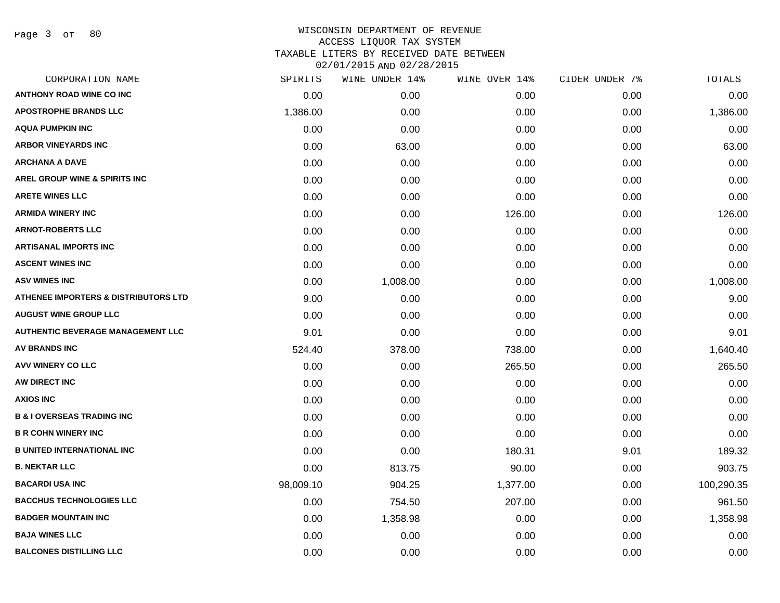| CORPORATION NAME                                | SPIRITS   | WINE UNDER 14% | WINE OVER 14% | CIDER UNDER 7% | TOTALS     |
|-------------------------------------------------|-----------|----------------|---------------|----------------|------------|
| <b>ANTHONY ROAD WINE CO INC</b>                 | 0.00      | 0.00           | 0.00          | 0.00           | 0.00       |
| <b>APOSTROPHE BRANDS LLC</b>                    | 1,386.00  | 0.00           | 0.00          | 0.00           | 1,386.00   |
| <b>AQUA PUMPKIN INC</b>                         | 0.00      | 0.00           | 0.00          | 0.00           | 0.00       |
| <b>ARBOR VINEYARDS INC</b>                      | 0.00      | 63.00          | 0.00          | 0.00           | 63.00      |
| <b>ARCHANA A DAVE</b>                           | 0.00      | 0.00           | 0.00          | 0.00           | 0.00       |
| AREL GROUP WINE & SPIRITS INC                   | 0.00      | 0.00           | 0.00          | 0.00           | 0.00       |
| <b>ARETE WINES LLC</b>                          | 0.00      | 0.00           | 0.00          | 0.00           | 0.00       |
| <b>ARMIDA WINERY INC</b>                        | 0.00      | 0.00           | 126.00        | 0.00           | 126.00     |
| <b>ARNOT-ROBERTS LLC</b>                        | 0.00      | 0.00           | 0.00          | 0.00           | 0.00       |
| <b>ARTISANAL IMPORTS INC</b>                    | 0.00      | 0.00           | 0.00          | 0.00           | 0.00       |
| <b>ASCENT WINES INC</b>                         | 0.00      | 0.00           | 0.00          | 0.00           | 0.00       |
| <b>ASV WINES INC</b>                            | 0.00      | 1,008.00       | 0.00          | 0.00           | 1,008.00   |
| <b>ATHENEE IMPORTERS &amp; DISTRIBUTORS LTD</b> | 9.00      | 0.00           | 0.00          | 0.00           | 9.00       |
| <b>AUGUST WINE GROUP LLC</b>                    | 0.00      | 0.00           | 0.00          | 0.00           | 0.00       |
| <b>AUTHENTIC BEVERAGE MANAGEMENT LLC</b>        | 9.01      | 0.00           | 0.00          | 0.00           | 9.01       |
| <b>AV BRANDS INC</b>                            | 524.40    | 378.00         | 738.00        | 0.00           | 1,640.40   |
| AVV WINERY CO LLC                               | 0.00      | 0.00           | 265.50        | 0.00           | 265.50     |
| AW DIRECT INC                                   | 0.00      | 0.00           | 0.00          | 0.00           | 0.00       |
| <b>AXIOS INC</b>                                | 0.00      | 0.00           | 0.00          | 0.00           | 0.00       |
| <b>B &amp; I OVERSEAS TRADING INC</b>           | 0.00      | 0.00           | 0.00          | 0.00           | 0.00       |
| <b>B R COHN WINERY INC</b>                      | 0.00      | 0.00           | 0.00          | 0.00           | 0.00       |
| <b>B UNITED INTERNATIONAL INC</b>               | 0.00      | 0.00           | 180.31        | 9.01           | 189.32     |
| <b>B. NEKTAR LLC</b>                            | 0.00      | 813.75         | 90.00         | 0.00           | 903.75     |
| <b>BACARDI USA INC</b>                          | 98,009.10 | 904.25         | 1,377.00      | 0.00           | 100,290.35 |
| <b>BACCHUS TECHNOLOGIES LLC</b>                 | 0.00      | 754.50         | 207.00        | 0.00           | 961.50     |
| <b>BADGER MOUNTAIN INC</b>                      | 0.00      | 1,358.98       | 0.00          | 0.00           | 1,358.98   |
| <b>BAJA WINES LLC</b>                           | 0.00      | 0.00           | 0.00          | 0.00           | 0.00       |
| <b>BALCONES DISTILLING LLC</b>                  | 0.00      | 0.00           | 0.00          | 0.00           | 0.00       |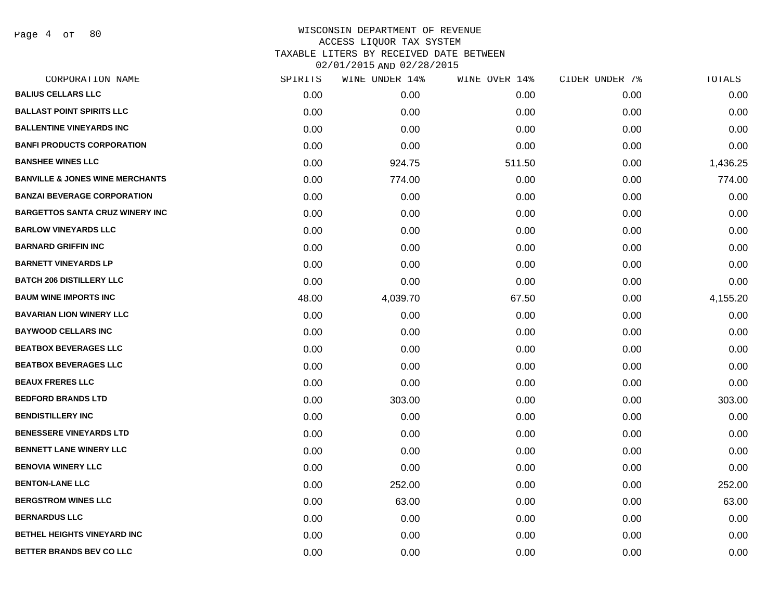Page 4 of 80

| CORPORATION NAME                           | SPIRITS | WINE UNDER 14% | WINE OVER 14% | CIDER UNDER 7% | TOTALS   |
|--------------------------------------------|---------|----------------|---------------|----------------|----------|
| <b>BALIUS CELLARS LLC</b>                  | 0.00    | 0.00           | 0.00          | 0.00           | 0.00     |
| <b>BALLAST POINT SPIRITS LLC</b>           | 0.00    | 0.00           | 0.00          | 0.00           | 0.00     |
| <b>BALLENTINE VINEYARDS INC</b>            | 0.00    | 0.00           | 0.00          | 0.00           | 0.00     |
| <b>BANFI PRODUCTS CORPORATION</b>          | 0.00    | 0.00           | 0.00          | 0.00           | 0.00     |
| <b>BANSHEE WINES LLC</b>                   | 0.00    | 924.75         | 511.50        | 0.00           | 1,436.25 |
| <b>BANVILLE &amp; JONES WINE MERCHANTS</b> | 0.00    | 774.00         | 0.00          | 0.00           | 774.00   |
| <b>BANZAI BEVERAGE CORPORATION</b>         | 0.00    | 0.00           | 0.00          | 0.00           | 0.00     |
| <b>BARGETTOS SANTA CRUZ WINERY INC</b>     | 0.00    | 0.00           | 0.00          | 0.00           | 0.00     |
| <b>BARLOW VINEYARDS LLC</b>                | 0.00    | 0.00           | 0.00          | 0.00           | 0.00     |
| <b>BARNARD GRIFFIN INC</b>                 | 0.00    | 0.00           | 0.00          | 0.00           | 0.00     |
| <b>BARNETT VINEYARDS LP</b>                | 0.00    | 0.00           | 0.00          | 0.00           | 0.00     |
| <b>BATCH 206 DISTILLERY LLC</b>            | 0.00    | 0.00           | 0.00          | 0.00           | 0.00     |
| <b>BAUM WINE IMPORTS INC</b>               | 48.00   | 4,039.70       | 67.50         | 0.00           | 4,155.20 |
| <b>BAVARIAN LION WINERY LLC</b>            | 0.00    | 0.00           | 0.00          | 0.00           | 0.00     |
| <b>BAYWOOD CELLARS INC</b>                 | 0.00    | 0.00           | 0.00          | 0.00           | 0.00     |
| <b>BEATBOX BEVERAGES LLC</b>               | 0.00    | 0.00           | 0.00          | 0.00           | 0.00     |
| <b>BEATBOX BEVERAGES LLC</b>               | 0.00    | 0.00           | 0.00          | 0.00           | 0.00     |
| <b>BEAUX FRERES LLC</b>                    | 0.00    | 0.00           | 0.00          | 0.00           | 0.00     |
| <b>BEDFORD BRANDS LTD</b>                  | 0.00    | 303.00         | 0.00          | 0.00           | 303.00   |
| <b>BENDISTILLERY INC</b>                   | 0.00    | 0.00           | 0.00          | 0.00           | 0.00     |
| <b>BENESSERE VINEYARDS LTD</b>             | 0.00    | 0.00           | 0.00          | 0.00           | 0.00     |
| <b>BENNETT LANE WINERY LLC</b>             | 0.00    | 0.00           | 0.00          | 0.00           | 0.00     |
| <b>BENOVIA WINERY LLC</b>                  | 0.00    | 0.00           | 0.00          | 0.00           | 0.00     |
| <b>BENTON-LANE LLC</b>                     | 0.00    | 252.00         | 0.00          | 0.00           | 252.00   |
| <b>BERGSTROM WINES LLC</b>                 | 0.00    | 63.00          | 0.00          | 0.00           | 63.00    |
| <b>BERNARDUS LLC</b>                       | 0.00    | 0.00           | 0.00          | 0.00           | 0.00     |
| BETHEL HEIGHTS VINEYARD INC                | 0.00    | 0.00           | 0.00          | 0.00           | 0.00     |
| <b>BETTER BRANDS BEV CO LLC</b>            | 0.00    | 0.00           | 0.00          | 0.00           | 0.00     |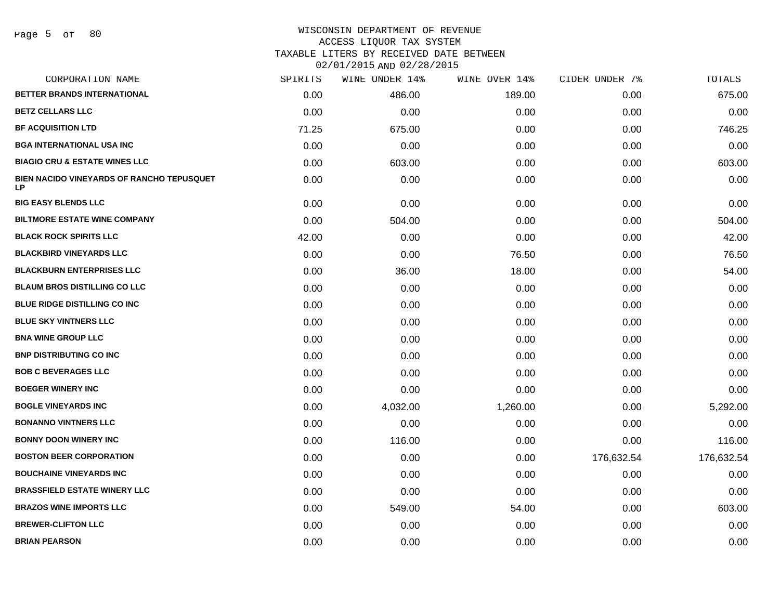# WISCONSIN DEPARTMENT OF REVENUE ACCESS LIQUOR TAX SYSTEM

TAXABLE LITERS BY RECEIVED DATE BETWEEN

| CORPORATION NAME                                | SPIRITS | WINE UNDER 14% | WINE OVER 14% | CIDER UNDER 7% | TOTALS     |
|-------------------------------------------------|---------|----------------|---------------|----------------|------------|
| BETTER BRANDS INTERNATIONAL                     | 0.00    | 486.00         | 189.00        | 0.00           | 675.00     |
| <b>BETZ CELLARS LLC</b>                         | 0.00    | 0.00           | 0.00          | 0.00           | 0.00       |
| <b>BF ACQUISITION LTD</b>                       | 71.25   | 675.00         | 0.00          | 0.00           | 746.25     |
| <b>BGA INTERNATIONAL USA INC</b>                | 0.00    | 0.00           | 0.00          | 0.00           | 0.00       |
| <b>BIAGIO CRU &amp; ESTATE WINES LLC</b>        | 0.00    | 603.00         | 0.00          | 0.00           | 603.00     |
| BIEN NACIDO VINEYARDS OF RANCHO TEPUSQUET<br>LP | 0.00    | 0.00           | 0.00          | 0.00           | 0.00       |
| <b>BIG EASY BLENDS LLC</b>                      | 0.00    | 0.00           | 0.00          | 0.00           | 0.00       |
| <b>BILTMORE ESTATE WINE COMPANY</b>             | 0.00    | 504.00         | 0.00          | 0.00           | 504.00     |
| <b>BLACK ROCK SPIRITS LLC</b>                   | 42.00   | 0.00           | 0.00          | 0.00           | 42.00      |
| <b>BLACKBIRD VINEYARDS LLC</b>                  | 0.00    | 0.00           | 76.50         | 0.00           | 76.50      |
| <b>BLACKBURN ENTERPRISES LLC</b>                | 0.00    | 36.00          | 18.00         | 0.00           | 54.00      |
| <b>BLAUM BROS DISTILLING CO LLC</b>             | 0.00    | 0.00           | 0.00          | 0.00           | 0.00       |
| <b>BLUE RIDGE DISTILLING CO INC</b>             | 0.00    | 0.00           | 0.00          | 0.00           | 0.00       |
| <b>BLUE SKY VINTNERS LLC</b>                    | 0.00    | 0.00           | 0.00          | 0.00           | 0.00       |
| <b>BNA WINE GROUP LLC</b>                       | 0.00    | 0.00           | 0.00          | 0.00           | 0.00       |
| <b>BNP DISTRIBUTING CO INC</b>                  | 0.00    | 0.00           | 0.00          | 0.00           | 0.00       |
| <b>BOB C BEVERAGES LLC</b>                      | 0.00    | 0.00           | 0.00          | 0.00           | 0.00       |
| <b>BOEGER WINERY INC</b>                        | 0.00    | 0.00           | 0.00          | 0.00           | 0.00       |
| <b>BOGLE VINEYARDS INC</b>                      | 0.00    | 4,032.00       | 1,260.00      | 0.00           | 5,292.00   |
| <b>BONANNO VINTNERS LLC</b>                     | 0.00    | 0.00           | 0.00          | 0.00           | 0.00       |
| <b>BONNY DOON WINERY INC</b>                    | 0.00    | 116.00         | 0.00          | 0.00           | 116.00     |
| <b>BOSTON BEER CORPORATION</b>                  | 0.00    | 0.00           | 0.00          | 176,632.54     | 176,632.54 |
| <b>BOUCHAINE VINEYARDS INC</b>                  | 0.00    | 0.00           | 0.00          | 0.00           | 0.00       |
| <b>BRASSFIELD ESTATE WINERY LLC</b>             | 0.00    | 0.00           | 0.00          | 0.00           | 0.00       |
| <b>BRAZOS WINE IMPORTS LLC</b>                  | 0.00    | 549.00         | 54.00         | 0.00           | 603.00     |
| <b>BREWER-CLIFTON LLC</b>                       | 0.00    | 0.00           | 0.00          | 0.00           | 0.00       |
| <b>BRIAN PEARSON</b>                            | 0.00    | 0.00           | 0.00          | 0.00           | 0.00       |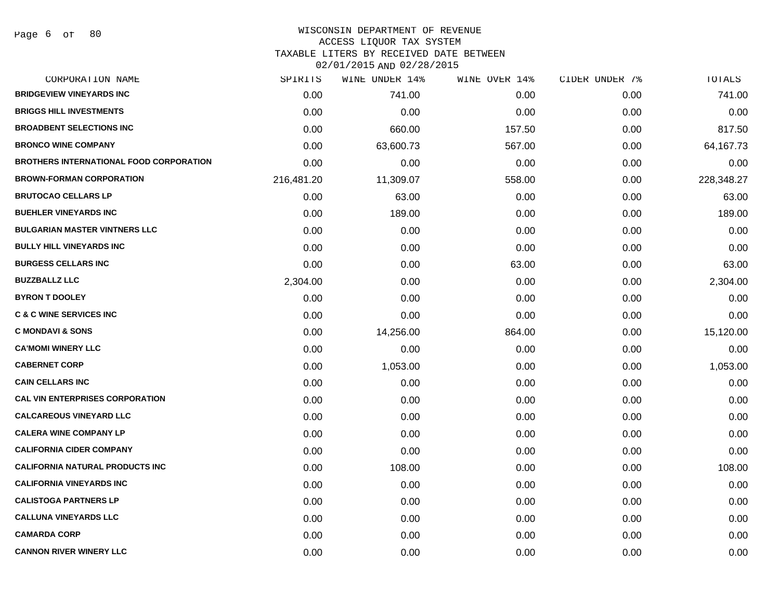## WISCONSIN DEPARTMENT OF REVENUE

#### ACCESS LIQUOR TAX SYSTEM

TAXABLE LITERS BY RECEIVED DATE BETWEEN

| CORPORATION NAME                               | SPIRITS    | WINE UNDER 14% | WINE OVER 14% | CIDER UNDER 7% | TOTALS     |
|------------------------------------------------|------------|----------------|---------------|----------------|------------|
| <b>BRIDGEVIEW VINEYARDS INC</b>                | 0.00       | 741.00         | 0.00          | 0.00           | 741.00     |
| <b>BRIGGS HILL INVESTMENTS</b>                 | 0.00       | 0.00           | 0.00          | 0.00           | 0.00       |
| <b>BROADBENT SELECTIONS INC</b>                | 0.00       | 660.00         | 157.50        | 0.00           | 817.50     |
| <b>BRONCO WINE COMPANY</b>                     | 0.00       | 63,600.73      | 567.00        | 0.00           | 64,167.73  |
| <b>BROTHERS INTERNATIONAL FOOD CORPORATION</b> | 0.00       | 0.00           | 0.00          | 0.00           | 0.00       |
| <b>BROWN-FORMAN CORPORATION</b>                | 216,481.20 | 11,309.07      | 558.00        | 0.00           | 228,348.27 |
| <b>BRUTOCAO CELLARS LP</b>                     | 0.00       | 63.00          | 0.00          | 0.00           | 63.00      |
| <b>BUEHLER VINEYARDS INC</b>                   | 0.00       | 189.00         | 0.00          | 0.00           | 189.00     |
| <b>BULGARIAN MASTER VINTNERS LLC</b>           | 0.00       | 0.00           | 0.00          | 0.00           | 0.00       |
| <b>BULLY HILL VINEYARDS INC</b>                | 0.00       | 0.00           | 0.00          | 0.00           | 0.00       |
| <b>BURGESS CELLARS INC</b>                     | 0.00       | 0.00           | 63.00         | 0.00           | 63.00      |
| <b>BUZZBALLZ LLC</b>                           | 2,304.00   | 0.00           | 0.00          | 0.00           | 2,304.00   |
| <b>BYRON T DOOLEY</b>                          | 0.00       | 0.00           | 0.00          | 0.00           | 0.00       |
| <b>C &amp; C WINE SERVICES INC</b>             | 0.00       | 0.00           | 0.00          | 0.00           | 0.00       |
| <b>C MONDAVI &amp; SONS</b>                    | 0.00       | 14,256.00      | 864.00        | 0.00           | 15,120.00  |
| <b>CA'MOMI WINERY LLC</b>                      | 0.00       | 0.00           | 0.00          | 0.00           | 0.00       |
| <b>CABERNET CORP</b>                           | 0.00       | 1,053.00       | 0.00          | 0.00           | 1,053.00   |
| <b>CAIN CELLARS INC</b>                        | 0.00       | 0.00           | 0.00          | 0.00           | 0.00       |
| <b>CAL VIN ENTERPRISES CORPORATION</b>         | 0.00       | 0.00           | 0.00          | 0.00           | 0.00       |
| <b>CALCAREOUS VINEYARD LLC</b>                 | 0.00       | 0.00           | 0.00          | 0.00           | 0.00       |
| <b>CALERA WINE COMPANY LP</b>                  | 0.00       | 0.00           | 0.00          | 0.00           | 0.00       |
| <b>CALIFORNIA CIDER COMPANY</b>                | 0.00       | 0.00           | 0.00          | 0.00           | 0.00       |
| <b>CALIFORNIA NATURAL PRODUCTS INC</b>         | 0.00       | 108.00         | 0.00          | 0.00           | 108.00     |
| <b>CALIFORNIA VINEYARDS INC</b>                | 0.00       | 0.00           | 0.00          | 0.00           | 0.00       |
| <b>CALISTOGA PARTNERS LP</b>                   | 0.00       | 0.00           | 0.00          | 0.00           | 0.00       |
| <b>CALLUNA VINEYARDS LLC</b>                   | 0.00       | 0.00           | 0.00          | 0.00           | 0.00       |
| <b>CAMARDA CORP</b>                            | 0.00       | 0.00           | 0.00          | 0.00           | 0.00       |
| <b>CANNON RIVER WINERY LLC</b>                 | 0.00       | 0.00           | 0.00          | 0.00           | 0.00       |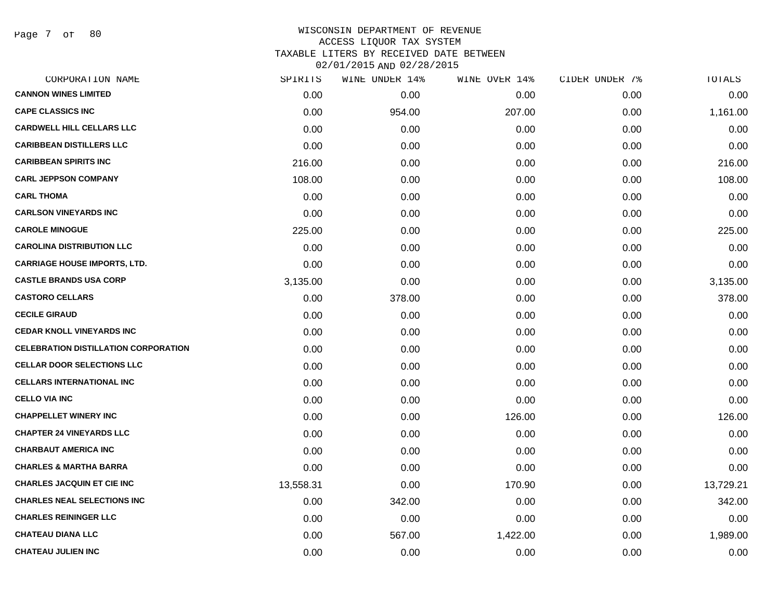Page 7 of 80

| CORPORATION NAME                            | SPIRITS   | WINE UNDER 14% | WINE OVER 14% | CIDER UNDER 7% | TOTALS    |
|---------------------------------------------|-----------|----------------|---------------|----------------|-----------|
| <b>CANNON WINES LIMITED</b>                 | 0.00      | 0.00           | 0.00          | 0.00           | 0.00      |
| <b>CAPE CLASSICS INC</b>                    | 0.00      | 954.00         | 207.00        | 0.00           | 1,161.00  |
| <b>CARDWELL HILL CELLARS LLC</b>            | 0.00      | 0.00           | 0.00          | 0.00           | 0.00      |
| <b>CARIBBEAN DISTILLERS LLC</b>             | 0.00      | 0.00           | 0.00          | 0.00           | 0.00      |
| <b>CARIBBEAN SPIRITS INC</b>                | 216.00    | 0.00           | 0.00          | 0.00           | 216.00    |
| <b>CARL JEPPSON COMPANY</b>                 | 108.00    | 0.00           | 0.00          | 0.00           | 108.00    |
| <b>CARL THOMA</b>                           | 0.00      | 0.00           | 0.00          | 0.00           | 0.00      |
| <b>CARLSON VINEYARDS INC</b>                | 0.00      | 0.00           | 0.00          | 0.00           | 0.00      |
| <b>CAROLE MINOGUE</b>                       | 225.00    | 0.00           | 0.00          | 0.00           | 225.00    |
| <b>CAROLINA DISTRIBUTION LLC</b>            | 0.00      | 0.00           | 0.00          | 0.00           | 0.00      |
| <b>CARRIAGE HOUSE IMPORTS, LTD.</b>         | 0.00      | 0.00           | 0.00          | 0.00           | 0.00      |
| <b>CASTLE BRANDS USA CORP</b>               | 3,135.00  | 0.00           | 0.00          | 0.00           | 3,135.00  |
| <b>CASTORO CELLARS</b>                      | 0.00      | 378.00         | 0.00          | 0.00           | 378.00    |
| <b>CECILE GIRAUD</b>                        | 0.00      | 0.00           | 0.00          | 0.00           | 0.00      |
| <b>CEDAR KNOLL VINEYARDS INC</b>            | 0.00      | 0.00           | 0.00          | 0.00           | 0.00      |
| <b>CELEBRATION DISTILLATION CORPORATION</b> | 0.00      | 0.00           | 0.00          | 0.00           | 0.00      |
| <b>CELLAR DOOR SELECTIONS LLC</b>           | 0.00      | 0.00           | 0.00          | 0.00           | 0.00      |
| <b>CELLARS INTERNATIONAL INC</b>            | 0.00      | 0.00           | 0.00          | 0.00           | 0.00      |
| <b>CELLO VIA INC</b>                        | 0.00      | 0.00           | 0.00          | 0.00           | 0.00      |
| <b>CHAPPELLET WINERY INC</b>                | 0.00      | 0.00           | 126.00        | 0.00           | 126.00    |
| <b>CHAPTER 24 VINEYARDS LLC</b>             | 0.00      | 0.00           | 0.00          | 0.00           | 0.00      |
| <b>CHARBAUT AMERICA INC</b>                 | 0.00      | 0.00           | 0.00          | 0.00           | 0.00      |
| <b>CHARLES &amp; MARTHA BARRA</b>           | 0.00      | 0.00           | 0.00          | 0.00           | 0.00      |
| <b>CHARLES JACQUIN ET CIE INC</b>           | 13,558.31 | 0.00           | 170.90        | 0.00           | 13,729.21 |
| <b>CHARLES NEAL SELECTIONS INC</b>          | 0.00      | 342.00         | 0.00          | 0.00           | 342.00    |
| <b>CHARLES REININGER LLC</b>                | 0.00      | 0.00           | 0.00          | 0.00           | 0.00      |
| <b>CHATEAU DIANA LLC</b>                    | 0.00      | 567.00         | 1,422.00      | 0.00           | 1,989.00  |
| <b>CHATEAU JULIEN INC</b>                   | 0.00      | 0.00           | 0.00          | 0.00           | 0.00      |
|                                             |           |                |               |                |           |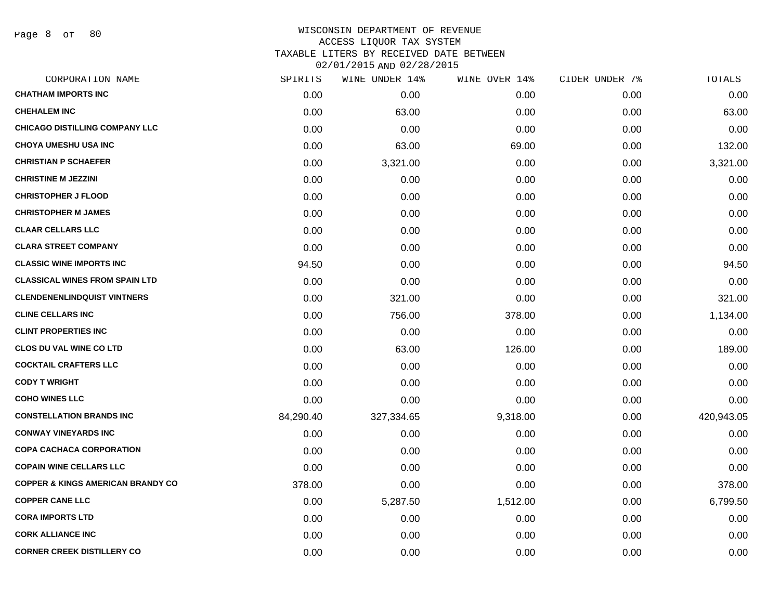Page 8 of 80

| CORPORATION NAME                             | SPIRITS   | WINE UNDER 14% | WINE OVER 14% | CIDER UNDER 7% | TOTALS     |
|----------------------------------------------|-----------|----------------|---------------|----------------|------------|
| <b>CHATHAM IMPORTS INC</b>                   | 0.00      | 0.00           | 0.00          | 0.00           | 0.00       |
| <b>CHEHALEM INC</b>                          | 0.00      | 63.00          | 0.00          | 0.00           | 63.00      |
| <b>CHICAGO DISTILLING COMPANY LLC</b>        | 0.00      | 0.00           | 0.00          | 0.00           | 0.00       |
| <b>CHOYA UMESHU USA INC</b>                  | 0.00      | 63.00          | 69.00         | 0.00           | 132.00     |
| <b>CHRISTIAN P SCHAEFER</b>                  | 0.00      | 3,321.00       | 0.00          | 0.00           | 3,321.00   |
| <b>CHRISTINE M JEZZINI</b>                   | 0.00      | 0.00           | 0.00          | 0.00           | 0.00       |
| <b>CHRISTOPHER J FLOOD</b>                   | 0.00      | 0.00           | 0.00          | 0.00           | 0.00       |
| <b>CHRISTOPHER M JAMES</b>                   | 0.00      | 0.00           | 0.00          | 0.00           | 0.00       |
| <b>CLAAR CELLARS LLC</b>                     | 0.00      | 0.00           | 0.00          | 0.00           | 0.00       |
| <b>CLARA STREET COMPANY</b>                  | 0.00      | 0.00           | 0.00          | 0.00           | 0.00       |
| <b>CLASSIC WINE IMPORTS INC</b>              | 94.50     | 0.00           | 0.00          | 0.00           | 94.50      |
| <b>CLASSICAL WINES FROM SPAIN LTD</b>        | 0.00      | 0.00           | 0.00          | 0.00           | 0.00       |
| <b>CLENDENENLINDQUIST VINTNERS</b>           | 0.00      | 321.00         | 0.00          | 0.00           | 321.00     |
| <b>CLINE CELLARS INC</b>                     | 0.00      | 756.00         | 378.00        | 0.00           | 1,134.00   |
| <b>CLINT PROPERTIES INC</b>                  | 0.00      | 0.00           | 0.00          | 0.00           | 0.00       |
| <b>CLOS DU VAL WINE CO LTD</b>               | 0.00      | 63.00          | 126.00        | 0.00           | 189.00     |
| <b>COCKTAIL CRAFTERS LLC</b>                 | 0.00      | 0.00           | 0.00          | 0.00           | 0.00       |
| <b>CODY T WRIGHT</b>                         | 0.00      | 0.00           | 0.00          | 0.00           | 0.00       |
| <b>COHO WINES LLC</b>                        | 0.00      | 0.00           | 0.00          | 0.00           | 0.00       |
| <b>CONSTELLATION BRANDS INC</b>              | 84,290.40 | 327,334.65     | 9,318.00      | 0.00           | 420,943.05 |
| <b>CONWAY VINEYARDS INC</b>                  | 0.00      | 0.00           | 0.00          | 0.00           | 0.00       |
| <b>COPA CACHACA CORPORATION</b>              | 0.00      | 0.00           | 0.00          | 0.00           | 0.00       |
| <b>COPAIN WINE CELLARS LLC</b>               | 0.00      | 0.00           | 0.00          | 0.00           | 0.00       |
| <b>COPPER &amp; KINGS AMERICAN BRANDY CO</b> | 378.00    | 0.00           | 0.00          | 0.00           | 378.00     |
| <b>COPPER CANE LLC</b>                       | 0.00      | 5,287.50       | 1,512.00      | 0.00           | 6,799.50   |
| <b>CORA IMPORTS LTD</b>                      | 0.00      | 0.00           | 0.00          | 0.00           | 0.00       |
| <b>CORK ALLIANCE INC</b>                     | 0.00      | 0.00           | 0.00          | 0.00           | 0.00       |
| <b>CORNER CREEK DISTILLERY CO</b>            | 0.00      | 0.00           | 0.00          | 0.00           | 0.00       |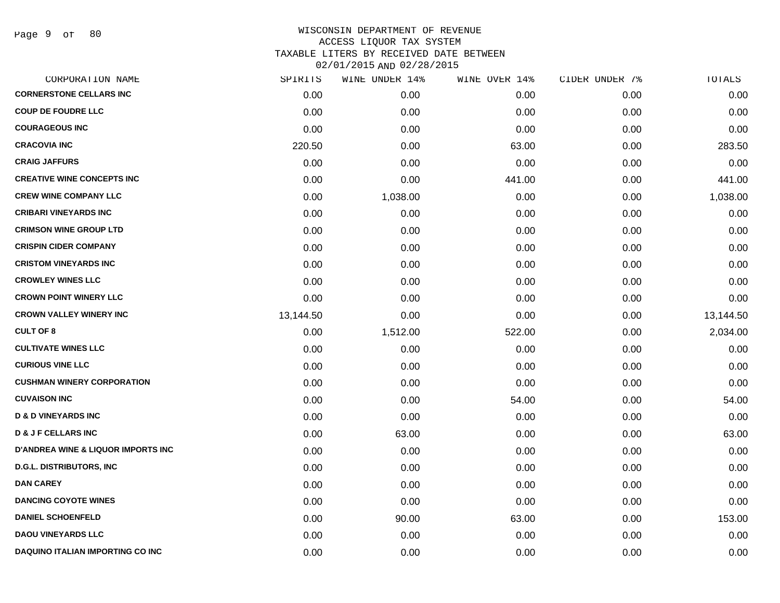Page 9 of 80

| CORPORATION NAME                              | SPIRITS   | WINE UNDER 14% | WINE OVER 14% | CIDER UNDER 7% | TOTALS    |
|-----------------------------------------------|-----------|----------------|---------------|----------------|-----------|
| <b>CORNERSTONE CELLARS INC</b>                | 0.00      | 0.00           | 0.00          | 0.00           | 0.00      |
| <b>COUP DE FOUDRE LLC</b>                     | 0.00      | 0.00           | 0.00          | 0.00           | 0.00      |
| <b>COURAGEOUS INC</b>                         | 0.00      | 0.00           | 0.00          | 0.00           | 0.00      |
| <b>CRACOVIA INC</b>                           | 220.50    | 0.00           | 63.00         | 0.00           | 283.50    |
| <b>CRAIG JAFFURS</b>                          | 0.00      | 0.00           | 0.00          | 0.00           | 0.00      |
| <b>CREATIVE WINE CONCEPTS INC</b>             | 0.00      | 0.00           | 441.00        | 0.00           | 441.00    |
| <b>CREW WINE COMPANY LLC</b>                  | 0.00      | 1,038.00       | 0.00          | 0.00           | 1,038.00  |
| <b>CRIBARI VINEYARDS INC</b>                  | 0.00      | 0.00           | 0.00          | 0.00           | 0.00      |
| <b>CRIMSON WINE GROUP LTD</b>                 | 0.00      | 0.00           | 0.00          | 0.00           | 0.00      |
| <b>CRISPIN CIDER COMPANY</b>                  | 0.00      | 0.00           | 0.00          | 0.00           | 0.00      |
| <b>CRISTOM VINEYARDS INC</b>                  | 0.00      | 0.00           | 0.00          | 0.00           | 0.00      |
| <b>CROWLEY WINES LLC</b>                      | 0.00      | 0.00           | 0.00          | 0.00           | 0.00      |
| <b>CROWN POINT WINERY LLC</b>                 | 0.00      | 0.00           | 0.00          | 0.00           | 0.00      |
| <b>CROWN VALLEY WINERY INC</b>                | 13,144.50 | 0.00           | 0.00          | 0.00           | 13,144.50 |
| <b>CULT OF 8</b>                              | 0.00      | 1,512.00       | 522.00        | 0.00           | 2,034.00  |
| <b>CULTIVATE WINES LLC</b>                    | 0.00      | 0.00           | 0.00          | 0.00           | 0.00      |
| <b>CURIOUS VINE LLC</b>                       | 0.00      | 0.00           | 0.00          | 0.00           | 0.00      |
| <b>CUSHMAN WINERY CORPORATION</b>             | 0.00      | 0.00           | 0.00          | 0.00           | 0.00      |
| <b>CUVAISON INC</b>                           | 0.00      | 0.00           | 54.00         | 0.00           | 54.00     |
| <b>D &amp; D VINEYARDS INC</b>                | 0.00      | 0.00           | 0.00          | 0.00           | 0.00      |
| <b>D &amp; J F CELLARS INC</b>                | 0.00      | 63.00          | 0.00          | 0.00           | 63.00     |
| <b>D'ANDREA WINE &amp; LIQUOR IMPORTS INC</b> | 0.00      | 0.00           | 0.00          | 0.00           | 0.00      |
| <b>D.G.L. DISTRIBUTORS, INC</b>               | 0.00      | 0.00           | 0.00          | 0.00           | 0.00      |
| <b>DAN CAREY</b>                              | 0.00      | 0.00           | 0.00          | 0.00           | 0.00      |
| <b>DANCING COYOTE WINES</b>                   | 0.00      | 0.00           | 0.00          | 0.00           | 0.00      |
| <b>DANIEL SCHOENFELD</b>                      | 0.00      | 90.00          | 63.00         | 0.00           | 153.00    |
| <b>DAOU VINEYARDS LLC</b>                     | 0.00      | 0.00           | 0.00          | 0.00           | 0.00      |
| DAQUINO ITALIAN IMPORTING CO INC              | 0.00      | 0.00           | 0.00          | 0.00           | 0.00      |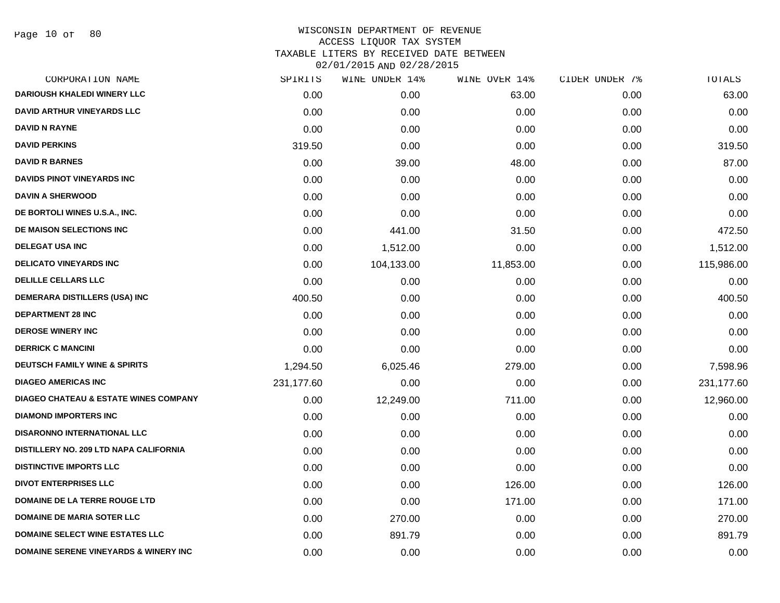Page 10 of 80

| SPIRITS    | WINE UNDER 14% | WINE OVER 14% | CIDER UNDER 7% | TOTALS     |
|------------|----------------|---------------|----------------|------------|
| 0.00       | 0.00           | 63.00         | 0.00           | 63.00      |
| 0.00       | 0.00           | 0.00          | 0.00           | 0.00       |
| 0.00       | 0.00           | 0.00          | 0.00           | 0.00       |
| 319.50     | 0.00           | 0.00          | 0.00           | 319.50     |
| 0.00       | 39.00          | 48.00         | 0.00           | 87.00      |
| 0.00       | 0.00           | 0.00          | 0.00           | 0.00       |
| 0.00       | 0.00           | 0.00          | 0.00           | 0.00       |
| 0.00       | 0.00           | 0.00          | 0.00           | 0.00       |
| 0.00       | 441.00         | 31.50         | 0.00           | 472.50     |
| 0.00       | 1,512.00       | 0.00          | 0.00           | 1,512.00   |
| 0.00       | 104,133.00     | 11,853.00     | 0.00           | 115,986.00 |
| 0.00       | 0.00           | 0.00          | 0.00           | 0.00       |
| 400.50     | 0.00           | 0.00          | 0.00           | 400.50     |
| 0.00       | 0.00           | 0.00          | 0.00           | 0.00       |
| 0.00       | 0.00           | 0.00          | 0.00           | 0.00       |
| 0.00       | 0.00           | 0.00          | 0.00           | 0.00       |
| 1,294.50   | 6,025.46       | 279.00        | 0.00           | 7,598.96   |
| 231,177.60 | 0.00           | 0.00          | 0.00           | 231,177.60 |
| 0.00       | 12,249.00      | 711.00        | 0.00           | 12,960.00  |
| 0.00       | 0.00           | 0.00          | 0.00           | 0.00       |
| 0.00       | 0.00           | 0.00          | 0.00           | 0.00       |
| 0.00       | 0.00           | 0.00          | 0.00           | 0.00       |
| 0.00       | 0.00           | 0.00          | 0.00           | 0.00       |
| 0.00       | 0.00           | 126.00        | 0.00           | 126.00     |
| 0.00       | 0.00           | 171.00        | 0.00           | 171.00     |
| 0.00       | 270.00         | 0.00          | 0.00           | 270.00     |
| 0.00       | 891.79         | 0.00          | 0.00           | 891.79     |
| 0.00       | 0.00           | 0.00          | 0.00           | 0.00       |
|            |                |               |                |            |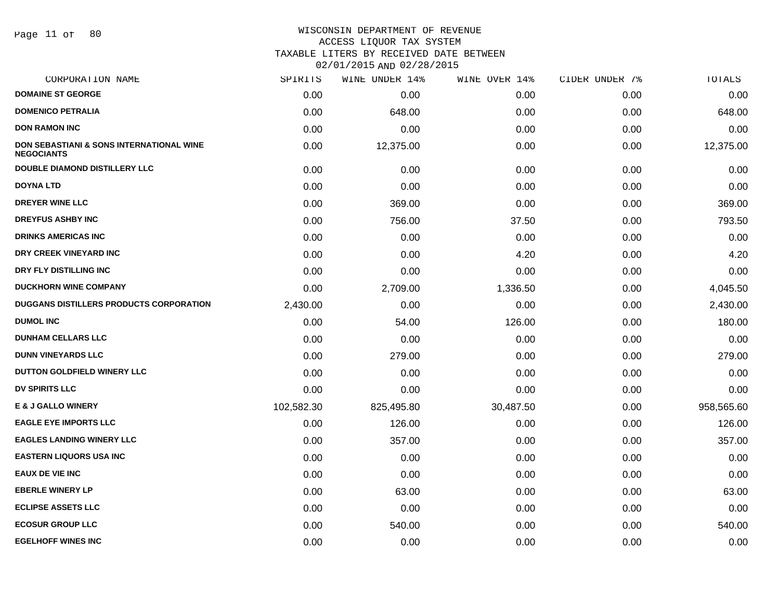#### WISCONSIN DEPARTMENT OF REVENUE ACCESS LIQUOR TAX SYSTEM

TAXABLE LITERS BY RECEIVED DATE BETWEEN

| CORPORATION NAME                                                         | SPIRITS    | WINE UNDER 14% | WINE OVER 14% | CIDER UNDER 7% | TOTALS     |
|--------------------------------------------------------------------------|------------|----------------|---------------|----------------|------------|
| <b>DOMAINE ST GEORGE</b>                                                 | 0.00       | 0.00           | 0.00          | 0.00           | 0.00       |
| <b>DOMENICO PETRALIA</b>                                                 | 0.00       | 648.00         | 0.00          | 0.00           | 648.00     |
| <b>DON RAMON INC</b>                                                     | 0.00       | 0.00           | 0.00          | 0.00           | 0.00       |
| <b>DON SEBASTIANI &amp; SONS INTERNATIONAL WINE</b><br><b>NEGOCIANTS</b> | 0.00       | 12,375.00      | 0.00          | 0.00           | 12,375.00  |
| <b>DOUBLE DIAMOND DISTILLERY LLC</b>                                     | 0.00       | 0.00           | 0.00          | 0.00           | 0.00       |
| <b>DOYNA LTD</b>                                                         | 0.00       | 0.00           | 0.00          | 0.00           | 0.00       |
| <b>DREYER WINE LLC</b>                                                   | 0.00       | 369.00         | 0.00          | 0.00           | 369.00     |
| <b>DREYFUS ASHBY INC</b>                                                 | 0.00       | 756.00         | 37.50         | 0.00           | 793.50     |
| <b>DRINKS AMERICAS INC</b>                                               | 0.00       | 0.00           | 0.00          | 0.00           | 0.00       |
| DRY CREEK VINEYARD INC                                                   | 0.00       | 0.00           | 4.20          | 0.00           | 4.20       |
| DRY FLY DISTILLING INC                                                   | 0.00       | 0.00           | 0.00          | 0.00           | 0.00       |
| <b>DUCKHORN WINE COMPANY</b>                                             | 0.00       | 2,709.00       | 1,336.50      | 0.00           | 4,045.50   |
| DUGGANS DISTILLERS PRODUCTS CORPORATION                                  | 2,430.00   | 0.00           | 0.00          | 0.00           | 2,430.00   |
| <b>DUMOL INC</b>                                                         | 0.00       | 54.00          | 126.00        | 0.00           | 180.00     |
| <b>DUNHAM CELLARS LLC</b>                                                | 0.00       | 0.00           | 0.00          | 0.00           | 0.00       |
| <b>DUNN VINEYARDS LLC</b>                                                | 0.00       | 279.00         | 0.00          | 0.00           | 279.00     |
| DUTTON GOLDFIELD WINERY LLC                                              | 0.00       | 0.00           | 0.00          | 0.00           | 0.00       |
| DV SPIRITS LLC                                                           | 0.00       | 0.00           | 0.00          | 0.00           | 0.00       |
| <b>E &amp; J GALLO WINERY</b>                                            | 102,582.30 | 825,495.80     | 30,487.50     | 0.00           | 958,565.60 |
| <b>EAGLE EYE IMPORTS LLC</b>                                             | 0.00       | 126.00         | 0.00          | 0.00           | 126.00     |
| <b>EAGLES LANDING WINERY LLC</b>                                         | 0.00       | 357.00         | 0.00          | 0.00           | 357.00     |
| <b>EASTERN LIQUORS USA INC</b>                                           | 0.00       | 0.00           | 0.00          | 0.00           | 0.00       |
| <b>EAUX DE VIE INC</b>                                                   | 0.00       | 0.00           | 0.00          | 0.00           | 0.00       |
| <b>EBERLE WINERY LP</b>                                                  | 0.00       | 63.00          | 0.00          | 0.00           | 63.00      |
| <b>ECLIPSE ASSETS LLC</b>                                                | 0.00       | 0.00           | 0.00          | 0.00           | 0.00       |
| <b>ECOSUR GROUP LLC</b>                                                  | 0.00       | 540.00         | 0.00          | 0.00           | 540.00     |
| <b>EGELHOFF WINES INC</b>                                                | 0.00       | 0.00           | 0.00          | 0.00           | 0.00       |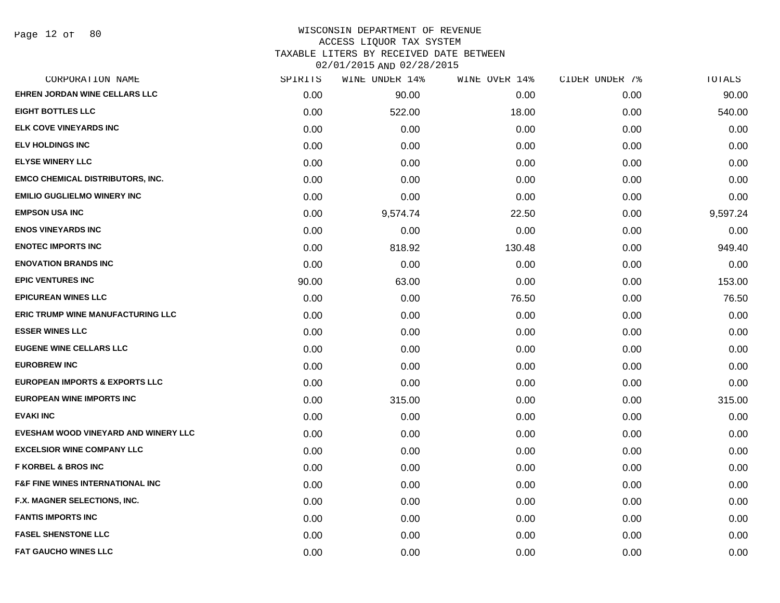| CORPORATION NAME                            | SPIRITS | WINE UNDER 14% | WINE OVER 14% | CIDER UNDER 7% | TOTALS   |
|---------------------------------------------|---------|----------------|---------------|----------------|----------|
| <b>EHREN JORDAN WINE CELLARS LLC</b>        | 0.00    | 90.00          | 0.00          | 0.00           | 90.00    |
| <b>EIGHT BOTTLES LLC</b>                    | 0.00    | 522.00         | 18.00         | 0.00           | 540.00   |
| <b>ELK COVE VINEYARDS INC</b>               | 0.00    | 0.00           | 0.00          | 0.00           | 0.00     |
| <b>ELV HOLDINGS INC</b>                     | 0.00    | 0.00           | 0.00          | 0.00           | 0.00     |
| <b>ELYSE WINERY LLC</b>                     | 0.00    | 0.00           | 0.00          | 0.00           | 0.00     |
| EMCO CHEMICAL DISTRIBUTORS, INC.            | 0.00    | 0.00           | 0.00          | 0.00           | 0.00     |
| <b>EMILIO GUGLIELMO WINERY INC</b>          | 0.00    | 0.00           | 0.00          | 0.00           | 0.00     |
| <b>EMPSON USA INC</b>                       | 0.00    | 9,574.74       | 22.50         | 0.00           | 9,597.24 |
| <b>ENOS VINEYARDS INC</b>                   | 0.00    | 0.00           | 0.00          | 0.00           | 0.00     |
| <b>ENOTEC IMPORTS INC</b>                   | 0.00    | 818.92         | 130.48        | 0.00           | 949.40   |
| <b>ENOVATION BRANDS INC</b>                 | 0.00    | 0.00           | 0.00          | 0.00           | 0.00     |
| <b>EPIC VENTURES INC</b>                    | 90.00   | 63.00          | 0.00          | 0.00           | 153.00   |
| <b>EPICUREAN WINES LLC</b>                  | 0.00    | 0.00           | 76.50         | 0.00           | 76.50    |
| <b>ERIC TRUMP WINE MANUFACTURING LLC</b>    | 0.00    | 0.00           | 0.00          | 0.00           | 0.00     |
| <b>ESSER WINES LLC</b>                      | 0.00    | 0.00           | 0.00          | 0.00           | 0.00     |
| <b>EUGENE WINE CELLARS LLC</b>              | 0.00    | 0.00           | 0.00          | 0.00           | 0.00     |
| <b>EUROBREW INC</b>                         | 0.00    | 0.00           | 0.00          | 0.00           | 0.00     |
| <b>EUROPEAN IMPORTS &amp; EXPORTS LLC</b>   | 0.00    | 0.00           | 0.00          | 0.00           | 0.00     |
| <b>EUROPEAN WINE IMPORTS INC</b>            | 0.00    | 315.00         | 0.00          | 0.00           | 315.00   |
| <b>EVAKI INC</b>                            | 0.00    | 0.00           | 0.00          | 0.00           | 0.00     |
| EVESHAM WOOD VINEYARD AND WINERY LLC        | 0.00    | 0.00           | 0.00          | 0.00           | 0.00     |
| <b>EXCELSIOR WINE COMPANY LLC</b>           | 0.00    | 0.00           | 0.00          | 0.00           | 0.00     |
| <b>F KORBEL &amp; BROS INC</b>              | 0.00    | 0.00           | 0.00          | 0.00           | 0.00     |
| <b>F&amp;F FINE WINES INTERNATIONAL INC</b> | 0.00    | 0.00           | 0.00          | 0.00           | 0.00     |
| F.X. MAGNER SELECTIONS, INC.                | 0.00    | 0.00           | 0.00          | 0.00           | 0.00     |
| <b>FANTIS IMPORTS INC</b>                   | 0.00    | 0.00           | 0.00          | 0.00           | 0.00     |
| <b>FASEL SHENSTONE LLC</b>                  | 0.00    | 0.00           | 0.00          | 0.00           | 0.00     |
| <b>FAT GAUCHO WINES LLC</b>                 | 0.00    | 0.00           | 0.00          | 0.00           | 0.00     |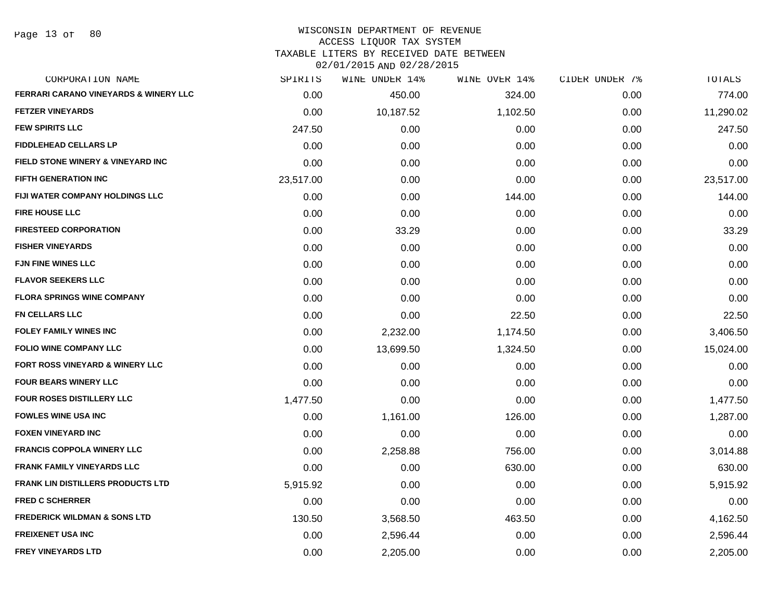Page 13 of 80

#### WISCONSIN DEPARTMENT OF REVENUE ACCESS LIQUOR TAX SYSTEM TAXABLE LITERS BY RECEIVED DATE BETWEEN

| CORPORATION NAME                                 | SPIRITS   | WINE UNDER 14% | WINE OVER 14% | CIDER UNDER 7% | TOTALS    |
|--------------------------------------------------|-----------|----------------|---------------|----------------|-----------|
| <b>FERRARI CARANO VINEYARDS &amp; WINERY LLC</b> | 0.00      | 450.00         | 324.00        | 0.00           | 774.00    |
| <b>FETZER VINEYARDS</b>                          | 0.00      | 10,187.52      | 1,102.50      | 0.00           | 11,290.02 |
| <b>FEW SPIRITS LLC</b>                           | 247.50    | 0.00           | 0.00          | 0.00           | 247.50    |
| <b>FIDDLEHEAD CELLARS LP</b>                     | 0.00      | 0.00           | 0.00          | 0.00           | 0.00      |
| FIELD STONE WINERY & VINEYARD INC                | 0.00      | 0.00           | 0.00          | 0.00           | 0.00      |
| <b>FIFTH GENERATION INC</b>                      | 23,517.00 | 0.00           | 0.00          | 0.00           | 23,517.00 |
| FIJI WATER COMPANY HOLDINGS LLC                  | 0.00      | 0.00           | 144.00        | 0.00           | 144.00    |
| <b>FIRE HOUSE LLC</b>                            | 0.00      | 0.00           | 0.00          | 0.00           | 0.00      |
| <b>FIRESTEED CORPORATION</b>                     | 0.00      | 33.29          | 0.00          | 0.00           | 33.29     |
| <b>FISHER VINEYARDS</b>                          | 0.00      | 0.00           | 0.00          | 0.00           | 0.00      |
| <b>FJN FINE WINES LLC</b>                        | 0.00      | 0.00           | 0.00          | 0.00           | 0.00      |
| <b>FLAVOR SEEKERS LLC</b>                        | 0.00      | 0.00           | 0.00          | 0.00           | 0.00      |
| <b>FLORA SPRINGS WINE COMPANY</b>                | 0.00      | 0.00           | 0.00          | 0.00           | 0.00      |
| <b>FN CELLARS LLC</b>                            | 0.00      | 0.00           | 22.50         | 0.00           | 22.50     |
| <b>FOLEY FAMILY WINES INC</b>                    | 0.00      | 2,232.00       | 1,174.50      | 0.00           | 3,406.50  |
| <b>FOLIO WINE COMPANY LLC</b>                    | 0.00      | 13,699.50      | 1,324.50      | 0.00           | 15,024.00 |
| FORT ROSS VINEYARD & WINERY LLC                  | 0.00      | 0.00           | 0.00          | 0.00           | 0.00      |
| <b>FOUR BEARS WINERY LLC</b>                     | 0.00      | 0.00           | 0.00          | 0.00           | 0.00      |
| <b>FOUR ROSES DISTILLERY LLC</b>                 | 1,477.50  | 0.00           | 0.00          | 0.00           | 1,477.50  |
| <b>FOWLES WINE USA INC</b>                       | 0.00      | 1,161.00       | 126.00        | 0.00           | 1,287.00  |
| <b>FOXEN VINEYARD INC</b>                        | 0.00      | 0.00           | 0.00          | 0.00           | 0.00      |
| <b>FRANCIS COPPOLA WINERY LLC</b>                | 0.00      | 2,258.88       | 756.00        | 0.00           | 3,014.88  |
| <b>FRANK FAMILY VINEYARDS LLC</b>                | 0.00      | 0.00           | 630.00        | 0.00           | 630.00    |
| <b>FRANK LIN DISTILLERS PRODUCTS LTD</b>         | 5,915.92  | 0.00           | 0.00          | 0.00           | 5,915.92  |
| <b>FRED C SCHERRER</b>                           | 0.00      | 0.00           | 0.00          | 0.00           | 0.00      |
| <b>FREDERICK WILDMAN &amp; SONS LTD</b>          | 130.50    | 3,568.50       | 463.50        | 0.00           | 4,162.50  |
| <b>FREIXENET USA INC</b>                         | 0.00      | 2,596.44       | 0.00          | 0.00           | 2,596.44  |
| <b>FREY VINEYARDS LTD</b>                        | 0.00      | 2.205.00       | 0.00          | 0.00           | 2,205.00  |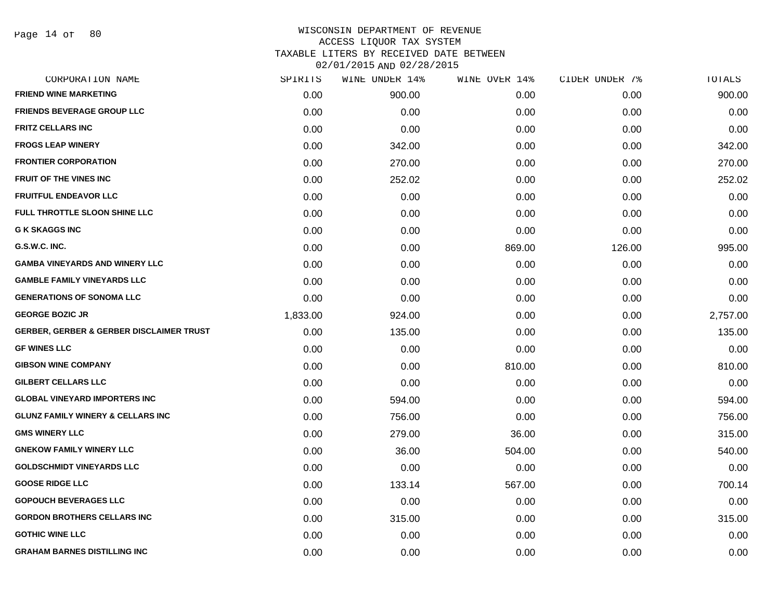Page 14 of 80

| CORPORATION NAME                                    | SPIRITS  | WINE UNDER 14% | WINE OVER 14% | CIDER UNDER 7% | TOTALS   |
|-----------------------------------------------------|----------|----------------|---------------|----------------|----------|
| <b>FRIEND WINE MARKETING</b>                        | 0.00     | 900.00         | 0.00          | 0.00           | 900.00   |
| <b>FRIENDS BEVERAGE GROUP LLC</b>                   | 0.00     | 0.00           | 0.00          | 0.00           | 0.00     |
| <b>FRITZ CELLARS INC</b>                            | 0.00     | 0.00           | 0.00          | 0.00           | 0.00     |
| <b>FROGS LEAP WINERY</b>                            | 0.00     | 342.00         | 0.00          | 0.00           | 342.00   |
| <b>FRONTIER CORPORATION</b>                         | 0.00     | 270.00         | 0.00          | 0.00           | 270.00   |
| FRUIT OF THE VINES INC                              | 0.00     | 252.02         | 0.00          | 0.00           | 252.02   |
| <b>FRUITFUL ENDEAVOR LLC</b>                        | 0.00     | 0.00           | 0.00          | 0.00           | 0.00     |
| FULL THROTTLE SLOON SHINE LLC                       | 0.00     | 0.00           | 0.00          | 0.00           | 0.00     |
| <b>G K SKAGGS INC</b>                               | 0.00     | 0.00           | 0.00          | 0.00           | 0.00     |
| G.S.W.C. INC.                                       | 0.00     | 0.00           | 869.00        | 126.00         | 995.00   |
| <b>GAMBA VINEYARDS AND WINERY LLC</b>               | 0.00     | 0.00           | 0.00          | 0.00           | 0.00     |
| <b>GAMBLE FAMILY VINEYARDS LLC</b>                  | 0.00     | 0.00           | 0.00          | 0.00           | 0.00     |
| <b>GENERATIONS OF SONOMA LLC</b>                    | 0.00     | 0.00           | 0.00          | 0.00           | 0.00     |
| <b>GEORGE BOZIC JR</b>                              | 1,833.00 | 924.00         | 0.00          | 0.00           | 2,757.00 |
| <b>GERBER, GERBER &amp; GERBER DISCLAIMER TRUST</b> | 0.00     | 135.00         | 0.00          | 0.00           | 135.00   |
| <b>GF WINES LLC</b>                                 | 0.00     | 0.00           | 0.00          | 0.00           | 0.00     |
| <b>GIBSON WINE COMPANY</b>                          | 0.00     | 0.00           | 810.00        | 0.00           | 810.00   |
| <b>GILBERT CELLARS LLC</b>                          | 0.00     | 0.00           | 0.00          | 0.00           | 0.00     |
| <b>GLOBAL VINEYARD IMPORTERS INC</b>                | 0.00     | 594.00         | 0.00          | 0.00           | 594.00   |
| <b>GLUNZ FAMILY WINERY &amp; CELLARS INC</b>        | 0.00     | 756.00         | 0.00          | 0.00           | 756.00   |
| <b>GMS WINERY LLC</b>                               | 0.00     | 279.00         | 36.00         | 0.00           | 315.00   |
| <b>GNEKOW FAMILY WINERY LLC</b>                     | 0.00     | 36.00          | 504.00        | 0.00           | 540.00   |
| <b>GOLDSCHMIDT VINEYARDS LLC</b>                    | 0.00     | 0.00           | 0.00          | 0.00           | 0.00     |
| <b>GOOSE RIDGE LLC</b>                              | 0.00     | 133.14         | 567.00        | 0.00           | 700.14   |
| <b>GOPOUCH BEVERAGES LLC</b>                        | 0.00     | 0.00           | 0.00          | 0.00           | 0.00     |
| <b>GORDON BROTHERS CELLARS INC</b>                  | 0.00     | 315.00         | 0.00          | 0.00           | 315.00   |
| <b>GOTHIC WINE LLC</b>                              | 0.00     | 0.00           | 0.00          | 0.00           | 0.00     |
| <b>GRAHAM BARNES DISTILLING INC</b>                 | 0.00     | 0.00           | 0.00          | 0.00           | 0.00     |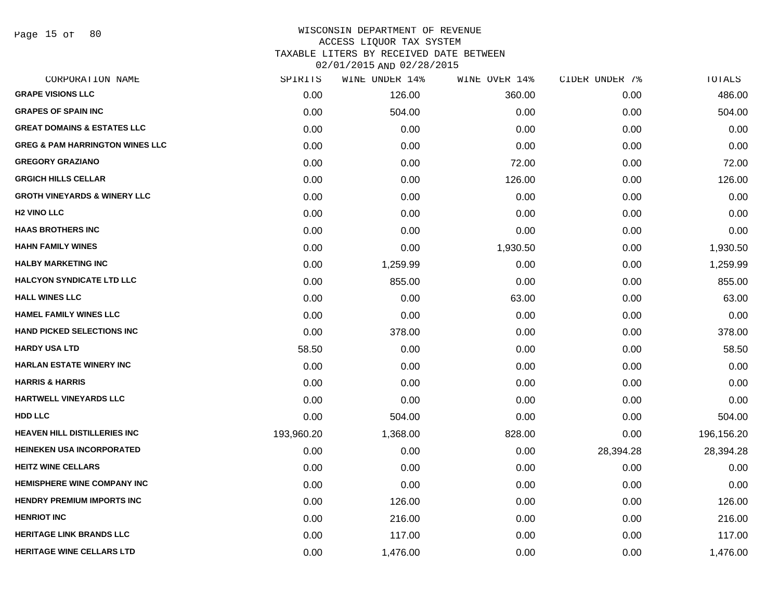Page 15 of 80

#### WISCONSIN DEPARTMENT OF REVENUE ACCESS LIQUOR TAX SYSTEM TAXABLE LITERS BY RECEIVED DATE BETWEEN

| CORPORATION NAME                           | SPIRITS    | WINE UNDER 14% | WINE OVER 14% | CIDER UNDER 7% | TOTALS     |
|--------------------------------------------|------------|----------------|---------------|----------------|------------|
| <b>GRAPE VISIONS LLC</b>                   | 0.00       | 126.00         | 360.00        | 0.00           | 486.00     |
| <b>GRAPES OF SPAIN INC</b>                 | 0.00       | 504.00         | 0.00          | 0.00           | 504.00     |
| <b>GREAT DOMAINS &amp; ESTATES LLC</b>     | 0.00       | 0.00           | 0.00          | 0.00           | 0.00       |
| <b>GREG &amp; PAM HARRINGTON WINES LLC</b> | 0.00       | 0.00           | 0.00          | 0.00           | 0.00       |
| <b>GREGORY GRAZIANO</b>                    | 0.00       | 0.00           | 72.00         | 0.00           | 72.00      |
| <b>GRGICH HILLS CELLAR</b>                 | 0.00       | 0.00           | 126.00        | 0.00           | 126.00     |
| <b>GROTH VINEYARDS &amp; WINERY LLC</b>    | 0.00       | 0.00           | 0.00          | 0.00           | 0.00       |
| <b>H<sub>2</sub> VINO LLC</b>              | 0.00       | 0.00           | 0.00          | 0.00           | 0.00       |
| <b>HAAS BROTHERS INC</b>                   | 0.00       | 0.00           | 0.00          | 0.00           | 0.00       |
| <b>HAHN FAMILY WINES</b>                   | 0.00       | 0.00           | 1,930.50      | 0.00           | 1,930.50   |
| <b>HALBY MARKETING INC</b>                 | 0.00       | 1,259.99       | 0.00          | 0.00           | 1,259.99   |
| <b>HALCYON SYNDICATE LTD LLC</b>           | 0.00       | 855.00         | 0.00          | 0.00           | 855.00     |
| <b>HALL WINES LLC</b>                      | 0.00       | 0.00           | 63.00         | 0.00           | 63.00      |
| <b>HAMEL FAMILY WINES LLC</b>              | 0.00       | 0.00           | 0.00          | 0.00           | 0.00       |
| <b>HAND PICKED SELECTIONS INC</b>          | 0.00       | 378.00         | 0.00          | 0.00           | 378.00     |
| <b>HARDY USA LTD</b>                       | 58.50      | 0.00           | 0.00          | 0.00           | 58.50      |
| <b>HARLAN ESTATE WINERY INC</b>            | 0.00       | 0.00           | 0.00          | 0.00           | 0.00       |
| <b>HARRIS &amp; HARRIS</b>                 | 0.00       | 0.00           | 0.00          | 0.00           | 0.00       |
| <b>HARTWELL VINEYARDS LLC</b>              | 0.00       | 0.00           | 0.00          | 0.00           | 0.00       |
| <b>HDD LLC</b>                             | 0.00       | 504.00         | 0.00          | 0.00           | 504.00     |
| <b>HEAVEN HILL DISTILLERIES INC</b>        | 193,960.20 | 1,368.00       | 828.00        | 0.00           | 196,156.20 |
| <b>HEINEKEN USA INCORPORATED</b>           | 0.00       | 0.00           | 0.00          | 28,394.28      | 28,394.28  |
| <b>HEITZ WINE CELLARS</b>                  | 0.00       | 0.00           | 0.00          | 0.00           | 0.00       |
| <b>HEMISPHERE WINE COMPANY INC</b>         | 0.00       | 0.00           | 0.00          | 0.00           | 0.00       |
| <b>HENDRY PREMIUM IMPORTS INC</b>          | 0.00       | 126.00         | 0.00          | 0.00           | 126.00     |
| <b>HENRIOT INC</b>                         | 0.00       | 216.00         | 0.00          | 0.00           | 216.00     |
| <b>HERITAGE LINK BRANDS LLC</b>            | 0.00       | 117.00         | 0.00          | 0.00           | 117.00     |
| <b>HERITAGE WINE CELLARS LTD</b>           | 0.00       | 1,476.00       | 0.00          | 0.00           | 1,476.00   |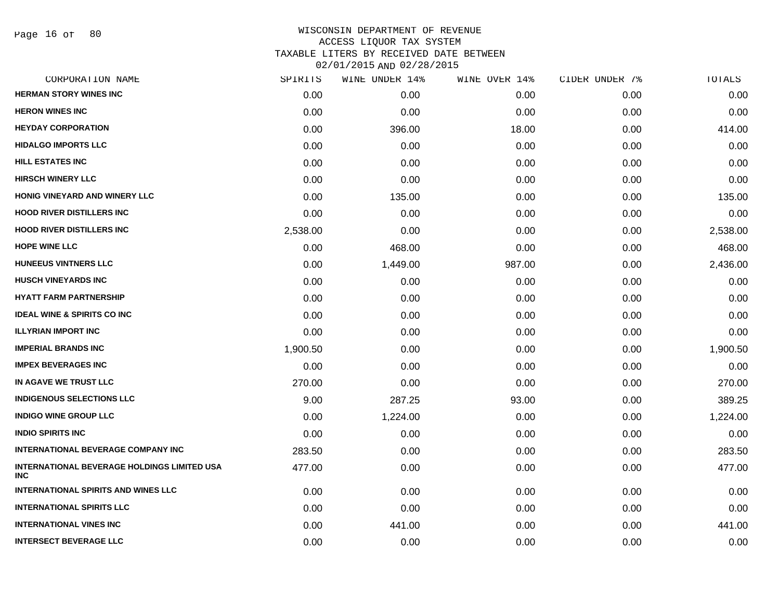| CORPORATION NAME                                                 | SPIRITS  | WINE UNDER 14% | WINE OVER 14% | CIDER UNDER 7% | TOTALS   |
|------------------------------------------------------------------|----------|----------------|---------------|----------------|----------|
| <b>HERMAN STORY WINES INC</b>                                    | 0.00     | 0.00           | 0.00          | 0.00           | 0.00     |
| <b>HERON WINES INC</b>                                           | 0.00     | 0.00           | 0.00          | 0.00           | 0.00     |
| <b>HEYDAY CORPORATION</b>                                        | 0.00     | 396.00         | 18.00         | 0.00           | 414.00   |
| <b>HIDALGO IMPORTS LLC</b>                                       | 0.00     | 0.00           | 0.00          | 0.00           | 0.00     |
| HILL ESTATES INC                                                 | 0.00     | 0.00           | 0.00          | 0.00           | 0.00     |
| <b>HIRSCH WINERY LLC</b>                                         | 0.00     | 0.00           | 0.00          | 0.00           | 0.00     |
| <b>HONIG VINEYARD AND WINERY LLC</b>                             | 0.00     | 135.00         | 0.00          | 0.00           | 135.00   |
| <b>HOOD RIVER DISTILLERS INC</b>                                 | 0.00     | 0.00           | 0.00          | 0.00           | 0.00     |
| <b>HOOD RIVER DISTILLERS INC</b>                                 | 2,538.00 | 0.00           | 0.00          | 0.00           | 2,538.00 |
| <b>HOPE WINE LLC</b>                                             | 0.00     | 468.00         | 0.00          | 0.00           | 468.00   |
| <b>HUNEEUS VINTNERS LLC</b>                                      | 0.00     | 1,449.00       | 987.00        | 0.00           | 2,436.00 |
| <b>HUSCH VINEYARDS INC</b>                                       | 0.00     | 0.00           | 0.00          | 0.00           | 0.00     |
| <b>HYATT FARM PARTNERSHIP</b>                                    | 0.00     | 0.00           | 0.00          | 0.00           | 0.00     |
| <b>IDEAL WINE &amp; SPIRITS CO INC</b>                           | 0.00     | 0.00           | 0.00          | 0.00           | 0.00     |
| <b>ILLYRIAN IMPORT INC</b>                                       | 0.00     | 0.00           | 0.00          | 0.00           | 0.00     |
| <b>IMPERIAL BRANDS INC</b>                                       | 1,900.50 | 0.00           | 0.00          | 0.00           | 1,900.50 |
| <b>IMPEX BEVERAGES INC</b>                                       | 0.00     | 0.00           | 0.00          | 0.00           | 0.00     |
| IN AGAVE WE TRUST LLC                                            | 270.00   | 0.00           | 0.00          | 0.00           | 270.00   |
| <b>INDIGENOUS SELECTIONS LLC</b>                                 | 9.00     | 287.25         | 93.00         | 0.00           | 389.25   |
| <b>INDIGO WINE GROUP LLC</b>                                     | 0.00     | 1,224.00       | 0.00          | 0.00           | 1,224.00 |
| <b>INDIO SPIRITS INC</b>                                         | 0.00     | 0.00           | 0.00          | 0.00           | 0.00     |
| <b>INTERNATIONAL BEVERAGE COMPANY INC</b>                        | 283.50   | 0.00           | 0.00          | 0.00           | 283.50   |
| <b>INTERNATIONAL BEVERAGE HOLDINGS LIMITED USA</b><br><b>INC</b> | 477.00   | 0.00           | 0.00          | 0.00           | 477.00   |
| <b>INTERNATIONAL SPIRITS AND WINES LLC</b>                       | 0.00     | 0.00           | 0.00          | 0.00           | 0.00     |
| <b>INTERNATIONAL SPIRITS LLC</b>                                 | 0.00     | 0.00           | 0.00          | 0.00           | 0.00     |
| <b>INTERNATIONAL VINES INC</b>                                   | 0.00     | 441.00         | 0.00          | 0.00           | 441.00   |
| <b>INTERSECT BEVERAGE LLC</b>                                    | 0.00     | 0.00           | 0.00          | 0.00           | 0.00     |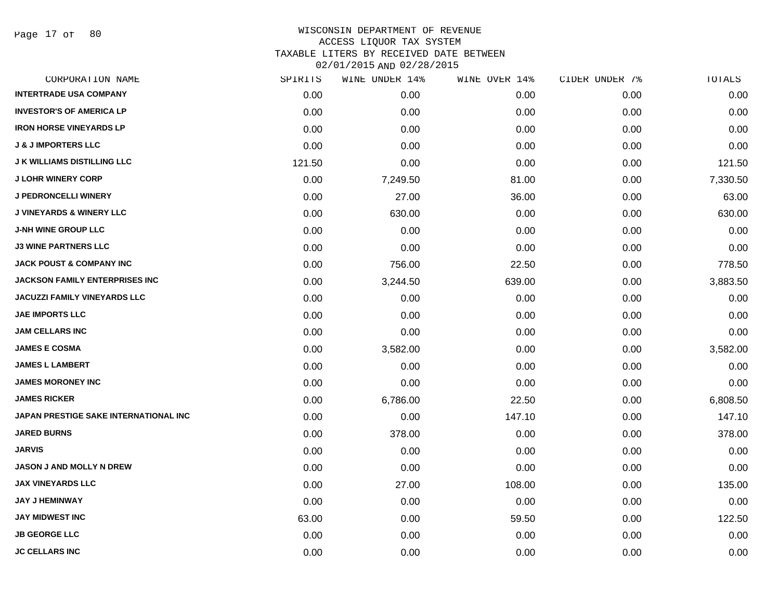Page 17 of 80

| CORPORATION NAME                      | SPIRITS | WINE UNDER 14% | WINE OVER 14% | CIDER UNDER 7% | TOTALS   |
|---------------------------------------|---------|----------------|---------------|----------------|----------|
| <b>INTERTRADE USA COMPANY</b>         | 0.00    | 0.00           | 0.00          | 0.00           | 0.00     |
| <b>INVESTOR'S OF AMERICA LP</b>       | 0.00    | 0.00           | 0.00          | 0.00           | 0.00     |
| <b>IRON HORSE VINEYARDS LP</b>        | 0.00    | 0.00           | 0.00          | 0.00           | 0.00     |
| <b>J &amp; J IMPORTERS LLC</b>        | 0.00    | 0.00           | 0.00          | 0.00           | 0.00     |
| <b>J K WILLIAMS DISTILLING LLC</b>    | 121.50  | 0.00           | 0.00          | 0.00           | 121.50   |
| <b>J LOHR WINERY CORP</b>             | 0.00    | 7,249.50       | 81.00         | 0.00           | 7,330.50 |
| <b>J PEDRONCELLI WINERY</b>           | 0.00    | 27.00          | 36.00         | 0.00           | 63.00    |
| <b>J VINEYARDS &amp; WINERY LLC</b>   | 0.00    | 630.00         | 0.00          | 0.00           | 630.00   |
| <b>J-NH WINE GROUP LLC</b>            | 0.00    | 0.00           | 0.00          | 0.00           | 0.00     |
| <b>J3 WINE PARTNERS LLC</b>           | 0.00    | 0.00           | 0.00          | 0.00           | 0.00     |
| <b>JACK POUST &amp; COMPANY INC</b>   | 0.00    | 756.00         | 22.50         | 0.00           | 778.50   |
| <b>JACKSON FAMILY ENTERPRISES INC</b> | 0.00    | 3,244.50       | 639.00        | 0.00           | 3,883.50 |
| JACUZZI FAMILY VINEYARDS LLC          | 0.00    | 0.00           | 0.00          | 0.00           | 0.00     |
| <b>JAE IMPORTS LLC</b>                | 0.00    | 0.00           | 0.00          | 0.00           | 0.00     |
| <b>JAM CELLARS INC</b>                | 0.00    | 0.00           | 0.00          | 0.00           | 0.00     |
| <b>JAMES E COSMA</b>                  | 0.00    | 3,582.00       | 0.00          | 0.00           | 3,582.00 |
| <b>JAMES L LAMBERT</b>                | 0.00    | 0.00           | 0.00          | 0.00           | 0.00     |
| <b>JAMES MORONEY INC</b>              | 0.00    | 0.00           | 0.00          | 0.00           | 0.00     |
| <b>JAMES RICKER</b>                   | 0.00    | 6,786.00       | 22.50         | 0.00           | 6,808.50 |
| JAPAN PRESTIGE SAKE INTERNATIONAL INC | 0.00    | 0.00           | 147.10        | 0.00           | 147.10   |
| <b>JARED BURNS</b>                    | 0.00    | 378.00         | 0.00          | 0.00           | 378.00   |
| <b>JARVIS</b>                         | 0.00    | 0.00           | 0.00          | 0.00           | 0.00     |
| <b>JASON J AND MOLLY N DREW</b>       | 0.00    | 0.00           | 0.00          | 0.00           | 0.00     |
| <b>JAX VINEYARDS LLC</b>              | 0.00    | 27.00          | 108.00        | 0.00           | 135.00   |
| <b>JAY J HEMINWAY</b>                 | 0.00    | 0.00           | 0.00          | 0.00           | 0.00     |
| <b>JAY MIDWEST INC</b>                | 63.00   | 0.00           | 59.50         | 0.00           | 122.50   |
| <b>JB GEORGE LLC</b>                  | 0.00    | 0.00           | 0.00          | 0.00           | 0.00     |
| <b>JC CELLARS INC</b>                 | 0.00    | 0.00           | 0.00          | 0.00           | 0.00     |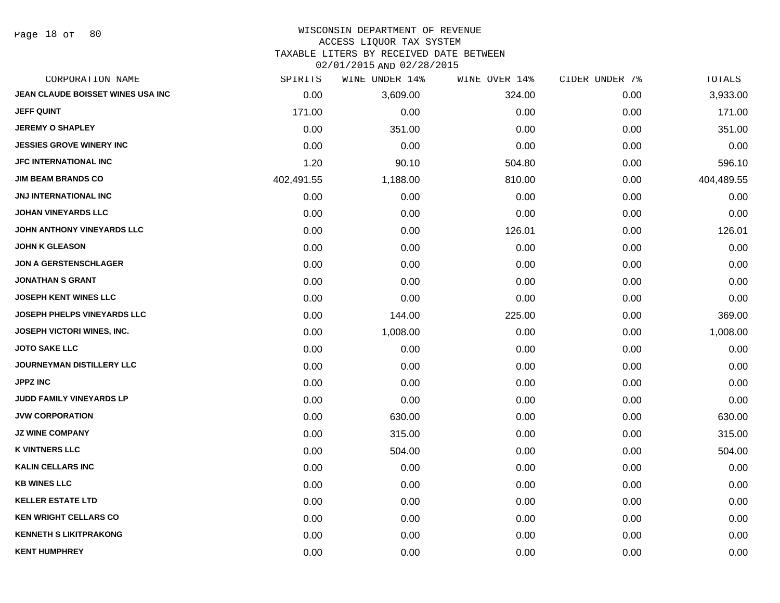Page 18 of 80

## WISCONSIN DEPARTMENT OF REVENUE ACCESS LIQUOR TAX SYSTEM

TAXABLE LITERS BY RECEIVED DATE BETWEEN

| CORPORATION NAME                   | SPIRITS    | WINE UNDER 14% | WINE OVER 14% | CIDER UNDER 7% | TOTALS     |
|------------------------------------|------------|----------------|---------------|----------------|------------|
| JEAN CLAUDE BOISSET WINES USA INC  | 0.00       | 3,609.00       | 324.00        | 0.00           | 3,933.00   |
| <b>JEFF QUINT</b>                  | 171.00     | 0.00           | 0.00          | 0.00           | 171.00     |
| <b>JEREMY O SHAPLEY</b>            | 0.00       | 351.00         | 0.00          | 0.00           | 351.00     |
| <b>JESSIES GROVE WINERY INC</b>    | 0.00       | 0.00           | 0.00          | 0.00           | 0.00       |
| <b>JFC INTERNATIONAL INC</b>       | 1.20       | 90.10          | 504.80        | 0.00           | 596.10     |
| <b>JIM BEAM BRANDS CO</b>          | 402,491.55 | 1,188.00       | 810.00        | 0.00           | 404,489.55 |
| JNJ INTERNATIONAL INC              | 0.00       | 0.00           | 0.00          | 0.00           | 0.00       |
| <b>JOHAN VINEYARDS LLC</b>         | 0.00       | 0.00           | 0.00          | 0.00           | 0.00       |
| JOHN ANTHONY VINEYARDS LLC         | 0.00       | 0.00           | 126.01        | 0.00           | 126.01     |
| <b>JOHN K GLEASON</b>              | 0.00       | 0.00           | 0.00          | 0.00           | 0.00       |
| <b>JON A GERSTENSCHLAGER</b>       | 0.00       | 0.00           | 0.00          | 0.00           | 0.00       |
| <b>JONATHAN S GRANT</b>            | 0.00       | 0.00           | 0.00          | 0.00           | 0.00       |
| <b>JOSEPH KENT WINES LLC</b>       | 0.00       | 0.00           | 0.00          | 0.00           | 0.00       |
| <b>JOSEPH PHELPS VINEYARDS LLC</b> | 0.00       | 144.00         | 225.00        | 0.00           | 369.00     |
| <b>JOSEPH VICTORI WINES, INC.</b>  | 0.00       | 1,008.00       | 0.00          | 0.00           | 1,008.00   |
| <b>JOTO SAKE LLC</b>               | 0.00       | 0.00           | 0.00          | 0.00           | 0.00       |
| <b>JOURNEYMAN DISTILLERY LLC</b>   | 0.00       | 0.00           | 0.00          | 0.00           | 0.00       |
| <b>JPPZ INC</b>                    | 0.00       | 0.00           | 0.00          | 0.00           | 0.00       |
| <b>JUDD FAMILY VINEYARDS LP</b>    | 0.00       | 0.00           | 0.00          | 0.00           | 0.00       |
| <b>JVW CORPORATION</b>             | 0.00       | 630.00         | 0.00          | 0.00           | 630.00     |
| <b>JZ WINE COMPANY</b>             | 0.00       | 315.00         | 0.00          | 0.00           | 315.00     |
| <b>K VINTNERS LLC</b>              | 0.00       | 504.00         | 0.00          | 0.00           | 504.00     |
| <b>KALIN CELLARS INC</b>           | 0.00       | 0.00           | 0.00          | 0.00           | 0.00       |
| <b>KB WINES LLC</b>                | 0.00       | 0.00           | 0.00          | 0.00           | 0.00       |
| <b>KELLER ESTATE LTD</b>           | 0.00       | 0.00           | 0.00          | 0.00           | 0.00       |
| <b>KEN WRIGHT CELLARS CO</b>       | 0.00       | 0.00           | 0.00          | 0.00           | 0.00       |
| <b>KENNETH S LIKITPRAKONG</b>      | 0.00       | 0.00           | 0.00          | 0.00           | 0.00       |
| <b>KENT HUMPHREY</b>               | 0.00       | 0.00           | 0.00          | 0.00           | 0.00       |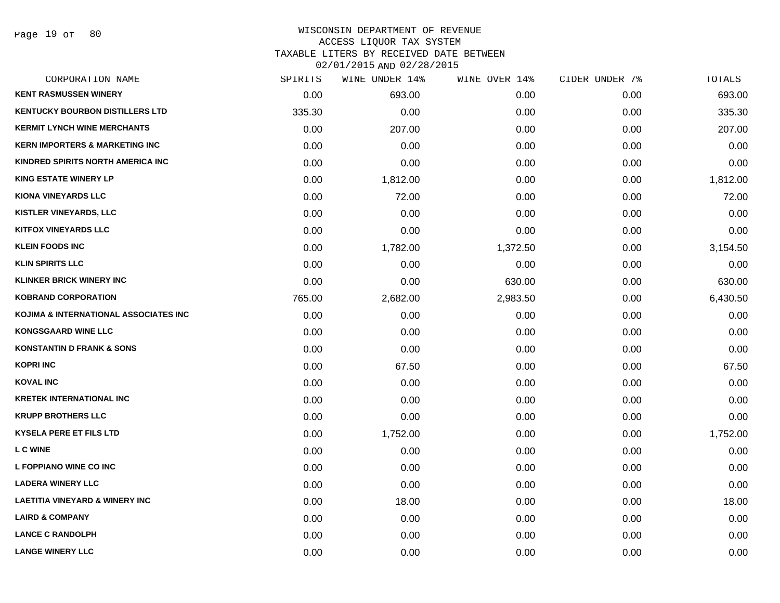| CORPORATION NAME                          | SPIRITS | WINE UNDER 14% | WINE OVER 14% | CIDER UNDER 7% | TOTALS   |
|-------------------------------------------|---------|----------------|---------------|----------------|----------|
| <b>KENT RASMUSSEN WINERY</b>              | 0.00    | 693.00         | 0.00          | 0.00           | 693.00   |
| <b>KENTUCKY BOURBON DISTILLERS LTD</b>    | 335.30  | 0.00           | 0.00          | 0.00           | 335.30   |
| <b>KERMIT LYNCH WINE MERCHANTS</b>        | 0.00    | 207.00         | 0.00          | 0.00           | 207.00   |
| <b>KERN IMPORTERS &amp; MARKETING INC</b> | 0.00    | 0.00           | 0.00          | 0.00           | 0.00     |
| KINDRED SPIRITS NORTH AMERICA INC         | 0.00    | 0.00           | 0.00          | 0.00           | 0.00     |
| <b>KING ESTATE WINERY LP</b>              | 0.00    | 1,812.00       | 0.00          | 0.00           | 1,812.00 |
| <b>KIONA VINEYARDS LLC</b>                | 0.00    | 72.00          | 0.00          | 0.00           | 72.00    |
| <b>KISTLER VINEYARDS, LLC</b>             | 0.00    | 0.00           | 0.00          | 0.00           | 0.00     |
| <b>KITFOX VINEYARDS LLC</b>               | 0.00    | 0.00           | 0.00          | 0.00           | 0.00     |
| <b>KLEIN FOODS INC</b>                    | 0.00    | 1,782.00       | 1,372.50      | 0.00           | 3,154.50 |
| <b>KLIN SPIRITS LLC</b>                   | 0.00    | 0.00           | 0.00          | 0.00           | 0.00     |
| <b>KLINKER BRICK WINERY INC</b>           | 0.00    | 0.00           | 630.00        | 0.00           | 630.00   |
| <b>KOBRAND CORPORATION</b>                | 765.00  | 2,682.00       | 2,983.50      | 0.00           | 6,430.50 |
| KOJIMA & INTERNATIONAL ASSOCIATES INC     | 0.00    | 0.00           | 0.00          | 0.00           | 0.00     |
| <b>KONGSGAARD WINE LLC</b>                | 0.00    | 0.00           | 0.00          | 0.00           | 0.00     |
| <b>KONSTANTIN D FRANK &amp; SONS</b>      | 0.00    | 0.00           | 0.00          | 0.00           | 0.00     |
| <b>KOPRI INC</b>                          | 0.00    | 67.50          | 0.00          | 0.00           | 67.50    |
| <b>KOVAL INC</b>                          | 0.00    | 0.00           | 0.00          | 0.00           | 0.00     |
| <b>KRETEK INTERNATIONAL INC</b>           | 0.00    | 0.00           | 0.00          | 0.00           | 0.00     |
| <b>KRUPP BROTHERS LLC</b>                 | 0.00    | 0.00           | 0.00          | 0.00           | 0.00     |
| <b>KYSELA PERE ET FILS LTD</b>            | 0.00    | 1,752.00       | 0.00          | 0.00           | 1,752.00 |
| L C WINE                                  | 0.00    | 0.00           | 0.00          | 0.00           | 0.00     |
| L FOPPIANO WINE CO INC                    | 0.00    | 0.00           | 0.00          | 0.00           | 0.00     |
| <b>LADERA WINERY LLC</b>                  | 0.00    | 0.00           | 0.00          | 0.00           | 0.00     |
| <b>LAETITIA VINEYARD &amp; WINERY INC</b> | 0.00    | 18.00          | 0.00          | 0.00           | 18.00    |
| <b>LAIRD &amp; COMPANY</b>                | 0.00    | 0.00           | 0.00          | 0.00           | 0.00     |
| <b>LANCE C RANDOLPH</b>                   | 0.00    | 0.00           | 0.00          | 0.00           | 0.00     |
| <b>LANGE WINERY LLC</b>                   | 0.00    | 0.00           | 0.00          | 0.00           | 0.00     |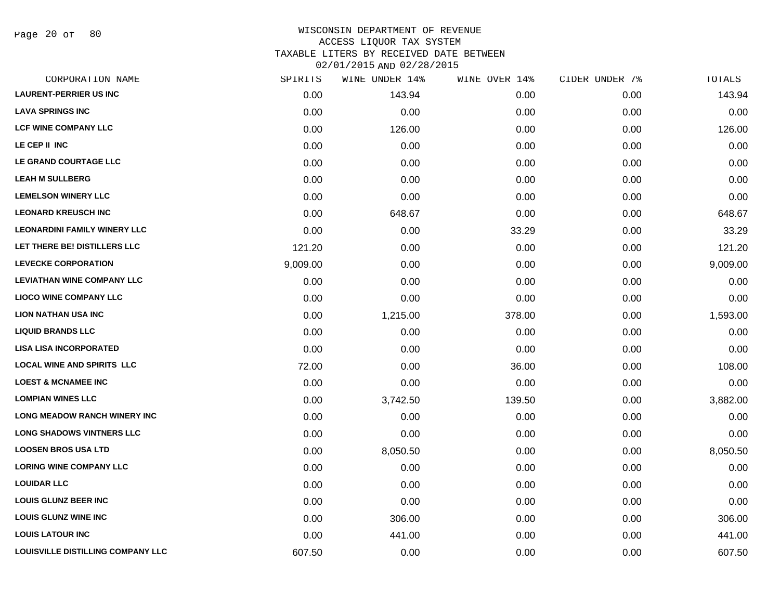Page 20 of 80

| CORPORATION NAME                         | SPIRITS  | WINE UNDER 14% | WINE OVER 14% | CIDER UNDER 7% | TOTALS   |
|------------------------------------------|----------|----------------|---------------|----------------|----------|
| <b>LAURENT-PERRIER US INC</b>            | 0.00     | 143.94         | 0.00          | 0.00           | 143.94   |
| <b>LAVA SPRINGS INC</b>                  | 0.00     | 0.00           | 0.00          | 0.00           | 0.00     |
| <b>LCF WINE COMPANY LLC</b>              | 0.00     | 126.00         | 0.00          | 0.00           | 126.00   |
| LE CEP II INC                            | 0.00     | 0.00           | 0.00          | 0.00           | 0.00     |
| LE GRAND COURTAGE LLC                    | 0.00     | 0.00           | 0.00          | 0.00           | 0.00     |
| <b>LEAH M SULLBERG</b>                   | 0.00     | 0.00           | 0.00          | 0.00           | 0.00     |
| <b>LEMELSON WINERY LLC</b>               | 0.00     | 0.00           | 0.00          | 0.00           | 0.00     |
| <b>LEONARD KREUSCH INC</b>               | 0.00     | 648.67         | 0.00          | 0.00           | 648.67   |
| <b>LEONARDINI FAMILY WINERY LLC</b>      | 0.00     | 0.00           | 33.29         | 0.00           | 33.29    |
| LET THERE BE! DISTILLERS LLC             | 121.20   | 0.00           | 0.00          | 0.00           | 121.20   |
| <b>LEVECKE CORPORATION</b>               | 9,009.00 | 0.00           | 0.00          | 0.00           | 9,009.00 |
| <b>LEVIATHAN WINE COMPANY LLC</b>        | 0.00     | 0.00           | 0.00          | 0.00           | 0.00     |
| <b>LIOCO WINE COMPANY LLC</b>            | 0.00     | 0.00           | 0.00          | 0.00           | 0.00     |
| <b>LION NATHAN USA INC</b>               | 0.00     | 1,215.00       | 378.00        | 0.00           | 1,593.00 |
| <b>LIQUID BRANDS LLC</b>                 | 0.00     | 0.00           | 0.00          | 0.00           | 0.00     |
| <b>LISA LISA INCORPORATED</b>            | 0.00     | 0.00           | 0.00          | 0.00           | 0.00     |
| <b>LOCAL WINE AND SPIRITS LLC</b>        | 72.00    | 0.00           | 36.00         | 0.00           | 108.00   |
| <b>LOEST &amp; MCNAMEE INC</b>           | 0.00     | 0.00           | 0.00          | 0.00           | 0.00     |
| <b>LOMPIAN WINES LLC</b>                 | 0.00     | 3,742.50       | 139.50        | 0.00           | 3,882.00 |
| <b>LONG MEADOW RANCH WINERY INC</b>      | 0.00     | 0.00           | 0.00          | 0.00           | 0.00     |
| <b>LONG SHADOWS VINTNERS LLC</b>         | 0.00     | 0.00           | 0.00          | 0.00           | 0.00     |
| <b>LOOSEN BROS USA LTD</b>               | 0.00     | 8,050.50       | 0.00          | 0.00           | 8,050.50 |
| <b>LORING WINE COMPANY LLC</b>           | 0.00     | 0.00           | 0.00          | 0.00           | 0.00     |
| <b>LOUIDAR LLC</b>                       | 0.00     | 0.00           | 0.00          | 0.00           | 0.00     |
| <b>LOUIS GLUNZ BEER INC</b>              | 0.00     | 0.00           | 0.00          | 0.00           | 0.00     |
| <b>LOUIS GLUNZ WINE INC</b>              | 0.00     | 306.00         | 0.00          | 0.00           | 306.00   |
| <b>LOUIS LATOUR INC</b>                  | 0.00     | 441.00         | 0.00          | 0.00           | 441.00   |
| <b>LOUISVILLE DISTILLING COMPANY LLC</b> | 607.50   | 0.00           | 0.00          | 0.00           | 607.50   |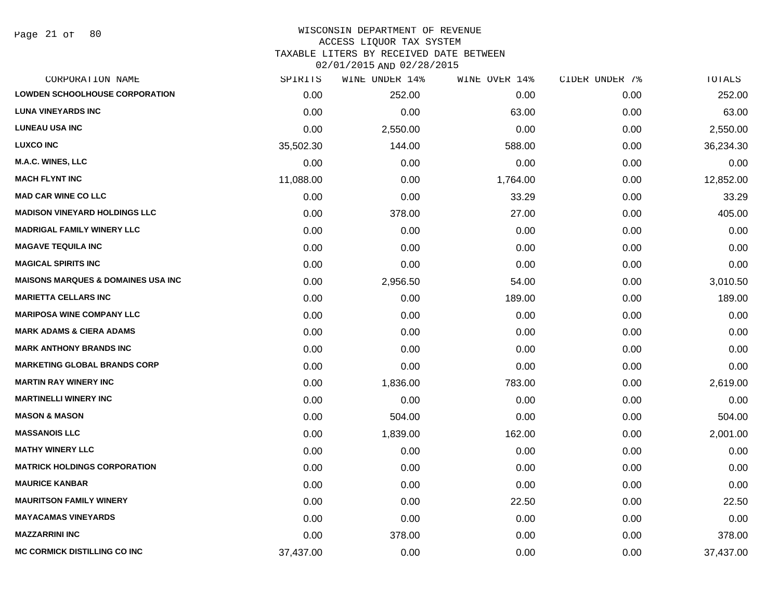Page 21 of 80

| CORPORATION NAME                              | SPIRITS   | WINE UNDER 14% | WINE OVER 14% | CIDER UNDER 7% | <b>TOTALS</b> |
|-----------------------------------------------|-----------|----------------|---------------|----------------|---------------|
| <b>LOWDEN SCHOOLHOUSE CORPORATION</b>         | 0.00      | 252.00         | 0.00          | 0.00           | 252.00        |
| <b>LUNA VINEYARDS INC</b>                     | 0.00      | 0.00           | 63.00         | 0.00           | 63.00         |
| <b>LUNEAU USA INC</b>                         | 0.00      | 2,550.00       | 0.00          | 0.00           | 2,550.00      |
| <b>LUXCO INC</b>                              | 35,502.30 | 144.00         | 588.00        | 0.00           | 36,234.30     |
| M.A.C. WINES, LLC                             | 0.00      | 0.00           | 0.00          | 0.00           | 0.00          |
| <b>MACH FLYNT INC</b>                         | 11,088.00 | 0.00           | 1,764.00      | 0.00           | 12,852.00     |
| <b>MAD CAR WINE CO LLC</b>                    | 0.00      | 0.00           | 33.29         | 0.00           | 33.29         |
| <b>MADISON VINEYARD HOLDINGS LLC</b>          | 0.00      | 378.00         | 27.00         | 0.00           | 405.00        |
| <b>MADRIGAL FAMILY WINERY LLC</b>             | 0.00      | 0.00           | 0.00          | 0.00           | 0.00          |
| <b>MAGAVE TEQUILA INC</b>                     | 0.00      | 0.00           | 0.00          | 0.00           | 0.00          |
| <b>MAGICAL SPIRITS INC</b>                    | 0.00      | 0.00           | 0.00          | 0.00           | 0.00          |
| <b>MAISONS MARQUES &amp; DOMAINES USA INC</b> | 0.00      | 2,956.50       | 54.00         | 0.00           | 3,010.50      |
| <b>MARIETTA CELLARS INC</b>                   | 0.00      | 0.00           | 189.00        | 0.00           | 189.00        |
| <b>MARIPOSA WINE COMPANY LLC</b>              | 0.00      | 0.00           | 0.00          | 0.00           | 0.00          |
| <b>MARK ADAMS &amp; CIERA ADAMS</b>           | 0.00      | 0.00           | 0.00          | 0.00           | 0.00          |
| <b>MARK ANTHONY BRANDS INC</b>                | 0.00      | 0.00           | 0.00          | 0.00           | 0.00          |
| <b>MARKETING GLOBAL BRANDS CORP</b>           | 0.00      | 0.00           | 0.00          | 0.00           | 0.00          |
| <b>MARTIN RAY WINERY INC</b>                  | 0.00      | 1,836.00       | 783.00        | 0.00           | 2,619.00      |
| <b>MARTINELLI WINERY INC</b>                  | 0.00      | 0.00           | 0.00          | 0.00           | 0.00          |
| <b>MASON &amp; MASON</b>                      | 0.00      | 504.00         | 0.00          | 0.00           | 504.00        |
| <b>MASSANOIS LLC</b>                          | 0.00      | 1,839.00       | 162.00        | 0.00           | 2,001.00      |
| <b>MATHY WINERY LLC</b>                       | 0.00      | 0.00           | 0.00          | 0.00           | 0.00          |
| <b>MATRICK HOLDINGS CORPORATION</b>           | 0.00      | 0.00           | 0.00          | 0.00           | 0.00          |
| <b>MAURICE KANBAR</b>                         | 0.00      | 0.00           | 0.00          | 0.00           | 0.00          |
| <b>MAURITSON FAMILY WINERY</b>                | 0.00      | 0.00           | 22.50         | 0.00           | 22.50         |
| <b>MAYACAMAS VINEYARDS</b>                    | 0.00      | 0.00           | 0.00          | 0.00           | 0.00          |
| <b>MAZZARRINI INC</b>                         | 0.00      | 378.00         | 0.00          | 0.00           | 378.00        |
| <b>MC CORMICK DISTILLING CO INC</b>           | 37,437.00 | 0.00           | 0.00          | 0.00           | 37,437.00     |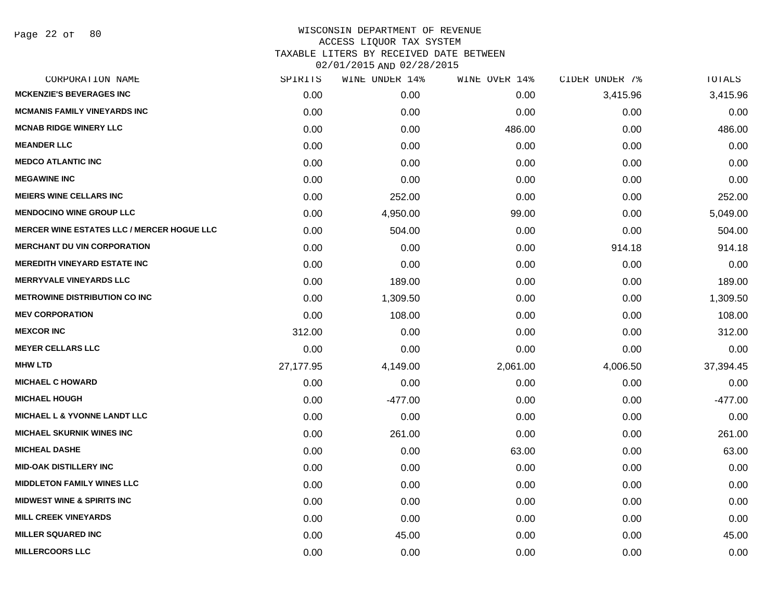| CORPORATION NAME                                  | SPIRITS   | WINE UNDER 14% | WINE OVER 14% | CIDER UNDER 7% | TOTALS    |
|---------------------------------------------------|-----------|----------------|---------------|----------------|-----------|
| <b>MCKENZIE'S BEVERAGES INC</b>                   | 0.00      | 0.00           | 0.00          | 3,415.96       | 3,415.96  |
| <b>MCMANIS FAMILY VINEYARDS INC</b>               | 0.00      | 0.00           | 0.00          | 0.00           | 0.00      |
| <b>MCNAB RIDGE WINERY LLC</b>                     | 0.00      | 0.00           | 486.00        | 0.00           | 486.00    |
| <b>MEANDER LLC</b>                                | 0.00      | 0.00           | 0.00          | 0.00           | 0.00      |
| <b>MEDCO ATLANTIC INC</b>                         | 0.00      | 0.00           | 0.00          | 0.00           | 0.00      |
| <b>MEGAWINE INC</b>                               | 0.00      | 0.00           | 0.00          | 0.00           | 0.00      |
| <b>MEIERS WINE CELLARS INC</b>                    | 0.00      | 252.00         | 0.00          | 0.00           | 252.00    |
| <b>MENDOCINO WINE GROUP LLC</b>                   | 0.00      | 4,950.00       | 99.00         | 0.00           | 5,049.00  |
| <b>MERCER WINE ESTATES LLC / MERCER HOGUE LLC</b> | 0.00      | 504.00         | 0.00          | 0.00           | 504.00    |
| <b>MERCHANT DU VIN CORPORATION</b>                | 0.00      | 0.00           | 0.00          | 914.18         | 914.18    |
| <b>MEREDITH VINEYARD ESTATE INC</b>               | 0.00      | 0.00           | 0.00          | 0.00           | 0.00      |
| <b>MERRYVALE VINEYARDS LLC</b>                    | 0.00      | 189.00         | 0.00          | 0.00           | 189.00    |
| <b>METROWINE DISTRIBUTION CO INC</b>              | 0.00      | 1,309.50       | 0.00          | 0.00           | 1,309.50  |
| <b>MEV CORPORATION</b>                            | 0.00      | 108.00         | 0.00          | 0.00           | 108.00    |
| <b>MEXCOR INC</b>                                 | 312.00    | 0.00           | 0.00          | 0.00           | 312.00    |
| <b>MEYER CELLARS LLC</b>                          | 0.00      | 0.00           | 0.00          | 0.00           | 0.00      |
| <b>MHW LTD</b>                                    | 27,177.95 | 4,149.00       | 2,061.00      | 4,006.50       | 37,394.45 |
| <b>MICHAEL C HOWARD</b>                           | 0.00      | 0.00           | 0.00          | 0.00           | 0.00      |
| <b>MICHAEL HOUGH</b>                              | 0.00      | $-477.00$      | 0.00          | 0.00           | $-477.00$ |
| <b>MICHAEL L &amp; YVONNE LANDT LLC</b>           | 0.00      | 0.00           | 0.00          | 0.00           | 0.00      |
| <b>MICHAEL SKURNIK WINES INC</b>                  | 0.00      | 261.00         | 0.00          | 0.00           | 261.00    |
| <b>MICHEAL DASHE</b>                              | 0.00      | 0.00           | 63.00         | 0.00           | 63.00     |
| <b>MID-OAK DISTILLERY INC</b>                     | 0.00      | 0.00           | 0.00          | 0.00           | 0.00      |
| <b>MIDDLETON FAMILY WINES LLC</b>                 | 0.00      | 0.00           | 0.00          | 0.00           | 0.00      |
| <b>MIDWEST WINE &amp; SPIRITS INC</b>             | 0.00      | 0.00           | 0.00          | 0.00           | 0.00      |
| <b>MILL CREEK VINEYARDS</b>                       | 0.00      | 0.00           | 0.00          | 0.00           | 0.00      |
| <b>MILLER SQUARED INC</b>                         | 0.00      | 45.00          | 0.00          | 0.00           | 45.00     |
| <b>MILLERCOORS LLC</b>                            | 0.00      | 0.00           | 0.00          | 0.00           | 0.00      |
|                                                   |           |                |               |                |           |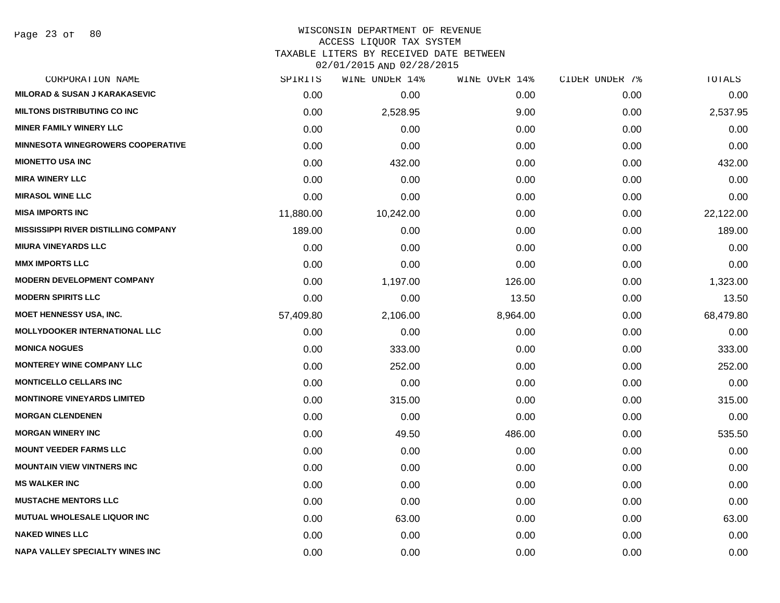# WISCONSIN DEPARTMENT OF REVENUE ACCESS LIQUOR TAX SYSTEM

TAXABLE LITERS BY RECEIVED DATE BETWEEN

| CORPORATION NAME                            | SPIRITS   | WINE UNDER 14% | WINE OVER 14% | CIDER UNDER 7% | TOTALS    |
|---------------------------------------------|-----------|----------------|---------------|----------------|-----------|
| <b>MILORAD &amp; SUSAN J KARAKASEVIC</b>    | 0.00      | 0.00           | 0.00          | 0.00           | 0.00      |
| <b>MILTONS DISTRIBUTING CO INC</b>          | 0.00      | 2,528.95       | 9.00          | 0.00           | 2,537.95  |
| <b>MINER FAMILY WINERY LLC</b>              | 0.00      | 0.00           | 0.00          | 0.00           | 0.00      |
| <b>MINNESOTA WINEGROWERS COOPERATIVE</b>    | 0.00      | 0.00           | 0.00          | 0.00           | 0.00      |
| <b>MIONETTO USA INC</b>                     | 0.00      | 432.00         | 0.00          | 0.00           | 432.00    |
| <b>MIRA WINERY LLC</b>                      | 0.00      | 0.00           | 0.00          | 0.00           | 0.00      |
| <b>MIRASOL WINE LLC</b>                     | 0.00      | 0.00           | 0.00          | 0.00           | 0.00      |
| <b>MISA IMPORTS INC</b>                     | 11,880.00 | 10,242.00      | 0.00          | 0.00           | 22,122.00 |
| <b>MISSISSIPPI RIVER DISTILLING COMPANY</b> | 189.00    | 0.00           | 0.00          | 0.00           | 189.00    |
| <b>MIURA VINEYARDS LLC</b>                  | 0.00      | 0.00           | 0.00          | 0.00           | 0.00      |
| <b>MMX IMPORTS LLC</b>                      | 0.00      | 0.00           | 0.00          | 0.00           | 0.00      |
| <b>MODERN DEVELOPMENT COMPANY</b>           | 0.00      | 1,197.00       | 126.00        | 0.00           | 1,323.00  |
| <b>MODERN SPIRITS LLC</b>                   | 0.00      | 0.00           | 13.50         | 0.00           | 13.50     |
| <b>MOET HENNESSY USA, INC.</b>              | 57,409.80 | 2,106.00       | 8,964.00      | 0.00           | 68,479.80 |
| <b>MOLLYDOOKER INTERNATIONAL LLC</b>        | 0.00      | 0.00           | 0.00          | 0.00           | 0.00      |
| <b>MONICA NOGUES</b>                        | 0.00      | 333.00         | 0.00          | 0.00           | 333.00    |
| <b>MONTEREY WINE COMPANY LLC</b>            | 0.00      | 252.00         | 0.00          | 0.00           | 252.00    |
| <b>MONTICELLO CELLARS INC</b>               | 0.00      | 0.00           | 0.00          | 0.00           | 0.00      |
| <b>MONTINORE VINEYARDS LIMITED</b>          | 0.00      | 315.00         | 0.00          | 0.00           | 315.00    |
| <b>MORGAN CLENDENEN</b>                     | 0.00      | 0.00           | 0.00          | 0.00           | 0.00      |
| <b>MORGAN WINERY INC</b>                    | 0.00      | 49.50          | 486.00        | 0.00           | 535.50    |
| <b>MOUNT VEEDER FARMS LLC</b>               | 0.00      | 0.00           | 0.00          | 0.00           | 0.00      |
| <b>MOUNTAIN VIEW VINTNERS INC</b>           | 0.00      | 0.00           | 0.00          | 0.00           | 0.00      |
| <b>MS WALKER INC</b>                        | 0.00      | 0.00           | 0.00          | 0.00           | 0.00      |
| <b>MUSTACHE MENTORS LLC</b>                 | 0.00      | 0.00           | 0.00          | 0.00           | 0.00      |
| <b>MUTUAL WHOLESALE LIQUOR INC</b>          | 0.00      | 63.00          | 0.00          | 0.00           | 63.00     |
| <b>NAKED WINES LLC</b>                      | 0.00      | 0.00           | 0.00          | 0.00           | 0.00      |
| <b>NAPA VALLEY SPECIALTY WINES INC</b>      | 0.00      | 0.00           | 0.00          | 0.00           | 0.00      |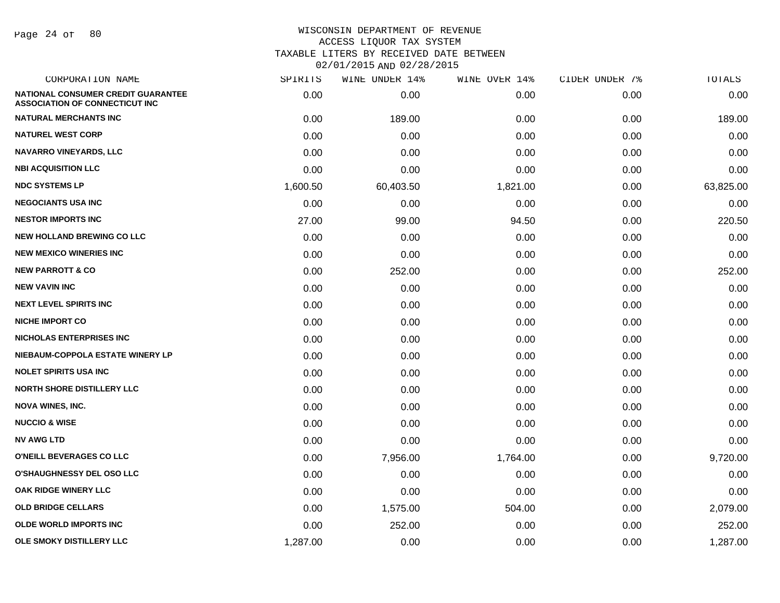Page 24 of 80

| CORPORATION NAME                                                                   | SPIRITS  | WINE UNDER 14% | WINE OVER 14% | CIDER UNDER 7% | TOTALS    |
|------------------------------------------------------------------------------------|----------|----------------|---------------|----------------|-----------|
| <b>NATIONAL CONSUMER CREDIT GUARANTEE</b><br><b>ASSOCIATION OF CONNECTICUT INC</b> | 0.00     | 0.00           | 0.00          | 0.00           | 0.00      |
| <b>NATURAL MERCHANTS INC</b>                                                       | 0.00     | 189.00         | 0.00          | 0.00           | 189.00    |
| <b>NATUREL WEST CORP</b>                                                           | 0.00     | 0.00           | 0.00          | 0.00           | 0.00      |
| <b>NAVARRO VINEYARDS, LLC</b>                                                      | 0.00     | 0.00           | 0.00          | 0.00           | 0.00      |
| <b>NBI ACQUISITION LLC</b>                                                         | 0.00     | 0.00           | 0.00          | 0.00           | 0.00      |
| <b>NDC SYSTEMS LP</b>                                                              | 1,600.50 | 60,403.50      | 1,821.00      | 0.00           | 63,825.00 |
| <b>NEGOCIANTS USA INC</b>                                                          | 0.00     | 0.00           | 0.00          | 0.00           | 0.00      |
| <b>NESTOR IMPORTS INC</b>                                                          | 27.00    | 99.00          | 94.50         | 0.00           | 220.50    |
| <b>NEW HOLLAND BREWING CO LLC</b>                                                  | 0.00     | 0.00           | 0.00          | 0.00           | 0.00      |
| <b>NEW MEXICO WINERIES INC</b>                                                     | 0.00     | 0.00           | 0.00          | 0.00           | 0.00      |
| <b>NEW PARROTT &amp; CO</b>                                                        | 0.00     | 252.00         | 0.00          | 0.00           | 252.00    |
| <b>NEW VAVIN INC</b>                                                               | 0.00     | 0.00           | 0.00          | 0.00           | 0.00      |
| <b>NEXT LEVEL SPIRITS INC</b>                                                      | 0.00     | 0.00           | 0.00          | 0.00           | 0.00      |
| <b>NICHE IMPORT CO</b>                                                             | 0.00     | 0.00           | 0.00          | 0.00           | 0.00      |
| <b>NICHOLAS ENTERPRISES INC</b>                                                    | 0.00     | 0.00           | 0.00          | 0.00           | 0.00      |
| NIEBAUM-COPPOLA ESTATE WINERY LP                                                   | 0.00     | 0.00           | 0.00          | 0.00           | 0.00      |
| <b>NOLET SPIRITS USA INC</b>                                                       | 0.00     | 0.00           | 0.00          | 0.00           | 0.00      |
| <b>NORTH SHORE DISTILLERY LLC</b>                                                  | 0.00     | 0.00           | 0.00          | 0.00           | 0.00      |
| <b>NOVA WINES, INC.</b>                                                            | 0.00     | 0.00           | 0.00          | 0.00           | 0.00      |
| <b>NUCCIO &amp; WISE</b>                                                           | 0.00     | 0.00           | 0.00          | 0.00           | 0.00      |
| <b>NV AWG LTD</b>                                                                  | 0.00     | 0.00           | 0.00          | 0.00           | 0.00      |
| O'NEILL BEVERAGES CO LLC                                                           | 0.00     | 7,956.00       | 1,764.00      | 0.00           | 9,720.00  |
| <b>O'SHAUGHNESSY DEL OSO LLC</b>                                                   | 0.00     | 0.00           | 0.00          | 0.00           | 0.00      |
| OAK RIDGE WINERY LLC                                                               | 0.00     | 0.00           | 0.00          | 0.00           | 0.00      |
| <b>OLD BRIDGE CELLARS</b>                                                          | 0.00     | 1,575.00       | 504.00        | 0.00           | 2,079.00  |
| <b>OLDE WORLD IMPORTS INC</b>                                                      | 0.00     | 252.00         | 0.00          | 0.00           | 252.00    |
| OLE SMOKY DISTILLERY LLC                                                           | 1,287.00 | 0.00           | 0.00          | 0.00           | 1,287.00  |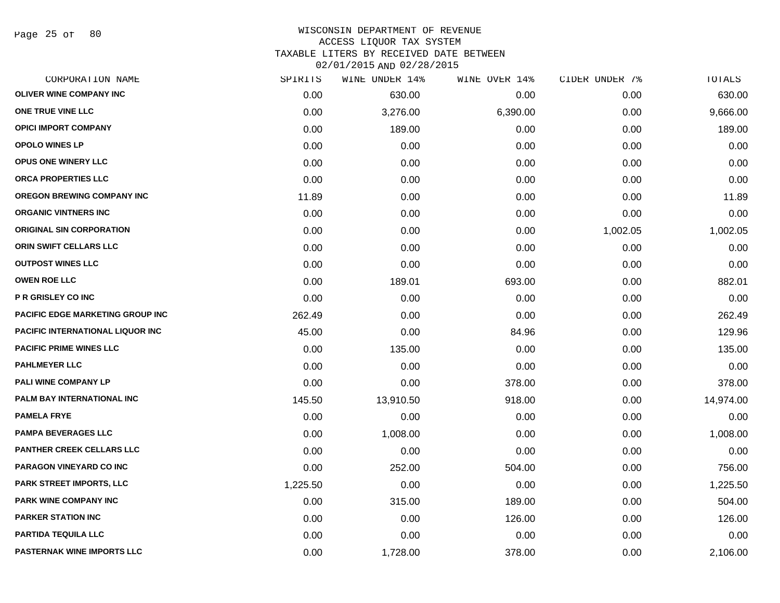Page 25 of 80

## WISCONSIN DEPARTMENT OF REVENUE ACCESS LIQUOR TAX SYSTEM TAXABLE LITERS BY RECEIVED DATE BETWEEN

| CORPORATION NAME                        | SPIRITS  | WINE UNDER 14% | WINE OVER 14% | CIDER UNDER 7% | TOTALS    |
|-----------------------------------------|----------|----------------|---------------|----------------|-----------|
| <b>OLIVER WINE COMPANY INC</b>          | 0.00     | 630.00         | 0.00          | 0.00           | 630.00    |
| ONE TRUE VINE LLC                       | 0.00     | 3,276.00       | 6,390.00      | 0.00           | 9,666.00  |
| <b>OPICI IMPORT COMPANY</b>             | 0.00     | 189.00         | 0.00          | 0.00           | 189.00    |
| <b>OPOLO WINES LP</b>                   | 0.00     | 0.00           | 0.00          | 0.00           | 0.00      |
| OPUS ONE WINERY LLC                     | 0.00     | 0.00           | 0.00          | 0.00           | 0.00      |
| ORCA PROPERTIES LLC                     | 0.00     | 0.00           | 0.00          | 0.00           | 0.00      |
| OREGON BREWING COMPANY INC              | 11.89    | 0.00           | 0.00          | 0.00           | 11.89     |
| <b>ORGANIC VINTNERS INC</b>             | 0.00     | 0.00           | 0.00          | 0.00           | 0.00      |
| <b>ORIGINAL SIN CORPORATION</b>         | 0.00     | 0.00           | 0.00          | 1,002.05       | 1,002.05  |
| ORIN SWIFT CELLARS LLC                  | 0.00     | 0.00           | 0.00          | 0.00           | 0.00      |
| <b>OUTPOST WINES LLC</b>                | 0.00     | 0.00           | 0.00          | 0.00           | 0.00      |
| <b>OWEN ROE LLC</b>                     | 0.00     | 189.01         | 693.00        | 0.00           | 882.01    |
| <b>P R GRISLEY CO INC</b>               | 0.00     | 0.00           | 0.00          | 0.00           | 0.00      |
| <b>PACIFIC EDGE MARKETING GROUP INC</b> | 262.49   | 0.00           | 0.00          | 0.00           | 262.49    |
| <b>PACIFIC INTERNATIONAL LIQUOR INC</b> | 45.00    | 0.00           | 84.96         | 0.00           | 129.96    |
| <b>PACIFIC PRIME WINES LLC</b>          | 0.00     | 135.00         | 0.00          | 0.00           | 135.00    |
| <b>PAHLMEYER LLC</b>                    | 0.00     | 0.00           | 0.00          | 0.00           | 0.00      |
| PALI WINE COMPANY LP                    | 0.00     | 0.00           | 378.00        | 0.00           | 378.00    |
| PALM BAY INTERNATIONAL INC              | 145.50   | 13,910.50      | 918.00        | 0.00           | 14,974.00 |
| <b>PAMELA FRYE</b>                      | 0.00     | 0.00           | 0.00          | 0.00           | 0.00      |
| <b>PAMPA BEVERAGES LLC</b>              | 0.00     | 1,008.00       | 0.00          | 0.00           | 1,008.00  |
| <b>PANTHER CREEK CELLARS LLC</b>        | 0.00     | 0.00           | 0.00          | 0.00           | 0.00      |
| PARAGON VINEYARD CO INC                 | 0.00     | 252.00         | 504.00        | 0.00           | 756.00    |
| <b>PARK STREET IMPORTS, LLC</b>         | 1,225.50 | 0.00           | 0.00          | 0.00           | 1,225.50  |
| <b>PARK WINE COMPANY INC</b>            | 0.00     | 315.00         | 189.00        | 0.00           | 504.00    |
| <b>PARKER STATION INC</b>               | 0.00     | 0.00           | 126.00        | 0.00           | 126.00    |
| PARTIDA TEQUILA LLC                     | 0.00     | 0.00           | 0.00          | 0.00           | 0.00      |
| <b>PASTERNAK WINE IMPORTS LLC</b>       | 0.00     | 1,728.00       | 378.00        | 0.00           | 2,106.00  |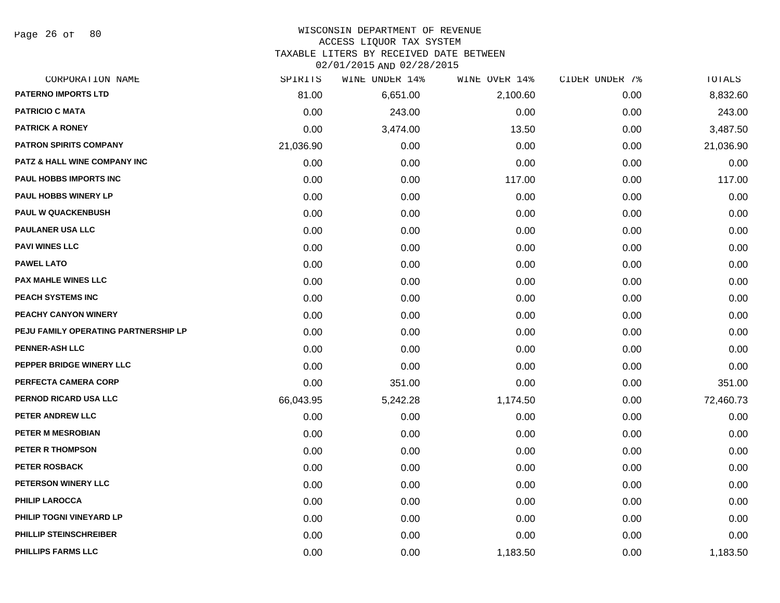Page 26 of 80

## WISCONSIN DEPARTMENT OF REVENUE ACCESS LIQUOR TAX SYSTEM

TAXABLE LITERS BY RECEIVED DATE BETWEEN

| CORPORATION NAME                        | SPIRITS   | WINE UNDER 14% | WINE OVER 14% | CIDER UNDER 7% | TOTALS    |
|-----------------------------------------|-----------|----------------|---------------|----------------|-----------|
| <b>PATERNO IMPORTS LTD</b>              | 81.00     | 6,651.00       | 2,100.60      | 0.00           | 8,832.60  |
| <b>PATRICIO C MATA</b>                  | 0.00      | 243.00         | 0.00          | 0.00           | 243.00    |
| <b>PATRICK A RONEY</b>                  | 0.00      | 3,474.00       | 13.50         | 0.00           | 3,487.50  |
| <b>PATRON SPIRITS COMPANY</b>           | 21,036.90 | 0.00           | 0.00          | 0.00           | 21,036.90 |
| <b>PATZ &amp; HALL WINE COMPANY INC</b> | 0.00      | 0.00           | 0.00          | 0.00           | 0.00      |
| PAUL HOBBS IMPORTS INC                  | 0.00      | 0.00           | 117.00        | 0.00           | 117.00    |
| PAUL HOBBS WINERY LP                    | 0.00      | 0.00           | 0.00          | 0.00           | 0.00      |
| <b>PAUL W QUACKENBUSH</b>               | 0.00      | 0.00           | 0.00          | 0.00           | 0.00      |
| <b>PAULANER USA LLC</b>                 | 0.00      | 0.00           | 0.00          | 0.00           | 0.00      |
| <b>PAVI WINES LLC</b>                   | 0.00      | 0.00           | 0.00          | 0.00           | 0.00      |
| <b>PAWEL LATO</b>                       | 0.00      | 0.00           | 0.00          | 0.00           | 0.00      |
| <b>PAX MAHLE WINES LLC</b>              | 0.00      | 0.00           | 0.00          | 0.00           | 0.00      |
| <b>PEACH SYSTEMS INC</b>                | 0.00      | 0.00           | 0.00          | 0.00           | 0.00      |
| <b>PEACHY CANYON WINERY</b>             | 0.00      | 0.00           | 0.00          | 0.00           | 0.00      |
| PEJU FAMILY OPERATING PARTNERSHIP LP    | 0.00      | 0.00           | 0.00          | 0.00           | 0.00      |
| <b>PENNER-ASH LLC</b>                   | 0.00      | 0.00           | 0.00          | 0.00           | 0.00      |
| PEPPER BRIDGE WINERY LLC                | 0.00      | 0.00           | 0.00          | 0.00           | 0.00      |
| PERFECTA CAMERA CORP                    | 0.00      | 351.00         | 0.00          | 0.00           | 351.00    |
| PERNOD RICARD USA LLC                   | 66,043.95 | 5,242.28       | 1,174.50      | 0.00           | 72,460.73 |
| PETER ANDREW LLC                        | 0.00      | 0.00           | 0.00          | 0.00           | 0.00      |
| <b>PETER M MESROBIAN</b>                | 0.00      | 0.00           | 0.00          | 0.00           | 0.00      |
| PETER R THOMPSON                        | 0.00      | 0.00           | 0.00          | 0.00           | 0.00      |
| <b>PETER ROSBACK</b>                    | 0.00      | 0.00           | 0.00          | 0.00           | 0.00      |
| PETERSON WINERY LLC                     | 0.00      | 0.00           | 0.00          | 0.00           | 0.00      |
| <b>PHILIP LAROCCA</b>                   | 0.00      | 0.00           | 0.00          | 0.00           | 0.00      |
| PHILIP TOGNI VINEYARD LP                | 0.00      | 0.00           | 0.00          | 0.00           | 0.00      |
| PHILLIP STEINSCHREIBER                  | 0.00      | 0.00           | 0.00          | 0.00           | 0.00      |
| <b>PHILLIPS FARMS LLC</b>               | 0.00      | 0.00           | 1,183.50      | 0.00           | 1,183.50  |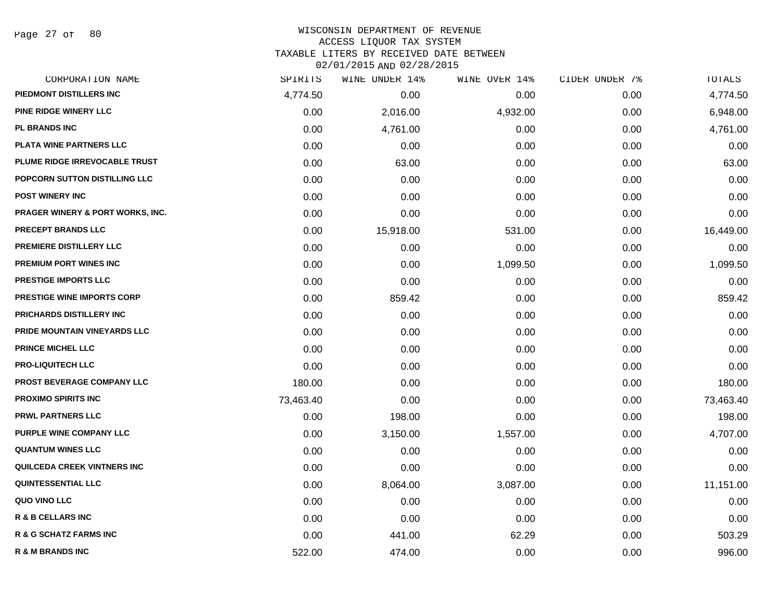| CORPORATION NAME                  | SPIRITS   | WINE UNDER 14% | WINE OVER 14% | CIDER UNDER 7% | TOTALS    |
|-----------------------------------|-----------|----------------|---------------|----------------|-----------|
| PIEDMONT DISTILLERS INC           | 4,774.50  | 0.00           | 0.00          | 0.00           | 4,774.50  |
| PINE RIDGE WINERY LLC             | 0.00      | 2,016.00       | 4,932.00      | 0.00           | 6,948.00  |
| <b>PL BRANDS INC</b>              | 0.00      | 4,761.00       | 0.00          | 0.00           | 4,761.00  |
| PLATA WINE PARTNERS LLC           | 0.00      | 0.00           | 0.00          | 0.00           | 0.00      |
| PLUME RIDGE IRREVOCABLE TRUST     | 0.00      | 63.00          | 0.00          | 0.00           | 63.00     |
| POPCORN SUTTON DISTILLING LLC     | 0.00      | 0.00           | 0.00          | 0.00           | 0.00      |
| <b>POST WINERY INC</b>            | 0.00      | 0.00           | 0.00          | 0.00           | 0.00      |
| PRAGER WINERY & PORT WORKS, INC.  | 0.00      | 0.00           | 0.00          | 0.00           | 0.00      |
| PRECEPT BRANDS LLC                | 0.00      | 15,918.00      | 531.00        | 0.00           | 16,449.00 |
| PREMIERE DISTILLERY LLC           | 0.00      | 0.00           | 0.00          | 0.00           | 0.00      |
| <b>PREMIUM PORT WINES INC</b>     | 0.00      | 0.00           | 1,099.50      | 0.00           | 1,099.50  |
| PRESTIGE IMPORTS LLC              | 0.00      | 0.00           | 0.00          | 0.00           | 0.00      |
| <b>PRESTIGE WINE IMPORTS CORP</b> | 0.00      | 859.42         | 0.00          | 0.00           | 859.42    |
| PRICHARDS DISTILLERY INC          | 0.00      | 0.00           | 0.00          | 0.00           | 0.00      |
| PRIDE MOUNTAIN VINEYARDS LLC      | 0.00      | 0.00           | 0.00          | 0.00           | 0.00      |
| <b>PRINCE MICHEL LLC</b>          | 0.00      | 0.00           | 0.00          | 0.00           | 0.00      |
| <b>PRO-LIQUITECH LLC</b>          | 0.00      | 0.00           | 0.00          | 0.00           | 0.00      |
| PROST BEVERAGE COMPANY LLC        | 180.00    | 0.00           | 0.00          | 0.00           | 180.00    |
| <b>PROXIMO SPIRITS INC</b>        | 73,463.40 | 0.00           | 0.00          | 0.00           | 73,463.40 |
| <b>PRWL PARTNERS LLC</b>          | 0.00      | 198.00         | 0.00          | 0.00           | 198.00    |
| <b>PURPLE WINE COMPANY LLC</b>    | 0.00      | 3,150.00       | 1,557.00      | 0.00           | 4,707.00  |
| <b>QUANTUM WINES LLC</b>          | 0.00      | 0.00           | 0.00          | 0.00           | 0.00      |
| QUILCEDA CREEK VINTNERS INC       | 0.00      | 0.00           | 0.00          | 0.00           | 0.00      |
| <b>QUINTESSENTIAL LLC</b>         | 0.00      | 8,064.00       | 3,087.00      | 0.00           | 11,151.00 |
| QUO VINO LLC                      | 0.00      | 0.00           | 0.00          | 0.00           | 0.00      |
| R & B CELLARS INC                 | 0.00      | 0.00           | 0.00          | 0.00           | 0.00      |
| <b>R &amp; G SCHATZ FARMS INC</b> | 0.00      | 441.00         | 62.29         | 0.00           | 503.29    |
| <b>R &amp; M BRANDS INC</b>       | 522.00    | 474.00         | 0.00          | 0.00           | 996.00    |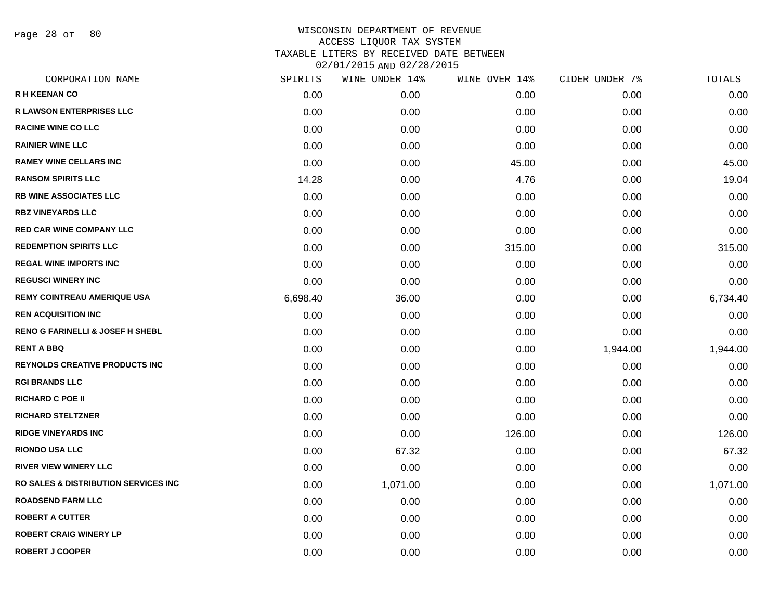Page 28 of 80

| CORPORATION NAME                                 | SPIRITS  | WINE UNDER 14% | WINE OVER 14% | CIDER UNDER 7% | TOTALS   |
|--------------------------------------------------|----------|----------------|---------------|----------------|----------|
| <b>R H KEENAN CO</b>                             | 0.00     | 0.00           | 0.00          | 0.00           | 0.00     |
| <b>R LAWSON ENTERPRISES LLC</b>                  | 0.00     | 0.00           | 0.00          | 0.00           | 0.00     |
| <b>RACINE WINE CO LLC</b>                        | 0.00     | 0.00           | 0.00          | 0.00           | 0.00     |
| <b>RAINIER WINE LLC</b>                          | 0.00     | 0.00           | 0.00          | 0.00           | 0.00     |
| <b>RAMEY WINE CELLARS INC</b>                    | 0.00     | 0.00           | 45.00         | 0.00           | 45.00    |
| <b>RANSOM SPIRITS LLC</b>                        | 14.28    | 0.00           | 4.76          | 0.00           | 19.04    |
| <b>RB WINE ASSOCIATES LLC</b>                    | 0.00     | 0.00           | 0.00          | 0.00           | 0.00     |
| <b>RBZ VINEYARDS LLC</b>                         | 0.00     | 0.00           | 0.00          | 0.00           | 0.00     |
| <b>RED CAR WINE COMPANY LLC</b>                  | 0.00     | 0.00           | 0.00          | 0.00           | 0.00     |
| <b>REDEMPTION SPIRITS LLC</b>                    | 0.00     | 0.00           | 315.00        | 0.00           | 315.00   |
| <b>REGAL WINE IMPORTS INC</b>                    | 0.00     | 0.00           | 0.00          | 0.00           | 0.00     |
| <b>REGUSCI WINERY INC</b>                        | 0.00     | 0.00           | 0.00          | 0.00           | 0.00     |
| <b>REMY COINTREAU AMERIQUE USA</b>               | 6,698.40 | 36.00          | 0.00          | 0.00           | 6,734.40 |
| <b>REN ACQUISITION INC</b>                       | 0.00     | 0.00           | 0.00          | 0.00           | 0.00     |
| <b>RENO G FARINELLI &amp; JOSEF H SHEBL</b>      | 0.00     | 0.00           | 0.00          | 0.00           | 0.00     |
| <b>RENT A BBQ</b>                                | 0.00     | 0.00           | 0.00          | 1,944.00       | 1,944.00 |
| <b>REYNOLDS CREATIVE PRODUCTS INC</b>            | 0.00     | 0.00           | 0.00          | 0.00           | 0.00     |
| <b>RGI BRANDS LLC</b>                            | 0.00     | 0.00           | 0.00          | 0.00           | 0.00     |
| <b>RICHARD C POE II</b>                          | 0.00     | 0.00           | 0.00          | 0.00           | 0.00     |
| <b>RICHARD STELTZNER</b>                         | 0.00     | 0.00           | 0.00          | 0.00           | 0.00     |
| <b>RIDGE VINEYARDS INC</b>                       | 0.00     | 0.00           | 126.00        | 0.00           | 126.00   |
| <b>RIONDO USA LLC</b>                            | 0.00     | 67.32          | 0.00          | 0.00           | 67.32    |
| <b>RIVER VIEW WINERY LLC</b>                     | 0.00     | 0.00           | 0.00          | 0.00           | 0.00     |
| <b>RO SALES &amp; DISTRIBUTION SERVICES INC.</b> | 0.00     | 1,071.00       | 0.00          | 0.00           | 1,071.00 |
| <b>ROADSEND FARM LLC</b>                         | 0.00     | 0.00           | 0.00          | 0.00           | 0.00     |
| <b>ROBERT A CUTTER</b>                           | 0.00     | 0.00           | 0.00          | 0.00           | 0.00     |
| <b>ROBERT CRAIG WINERY LP</b>                    | 0.00     | 0.00           | 0.00          | 0.00           | 0.00     |
| <b>ROBERT J COOPER</b>                           | 0.00     | 0.00           | 0.00          | 0.00           | 0.00     |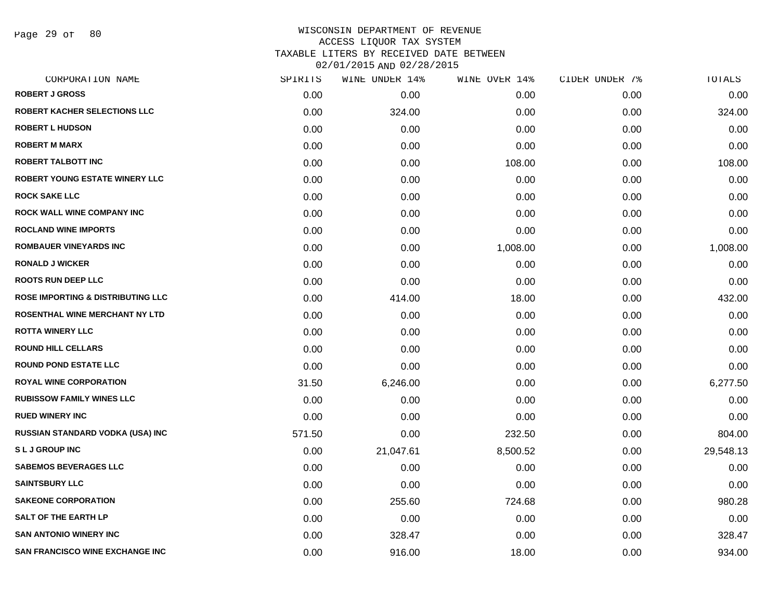Page 29 of 80

| SPIRITS | WINE UNDER 14% | WINE OVER 14% | CIDER UNDER 7% | TOTALS    |
|---------|----------------|---------------|----------------|-----------|
| 0.00    | 0.00           | 0.00          | 0.00           | 0.00      |
| 0.00    | 324.00         | 0.00          | 0.00           | 324.00    |
| 0.00    | 0.00           | 0.00          | 0.00           | 0.00      |
| 0.00    | 0.00           | 0.00          | 0.00           | 0.00      |
| 0.00    | 0.00           | 108.00        | 0.00           | 108.00    |
| 0.00    | 0.00           | 0.00          | 0.00           | 0.00      |
| 0.00    | 0.00           | 0.00          | 0.00           | 0.00      |
| 0.00    | 0.00           | 0.00          | 0.00           | 0.00      |
| 0.00    | 0.00           | 0.00          | 0.00           | 0.00      |
| 0.00    | 0.00           | 1,008.00      | 0.00           | 1,008.00  |
| 0.00    | 0.00           | 0.00          | 0.00           | 0.00      |
| 0.00    | 0.00           | 0.00          | 0.00           | 0.00      |
| 0.00    | 414.00         | 18.00         | 0.00           | 432.00    |
| 0.00    | 0.00           | 0.00          | 0.00           | 0.00      |
| 0.00    | 0.00           | 0.00          | 0.00           | 0.00      |
| 0.00    | 0.00           | 0.00          | 0.00           | 0.00      |
| 0.00    | 0.00           | 0.00          | 0.00           | 0.00      |
| 31.50   | 6,246.00       | 0.00          | 0.00           | 6,277.50  |
| 0.00    | 0.00           | 0.00          | 0.00           | 0.00      |
| 0.00    | 0.00           | 0.00          | 0.00           | 0.00      |
| 571.50  | 0.00           | 232.50        | 0.00           | 804.00    |
| 0.00    | 21,047.61      | 8,500.52      | 0.00           | 29,548.13 |
| 0.00    | 0.00           | 0.00          | 0.00           | 0.00      |
| 0.00    | 0.00           | 0.00          | 0.00           | 0.00      |
| 0.00    | 255.60         | 724.68        | 0.00           | 980.28    |
| 0.00    | 0.00           | 0.00          | 0.00           | 0.00      |
| 0.00    | 328.47         | 0.00          | 0.00           | 328.47    |
| 0.00    | 916.00         | 18.00         | 0.00           | 934.00    |
|         |                |               |                |           |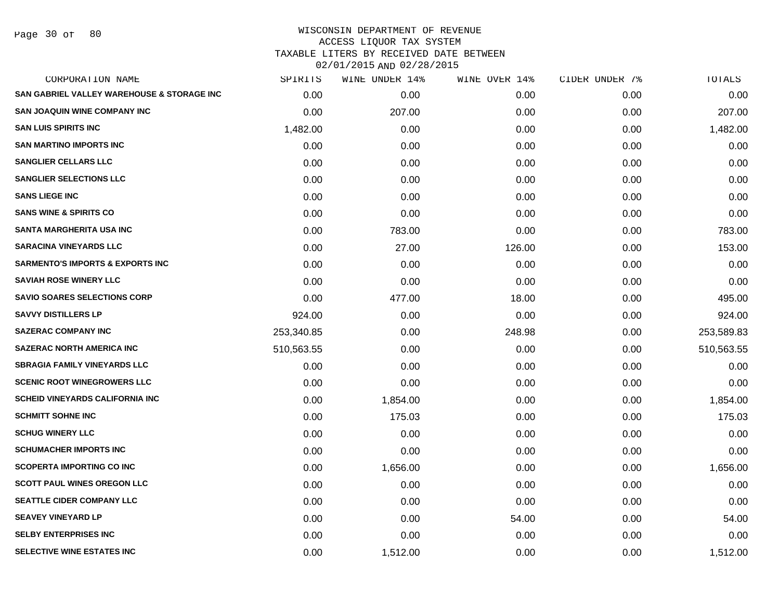| CORPORATION NAME                            | SPIRITS    | WINE UNDER 14% | WINE OVER 14% | CIDER UNDER 7% | TOTALS     |
|---------------------------------------------|------------|----------------|---------------|----------------|------------|
| SAN GABRIEL VALLEY WAREHOUSE & STORAGE INC  | 0.00       | 0.00           | 0.00          | 0.00           | 0.00       |
| <b>SAN JOAQUIN WINE COMPANY INC</b>         | 0.00       | 207.00         | 0.00          | 0.00           | 207.00     |
| <b>SAN LUIS SPIRITS INC</b>                 | 1,482.00   | 0.00           | 0.00          | 0.00           | 1,482.00   |
| <b>SAN MARTINO IMPORTS INC</b>              | 0.00       | 0.00           | 0.00          | 0.00           | 0.00       |
| <b>SANGLIER CELLARS LLC</b>                 | 0.00       | 0.00           | 0.00          | 0.00           | 0.00       |
| <b>SANGLIER SELECTIONS LLC</b>              | 0.00       | 0.00           | 0.00          | 0.00           | 0.00       |
| <b>SANS LIEGE INC</b>                       | 0.00       | 0.00           | 0.00          | 0.00           | 0.00       |
| <b>SANS WINE &amp; SPIRITS CO</b>           | 0.00       | 0.00           | 0.00          | 0.00           | 0.00       |
| <b>SANTA MARGHERITA USA INC</b>             | 0.00       | 783.00         | 0.00          | 0.00           | 783.00     |
| <b>SARACINA VINEYARDS LLC</b>               | 0.00       | 27.00          | 126.00        | 0.00           | 153.00     |
| <b>SARMENTO'S IMPORTS &amp; EXPORTS INC</b> | 0.00       | 0.00           | 0.00          | 0.00           | 0.00       |
| <b>SAVIAH ROSE WINERY LLC</b>               | 0.00       | 0.00           | 0.00          | 0.00           | 0.00       |
| <b>SAVIO SOARES SELECTIONS CORP</b>         | 0.00       | 477.00         | 18.00         | 0.00           | 495.00     |
| <b>SAVVY DISTILLERS LP</b>                  | 924.00     | 0.00           | 0.00          | 0.00           | 924.00     |
| <b>SAZERAC COMPANY INC</b>                  | 253,340.85 | 0.00           | 248.98        | 0.00           | 253,589.83 |
| <b>SAZERAC NORTH AMERICA INC</b>            | 510,563.55 | 0.00           | 0.00          | 0.00           | 510,563.55 |
| <b>SBRAGIA FAMILY VINEYARDS LLC</b>         | 0.00       | 0.00           | 0.00          | 0.00           | 0.00       |
| <b>SCENIC ROOT WINEGROWERS LLC</b>          | 0.00       | 0.00           | 0.00          | 0.00           | 0.00       |
| <b>SCHEID VINEYARDS CALIFORNIA INC</b>      | 0.00       | 1,854.00       | 0.00          | 0.00           | 1,854.00   |
| <b>SCHMITT SOHNE INC</b>                    | 0.00       | 175.03         | 0.00          | 0.00           | 175.03     |
| <b>SCHUG WINERY LLC</b>                     | 0.00       | 0.00           | 0.00          | 0.00           | 0.00       |
| <b>SCHUMACHER IMPORTS INC</b>               | 0.00       | 0.00           | 0.00          | 0.00           | 0.00       |
| <b>SCOPERTA IMPORTING CO INC</b>            | 0.00       | 1,656.00       | 0.00          | 0.00           | 1,656.00   |
| <b>SCOTT PAUL WINES OREGON LLC</b>          | 0.00       | 0.00           | 0.00          | 0.00           | 0.00       |
| <b>SEATTLE CIDER COMPANY LLC</b>            | 0.00       | 0.00           | 0.00          | 0.00           | 0.00       |
| <b>SEAVEY VINEYARD LP</b>                   | 0.00       | 0.00           | 54.00         | 0.00           | 54.00      |
| <b>SELBY ENTERPRISES INC</b>                | 0.00       | 0.00           | 0.00          | 0.00           | 0.00       |
| SELECTIVE WINE ESTATES INC                  | 0.00       | 1,512.00       | 0.00          | 0.00           | 1,512.00   |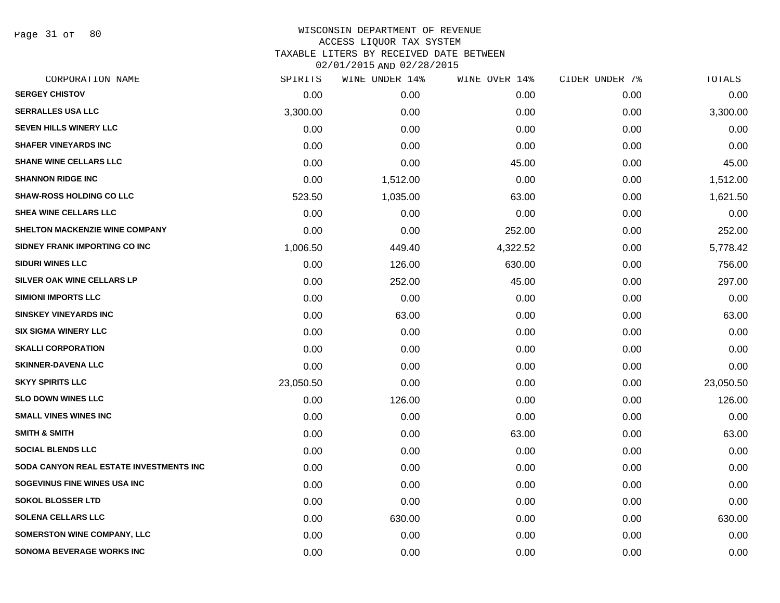Page 31 of 80

| CORPORATION NAME                        | SPIRITS   | WINE UNDER 14% | WINE OVER 14% | CIDER UNDER 7% | TOTALS    |
|-----------------------------------------|-----------|----------------|---------------|----------------|-----------|
| <b>SERGEY CHISTOV</b>                   | 0.00      | 0.00           | 0.00          | 0.00           | 0.00      |
| <b>SERRALLES USA LLC</b>                | 3,300.00  | 0.00           | 0.00          | 0.00           | 3,300.00  |
| <b>SEVEN HILLS WINERY LLC</b>           | 0.00      | 0.00           | 0.00          | 0.00           | 0.00      |
| <b>SHAFER VINEYARDS INC</b>             | 0.00      | 0.00           | 0.00          | 0.00           | 0.00      |
| <b>SHANE WINE CELLARS LLC</b>           | 0.00      | 0.00           | 45.00         | 0.00           | 45.00     |
| <b>SHANNON RIDGE INC</b>                | 0.00      | 1,512.00       | 0.00          | 0.00           | 1,512.00  |
| <b>SHAW-ROSS HOLDING CO LLC</b>         | 523.50    | 1,035.00       | 63.00         | 0.00           | 1,621.50  |
| SHEA WINE CELLARS LLC                   | 0.00      | 0.00           | 0.00          | 0.00           | 0.00      |
| <b>SHELTON MACKENZIE WINE COMPANY</b>   | 0.00      | 0.00           | 252.00        | 0.00           | 252.00    |
| SIDNEY FRANK IMPORTING CO INC           | 1,006.50  | 449.40         | 4,322.52      | 0.00           | 5,778.42  |
| <b>SIDURI WINES LLC</b>                 | 0.00      | 126.00         | 630.00        | 0.00           | 756.00    |
| SILVER OAK WINE CELLARS LP              | 0.00      | 252.00         | 45.00         | 0.00           | 297.00    |
| <b>SIMIONI IMPORTS LLC</b>              | 0.00      | 0.00           | 0.00          | 0.00           | 0.00      |
| <b>SINSKEY VINEYARDS INC</b>            | 0.00      | 63.00          | 0.00          | 0.00           | 63.00     |
| <b>SIX SIGMA WINERY LLC</b>             | 0.00      | 0.00           | 0.00          | 0.00           | 0.00      |
| <b>SKALLI CORPORATION</b>               | 0.00      | 0.00           | 0.00          | 0.00           | 0.00      |
| <b>SKINNER-DAVENA LLC</b>               | 0.00      | 0.00           | 0.00          | 0.00           | 0.00      |
| <b>SKYY SPIRITS LLC</b>                 | 23,050.50 | 0.00           | 0.00          | 0.00           | 23,050.50 |
| <b>SLO DOWN WINES LLC</b>               | 0.00      | 126.00         | 0.00          | 0.00           | 126.00    |
| <b>SMALL VINES WINES INC</b>            | 0.00      | 0.00           | 0.00          | 0.00           | 0.00      |
| <b>SMITH &amp; SMITH</b>                | 0.00      | 0.00           | 63.00         | 0.00           | 63.00     |
| <b>SOCIAL BLENDS LLC</b>                | 0.00      | 0.00           | 0.00          | 0.00           | 0.00      |
| SODA CANYON REAL ESTATE INVESTMENTS INC | 0.00      | 0.00           | 0.00          | 0.00           | 0.00      |
| SOGEVINUS FINE WINES USA INC            | 0.00      | 0.00           | 0.00          | 0.00           | 0.00      |
| <b>SOKOL BLOSSER LTD</b>                | 0.00      | 0.00           | 0.00          | 0.00           | 0.00      |
| <b>SOLENA CELLARS LLC</b>               | 0.00      | 630.00         | 0.00          | 0.00           | 630.00    |
| <b>SOMERSTON WINE COMPANY, LLC</b>      | 0.00      | 0.00           | 0.00          | 0.00           | 0.00      |
| <b>SONOMA BEVERAGE WORKS INC</b>        | 0.00      | 0.00           | 0.00          | 0.00           | 0.00      |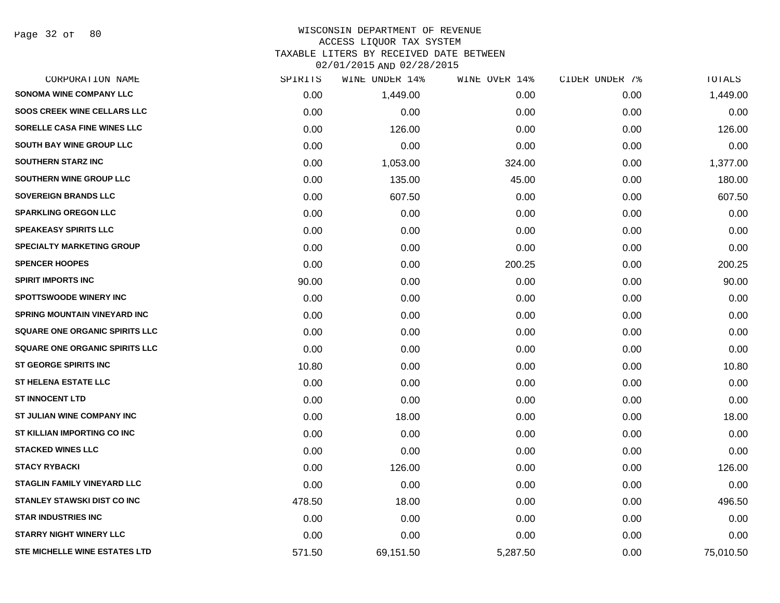#### WISCONSIN DEPARTMENT OF REVENUE ACCESS LIQUOR TAX SYSTEM TAXABLE LITERS BY RECEIVED DATE BETWEEN

| CORPORATION NAME                      | SPIRITS | WINE UNDER 14% | WINE OVER 14% | CIDER UNDER 7% | TOTALS    |
|---------------------------------------|---------|----------------|---------------|----------------|-----------|
| <b>SONOMA WINE COMPANY LLC</b>        | 0.00    | 1,449.00       | 0.00          | 0.00           | 1,449.00  |
| <b>SOOS CREEK WINE CELLARS LLC</b>    | 0.00    | 0.00           | 0.00          | 0.00           | 0.00      |
| SORELLE CASA FINE WINES LLC           | 0.00    | 126.00         | 0.00          | 0.00           | 126.00    |
| <b>SOUTH BAY WINE GROUP LLC</b>       | 0.00    | 0.00           | 0.00          | 0.00           | 0.00      |
| <b>SOUTHERN STARZ INC</b>             | 0.00    | 1,053.00       | 324.00        | 0.00           | 1,377.00  |
| SOUTHERN WINE GROUP LLC               | 0.00    | 135.00         | 45.00         | 0.00           | 180.00    |
| <b>SOVEREIGN BRANDS LLC</b>           | 0.00    | 607.50         | 0.00          | 0.00           | 607.50    |
| <b>SPARKLING OREGON LLC</b>           | 0.00    | 0.00           | 0.00          | 0.00           | 0.00      |
| <b>SPEAKEASY SPIRITS LLC</b>          | 0.00    | 0.00           | 0.00          | 0.00           | 0.00      |
| <b>SPECIALTY MARKETING GROUP</b>      | 0.00    | 0.00           | 0.00          | 0.00           | 0.00      |
| <b>SPENCER HOOPES</b>                 | 0.00    | 0.00           | 200.25        | 0.00           | 200.25    |
| <b>SPIRIT IMPORTS INC</b>             | 90.00   | 0.00           | 0.00          | 0.00           | 90.00     |
| <b>SPOTTSWOODE WINERY INC</b>         | 0.00    | 0.00           | 0.00          | 0.00           | 0.00      |
| <b>SPRING MOUNTAIN VINEYARD INC</b>   | 0.00    | 0.00           | 0.00          | 0.00           | 0.00      |
| <b>SQUARE ONE ORGANIC SPIRITS LLC</b> | 0.00    | 0.00           | 0.00          | 0.00           | 0.00      |
| SQUARE ONE ORGANIC SPIRITS LLC        | 0.00    | 0.00           | 0.00          | 0.00           | 0.00      |
| <b>ST GEORGE SPIRITS INC</b>          | 10.80   | 0.00           | 0.00          | 0.00           | 10.80     |
| <b>ST HELENA ESTATE LLC</b>           | 0.00    | 0.00           | 0.00          | 0.00           | 0.00      |
| <b>ST INNOCENT LTD</b>                | 0.00    | 0.00           | 0.00          | 0.00           | 0.00      |
| ST JULIAN WINE COMPANY INC            | 0.00    | 18.00          | 0.00          | 0.00           | 18.00     |
| ST KILLIAN IMPORTING CO INC           | 0.00    | 0.00           | 0.00          | 0.00           | 0.00      |
| <b>STACKED WINES LLC</b>              | 0.00    | 0.00           | 0.00          | 0.00           | 0.00      |
| <b>STACY RYBACKI</b>                  | 0.00    | 126.00         | 0.00          | 0.00           | 126.00    |
| <b>STAGLIN FAMILY VINEYARD LLC</b>    | 0.00    | 0.00           | 0.00          | 0.00           | 0.00      |
| <b>STANLEY STAWSKI DIST CO INC</b>    | 478.50  | 18.00          | 0.00          | 0.00           | 496.50    |
| <b>STAR INDUSTRIES INC</b>            | 0.00    | 0.00           | 0.00          | 0.00           | 0.00      |
| <b>STARRY NIGHT WINERY LLC</b>        | 0.00    | 0.00           | 0.00          | 0.00           | 0.00      |
| <b>STE MICHELLE WINE ESTATES LTD</b>  | 571.50  | 69,151.50      | 5,287.50      | 0.00           | 75,010.50 |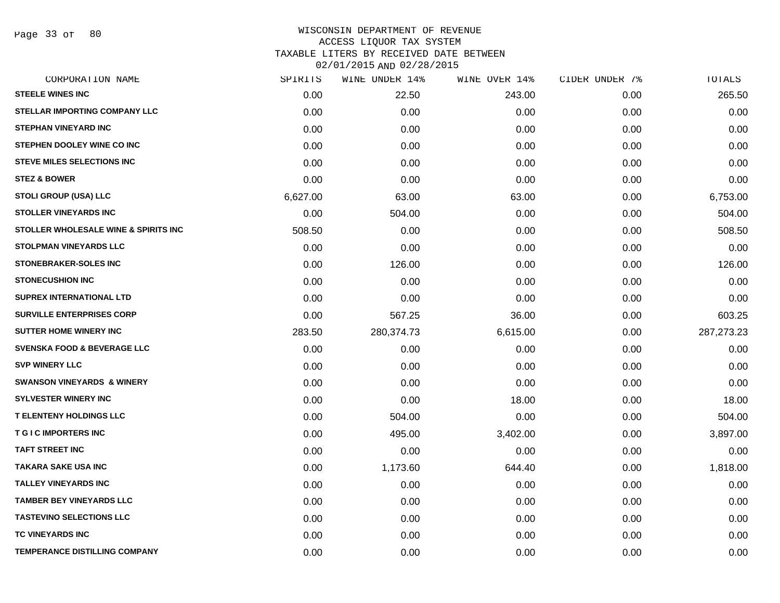Page 33 of 80

| CORPORATION NAME                       | SPIRITS  | WINE UNDER 14% | WINE OVER 14% | CIDER UNDER 7% | TOTALS     |
|----------------------------------------|----------|----------------|---------------|----------------|------------|
| <b>STEELE WINES INC</b>                | 0.00     | 22.50          | 243.00        | 0.00           | 265.50     |
| <b>STELLAR IMPORTING COMPANY LLC</b>   | 0.00     | 0.00           | 0.00          | 0.00           | 0.00       |
| <b>STEPHAN VINEYARD INC</b>            | 0.00     | 0.00           | 0.00          | 0.00           | 0.00       |
| STEPHEN DOOLEY WINE CO INC             | 0.00     | 0.00           | 0.00          | 0.00           | 0.00       |
| <b>STEVE MILES SELECTIONS INC</b>      | 0.00     | 0.00           | 0.00          | 0.00           | 0.00       |
| <b>STEZ &amp; BOWER</b>                | 0.00     | 0.00           | 0.00          | 0.00           | 0.00       |
| <b>STOLI GROUP (USA) LLC</b>           | 6,627.00 | 63.00          | 63.00         | 0.00           | 6,753.00   |
| <b>STOLLER VINEYARDS INC</b>           | 0.00     | 504.00         | 0.00          | 0.00           | 504.00     |
| STOLLER WHOLESALE WINE & SPIRITS INC   | 508.50   | 0.00           | 0.00          | 0.00           | 508.50     |
| <b>STOLPMAN VINEYARDS LLC</b>          | 0.00     | 0.00           | 0.00          | 0.00           | 0.00       |
| <b>STONEBRAKER-SOLES INC</b>           | 0.00     | 126.00         | 0.00          | 0.00           | 126.00     |
| <b>STONECUSHION INC</b>                | 0.00     | 0.00           | 0.00          | 0.00           | 0.00       |
| SUPREX INTERNATIONAL LTD               | 0.00     | 0.00           | 0.00          | 0.00           | 0.00       |
| <b>SURVILLE ENTERPRISES CORP</b>       | 0.00     | 567.25         | 36.00         | 0.00           | 603.25     |
| <b>SUTTER HOME WINERY INC</b>          | 283.50   | 280,374.73     | 6,615.00      | 0.00           | 287,273.23 |
| <b>SVENSKA FOOD &amp; BEVERAGE LLC</b> | 0.00     | 0.00           | 0.00          | 0.00           | 0.00       |
| <b>SVP WINERY LLC</b>                  | 0.00     | 0.00           | 0.00          | 0.00           | 0.00       |
| <b>SWANSON VINEYARDS &amp; WINERY</b>  | 0.00     | 0.00           | 0.00          | 0.00           | 0.00       |
| <b>SYLVESTER WINERY INC</b>            | 0.00     | 0.00           | 18.00         | 0.00           | 18.00      |
| <b>T ELENTENY HOLDINGS LLC</b>         | 0.00     | 504.00         | 0.00          | 0.00           | 504.00     |
| <b>T G I C IMPORTERS INC</b>           | 0.00     | 495.00         | 3,402.00      | 0.00           | 3,897.00   |
| <b>TAFT STREET INC</b>                 | 0.00     | 0.00           | 0.00          | 0.00           | 0.00       |
| <b>TAKARA SAKE USA INC</b>             | 0.00     | 1,173.60       | 644.40        | 0.00           | 1,818.00   |
| <b>TALLEY VINEYARDS INC</b>            | 0.00     | 0.00           | 0.00          | 0.00           | 0.00       |
| <b>TAMBER BEY VINEYARDS LLC</b>        | 0.00     | 0.00           | 0.00          | 0.00           | 0.00       |
| <b>TASTEVINO SELECTIONS LLC</b>        | 0.00     | 0.00           | 0.00          | 0.00           | 0.00       |
| TC VINEYARDS INC                       | 0.00     | 0.00           | 0.00          | 0.00           | 0.00       |
| <b>TEMPERANCE DISTILLING COMPANY</b>   | 0.00     | 0.00           | 0.00          | 0.00           | 0.00       |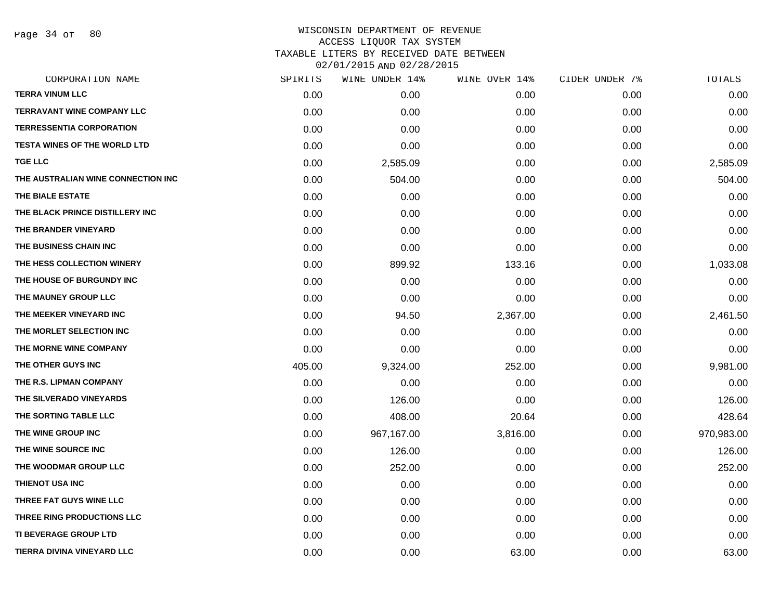Page 34 of 80

| CORPORATION NAME                    | SPIRITS | WINE UNDER 14% | WINE OVER 14% | CIDER UNDER 7% | TOTALS     |
|-------------------------------------|---------|----------------|---------------|----------------|------------|
| <b>TERRA VINUM LLC</b>              | 0.00    | 0.00           | 0.00          | 0.00           | 0.00       |
| <b>TERRAVANT WINE COMPANY LLC</b>   | 0.00    | 0.00           | 0.00          | 0.00           | 0.00       |
| <b>TERRESSENTIA CORPORATION</b>     | 0.00    | 0.00           | 0.00          | 0.00           | 0.00       |
| <b>TESTA WINES OF THE WORLD LTD</b> | 0.00    | 0.00           | 0.00          | 0.00           | 0.00       |
| <b>TGE LLC</b>                      | 0.00    | 2,585.09       | 0.00          | 0.00           | 2,585.09   |
| THE AUSTRALIAN WINE CONNECTION INC  | 0.00    | 504.00         | 0.00          | 0.00           | 504.00     |
| THE BIALE ESTATE                    | 0.00    | 0.00           | 0.00          | 0.00           | 0.00       |
| THE BLACK PRINCE DISTILLERY INC     | 0.00    | 0.00           | 0.00          | 0.00           | 0.00       |
| THE BRANDER VINEYARD                | 0.00    | 0.00           | 0.00          | 0.00           | 0.00       |
| THE BUSINESS CHAIN INC              | 0.00    | 0.00           | 0.00          | 0.00           | 0.00       |
| THE HESS COLLECTION WINERY          | 0.00    | 899.92         | 133.16        | 0.00           | 1,033.08   |
| THE HOUSE OF BURGUNDY INC           | 0.00    | 0.00           | 0.00          | 0.00           | 0.00       |
| THE MAUNEY GROUP LLC                | 0.00    | 0.00           | 0.00          | 0.00           | 0.00       |
| THE MEEKER VINEYARD INC             | 0.00    | 94.50          | 2,367.00      | 0.00           | 2,461.50   |
| THE MORLET SELECTION INC            | 0.00    | 0.00           | 0.00          | 0.00           | 0.00       |
| THE MORNE WINE COMPANY              | 0.00    | 0.00           | 0.00          | 0.00           | 0.00       |
| THE OTHER GUYS INC                  | 405.00  | 9,324.00       | 252.00        | 0.00           | 9,981.00   |
| THE R.S. LIPMAN COMPANY             | 0.00    | 0.00           | 0.00          | 0.00           | 0.00       |
| THE SILVERADO VINEYARDS             | 0.00    | 126.00         | 0.00          | 0.00           | 126.00     |
| THE SORTING TABLE LLC               | 0.00    | 408.00         | 20.64         | 0.00           | 428.64     |
| THE WINE GROUP INC                  | 0.00    | 967,167.00     | 3,816.00      | 0.00           | 970,983.00 |
| THE WINE SOURCE INC                 | 0.00    | 126.00         | 0.00          | 0.00           | 126.00     |
| THE WOODMAR GROUP LLC               | 0.00    | 252.00         | 0.00          | 0.00           | 252.00     |
| THIENOT USA INC                     | 0.00    | 0.00           | 0.00          | 0.00           | 0.00       |
| THREE FAT GUYS WINE LLC             | 0.00    | 0.00           | 0.00          | 0.00           | 0.00       |
| THREE RING PRODUCTIONS LLC          | 0.00    | 0.00           | 0.00          | 0.00           | 0.00       |
| <b>TI BEVERAGE GROUP LTD</b>        | 0.00    | 0.00           | 0.00          | 0.00           | 0.00       |
| TIERRA DIVINA VINEYARD LLC          | 0.00    | 0.00           | 63.00         | 0.00           | 63.00      |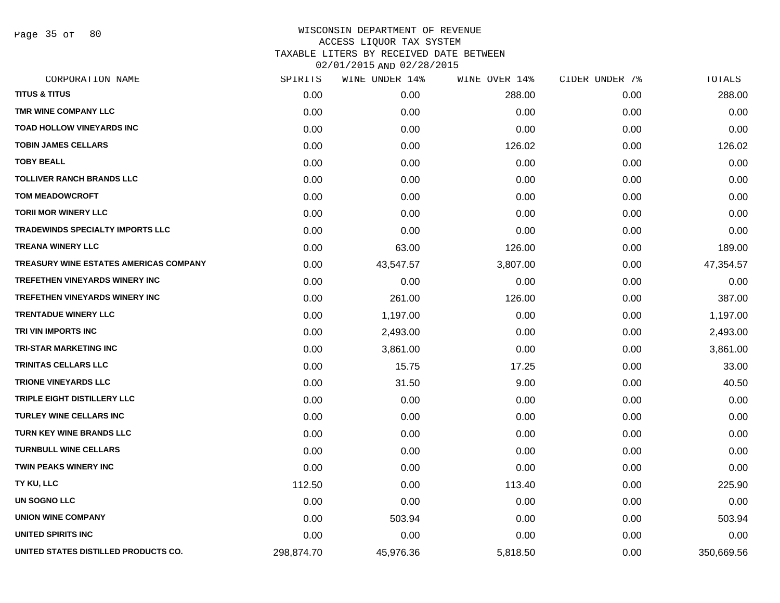Page 35 of 80

| CORPORATION NAME                        | SPIRITS    | WINE UNDER 14% | WINE OVER 14% | CIDER UNDER 7% | TOTALS     |
|-----------------------------------------|------------|----------------|---------------|----------------|------------|
| <b>TITUS &amp; TITUS</b>                | 0.00       | 0.00           | 288.00        | 0.00           | 288.00     |
| TMR WINE COMPANY LLC                    | 0.00       | 0.00           | 0.00          | 0.00           | 0.00       |
| <b>TOAD HOLLOW VINEYARDS INC</b>        | 0.00       | 0.00           | 0.00          | 0.00           | 0.00       |
| <b>TOBIN JAMES CELLARS</b>              | 0.00       | 0.00           | 126.02        | 0.00           | 126.02     |
| <b>TOBY BEALL</b>                       | 0.00       | 0.00           | 0.00          | 0.00           | 0.00       |
| <b>TOLLIVER RANCH BRANDS LLC</b>        | 0.00       | 0.00           | 0.00          | 0.00           | 0.00       |
| <b>TOM MEADOWCROFT</b>                  | 0.00       | 0.00           | 0.00          | 0.00           | 0.00       |
| <b>TORII MOR WINERY LLC</b>             | 0.00       | 0.00           | 0.00          | 0.00           | 0.00       |
| <b>TRADEWINDS SPECIALTY IMPORTS LLC</b> | 0.00       | 0.00           | 0.00          | 0.00           | 0.00       |
| <b>TREANA WINERY LLC</b>                | 0.00       | 63.00          | 126.00        | 0.00           | 189.00     |
| TREASURY WINE ESTATES AMERICAS COMPANY  | 0.00       | 43,547.57      | 3,807.00      | 0.00           | 47,354.57  |
| <b>TREFETHEN VINEYARDS WINERY INC</b>   | 0.00       | 0.00           | 0.00          | 0.00           | 0.00       |
| TREFETHEN VINEYARDS WINERY INC          | 0.00       | 261.00         | 126.00        | 0.00           | 387.00     |
| <b>TRENTADUE WINERY LLC</b>             | 0.00       | 1,197.00       | 0.00          | 0.00           | 1,197.00   |
| TRI VIN IMPORTS INC                     | 0.00       | 2,493.00       | 0.00          | 0.00           | 2,493.00   |
| <b>TRI-STAR MARKETING INC</b>           | 0.00       | 3,861.00       | 0.00          | 0.00           | 3,861.00   |
| TRINITAS CELLARS LLC                    | 0.00       | 15.75          | 17.25         | 0.00           | 33.00      |
| <b>TRIONE VINEYARDS LLC</b>             | 0.00       | 31.50          | 9.00          | 0.00           | 40.50      |
| TRIPLE EIGHT DISTILLERY LLC             | 0.00       | 0.00           | 0.00          | 0.00           | 0.00       |
| <b>TURLEY WINE CELLARS INC</b>          | 0.00       | 0.00           | 0.00          | 0.00           | 0.00       |
| <b>TURN KEY WINE BRANDS LLC</b>         | 0.00       | 0.00           | 0.00          | 0.00           | 0.00       |
| <b>TURNBULL WINE CELLARS</b>            | 0.00       | 0.00           | 0.00          | 0.00           | 0.00       |
| <b>TWIN PEAKS WINERY INC</b>            | 0.00       | 0.00           | 0.00          | 0.00           | 0.00       |
| TY KU, LLC                              | 112.50     | 0.00           | 113.40        | 0.00           | 225.90     |
| UN SOGNO LLC                            | 0.00       | 0.00           | 0.00          | 0.00           | 0.00       |
| <b>UNION WINE COMPANY</b>               | 0.00       | 503.94         | 0.00          | 0.00           | 503.94     |
| UNITED SPIRITS INC                      | 0.00       | 0.00           | 0.00          | 0.00           | 0.00       |
| UNITED STATES DISTILLED PRODUCTS CO.    | 298,874.70 | 45,976.36      | 5,818.50      | 0.00           | 350,669.56 |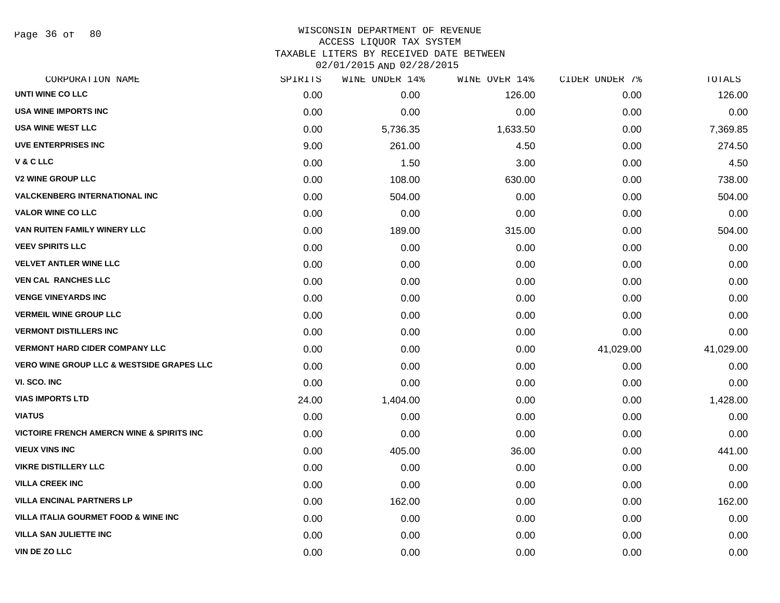Page 36 of 80

## WISCONSIN DEPARTMENT OF REVENUE ACCESS LIQUOR TAX SYSTEM TAXABLE LITERS BY RECEIVED DATE BETWEEN

| CORPORATION NAME                                      | SPIRITS | WINE UNDER 14% | WINE OVER 14% | CIDER UNDER 7% | TOTALS    |
|-------------------------------------------------------|---------|----------------|---------------|----------------|-----------|
| <b>UNTI WINE CO LLC</b>                               | 0.00    | 0.00           | 126.00        | 0.00           | 126.00    |
| <b>USA WINE IMPORTS INC</b>                           | 0.00    | 0.00           | 0.00          | 0.00           | 0.00      |
| <b>USA WINE WEST LLC</b>                              | 0.00    | 5,736.35       | 1,633.50      | 0.00           | 7,369.85  |
| <b>UVE ENTERPRISES INC</b>                            | 9.00    | 261.00         | 4.50          | 0.00           | 274.50    |
| V & C LLC                                             | 0.00    | 1.50           | 3.00          | 0.00           | 4.50      |
| <b>V2 WINE GROUP LLC</b>                              | 0.00    | 108.00         | 630.00        | 0.00           | 738.00    |
| <b>VALCKENBERG INTERNATIONAL INC.</b>                 | 0.00    | 504.00         | 0.00          | 0.00           | 504.00    |
| <b>VALOR WINE CO LLC</b>                              | 0.00    | 0.00           | 0.00          | 0.00           | 0.00      |
| VAN RUITEN FAMILY WINERY LLC                          | 0.00    | 189.00         | 315.00        | 0.00           | 504.00    |
| <b>VEEV SPIRITS LLC</b>                               | 0.00    | 0.00           | 0.00          | 0.00           | 0.00      |
| <b>VELVET ANTLER WINE LLC</b>                         | 0.00    | 0.00           | 0.00          | 0.00           | 0.00      |
| <b>VEN CAL RANCHES LLC</b>                            | 0.00    | 0.00           | 0.00          | 0.00           | 0.00      |
| <b>VENGE VINEYARDS INC</b>                            | 0.00    | 0.00           | 0.00          | 0.00           | 0.00      |
| <b>VERMEIL WINE GROUP LLC</b>                         | 0.00    | 0.00           | 0.00          | 0.00           | 0.00      |
| <b>VERMONT DISTILLERS INC</b>                         | 0.00    | 0.00           | 0.00          | 0.00           | 0.00      |
| <b>VERMONT HARD CIDER COMPANY LLC</b>                 | 0.00    | 0.00           | 0.00          | 41,029.00      | 41,029.00 |
| <b>VERO WINE GROUP LLC &amp; WESTSIDE GRAPES LLC</b>  | 0.00    | 0.00           | 0.00          | 0.00           | 0.00      |
| VI. SCO. INC                                          | 0.00    | 0.00           | 0.00          | 0.00           | 0.00      |
| <b>VIAS IMPORTS LTD</b>                               | 24.00   | 1,404.00       | 0.00          | 0.00           | 1,428.00  |
| <b>VIATUS</b>                                         | 0.00    | 0.00           | 0.00          | 0.00           | 0.00      |
| <b>VICTOIRE FRENCH AMERCN WINE &amp; SPIRITS INC.</b> | 0.00    | 0.00           | 0.00          | 0.00           | 0.00      |
| <b>VIEUX VINS INC</b>                                 | 0.00    | 405.00         | 36.00         | 0.00           | 441.00    |
| <b>VIKRE DISTILLERY LLC</b>                           | 0.00    | 0.00           | 0.00          | 0.00           | 0.00      |
| <b>VILLA CREEK INC</b>                                | 0.00    | 0.00           | 0.00          | 0.00           | 0.00      |
| <b>VILLA ENCINAL PARTNERS LP</b>                      | 0.00    | 162.00         | 0.00          | 0.00           | 162.00    |
| <b>VILLA ITALIA GOURMET FOOD &amp; WINE INC</b>       | 0.00    | 0.00           | 0.00          | 0.00           | 0.00      |
| <b>VILLA SAN JULIETTE INC</b>                         | 0.00    | 0.00           | 0.00          | 0.00           | 0.00      |
| VIN DE ZO LLC                                         | 0.00    | 0.00           | 0.00          | 0.00           | 0.00      |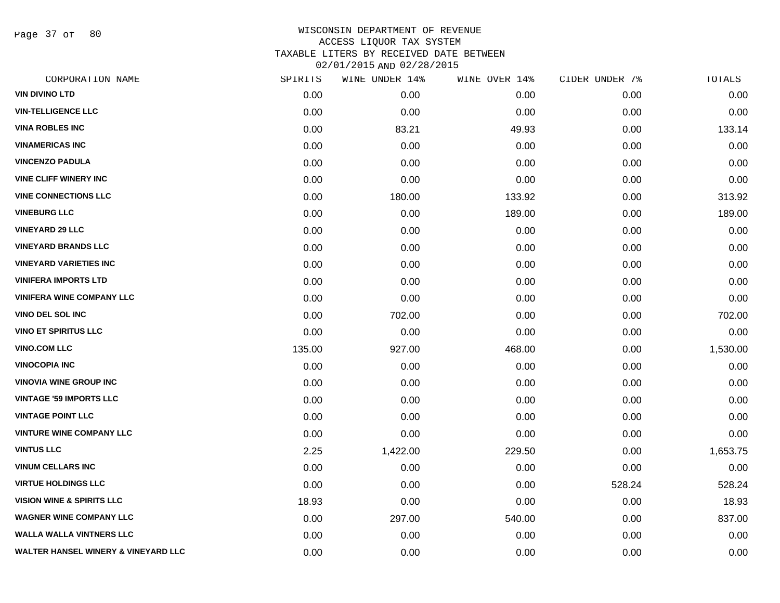Page 37 of 80

| CORPORATION NAME                               | SPIRITS | WINE UNDER 14% | WINE OVER 14% | CIDER UNDER 7% | TOTALS   |
|------------------------------------------------|---------|----------------|---------------|----------------|----------|
| <b>VIN DIVINO LTD</b>                          | 0.00    | 0.00           | 0.00          | 0.00           | 0.00     |
| <b>VIN-TELLIGENCE LLC</b>                      | 0.00    | 0.00           | 0.00          | 0.00           | 0.00     |
| <b>VINA ROBLES INC</b>                         | 0.00    | 83.21          | 49.93         | 0.00           | 133.14   |
| <b>VINAMERICAS INC</b>                         | 0.00    | 0.00           | 0.00          | 0.00           | 0.00     |
| <b>VINCENZO PADULA</b>                         | 0.00    | 0.00           | 0.00          | 0.00           | 0.00     |
| <b>VINE CLIFF WINERY INC</b>                   | 0.00    | 0.00           | 0.00          | 0.00           | 0.00     |
| <b>VINE CONNECTIONS LLC</b>                    | 0.00    | 180.00         | 133.92        | 0.00           | 313.92   |
| <b>VINEBURG LLC</b>                            | 0.00    | 0.00           | 189.00        | 0.00           | 189.00   |
| <b>VINEYARD 29 LLC</b>                         | 0.00    | 0.00           | 0.00          | 0.00           | 0.00     |
| <b>VINEYARD BRANDS LLC</b>                     | 0.00    | 0.00           | 0.00          | 0.00           | 0.00     |
| <b>VINEYARD VARIETIES INC</b>                  | 0.00    | 0.00           | 0.00          | 0.00           | 0.00     |
| <b>VINIFERA IMPORTS LTD</b>                    | 0.00    | 0.00           | 0.00          | 0.00           | 0.00     |
| <b>VINIFERA WINE COMPANY LLC</b>               | 0.00    | 0.00           | 0.00          | 0.00           | 0.00     |
| <b>VINO DEL SOL INC</b>                        | 0.00    | 702.00         | 0.00          | 0.00           | 702.00   |
| <b>VINO ET SPIRITUS LLC</b>                    | 0.00    | 0.00           | 0.00          | 0.00           | 0.00     |
| <b>VINO.COM LLC</b>                            | 135.00  | 927.00         | 468.00        | 0.00           | 1,530.00 |
| <b>VINOCOPIA INC</b>                           | 0.00    | 0.00           | 0.00          | 0.00           | 0.00     |
| <b>VINOVIA WINE GROUP INC</b>                  | 0.00    | 0.00           | 0.00          | 0.00           | 0.00     |
| <b>VINTAGE '59 IMPORTS LLC</b>                 | 0.00    | 0.00           | 0.00          | 0.00           | 0.00     |
| <b>VINTAGE POINT LLC</b>                       | 0.00    | 0.00           | 0.00          | 0.00           | 0.00     |
| <b>VINTURE WINE COMPANY LLC</b>                | 0.00    | 0.00           | 0.00          | 0.00           | 0.00     |
| <b>VINTUS LLC</b>                              | 2.25    | 1,422.00       | 229.50        | 0.00           | 1,653.75 |
| <b>VINUM CELLARS INC</b>                       | 0.00    | 0.00           | 0.00          | 0.00           | 0.00     |
| <b>VIRTUE HOLDINGS LLC</b>                     | 0.00    | 0.00           | 0.00          | 528.24         | 528.24   |
| <b>VISION WINE &amp; SPIRITS LLC</b>           | 18.93   | 0.00           | 0.00          | 0.00           | 18.93    |
| <b>WAGNER WINE COMPANY LLC</b>                 | 0.00    | 297.00         | 540.00        | 0.00           | 837.00   |
| <b>WALLA WALLA VINTNERS LLC</b>                | 0.00    | 0.00           | 0.00          | 0.00           | 0.00     |
| <b>WALTER HANSEL WINERY &amp; VINEYARD LLC</b> | 0.00    | 0.00           | 0.00          | 0.00           | 0.00     |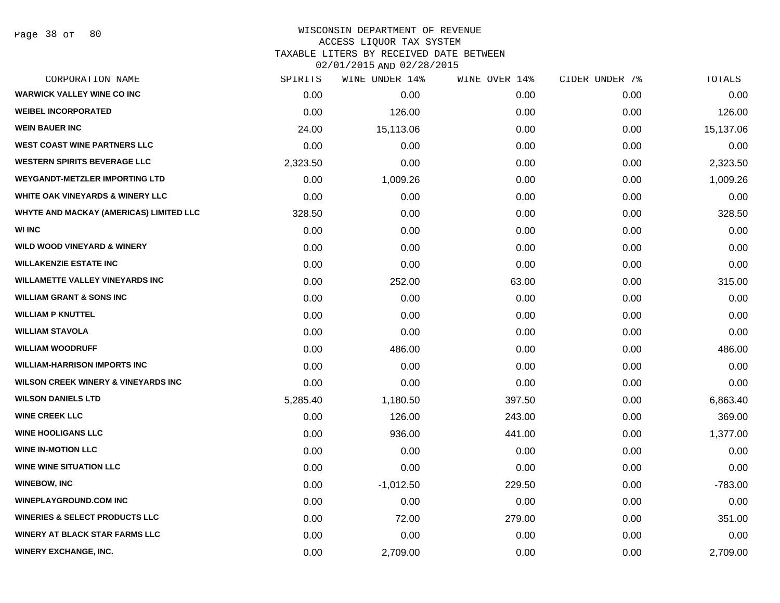| CORPORATION NAME                               | SPIRITS  | WINE UNDER 14% | WINE OVER 14% | CIDER UNDER 7% | TOTALS    |
|------------------------------------------------|----------|----------------|---------------|----------------|-----------|
| <b>WARWICK VALLEY WINE CO INC</b>              | 0.00     | 0.00           | 0.00          | 0.00           | 0.00      |
| <b>WEIBEL INCORPORATED</b>                     | 0.00     | 126.00         | 0.00          | 0.00           | 126.00    |
| <b>WEIN BAUER INC</b>                          | 24.00    | 15,113.06      | 0.00          | 0.00           | 15,137.06 |
| <b>WEST COAST WINE PARTNERS LLC</b>            | 0.00     | 0.00           | 0.00          | 0.00           | 0.00      |
| <b>WESTERN SPIRITS BEVERAGE LLC</b>            | 2,323.50 | 0.00           | 0.00          | 0.00           | 2,323.50  |
| <b>WEYGANDT-METZLER IMPORTING LTD</b>          | 0.00     | 1,009.26       | 0.00          | 0.00           | 1,009.26  |
| WHITE OAK VINEYARDS & WINERY LLC               | 0.00     | 0.00           | 0.00          | 0.00           | 0.00      |
| WHYTE AND MACKAY (AMERICAS) LIMITED LLC        | 328.50   | 0.00           | 0.00          | 0.00           | 328.50    |
| <b>WI INC</b>                                  | 0.00     | 0.00           | 0.00          | 0.00           | 0.00      |
| <b>WILD WOOD VINEYARD &amp; WINERY</b>         | 0.00     | 0.00           | 0.00          | 0.00           | 0.00      |
| <b>WILLAKENZIE ESTATE INC</b>                  | 0.00     | 0.00           | 0.00          | 0.00           | 0.00      |
| <b>WILLAMETTE VALLEY VINEYARDS INC</b>         | 0.00     | 252.00         | 63.00         | 0.00           | 315.00    |
| <b>WILLIAM GRANT &amp; SONS INC</b>            | 0.00     | 0.00           | 0.00          | 0.00           | 0.00      |
| <b>WILLIAM P KNUTTEL</b>                       | 0.00     | 0.00           | 0.00          | 0.00           | 0.00      |
| <b>WILLIAM STAVOLA</b>                         | 0.00     | 0.00           | 0.00          | 0.00           | 0.00      |
| <b>WILLIAM WOODRUFF</b>                        | 0.00     | 486.00         | 0.00          | 0.00           | 486.00    |
| <b>WILLIAM-HARRISON IMPORTS INC</b>            | 0.00     | 0.00           | 0.00          | 0.00           | 0.00      |
| <b>WILSON CREEK WINERY &amp; VINEYARDS INC</b> | 0.00     | 0.00           | 0.00          | 0.00           | 0.00      |
| <b>WILSON DANIELS LTD</b>                      | 5,285.40 | 1,180.50       | 397.50        | 0.00           | 6,863.40  |
| <b>WINE CREEK LLC</b>                          | 0.00     | 126.00         | 243.00        | 0.00           | 369.00    |
| <b>WINE HOOLIGANS LLC</b>                      | 0.00     | 936.00         | 441.00        | 0.00           | 1,377.00  |
| <b>WINE IN-MOTION LLC</b>                      | 0.00     | 0.00           | 0.00          | 0.00           | 0.00      |
| <b>WINE WINE SITUATION LLC</b>                 | 0.00     | 0.00           | 0.00          | 0.00           | 0.00      |
| <b>WINEBOW, INC</b>                            | 0.00     | $-1,012.50$    | 229.50        | 0.00           | $-783.00$ |
| <b>WINEPLAYGROUND.COM INC</b>                  | 0.00     | 0.00           | 0.00          | 0.00           | 0.00      |
| <b>WINERIES &amp; SELECT PRODUCTS LLC</b>      | 0.00     | 72.00          | 279.00        | 0.00           | 351.00    |
| <b>WINERY AT BLACK STAR FARMS LLC</b>          | 0.00     | 0.00           | 0.00          | 0.00           | 0.00      |
| <b>WINERY EXCHANGE, INC.</b>                   | 0.00     | 2,709.00       | 0.00          | 0.00           | 2,709.00  |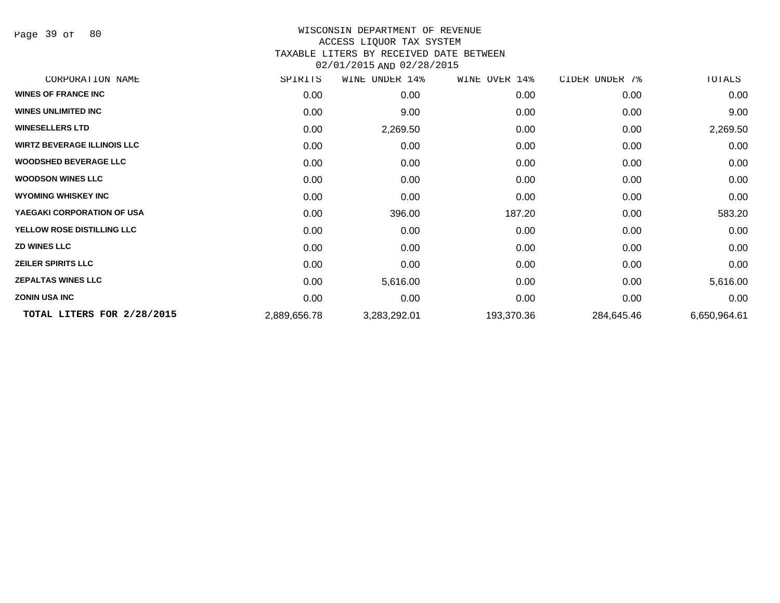Page 39 of 80

#### WISCONSIN DEPARTMENT OF REVENUE ACCESS LIQUOR TAX SYSTEM TAXABLE LITERS BY RECEIVED DATE BETWEEN

02/01/2015 AND 02/28/2015

| CORPORATION NAME                   | SPIRITS      | WINE UNDER 14% | WINE OVER 14% | CIDER UNDER 7% | TOTALS       |
|------------------------------------|--------------|----------------|---------------|----------------|--------------|
| <b>WINES OF FRANCE INC</b>         | 0.00         | 0.00           | 0.00          | 0.00           | 0.00         |
| <b>WINES UNLIMITED INC</b>         | 0.00         | 9.00           | 0.00          | 0.00           | 9.00         |
| <b>WINESELLERS LTD</b>             | 0.00         | 2,269.50       | 0.00          | 0.00           | 2,269.50     |
| <b>WIRTZ BEVERAGE ILLINOIS LLC</b> | 0.00         | 0.00           | 0.00          | 0.00           | 0.00         |
| <b>WOODSHED BEVERAGE LLC</b>       | 0.00         | 0.00           | 0.00          | 0.00           | 0.00         |
| <b>WOODSON WINES LLC</b>           | 0.00         | 0.00           | 0.00          | 0.00           | 0.00         |
| <b>WYOMING WHISKEY INC</b>         | 0.00         | 0.00           | 0.00          | 0.00           | 0.00         |
| YAEGAKI CORPORATION OF USA         | 0.00         | 396.00         | 187.20        | 0.00           | 583.20       |
| YELLOW ROSE DISTILLING LLC         | 0.00         | 0.00           | 0.00          | 0.00           | 0.00         |
| <b>ZD WINES LLC</b>                | 0.00         | 0.00           | 0.00          | 0.00           | 0.00         |
| <b>ZEILER SPIRITS LLC</b>          | 0.00         | 0.00           | 0.00          | 0.00           | 0.00         |
| <b>ZEPALTAS WINES LLC</b>          | 0.00         | 5,616.00       | 0.00          | 0.00           | 5,616.00     |
| <b>ZONIN USA INC</b>               | 0.00         | 0.00           | 0.00          | 0.00           | 0.00         |
| TOTAL LITERS FOR 2/28/2015         | 2,889,656.78 | 3,283,292.01   | 193,370.36    | 284,645.46     | 6,650,964.61 |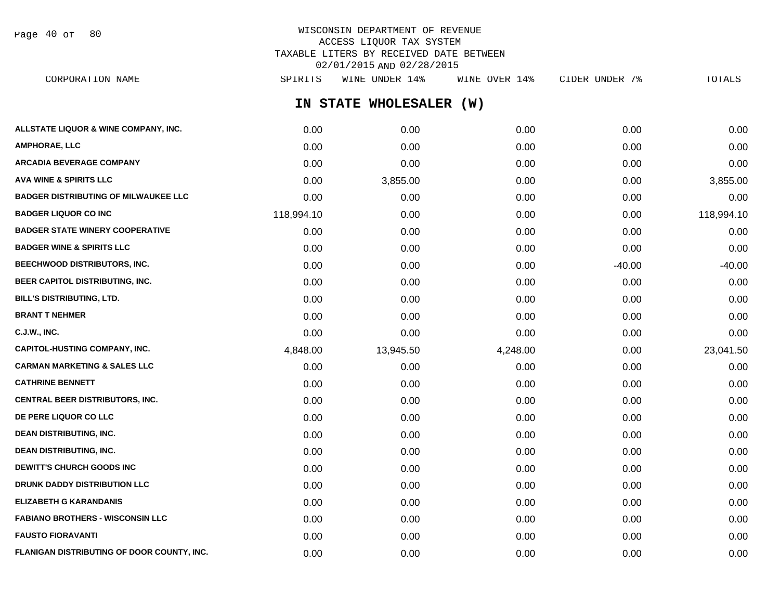Page 40 of 80

# WISCONSIN DEPARTMENT OF REVENUE ACCESS LIQUOR TAX SYSTEM TAXABLE LITERS BY RECEIVED DATE BETWEEN 02/01/2015 AND 02/28/2015

**IN STATE WHOLESALER (W) ALLSTATE LIQUOR & WINE COMPANY, INC.**  $0.00$   $0.00$   $0.00$   $0.00$   $0.00$   $0.00$   $0.00$   $0.00$   $0.00$   $0.00$   $0.00$   $0.00$ **AMPHORAE, LLC** 0.00 0.00 0.00 0.00 0.00 **ARCADIA BEVERAGE COMPANY** 0.00 0.00 0.00 0.00 0.00 **AVA WINE & SPIRITS LLC** 0.00 3,855.00 0.00 0.00 3,855.00 **BADGER DISTRIBUTING OF MILWAUKEE LLC** 0.00 0.00 0.00 0.00 0.00 **BADGER LIQUOR CO INC** 118,994.10 0.00 0.00 0.00 118,994.10 **BADGER STATE WINERY COOPERATIVE** 0.00 0.00 0.00 0.00 0.00 **BADGER WINE & SPIRITS LLC**  $\begin{array}{ccc} 0.00 & 0.00 & 0.00 \\ 0.00 & 0.00 & 0.00 \end{array}$ **BEECHWOOD DISTRIBUTORS, INC.** 0.00 0.00 0.00 -40.00 -40.00 **BEER CAPITOL DISTRIBUTING, INC.** 0.00 0.00 0.00 0.00 0.00 **BILL'S DISTRIBUTING, LTD.** 0.00 0.00 0.00 0.00 0.00 **BRANT T NEHMER** 0.00 0.00 0.00 0.00 0.00 **C.J.W., INC.** 6.00 **0.00 0.00 0.00 0.00 0.00 0.00 0.00 0.00 0.00 0.00 0.00 0.00 0.00 0.00 CAPITOL-HUSTING COMPANY, INC.** 4,848.00 13,945.50 4,248.00 0.00 23,041.50 **CARMAN MARKETING & SALES LLC** 0.00 0.00 0.00 0.00 0.00 **CATHRINE BENNETT** 0.00 0.00 0.00 0.00 0.00 **CENTRAL BEER DISTRIBUTORS, INC.** 0.00 0.00 0.00 0.00 0.00 **DE PERE LIQUOR CO LLC** 0.00 0.00 0.00 0.00 0.00 **DEAN DISTRIBUTING, INC.** 0.00 0.00 0.00 0.00 0.00 **DEAN DISTRIBUTING, INC.** 0.00 0.00 0.00 0.00 0.00 **DEWITT'S CHURCH GOODS INC**  $0.00$   $0.00$   $0.00$   $0.00$   $0.00$   $0.00$   $0.00$   $0.00$   $0.00$   $0.00$   $0.00$   $0.00$   $0.00$   $0.00$   $0.00$   $0.00$   $0.00$   $0.00$   $0.00$   $0.00$   $0.00$   $0.00$   $0.00$   $0.00$   $0.00$   $0.00$   $0.00$   $0.00$ **DRUNK DADDY DISTRIBUTION LLC** 0.00 0.00 0.00 0.00 0.00 **ELIZABETH G KARANDANIS** 0.00 0.00 0.00 0.00 0.00 **FABIANO BROTHERS - WISCONSIN LLC** 0.00 0.00 0.00 0.00 0.00 **FAUSTO FIORAVANTI** 0.00 0.00 0.00 0.00 0.00 CORPORATION NAME SPIRITS WINE UNDER 14% WINE OVER 14% CIDER UNDER 7% TOTALS

**FLANIGAN DISTRIBUTING OF DOOR COUNTY, INC.**  $0.00$   $0.00$   $0.00$   $0.00$   $0.00$   $0.00$   $0.00$   $0.00$   $0.00$   $0.00$   $0.00$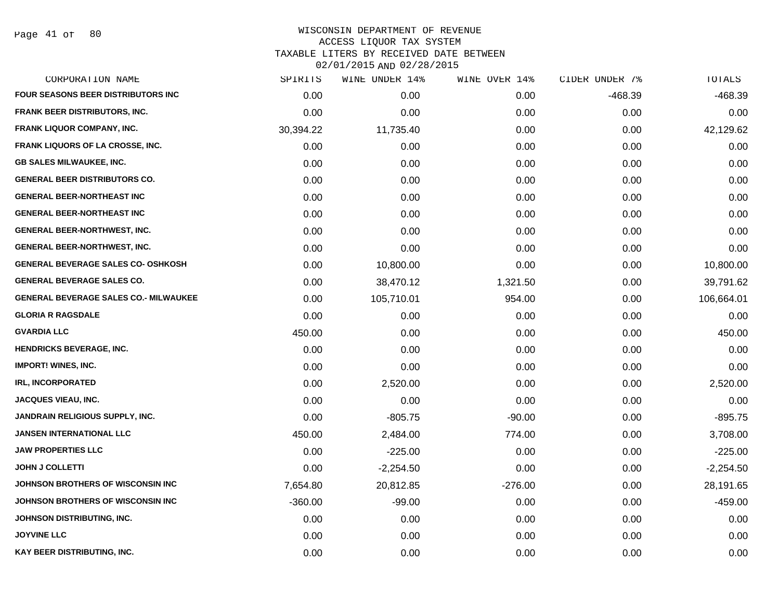Page 41 of 80

| CORPORATION NAME                             | SPIRITS   | WINE UNDER 14% | WINE OVER 14% | CIDER UNDER 7% | TOTALS      |
|----------------------------------------------|-----------|----------------|---------------|----------------|-------------|
| <b>FOUR SEASONS BEER DISTRIBUTORS INC.</b>   | 0.00      | 0.00           | 0.00          | $-468.39$      | $-468.39$   |
| <b>FRANK BEER DISTRIBUTORS, INC.</b>         | 0.00      | 0.00           | 0.00          | 0.00           | 0.00        |
| <b>FRANK LIQUOR COMPANY, INC.</b>            | 30,394.22 | 11,735.40      | 0.00          | 0.00           | 42,129.62   |
| <b>FRANK LIQUORS OF LA CROSSE, INC.</b>      | 0.00      | 0.00           | 0.00          | 0.00           | 0.00        |
| <b>GB SALES MILWAUKEE, INC.</b>              | 0.00      | 0.00           | 0.00          | 0.00           | 0.00        |
| <b>GENERAL BEER DISTRIBUTORS CO.</b>         | 0.00      | 0.00           | 0.00          | 0.00           | 0.00        |
| <b>GENERAL BEER-NORTHEAST INC</b>            | 0.00      | 0.00           | 0.00          | 0.00           | 0.00        |
| <b>GENERAL BEER-NORTHEAST INC</b>            | 0.00      | 0.00           | 0.00          | 0.00           | 0.00        |
| <b>GENERAL BEER-NORTHWEST, INC.</b>          | 0.00      | 0.00           | 0.00          | 0.00           | 0.00        |
| <b>GENERAL BEER-NORTHWEST, INC.</b>          | 0.00      | 0.00           | 0.00          | 0.00           | 0.00        |
| <b>GENERAL BEVERAGE SALES CO- OSHKOSH</b>    | 0.00      | 10,800.00      | 0.00          | 0.00           | 10,800.00   |
| <b>GENERAL BEVERAGE SALES CO.</b>            | 0.00      | 38,470.12      | 1,321.50      | 0.00           | 39,791.62   |
| <b>GENERAL BEVERAGE SALES CO.- MILWAUKEE</b> | 0.00      | 105,710.01     | 954.00        | 0.00           | 106,664.01  |
| <b>GLORIA R RAGSDALE</b>                     | 0.00      | 0.00           | 0.00          | 0.00           | 0.00        |
| <b>GVARDIA LLC</b>                           | 450.00    | 0.00           | 0.00          | 0.00           | 450.00      |
| <b>HENDRICKS BEVERAGE, INC.</b>              | 0.00      | 0.00           | 0.00          | 0.00           | 0.00        |
| <b>IMPORT! WINES, INC.</b>                   | 0.00      | 0.00           | 0.00          | 0.00           | 0.00        |
| <b>IRL, INCORPORATED</b>                     | 0.00      | 2,520.00       | 0.00          | 0.00           | 2,520.00    |
| <b>JACQUES VIEAU, INC.</b>                   | 0.00      | 0.00           | 0.00          | 0.00           | 0.00        |
| <b>JANDRAIN RELIGIOUS SUPPLY, INC.</b>       | 0.00      | $-805.75$      | $-90.00$      | 0.00           | $-895.75$   |
| <b>JANSEN INTERNATIONAL LLC</b>              | 450.00    | 2,484.00       | 774.00        | 0.00           | 3,708.00    |
| <b>JAW PROPERTIES LLC</b>                    | 0.00      | $-225.00$      | 0.00          | 0.00           | $-225.00$   |
| <b>JOHN J COLLETTI</b>                       | 0.00      | $-2,254.50$    | 0.00          | 0.00           | $-2,254.50$ |
| JOHNSON BROTHERS OF WISCONSIN INC            | 7,654.80  | 20,812.85      | $-276.00$     | 0.00           | 28,191.65   |
| JOHNSON BROTHERS OF WISCONSIN INC            | $-360.00$ | $-99.00$       | 0.00          | 0.00           | $-459.00$   |
| JOHNSON DISTRIBUTING, INC.                   | 0.00      | 0.00           | 0.00          | 0.00           | 0.00        |
| <b>JOYVINE LLC</b>                           | 0.00      | 0.00           | 0.00          | 0.00           | 0.00        |
| KAY BEER DISTRIBUTING, INC.                  | 0.00      | 0.00           | 0.00          | 0.00           | 0.00        |
|                                              |           |                |               |                |             |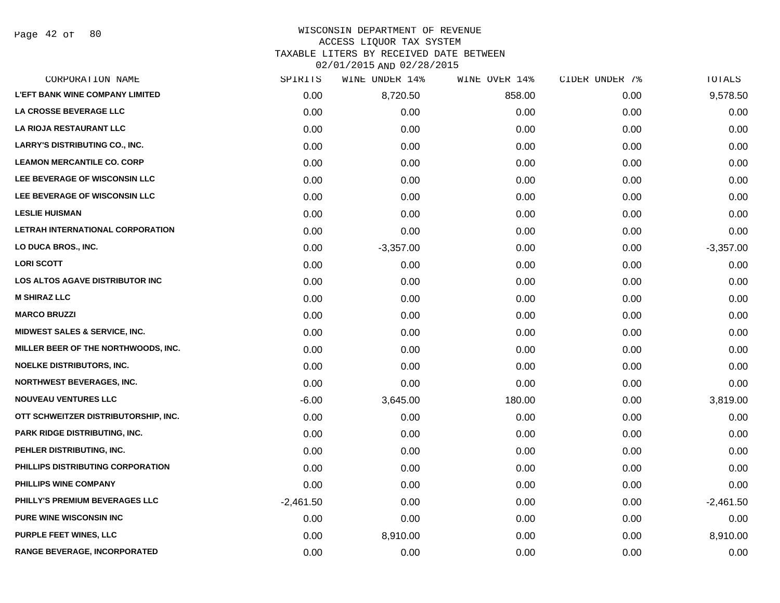Page 42 of 80

| CORPORATION NAME                         | SPIRITS     | WINE UNDER 14% | WINE OVER 14% | CIDER UNDER 7% | <b>TOTALS</b> |
|------------------------------------------|-------------|----------------|---------------|----------------|---------------|
| <b>L'EFT BANK WINE COMPANY LIMITED</b>   | 0.00        | 8,720.50       | 858.00        | 0.00           | 9,578.50      |
| LA CROSSE BEVERAGE LLC                   | 0.00        | 0.00           | 0.00          | 0.00           | 0.00          |
| LA RIOJA RESTAURANT LLC                  | 0.00        | 0.00           | 0.00          | 0.00           | 0.00          |
| <b>LARRY'S DISTRIBUTING CO., INC.</b>    | 0.00        | 0.00           | 0.00          | 0.00           | 0.00          |
| <b>LEAMON MERCANTILE CO. CORP</b>        | 0.00        | 0.00           | 0.00          | 0.00           | 0.00          |
| LEE BEVERAGE OF WISCONSIN LLC            | 0.00        | 0.00           | 0.00          | 0.00           | 0.00          |
| LEE BEVERAGE OF WISCONSIN LLC            | 0.00        | 0.00           | 0.00          | 0.00           | 0.00          |
| <b>LESLIE HUISMAN</b>                    | 0.00        | 0.00           | 0.00          | 0.00           | 0.00          |
| LETRAH INTERNATIONAL CORPORATION         | 0.00        | 0.00           | 0.00          | 0.00           | 0.00          |
| LO DUCA BROS., INC.                      | 0.00        | $-3,357.00$    | 0.00          | 0.00           | $-3,357.00$   |
| <b>LORI SCOTT</b>                        | 0.00        | 0.00           | 0.00          | 0.00           | 0.00          |
| LOS ALTOS AGAVE DISTRIBUTOR INC          | 0.00        | 0.00           | 0.00          | 0.00           | 0.00          |
| <b>M SHIRAZ LLC</b>                      | 0.00        | 0.00           | 0.00          | 0.00           | 0.00          |
| <b>MARCO BRUZZI</b>                      | 0.00        | 0.00           | 0.00          | 0.00           | 0.00          |
| <b>MIDWEST SALES &amp; SERVICE, INC.</b> | 0.00        | 0.00           | 0.00          | 0.00           | 0.00          |
| MILLER BEER OF THE NORTHWOODS, INC.      | 0.00        | 0.00           | 0.00          | 0.00           | 0.00          |
| <b>NOELKE DISTRIBUTORS, INC.</b>         | 0.00        | 0.00           | 0.00          | 0.00           | 0.00          |
| <b>NORTHWEST BEVERAGES, INC.</b>         | 0.00        | 0.00           | 0.00          | 0.00           | 0.00          |
| <b>NOUVEAU VENTURES LLC</b>              | $-6.00$     | 3,645.00       | 180.00        | 0.00           | 3,819.00      |
| OTT SCHWEITZER DISTRIBUTORSHIP, INC.     | 0.00        | 0.00           | 0.00          | 0.00           | 0.00          |
| <b>PARK RIDGE DISTRIBUTING, INC.</b>     | 0.00        | 0.00           | 0.00          | 0.00           | 0.00          |
| PEHLER DISTRIBUTING, INC.                | 0.00        | 0.00           | 0.00          | 0.00           | 0.00          |
| PHILLIPS DISTRIBUTING CORPORATION        | 0.00        | 0.00           | 0.00          | 0.00           | 0.00          |
| PHILLIPS WINE COMPANY                    | 0.00        | 0.00           | 0.00          | 0.00           | 0.00          |
| PHILLY'S PREMIUM BEVERAGES LLC           | $-2,461.50$ | 0.00           | 0.00          | 0.00           | $-2,461.50$   |
| PURE WINE WISCONSIN INC                  | 0.00        | 0.00           | 0.00          | 0.00           | 0.00          |
| <b>PURPLE FEET WINES, LLC</b>            | 0.00        | 8,910.00       | 0.00          | 0.00           | 8,910.00      |
| RANGE BEVERAGE, INCORPORATED             | 0.00        | 0.00           | 0.00          | 0.00           | 0.00          |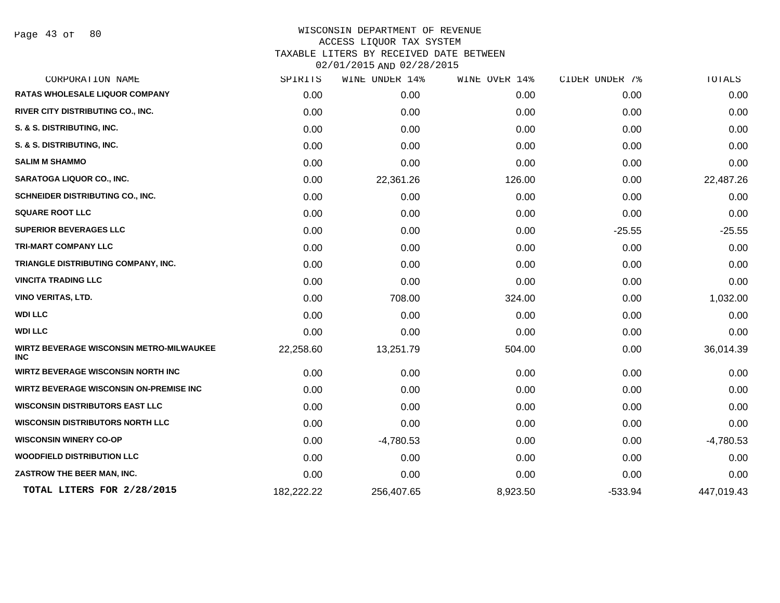Page 43 of 80

| SPIRITS    |             | WINE OVER 14%  | CIDER UNDER 7% | TOTALS      |
|------------|-------------|----------------|----------------|-------------|
| 0.00       | 0.00        | 0.00           | 0.00           | 0.00        |
| 0.00       | 0.00        | 0.00           | 0.00           | 0.00        |
| 0.00       | 0.00        | 0.00           | 0.00           | 0.00        |
| 0.00       | 0.00        | 0.00           | 0.00           | 0.00        |
| 0.00       | 0.00        | 0.00           | 0.00           | 0.00        |
| 0.00       | 22,361.26   | 126.00         | 0.00           | 22,487.26   |
| 0.00       | 0.00        | 0.00           | 0.00           | 0.00        |
| 0.00       | 0.00        | 0.00           | 0.00           | 0.00        |
| 0.00       | 0.00        | 0.00           | $-25.55$       | $-25.55$    |
| 0.00       | 0.00        | 0.00           | 0.00           | 0.00        |
| 0.00       | 0.00        | 0.00           | 0.00           | 0.00        |
| 0.00       | 0.00        | 0.00           | 0.00           | 0.00        |
| 0.00       | 708.00      | 324.00         | 0.00           | 1,032.00    |
| 0.00       | 0.00        | 0.00           | 0.00           | 0.00        |
| 0.00       | 0.00        | 0.00           | 0.00           | 0.00        |
| 22,258.60  | 13,251.79   | 504.00         | 0.00           | 36,014.39   |
| 0.00       | 0.00        | 0.00           | 0.00           | 0.00        |
| 0.00       | 0.00        | 0.00           | 0.00           | 0.00        |
| 0.00       | 0.00        | 0.00           | 0.00           | 0.00        |
| 0.00       | 0.00        | 0.00           | 0.00           | 0.00        |
| 0.00       | $-4,780.53$ | 0.00           | 0.00           | $-4,780.53$ |
| 0.00       | 0.00        | 0.00           | 0.00           | 0.00        |
| 0.00       | 0.00        | 0.00           | 0.00           | 0.00        |
| 182,222.22 | 256,407.65  | 8,923.50       | $-533.94$      | 447,019.43  |
|            |             | WINE UNDER 14% |                |             |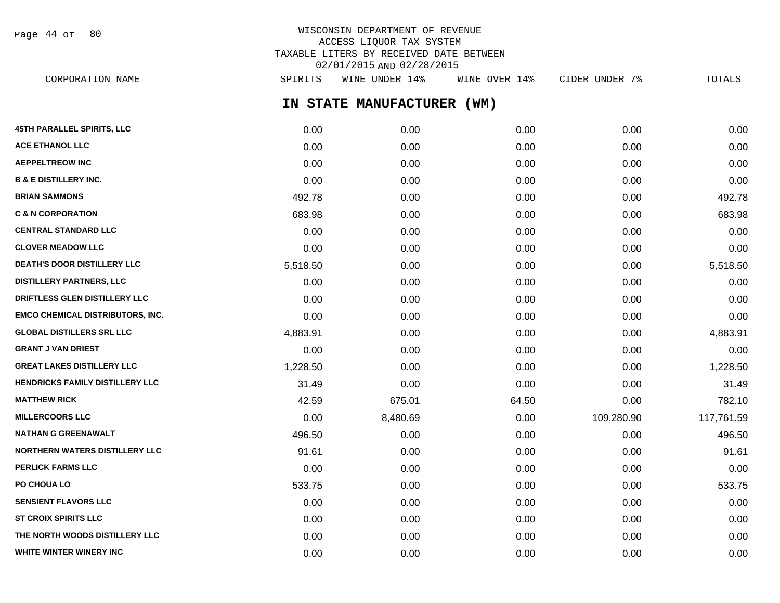WISCONSIN DEPARTMENT OF REVENUE ACCESS LIQUOR TAX SYSTEM TAXABLE LITERS BY RECEIVED DATE BETWEEN 02/01/2015 AND 02/28/2015 CORPORATION NAME SPIRITS WINE UNDER 14% WINE OVER 14% CIDER UNDER 7% TOTALS Page 44 of 80

**IN STATE MANUFACTURER (WM)**

| 45TH PARALLEL SPIRITS, LLC              | 0.00     | 0.00     | 0.00  | 0.00       | 0.00       |
|-----------------------------------------|----------|----------|-------|------------|------------|
| <b>ACE ETHANOL LLC</b>                  | 0.00     | 0.00     | 0.00  | 0.00       | 0.00       |
| <b>AEPPELTREOW INC</b>                  | 0.00     | 0.00     | 0.00  | 0.00       | 0.00       |
| <b>B &amp; E DISTILLERY INC.</b>        | 0.00     | 0.00     | 0.00  | 0.00       | 0.00       |
| <b>BRIAN SAMMONS</b>                    | 492.78   | 0.00     | 0.00  | 0.00       | 492.78     |
| <b>C &amp; N CORPORATION</b>            | 683.98   | 0.00     | 0.00  | 0.00       | 683.98     |
| <b>CENTRAL STANDARD LLC</b>             | 0.00     | 0.00     | 0.00  | 0.00       | 0.00       |
| <b>CLOVER MEADOW LLC</b>                | 0.00     | 0.00     | 0.00  | 0.00       | 0.00       |
| DEATH'S DOOR DISTILLERY LLC             | 5,518.50 | 0.00     | 0.00  | 0.00       | 5,518.50   |
| <b>DISTILLERY PARTNERS, LLC</b>         | 0.00     | 0.00     | 0.00  | 0.00       | 0.00       |
| DRIFTLESS GLEN DISTILLERY LLC           | 0.00     | 0.00     | 0.00  | 0.00       | 0.00       |
| <b>EMCO CHEMICAL DISTRIBUTORS, INC.</b> | 0.00     | 0.00     | 0.00  | 0.00       | 0.00       |
| <b>GLOBAL DISTILLERS SRL LLC</b>        | 4,883.91 | 0.00     | 0.00  | 0.00       | 4,883.91   |
| <b>GRANT J VAN DRIEST</b>               | 0.00     | 0.00     | 0.00  | 0.00       | 0.00       |
| <b>GREAT LAKES DISTILLERY LLC</b>       | 1,228.50 | 0.00     | 0.00  | 0.00       | 1,228.50   |
| <b>HENDRICKS FAMILY DISTILLERY LLC</b>  | 31.49    | 0.00     | 0.00  | 0.00       | 31.49      |
| <b>MATTHEW RICK</b>                     | 42.59    | 675.01   | 64.50 | 0.00       | 782.10     |
| <b>MILLERCOORS LLC</b>                  | 0.00     | 8,480.69 | 0.00  | 109,280.90 | 117,761.59 |
| <b>NATHAN G GREENAWALT</b>              | 496.50   | 0.00     | 0.00  | 0.00       | 496.50     |
| <b>NORTHERN WATERS DISTILLERY LLC</b>   | 91.61    | 0.00     | 0.00  | 0.00       | 91.61      |
| <b>PERLICK FARMS LLC</b>                | 0.00     | 0.00     | 0.00  | 0.00       | 0.00       |
| PO CHOUA LO                             | 533.75   | 0.00     | 0.00  | 0.00       | 533.75     |
| <b>SENSIENT FLAVORS LLC</b>             | 0.00     | 0.00     | 0.00  | 0.00       | 0.00       |
| <b>ST CROIX SPIRITS LLC</b>             | 0.00     | 0.00     | 0.00  | 0.00       | 0.00       |
| THE NORTH WOODS DISTILLERY LLC          | 0.00     | 0.00     | 0.00  | 0.00       | 0.00       |
| WHITE WINTER WINERY INC                 | 0.00     | 0.00     | 0.00  | 0.00       | 0.00       |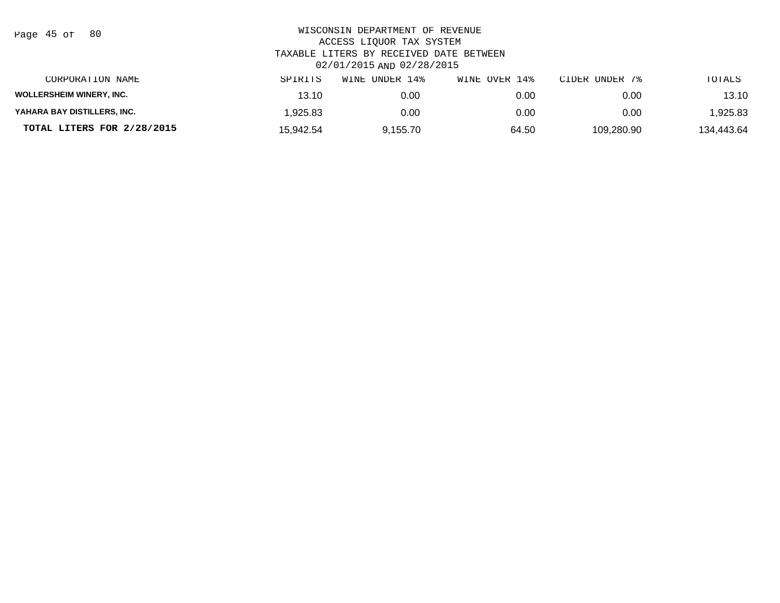| Page | 45 of |  | 80 |
|------|-------|--|----|
|------|-------|--|----|

| CORPORATION NAME                | SPIRITS   | UNDER 14%<br>WINE | WINE OVER 14% | CIDER UNDER 7% | TOTALS     |
|---------------------------------|-----------|-------------------|---------------|----------------|------------|
| <b>WOLLERSHEIM WINERY, INC.</b> | 13.10     | 0.00              | 0.00          | 0.00           | 13.10      |
| YAHARA BAY DISTILLERS, INC.     | .925.83   | 0.00              | 0.00          | 0.00           | 925.83, ا  |
| TOTAL LITERS FOR 2/28/2015      | 15.942.54 | 9.155.70          | 64.50         | 109.280.90     | 134.443.64 |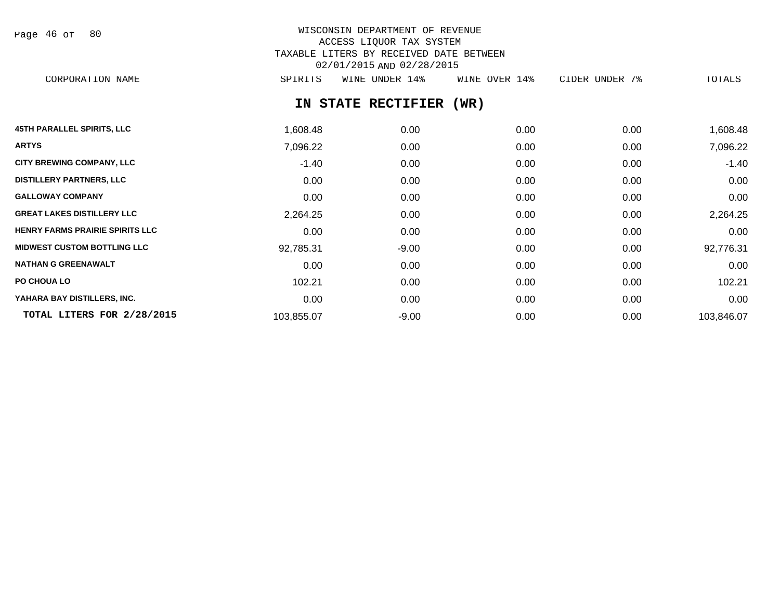Page 46 of 80

# WISCONSIN DEPARTMENT OF REVENUE ACCESS LIQUOR TAX SYSTEM TAXABLE LITERS BY RECEIVED DATE BETWEEN 02/01/2015 AND 02/28/2015

CORPORATION NAME SPIRITS WINE UNDER 14% WINE OVER 14% CIDER UNDER 7% TOTALS

# **IN STATE RECTIFIER (WR)**

| <b>45TH PARALLEL SPIRITS, LLC</b>      | 1,608.48   | 0.00    | 0.00 | 0.00 | 1,608.48   |
|----------------------------------------|------------|---------|------|------|------------|
| <b>ARTYS</b>                           | 7,096.22   | 0.00    | 0.00 | 0.00 | 7,096.22   |
| <b>CITY BREWING COMPANY, LLC</b>       | $-1.40$    | 0.00    | 0.00 | 0.00 | $-1.40$    |
| <b>DISTILLERY PARTNERS, LLC</b>        | 0.00       | 0.00    | 0.00 | 0.00 | 0.00       |
| <b>GALLOWAY COMPANY</b>                | 0.00       | 0.00    | 0.00 | 0.00 | 0.00       |
| <b>GREAT LAKES DISTILLERY LLC</b>      | 2,264.25   | 0.00    | 0.00 | 0.00 | 2,264.25   |
| <b>HENRY FARMS PRAIRIE SPIRITS LLC</b> | 0.00       | 0.00    | 0.00 | 0.00 | 0.00       |
| <b>MIDWEST CUSTOM BOTTLING LLC</b>     | 92,785.31  | $-9.00$ | 0.00 | 0.00 | 92,776.31  |
| <b>NATHAN G GREENAWALT</b>             | 0.00       | 0.00    | 0.00 | 0.00 | 0.00       |
| PO CHOUA LO                            | 102.21     | 0.00    | 0.00 | 0.00 | 102.21     |
| YAHARA BAY DISTILLERS, INC.            | 0.00       | 0.00    | 0.00 | 0.00 | 0.00       |
| TOTAL LITERS FOR 2/28/2015             | 103,855.07 | $-9.00$ | 0.00 | 0.00 | 103,846.07 |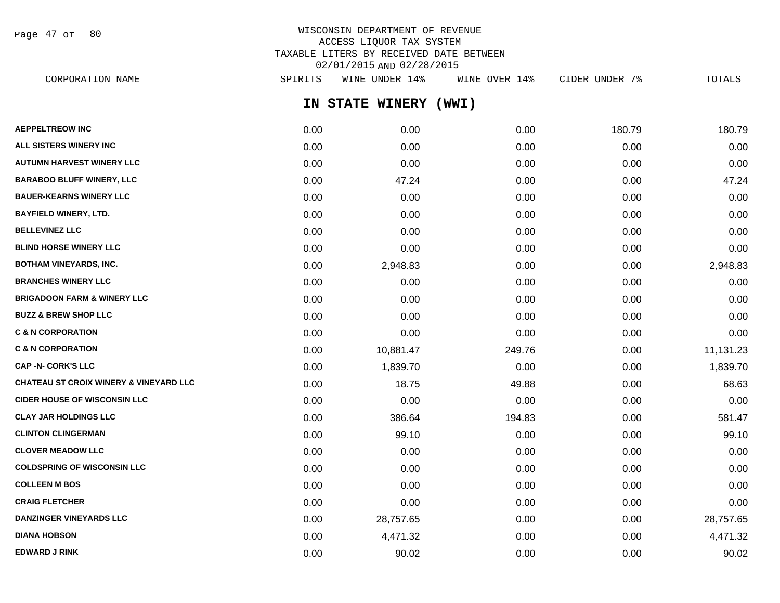Page 47 of 80

# WISCONSIN DEPARTMENT OF REVENUE ACCESS LIQUOR TAX SYSTEM TAXABLE LITERS BY RECEIVED DATE BETWEEN 02/01/2015 AND 02/28/2015

**IN STATE WINERY (WWI) AEPPELTREOW INC** 180.79 180.79 180.79 **ALL SISTERS WINERY INC** 0.00 0.00 0.00 0.00 0.00 **AUTUMN HARVEST WINERY LLC** 0.00 0.00 0.00 0.00 0.00 **BARABOO BLUFF WINERY, LLC** 0.00 47.24 0.00 0.00 47.24 **BAUER-KEARNS WINERY LLC** 0.00 0.00 0.00 0.00 0.00 **BAYFIELD WINERY, LTD.** 0.00 0.00 0.00 0.00 0.00 **BELLEVINEZ LLC** 0.00 0.00 0.00 0.00 0.00 **BLIND HORSE WINERY LLC** 0.00 0.00 0.00 0.00 0.00 **BOTHAM VINEYARDS, INC.** 0.00 2,948.83 0.00 0.00 2,948.83 **BRANCHES WINERY LLC** 0.00 0.00 0.00 0.00 0.00 **BRIGADOON FARM & WINERY LLC**  $0.00$   $0.00$   $0.00$   $0.00$   $0.00$   $0.00$   $0.00$   $0.00$   $0.00$   $0.00$   $0.00$   $0.00$   $0.00$ **BUZZ & BREW SHOP LLC**  $\begin{array}{ccccccc} 0.00 & 0.00 & 0.00 & 0.00 & 0.00 & 0.00 & 0.00 & 0.00 & 0.00 & 0.00 & 0.00 & 0.00 & 0.00 & 0.00 & 0.00 & 0.00 & 0.00 & 0.00 & 0.00 & 0.00 & 0.00 & 0.00 & 0.00 & 0.00 & 0.00 & 0.00 & 0.00 & 0.00 & 0.00 & 0.00 & 0.00 & 0.0$ **C & N CORPORATION** 0.00 0.00 0.00 0.00 0.00 **C & N CORPORATION** 0.00 10,881.47 249.76 0.00 11,131.23 **CAP -N- CORK'S LLC** 0.00 1,839.70 0.00 0.00 1,839.70 **CHATEAU ST CROIX WINERY & VINEYARD LLC** 0.00 18.75 49.88 0.00 68.63 **CIDER HOUSE OF WISCONSIN LLC**  $0.00$   $0.00$   $0.00$   $0.00$   $0.00$   $0.00$   $0.00$   $0.00$   $0.00$   $0.00$   $0.00$   $0.00$   $0.00$ **CLAY JAR HOLDINGS LLC** 0.00 386.64 194.83 0.00 581.47 **CLINTON CLINGERMAN** 0.00 99.10 0.00 0.00 99.10 **CLOVER MEADOW LLC** 0.00 0.00 0.00 0.00 0.00 **COLDSPRING OF WISCONSIN LLC** 0.00 0.00 0.00 0.00 0.00 **COLLEEN M BOS** 0.00 0.00 0.00 0.00 0.00 **CRAIG FLETCHER** 0.00 0.00 0.00 0.00 0.00 **DANZINGER VINEYARDS LLC** 0.00 28,757.65 0.00 0.00 28,757.65 **DIANA HOBSON** 0.00 4,471.32 0.00 0.00 4,471.32 CORPORATION NAME SPIRITS WINE UNDER 14% WINE OVER 14% CIDER UNDER 7% TOTALS

**EDWARD J RINK** 0.00 90.02 0.00 0.00 90.02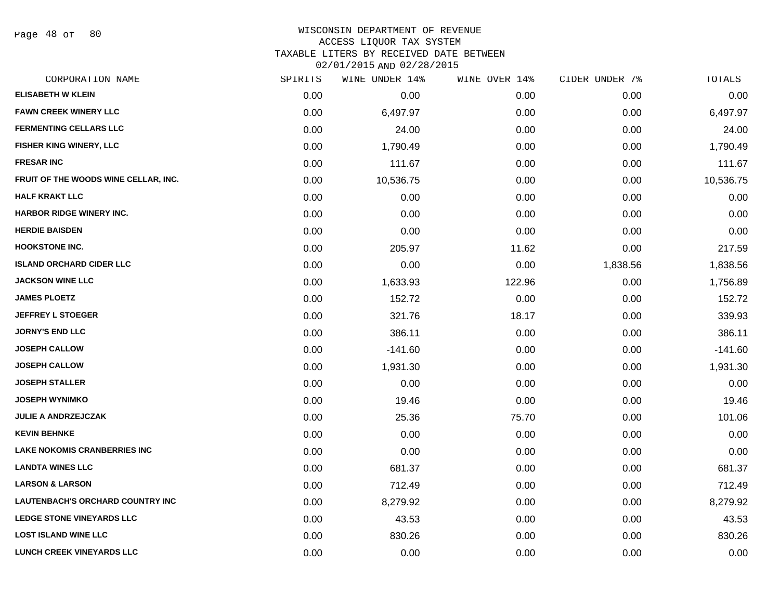Page 48 of 80

#### WISCONSIN DEPARTMENT OF REVENUE ACCESS LIQUOR TAX SYSTEM

TAXABLE LITERS BY RECEIVED DATE BETWEEN

02/01/2015 AND 02/28/2015

| CORPORATION NAME                        | SPIRITS | WINE UNDER 14% | WINE OVER 14% | CIDER UNDER 7% | TOTALS    |
|-----------------------------------------|---------|----------------|---------------|----------------|-----------|
| <b>ELISABETH W KLEIN</b>                | 0.00    | 0.00           | 0.00          | 0.00           | 0.00      |
| <b>FAWN CREEK WINERY LLC</b>            | 0.00    | 6,497.97       | 0.00          | 0.00           | 6,497.97  |
| <b>FERMENTING CELLARS LLC</b>           | 0.00    | 24.00          | 0.00          | 0.00           | 24.00     |
| FISHER KING WINERY, LLC                 | 0.00    | 1,790.49       | 0.00          | 0.00           | 1,790.49  |
| <b>FRESAR INC</b>                       | 0.00    | 111.67         | 0.00          | 0.00           | 111.67    |
| FRUIT OF THE WOODS WINE CELLAR, INC.    | 0.00    | 10,536.75      | 0.00          | 0.00           | 10,536.75 |
| <b>HALF KRAKT LLC</b>                   | 0.00    | 0.00           | 0.00          | 0.00           | 0.00      |
| HARBOR RIDGE WINERY INC.                | 0.00    | 0.00           | 0.00          | 0.00           | 0.00      |
| <b>HERDIE BAISDEN</b>                   | 0.00    | 0.00           | 0.00          | 0.00           | 0.00      |
| <b>HOOKSTONE INC.</b>                   | 0.00    | 205.97         | 11.62         | 0.00           | 217.59    |
| <b>ISLAND ORCHARD CIDER LLC</b>         | 0.00    | 0.00           | 0.00          | 1,838.56       | 1,838.56  |
| <b>JACKSON WINE LLC</b>                 | 0.00    | 1,633.93       | 122.96        | 0.00           | 1,756.89  |
| <b>JAMES PLOETZ</b>                     | 0.00    | 152.72         | 0.00          | 0.00           | 152.72    |
| <b>JEFFREY L STOEGER</b>                | 0.00    | 321.76         | 18.17         | 0.00           | 339.93    |
| <b>JORNY'S END LLC</b>                  | 0.00    | 386.11         | 0.00          | 0.00           | 386.11    |
| <b>JOSEPH CALLOW</b>                    | 0.00    | $-141.60$      | 0.00          | 0.00           | $-141.60$ |
| <b>JOSEPH CALLOW</b>                    | 0.00    | 1,931.30       | 0.00          | 0.00           | 1,931.30  |
| <b>JOSEPH STALLER</b>                   | 0.00    | 0.00           | 0.00          | 0.00           | 0.00      |
| <b>JOSEPH WYNIMKO</b>                   | 0.00    | 19.46          | 0.00          | 0.00           | 19.46     |
| <b>JULIE A ANDRZEJCZAK</b>              | 0.00    | 25.36          | 75.70         | 0.00           | 101.06    |
| <b>KEVIN BEHNKE</b>                     | 0.00    | 0.00           | 0.00          | 0.00           | 0.00      |
| <b>LAKE NOKOMIS CRANBERRIES INC</b>     | 0.00    | 0.00           | 0.00          | 0.00           | 0.00      |
| <b>LANDTA WINES LLC</b>                 | 0.00    | 681.37         | 0.00          | 0.00           | 681.37    |
| <b>LARSON &amp; LARSON</b>              | 0.00    | 712.49         | 0.00          | 0.00           | 712.49    |
| <b>LAUTENBACH'S ORCHARD COUNTRY INC</b> | 0.00    | 8,279.92       | 0.00          | 0.00           | 8,279.92  |
| <b>LEDGE STONE VINEYARDS LLC</b>        | 0.00    | 43.53          | 0.00          | 0.00           | 43.53     |
| <b>LOST ISLAND WINE LLC</b>             | 0.00    | 830.26         | 0.00          | 0.00           | 830.26    |
| LUNCH CREEK VINEYARDS LLC               | 0.00    | 0.00           | 0.00          | 0.00           | 0.00      |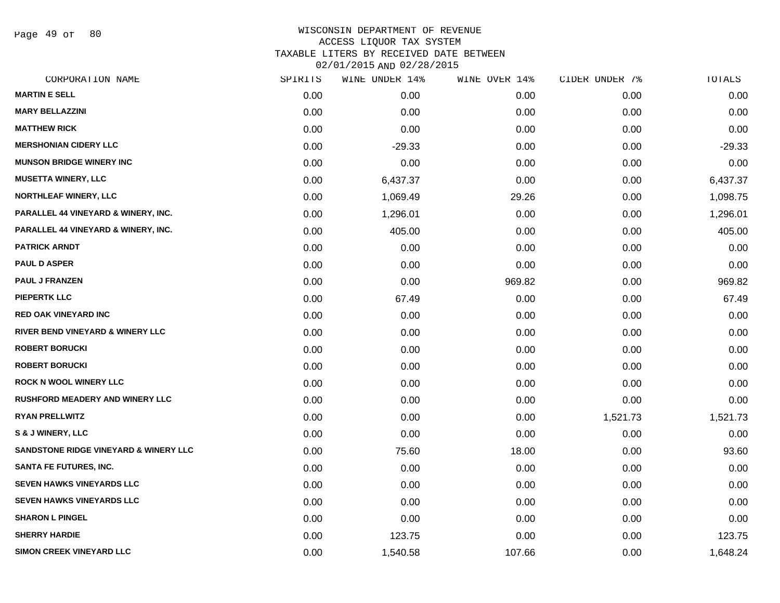Page 49 of 80

| CORPORATION NAME                                 | SPIRITS | WINE UNDER 14% | WINE OVER 14% | CIDER UNDER 7% | TOTALS   |
|--------------------------------------------------|---------|----------------|---------------|----------------|----------|
| <b>MARTIN E SELL</b>                             | 0.00    | 0.00           | 0.00          | 0.00           | 0.00     |
| <b>MARY BELLAZZINI</b>                           | 0.00    | 0.00           | 0.00          | 0.00           | 0.00     |
| <b>MATTHEW RICK</b>                              | 0.00    | 0.00           | 0.00          | 0.00           | 0.00     |
| <b>MERSHONIAN CIDERY LLC</b>                     | 0.00    | $-29.33$       | 0.00          | 0.00           | $-29.33$ |
| <b>MUNSON BRIDGE WINERY INC</b>                  | 0.00    | 0.00           | 0.00          | 0.00           | 0.00     |
| <b>MUSETTA WINERY, LLC</b>                       | 0.00    | 6,437.37       | 0.00          | 0.00           | 6,437.37 |
| <b>NORTHLEAF WINERY, LLC</b>                     | 0.00    | 1,069.49       | 29.26         | 0.00           | 1,098.75 |
| PARALLEL 44 VINEYARD & WINERY, INC.              | 0.00    | 1,296.01       | 0.00          | 0.00           | 1,296.01 |
| PARALLEL 44 VINEYARD & WINERY, INC.              | 0.00    | 405.00         | 0.00          | 0.00           | 405.00   |
| <b>PATRICK ARNDT</b>                             | 0.00    | 0.00           | 0.00          | 0.00           | 0.00     |
| <b>PAUL D ASPER</b>                              | 0.00    | 0.00           | 0.00          | 0.00           | 0.00     |
| <b>PAUL J FRANZEN</b>                            | 0.00    | 0.00           | 969.82        | 0.00           | 969.82   |
| <b>PIEPERTK LLC</b>                              | 0.00    | 67.49          | 0.00          | 0.00           | 67.49    |
| RED OAK VINEYARD INC                             | 0.00    | 0.00           | 0.00          | 0.00           | 0.00     |
| RIVER BEND VINEYARD & WINERY LLC                 | 0.00    | 0.00           | 0.00          | 0.00           | 0.00     |
| <b>ROBERT BORUCKI</b>                            | 0.00    | 0.00           | 0.00          | 0.00           | 0.00     |
| <b>ROBERT BORUCKI</b>                            | 0.00    | 0.00           | 0.00          | 0.00           | 0.00     |
| <b>ROCK N WOOL WINERY LLC</b>                    | 0.00    | 0.00           | 0.00          | 0.00           | 0.00     |
| <b>RUSHFORD MEADERY AND WINERY LLC</b>           | 0.00    | 0.00           | 0.00          | 0.00           | 0.00     |
| <b>RYAN PRELLWITZ</b>                            | 0.00    | 0.00           | 0.00          | 1,521.73       | 1,521.73 |
| S & J WINERY, LLC                                | 0.00    | 0.00           | 0.00          | 0.00           | 0.00     |
| <b>SANDSTONE RIDGE VINEYARD &amp; WINERY LLC</b> | 0.00    | 75.60          | 18.00         | 0.00           | 93.60    |
| <b>SANTA FE FUTURES, INC.</b>                    | 0.00    | 0.00           | 0.00          | 0.00           | 0.00     |
| <b>SEVEN HAWKS VINEYARDS LLC</b>                 | 0.00    | 0.00           | 0.00          | 0.00           | 0.00     |
| <b>SEVEN HAWKS VINEYARDS LLC</b>                 | 0.00    | 0.00           | 0.00          | 0.00           | 0.00     |
| <b>SHARON L PINGEL</b>                           | 0.00    | 0.00           | 0.00          | 0.00           | 0.00     |
| <b>SHERRY HARDIE</b>                             | 0.00    | 123.75         | 0.00          | 0.00           | 123.75   |
| <b>SIMON CREEK VINEYARD LLC</b>                  | 0.00    | 1,540.58       | 107.66        | 0.00           | 1,648.24 |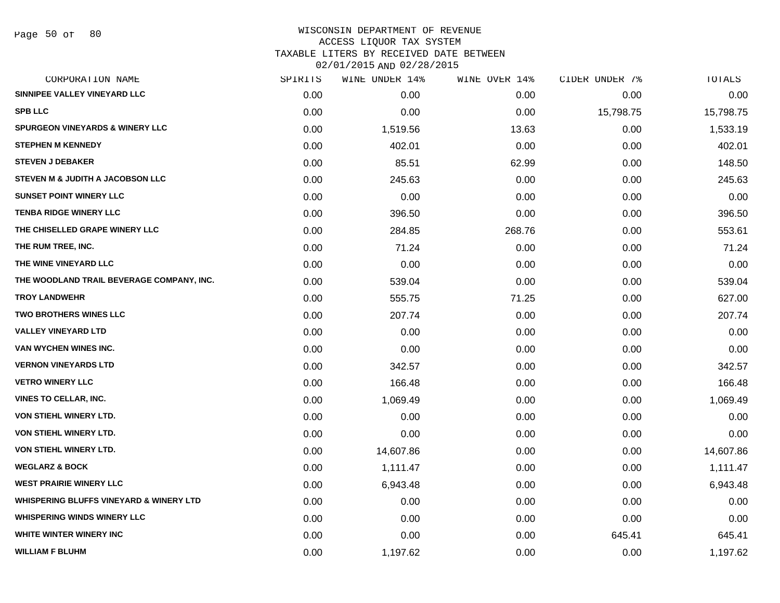# WISCONSIN DEPARTMENT OF REVENUE ACCESS LIQUOR TAX SYSTEM TAXABLE LITERS BY RECEIVED DATE BETWEEN

02/01/2015 AND 02/28/2015

| CORPORATION NAME                                   | SPIRITS | WINE UNDER 14% | WINE OVER 14% | CIDER UNDER 7% | TOTALS    |
|----------------------------------------------------|---------|----------------|---------------|----------------|-----------|
| SINNIPEE VALLEY VINEYARD LLC                       | 0.00    | 0.00           | 0.00          | 0.00           | 0.00      |
| <b>SPB LLC</b>                                     | 0.00    | 0.00           | 0.00          | 15,798.75      | 15,798.75 |
| <b>SPURGEON VINEYARDS &amp; WINERY LLC</b>         | 0.00    | 1,519.56       | 13.63         | 0.00           | 1,533.19  |
| <b>STEPHEN M KENNEDY</b>                           | 0.00    | 402.01         | 0.00          | 0.00           | 402.01    |
| <b>STEVEN J DEBAKER</b>                            | 0.00    | 85.51          | 62.99         | 0.00           | 148.50    |
| STEVEN M & JUDITH A JACOBSON LLC                   | 0.00    | 245.63         | 0.00          | 0.00           | 245.63    |
| <b>SUNSET POINT WINERY LLC</b>                     | 0.00    | 0.00           | 0.00          | 0.00           | 0.00      |
| <b>TENBA RIDGE WINERY LLC</b>                      | 0.00    | 396.50         | 0.00          | 0.00           | 396.50    |
| THE CHISELLED GRAPE WINERY LLC                     | 0.00    | 284.85         | 268.76        | 0.00           | 553.61    |
| THE RUM TREE, INC.                                 | 0.00    | 71.24          | 0.00          | 0.00           | 71.24     |
| THE WINE VINEYARD LLC                              | 0.00    | 0.00           | 0.00          | 0.00           | 0.00      |
| THE WOODLAND TRAIL BEVERAGE COMPANY, INC.          | 0.00    | 539.04         | 0.00          | 0.00           | 539.04    |
| <b>TROY LANDWEHR</b>                               | 0.00    | 555.75         | 71.25         | 0.00           | 627.00    |
| <b>TWO BROTHERS WINES LLC</b>                      | 0.00    | 207.74         | 0.00          | 0.00           | 207.74    |
| <b>VALLEY VINEYARD LTD</b>                         | 0.00    | 0.00           | 0.00          | 0.00           | 0.00      |
| VAN WYCHEN WINES INC.                              | 0.00    | 0.00           | 0.00          | 0.00           | 0.00      |
| <b>VERNON VINEYARDS LTD</b>                        | 0.00    | 342.57         | 0.00          | 0.00           | 342.57    |
| <b>VETRO WINERY LLC</b>                            | 0.00    | 166.48         | 0.00          | 0.00           | 166.48    |
| <b>VINES TO CELLAR, INC.</b>                       | 0.00    | 1,069.49       | 0.00          | 0.00           | 1,069.49  |
| <b>VON STIEHL WINERY LTD.</b>                      | 0.00    | 0.00           | 0.00          | 0.00           | 0.00      |
| VON STIEHL WINERY LTD.                             | 0.00    | 0.00           | 0.00          | 0.00           | 0.00      |
| VON STIEHL WINERY LTD.                             | 0.00    | 14,607.86      | 0.00          | 0.00           | 14,607.86 |
| <b>WEGLARZ &amp; BOCK</b>                          | 0.00    | 1,111.47       | 0.00          | 0.00           | 1,111.47  |
| <b>WEST PRAIRIE WINERY LLC</b>                     | 0.00    | 6,943.48       | 0.00          | 0.00           | 6,943.48  |
| <b>WHISPERING BLUFFS VINEYARD &amp; WINERY LTD</b> | 0.00    | 0.00           | 0.00          | 0.00           | 0.00      |
| <b>WHISPERING WINDS WINERY LLC</b>                 | 0.00    | 0.00           | 0.00          | 0.00           | 0.00      |
| WHITE WINTER WINERY INC                            | 0.00    | 0.00           | 0.00          | 645.41         | 645.41    |
| <b>WILLIAM F BLUHM</b>                             | 0.00    | 1,197.62       | 0.00          | 0.00           | 1,197.62  |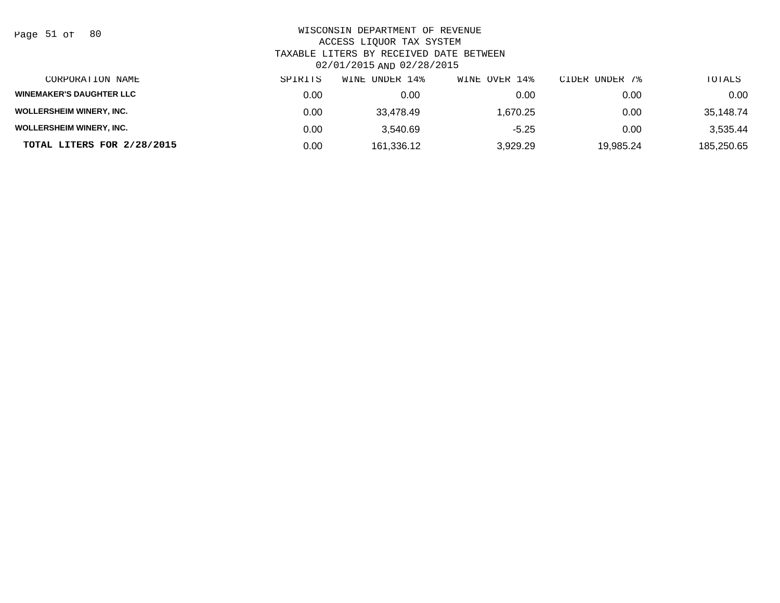Page 51 of 80

| CORPORATION NAME                | SPIRITS | WINE UNDER 14% | WINE OVER 14% | CIDER UNDER 7% | TOTALS     |
|---------------------------------|---------|----------------|---------------|----------------|------------|
| <b>WINEMAKER'S DAUGHTER LLC</b> | 0.00    | 0.00           | 0.00          | 0.00           | 0.00       |
| <b>WOLLERSHEIM WINERY, INC.</b> | 0.00    | 33.478.49      | 1.670.25      | 0.00           | 35.148.74  |
| <b>WOLLERSHEIM WINERY, INC.</b> | 0.00    | 3.540.69       | $-5.25$       | 0.00           | 3.535.44   |
| TOTAL LITERS FOR 2/28/2015      | 0.00    | 161,336.12     | 3,929.29      | 19,985.24      | 185,250.65 |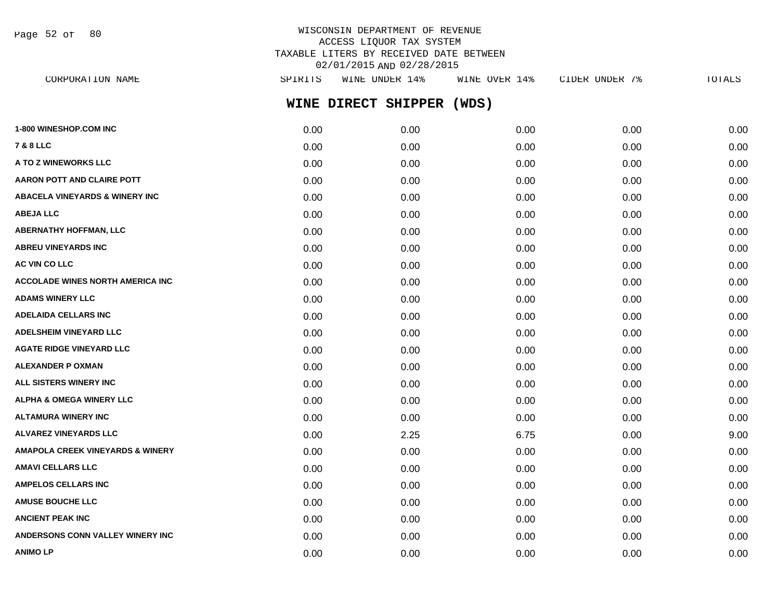Page 52 of 80

#### WISCONSIN DEPARTMENT OF REVENUE ACCESS LIQUOR TAX SYSTEM TAXABLE LITERS BY RECEIVED DATE BETWEEN 02/01/2015 AND 02/28/2015 CORPORATION NAME SPIRITS WINE UNDER 14% WINE OVER 14% CIDER UNDER 7% TOTALS

| CORPORATION NAME                            | <b>PATKTIP</b> | MINE UNDEK 14%      | MTNE OVEK T4% | CIDER UNDER 18 | TOTALS |
|---------------------------------------------|----------------|---------------------|---------------|----------------|--------|
|                                             |                | WINE DIRECT SHIPPER | (WDS)         |                |        |
| <b>1-800 WINESHOP.COM INC</b>               | 0.00           | 0.00                | 0.00          | 0.00           | 0.00   |
| 7 & 8 LLC                                   | 0.00           | 0.00                | 0.00          | 0.00           | 0.00   |
| A TO Z WINEWORKS LLC                        | 0.00           | 0.00                | 0.00          | 0.00           | 0.00   |
| <b>AARON POTT AND CLAIRE POTT</b>           | 0.00           | 0.00                | 0.00          | 0.00           | 0.00   |
| ABACELA VINEYARDS & WINERY INC              | 0.00           | 0.00                | 0.00          | 0.00           | 0.00   |
| ABEJA LLC                                   | 0.00           | 0.00                | 0.00          | 0.00           | 0.00   |
| <b>ABERNATHY HOFFMAN, LLC</b>               | 0.00           | 0.00                | 0.00          | 0.00           | 0.00   |
| <b>ABREU VINEYARDS INC</b>                  | 0.00           | 0.00                | 0.00          | 0.00           | 0.00   |
| <b>AC VIN CO LLC</b>                        | 0.00           | 0.00                | 0.00          | 0.00           | 0.00   |
| <b>ACCOLADE WINES NORTH AMERICA INC</b>     | 0.00           | 0.00                | 0.00          | 0.00           | 0.00   |
| <b>ADAMS WINERY LLC</b>                     | 0.00           | 0.00                | 0.00          | 0.00           | 0.00   |
| <b>ADELAIDA CELLARS INC</b>                 | 0.00           | 0.00                | 0.00          | 0.00           | 0.00   |
| <b>ADELSHEIM VINEYARD LLC</b>               | 0.00           | 0.00                | 0.00          | 0.00           | 0.00   |
| <b>AGATE RIDGE VINEYARD LLC</b>             | 0.00           | 0.00                | 0.00          | 0.00           | 0.00   |
| ALEXANDER P OXMAN                           | 0.00           | 0.00                | 0.00          | 0.00           | 0.00   |
| ALL SISTERS WINERY INC                      | 0.00           | 0.00                | 0.00          | 0.00           | 0.00   |
| ALPHA & OMEGA WINERY LLC                    | 0.00           | 0.00                | 0.00          | 0.00           | 0.00   |
| ALTAMURA WINERY INC                         | 0.00           | 0.00                | 0.00          | 0.00           | 0.00   |
| <b>ALVAREZ VINEYARDS LLC</b>                | 0.00           | 2.25                | 6.75          | 0.00           | 9.00   |
| <b>AMAPOLA CREEK VINEYARDS &amp; WINERY</b> | 0.00           | 0.00                | 0.00          | 0.00           | 0.00   |
| AMAVI CELLARS LLC                           | 0.00           | 0.00                | 0.00          | 0.00           | 0.00   |
| <b>AMPELOS CELLARS INC</b>                  | 0.00           | 0.00                | 0.00          | 0.00           | 0.00   |
| <b>AMUSE BOUCHE LLC</b>                     | 0.00           | 0.00                | 0.00          | 0.00           | 0.00   |
| <b>ANCIENT PEAK INC</b>                     | 0.00           | 0.00                | 0.00          | 0.00           | 0.00   |
| <b>ANDERSONS CONN VALLEY WINERY INC</b>     | 0.00           | 0.00                | 0.00          | 0.00           | 0.00   |

**ANIMO LP** 0.00 0.00 0.00 0.00 0.00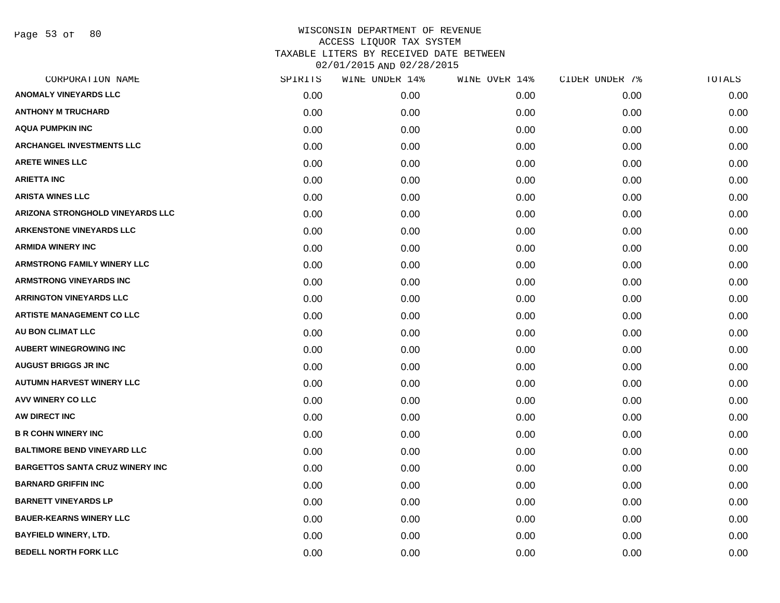| CORPORATION NAME                       | SPIRITS | WINE UNDER 14% | WINE OVER 14% | CIDER UNDER 7% | TOTALS |
|----------------------------------------|---------|----------------|---------------|----------------|--------|
| <b>ANOMALY VINEYARDS LLC</b>           | 0.00    | 0.00           | 0.00          | 0.00           | 0.00   |
| <b>ANTHONY M TRUCHARD</b>              | 0.00    | 0.00           | 0.00          | 0.00           | 0.00   |
| <b>AQUA PUMPKIN INC</b>                | 0.00    | 0.00           | 0.00          | 0.00           | 0.00   |
| <b>ARCHANGEL INVESTMENTS LLC</b>       | 0.00    | 0.00           | 0.00          | 0.00           | 0.00   |
| <b>ARETE WINES LLC</b>                 | 0.00    | 0.00           | 0.00          | 0.00           | 0.00   |
| <b>ARIETTA INC</b>                     | 0.00    | 0.00           | 0.00          | 0.00           | 0.00   |
| <b>ARISTA WINES LLC</b>                | 0.00    | 0.00           | 0.00          | 0.00           | 0.00   |
| ARIZONA STRONGHOLD VINEYARDS LLC       | 0.00    | 0.00           | 0.00          | 0.00           | 0.00   |
| <b>ARKENSTONE VINEYARDS LLC</b>        | 0.00    | 0.00           | 0.00          | 0.00           | 0.00   |
| <b>ARMIDA WINERY INC</b>               | 0.00    | 0.00           | 0.00          | 0.00           | 0.00   |
| <b>ARMSTRONG FAMILY WINERY LLC</b>     | 0.00    | 0.00           | 0.00          | 0.00           | 0.00   |
| <b>ARMSTRONG VINEYARDS INC</b>         | 0.00    | 0.00           | 0.00          | 0.00           | 0.00   |
| <b>ARRINGTON VINEYARDS LLC</b>         | 0.00    | 0.00           | 0.00          | 0.00           | 0.00   |
| <b>ARTISTE MANAGEMENT CO LLC</b>       | 0.00    | 0.00           | 0.00          | 0.00           | 0.00   |
| <b>AU BON CLIMAT LLC</b>               | 0.00    | 0.00           | 0.00          | 0.00           | 0.00   |
| <b>AUBERT WINEGROWING INC</b>          | 0.00    | 0.00           | 0.00          | 0.00           | 0.00   |
| <b>AUGUST BRIGGS JR INC</b>            | 0.00    | 0.00           | 0.00          | 0.00           | 0.00   |
| <b>AUTUMN HARVEST WINERY LLC</b>       | 0.00    | 0.00           | 0.00          | 0.00           | 0.00   |
| <b>AVV WINERY CO LLC</b>               | 0.00    | 0.00           | 0.00          | 0.00           | 0.00   |
| AW DIRECT INC                          | 0.00    | 0.00           | 0.00          | 0.00           | 0.00   |
| <b>B R COHN WINERY INC</b>             | 0.00    | 0.00           | 0.00          | 0.00           | 0.00   |
| <b>BALTIMORE BEND VINEYARD LLC</b>     | 0.00    | 0.00           | 0.00          | 0.00           | 0.00   |
| <b>BARGETTOS SANTA CRUZ WINERY INC</b> | 0.00    | 0.00           | 0.00          | 0.00           | 0.00   |
| <b>BARNARD GRIFFIN INC</b>             | 0.00    | 0.00           | 0.00          | 0.00           | 0.00   |
| <b>BARNETT VINEYARDS LP</b>            | 0.00    | 0.00           | 0.00          | 0.00           | 0.00   |
| <b>BAUER-KEARNS WINERY LLC</b>         | 0.00    | 0.00           | 0.00          | 0.00           | 0.00   |
| <b>BAYFIELD WINERY, LTD.</b>           | 0.00    | 0.00           | 0.00          | 0.00           | 0.00   |
| <b>BEDELL NORTH FORK LLC</b>           | 0.00    | 0.00           | 0.00          | 0.00           | 0.00   |
|                                        |         |                |               |                |        |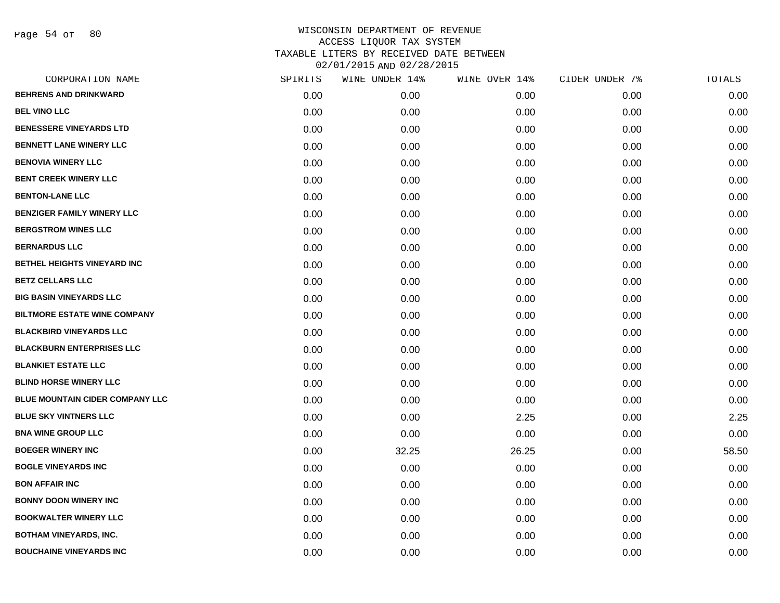Page 54 of 80

| CORPORATION NAME                       | SPIRITS | WINE UNDER 14% | WINE OVER 14% | CIDER UNDER 7% | TOTALS |
|----------------------------------------|---------|----------------|---------------|----------------|--------|
| <b>BEHRENS AND DRINKWARD</b>           | 0.00    | 0.00           | 0.00          | 0.00           | 0.00   |
| <b>BEL VINO LLC</b>                    | 0.00    | 0.00           | 0.00          | 0.00           | 0.00   |
| <b>BENESSERE VINEYARDS LTD</b>         | 0.00    | 0.00           | 0.00          | 0.00           | 0.00   |
| <b>BENNETT LANE WINERY LLC</b>         | 0.00    | 0.00           | 0.00          | 0.00           | 0.00   |
| <b>BENOVIA WINERY LLC</b>              | 0.00    | 0.00           | 0.00          | 0.00           | 0.00   |
| <b>BENT CREEK WINERY LLC</b>           | 0.00    | 0.00           | 0.00          | 0.00           | 0.00   |
| <b>BENTON-LANE LLC</b>                 | 0.00    | 0.00           | 0.00          | 0.00           | 0.00   |
| <b>BENZIGER FAMILY WINERY LLC</b>      | 0.00    | 0.00           | 0.00          | 0.00           | 0.00   |
| <b>BERGSTROM WINES LLC</b>             | 0.00    | 0.00           | 0.00          | 0.00           | 0.00   |
| <b>BERNARDUS LLC</b>                   | 0.00    | 0.00           | 0.00          | 0.00           | 0.00   |
| BETHEL HEIGHTS VINEYARD INC            | 0.00    | 0.00           | 0.00          | 0.00           | 0.00   |
| <b>BETZ CELLARS LLC</b>                | 0.00    | 0.00           | 0.00          | 0.00           | 0.00   |
| <b>BIG BASIN VINEYARDS LLC</b>         | 0.00    | 0.00           | 0.00          | 0.00           | 0.00   |
| <b>BILTMORE ESTATE WINE COMPANY</b>    | 0.00    | 0.00           | 0.00          | 0.00           | 0.00   |
| <b>BLACKBIRD VINEYARDS LLC</b>         | 0.00    | 0.00           | 0.00          | 0.00           | 0.00   |
| <b>BLACKBURN ENTERPRISES LLC</b>       | 0.00    | 0.00           | 0.00          | 0.00           | 0.00   |
| <b>BLANKIET ESTATE LLC</b>             | 0.00    | 0.00           | 0.00          | 0.00           | 0.00   |
| <b>BLIND HORSE WINERY LLC</b>          | 0.00    | 0.00           | 0.00          | 0.00           | 0.00   |
| <b>BLUE MOUNTAIN CIDER COMPANY LLC</b> | 0.00    | 0.00           | 0.00          | 0.00           | 0.00   |
| <b>BLUE SKY VINTNERS LLC</b>           | 0.00    | 0.00           | 2.25          | 0.00           | 2.25   |
| <b>BNA WINE GROUP LLC</b>              | 0.00    | 0.00           | 0.00          | 0.00           | 0.00   |
| <b>BOEGER WINERY INC</b>               | 0.00    | 32.25          | 26.25         | 0.00           | 58.50  |
| <b>BOGLE VINEYARDS INC</b>             | 0.00    | 0.00           | 0.00          | 0.00           | 0.00   |
| <b>BON AFFAIR INC</b>                  | 0.00    | 0.00           | 0.00          | 0.00           | 0.00   |
| <b>BONNY DOON WINERY INC</b>           | 0.00    | 0.00           | 0.00          | 0.00           | 0.00   |
| <b>BOOKWALTER WINERY LLC</b>           | 0.00    | 0.00           | 0.00          | 0.00           | 0.00   |
| <b>BOTHAM VINEYARDS, INC.</b>          | 0.00    | 0.00           | 0.00          | 0.00           | 0.00   |
| <b>BOUCHAINE VINEYARDS INC</b>         | 0.00    | 0.00           | 0.00          | 0.00           | 0.00   |
|                                        |         |                |               |                |        |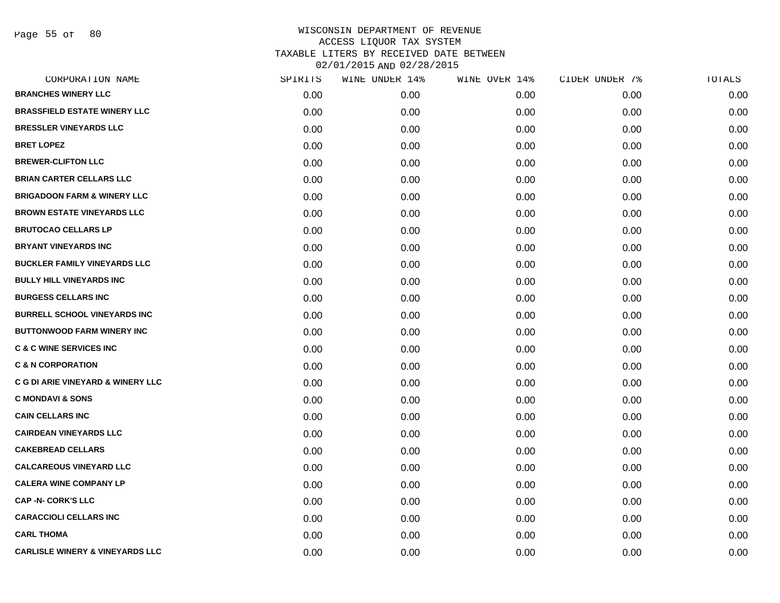Page 55 of 80

| CORPORATION NAME                             | SPIRITS | WINE UNDER 14% | WINE OVER 14% | CIDER UNDER 7% | TOTALS |
|----------------------------------------------|---------|----------------|---------------|----------------|--------|
| <b>BRANCHES WINERY LLC</b>                   | 0.00    | 0.00           | 0.00          | 0.00           | 0.00   |
| <b>BRASSFIELD ESTATE WINERY LLC</b>          | 0.00    | 0.00           | 0.00          | 0.00           | 0.00   |
| <b>BRESSLER VINEYARDS LLC</b>                | 0.00    | 0.00           | 0.00          | 0.00           | 0.00   |
| <b>BRET LOPEZ</b>                            | 0.00    | 0.00           | 0.00          | 0.00           | 0.00   |
| <b>BREWER-CLIFTON LLC</b>                    | 0.00    | 0.00           | 0.00          | 0.00           | 0.00   |
| <b>BRIAN CARTER CELLARS LLC</b>              | 0.00    | 0.00           | 0.00          | 0.00           | 0.00   |
| <b>BRIGADOON FARM &amp; WINERY LLC</b>       | 0.00    | 0.00           | 0.00          | 0.00           | 0.00   |
| <b>BROWN ESTATE VINEYARDS LLC</b>            | 0.00    | 0.00           | 0.00          | 0.00           | 0.00   |
| <b>BRUTOCAO CELLARS LP</b>                   | 0.00    | 0.00           | 0.00          | 0.00           | 0.00   |
| <b>BRYANT VINEYARDS INC</b>                  | 0.00    | 0.00           | 0.00          | 0.00           | 0.00   |
| <b>BUCKLER FAMILY VINEYARDS LLC</b>          | 0.00    | 0.00           | 0.00          | 0.00           | 0.00   |
| <b>BULLY HILL VINEYARDS INC</b>              | 0.00    | 0.00           | 0.00          | 0.00           | 0.00   |
| <b>BURGESS CELLARS INC</b>                   | 0.00    | 0.00           | 0.00          | 0.00           | 0.00   |
| <b>BURRELL SCHOOL VINEYARDS INC.</b>         | 0.00    | 0.00           | 0.00          | 0.00           | 0.00   |
| <b>BUTTONWOOD FARM WINERY INC</b>            | 0.00    | 0.00           | 0.00          | 0.00           | 0.00   |
| <b>C &amp; C WINE SERVICES INC</b>           | 0.00    | 0.00           | 0.00          | 0.00           | 0.00   |
| <b>C &amp; N CORPORATION</b>                 | 0.00    | 0.00           | 0.00          | 0.00           | 0.00   |
| <b>C G DI ARIE VINEYARD &amp; WINERY LLC</b> | 0.00    | 0.00           | 0.00          | 0.00           | 0.00   |
| <b>C MONDAVI &amp; SONS</b>                  | 0.00    | 0.00           | 0.00          | 0.00           | 0.00   |
| <b>CAIN CELLARS INC</b>                      | 0.00    | 0.00           | 0.00          | 0.00           | 0.00   |
| <b>CAIRDEAN VINEYARDS LLC</b>                | 0.00    | 0.00           | 0.00          | 0.00           | 0.00   |
| <b>CAKEBREAD CELLARS</b>                     | 0.00    | 0.00           | 0.00          | 0.00           | 0.00   |
| <b>CALCAREOUS VINEYARD LLC</b>               | 0.00    | 0.00           | 0.00          | 0.00           | 0.00   |
| <b>CALERA WINE COMPANY LP</b>                | 0.00    | 0.00           | 0.00          | 0.00           | 0.00   |
| <b>CAP -N- CORK'S LLC</b>                    | 0.00    | 0.00           | 0.00          | 0.00           | 0.00   |
| <b>CARACCIOLI CELLARS INC</b>                | 0.00    | 0.00           | 0.00          | 0.00           | 0.00   |
| <b>CARL THOMA</b>                            | 0.00    | 0.00           | 0.00          | 0.00           | 0.00   |
| <b>CARLISLE WINERY &amp; VINEYARDS LLC</b>   | 0.00    | 0.00           | 0.00          | 0.00           | 0.00   |
|                                              |         |                |               |                |        |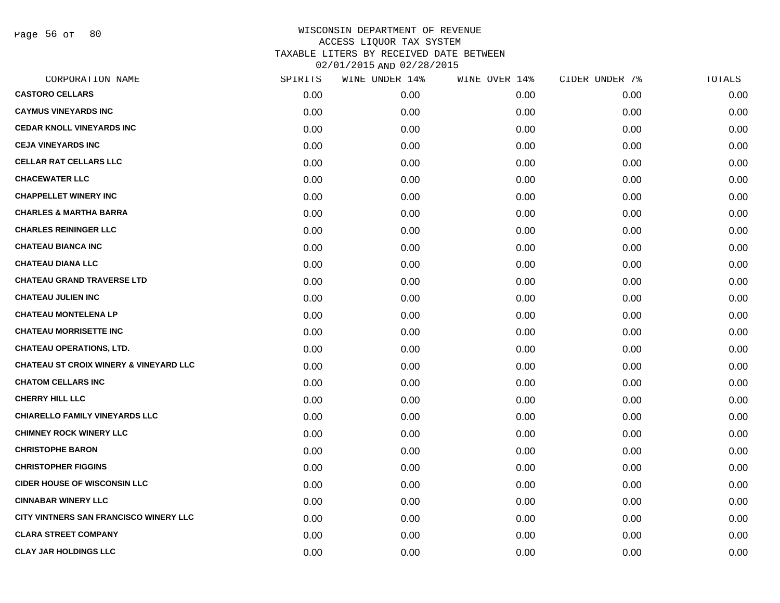Page 56 of 80

| CORPORATION NAME                                  | SPIRITS | WINE UNDER 14% | WINE OVER 14% | CIDER UNDER 7% | TOTALS |
|---------------------------------------------------|---------|----------------|---------------|----------------|--------|
| <b>CASTORO CELLARS</b>                            | 0.00    | 0.00           | 0.00          | 0.00           | 0.00   |
| <b>CAYMUS VINEYARDS INC</b>                       | 0.00    | 0.00           | 0.00          | 0.00           | 0.00   |
| <b>CEDAR KNOLL VINEYARDS INC</b>                  | 0.00    | 0.00           | 0.00          | 0.00           | 0.00   |
| <b>CEJA VINEYARDS INC</b>                         | 0.00    | 0.00           | 0.00          | 0.00           | 0.00   |
| <b>CELLAR RAT CELLARS LLC</b>                     | 0.00    | 0.00           | 0.00          | 0.00           | 0.00   |
| <b>CHACEWATER LLC</b>                             | 0.00    | 0.00           | 0.00          | 0.00           | 0.00   |
| <b>CHAPPELLET WINERY INC</b>                      | 0.00    | 0.00           | 0.00          | 0.00           | 0.00   |
| <b>CHARLES &amp; MARTHA BARRA</b>                 | 0.00    | 0.00           | 0.00          | 0.00           | 0.00   |
| <b>CHARLES REININGER LLC</b>                      | 0.00    | 0.00           | 0.00          | 0.00           | 0.00   |
| <b>CHATEAU BIANCA INC</b>                         | 0.00    | 0.00           | 0.00          | 0.00           | 0.00   |
| <b>CHATEAU DIANA LLC</b>                          | 0.00    | 0.00           | 0.00          | 0.00           | 0.00   |
| <b>CHATEAU GRAND TRAVERSE LTD</b>                 | 0.00    | 0.00           | 0.00          | 0.00           | 0.00   |
| <b>CHATEAU JULIEN INC</b>                         | 0.00    | 0.00           | 0.00          | 0.00           | 0.00   |
| <b>CHATEAU MONTELENA LP</b>                       | 0.00    | 0.00           | 0.00          | 0.00           | 0.00   |
| <b>CHATEAU MORRISETTE INC</b>                     | 0.00    | 0.00           | 0.00          | 0.00           | 0.00   |
| <b>CHATEAU OPERATIONS, LTD.</b>                   | 0.00    | 0.00           | 0.00          | 0.00           | 0.00   |
| <b>CHATEAU ST CROIX WINERY &amp; VINEYARD LLC</b> | 0.00    | 0.00           | 0.00          | 0.00           | 0.00   |
| <b>CHATOM CELLARS INC</b>                         | 0.00    | 0.00           | 0.00          | 0.00           | 0.00   |
| <b>CHERRY HILL LLC</b>                            | 0.00    | 0.00           | 0.00          | 0.00           | 0.00   |
| <b>CHIARELLO FAMILY VINEYARDS LLC</b>             | 0.00    | 0.00           | 0.00          | 0.00           | 0.00   |
| <b>CHIMNEY ROCK WINERY LLC</b>                    | 0.00    | 0.00           | 0.00          | 0.00           | 0.00   |
| <b>CHRISTOPHE BARON</b>                           | 0.00    | 0.00           | 0.00          | 0.00           | 0.00   |
| <b>CHRISTOPHER FIGGINS</b>                        | 0.00    | 0.00           | 0.00          | 0.00           | 0.00   |
| <b>CIDER HOUSE OF WISCONSIN LLC</b>               | 0.00    | 0.00           | 0.00          | 0.00           | 0.00   |
| <b>CINNABAR WINERY LLC</b>                        | 0.00    | 0.00           | 0.00          | 0.00           | 0.00   |
| CITY VINTNERS SAN FRANCISCO WINERY LLC            | 0.00    | 0.00           | 0.00          | 0.00           | 0.00   |
| <b>CLARA STREET COMPANY</b>                       | 0.00    | 0.00           | 0.00          | 0.00           | 0.00   |
| <b>CLAY JAR HOLDINGS LLC</b>                      | 0.00    | 0.00           | 0.00          | 0.00           | 0.00   |
|                                                   |         |                |               |                |        |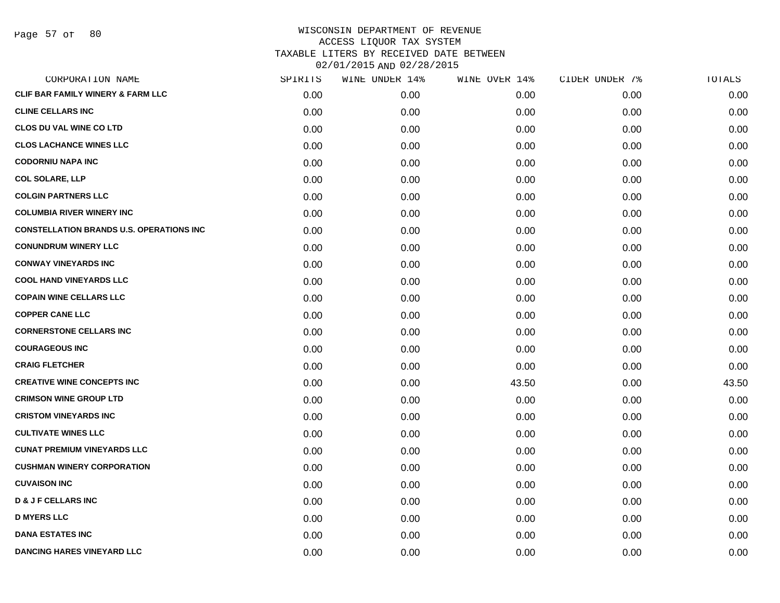Page 57 of 80

| CORPORATION NAME                                | SPIRITS | WINE UNDER 14% | WINE OVER 14% | CIDER UNDER 7% | TOTALS |
|-------------------------------------------------|---------|----------------|---------------|----------------|--------|
| CLIF BAR FAMILY WINERY & FARM LLC               | 0.00    | 0.00           | 0.00          | 0.00           | 0.00   |
| <b>CLINE CELLARS INC</b>                        | 0.00    | 0.00           | 0.00          | 0.00           | 0.00   |
| <b>CLOS DU VAL WINE CO LTD</b>                  | 0.00    | 0.00           | 0.00          | 0.00           | 0.00   |
| <b>CLOS LACHANCE WINES LLC</b>                  | 0.00    | 0.00           | 0.00          | 0.00           | 0.00   |
| <b>CODORNIU NAPA INC</b>                        | 0.00    | 0.00           | 0.00          | 0.00           | 0.00   |
| <b>COL SOLARE, LLP</b>                          | 0.00    | 0.00           | 0.00          | 0.00           | 0.00   |
| <b>COLGIN PARTNERS LLC</b>                      | 0.00    | 0.00           | 0.00          | 0.00           | 0.00   |
| <b>COLUMBIA RIVER WINERY INC</b>                | 0.00    | 0.00           | 0.00          | 0.00           | 0.00   |
| <b>CONSTELLATION BRANDS U.S. OPERATIONS INC</b> | 0.00    | 0.00           | 0.00          | 0.00           | 0.00   |
| <b>CONUNDRUM WINERY LLC</b>                     | 0.00    | 0.00           | 0.00          | 0.00           | 0.00   |
| <b>CONWAY VINEYARDS INC</b>                     | 0.00    | 0.00           | 0.00          | 0.00           | 0.00   |
| <b>COOL HAND VINEYARDS LLC</b>                  | 0.00    | 0.00           | 0.00          | 0.00           | 0.00   |
| <b>COPAIN WINE CELLARS LLC</b>                  | 0.00    | 0.00           | 0.00          | 0.00           | 0.00   |
| <b>COPPER CANE LLC</b>                          | 0.00    | 0.00           | 0.00          | 0.00           | 0.00   |
| <b>CORNERSTONE CELLARS INC</b>                  | 0.00    | 0.00           | 0.00          | 0.00           | 0.00   |
| <b>COURAGEOUS INC</b>                           | 0.00    | 0.00           | 0.00          | 0.00           | 0.00   |
| <b>CRAIG FLETCHER</b>                           | 0.00    | 0.00           | 0.00          | 0.00           | 0.00   |
| <b>CREATIVE WINE CONCEPTS INC</b>               | 0.00    | 0.00           | 43.50         | 0.00           | 43.50  |
| <b>CRIMSON WINE GROUP LTD</b>                   | 0.00    | 0.00           | 0.00          | 0.00           | 0.00   |
| <b>CRISTOM VINEYARDS INC</b>                    | 0.00    | 0.00           | 0.00          | 0.00           | 0.00   |
| <b>CULTIVATE WINES LLC</b>                      | 0.00    | 0.00           | 0.00          | 0.00           | 0.00   |
| <b>CUNAT PREMIUM VINEYARDS LLC</b>              | 0.00    | 0.00           | 0.00          | 0.00           | 0.00   |
| <b>CUSHMAN WINERY CORPORATION</b>               | 0.00    | 0.00           | 0.00          | 0.00           | 0.00   |
| <b>CUVAISON INC</b>                             | 0.00    | 0.00           | 0.00          | 0.00           | 0.00   |
| <b>D &amp; J F CELLARS INC</b>                  | 0.00    | 0.00           | 0.00          | 0.00           | 0.00   |
| <b>D MYERS LLC</b>                              | 0.00    | 0.00           | 0.00          | 0.00           | 0.00   |
| <b>DANA ESTATES INC</b>                         | 0.00    | 0.00           | 0.00          | 0.00           | 0.00   |
| <b>DANCING HARES VINEYARD LLC</b>               | 0.00    | 0.00           | 0.00          | 0.00           | 0.00   |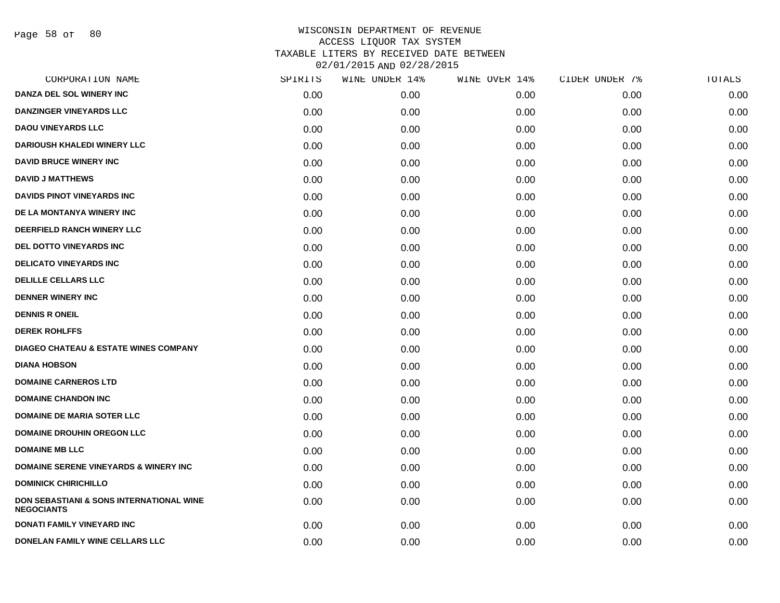| CORPORATION NAME                                              | SPIRITS | WINE UNDER 14% | WINE OVER 14% | CIDER UNDER 7% | TOTALS |
|---------------------------------------------------------------|---------|----------------|---------------|----------------|--------|
| DANZA DEL SOL WINERY INC                                      | 0.00    | 0.00           | 0.00          | 0.00           | 0.00   |
| <b>DANZINGER VINEYARDS LLC</b>                                | 0.00    | 0.00           | 0.00          | 0.00           | 0.00   |
| <b>DAOU VINEYARDS LLC</b>                                     | 0.00    | 0.00           | 0.00          | 0.00           | 0.00   |
| <b>DARIOUSH KHALEDI WINERY LLC</b>                            | 0.00    | 0.00           | 0.00          | 0.00           | 0.00   |
| <b>DAVID BRUCE WINERY INC</b>                                 | 0.00    | 0.00           | 0.00          | 0.00           | 0.00   |
| <b>DAVID J MATTHEWS</b>                                       | 0.00    | 0.00           | 0.00          | 0.00           | 0.00   |
| <b>DAVIDS PINOT VINEYARDS INC</b>                             | 0.00    | 0.00           | 0.00          | 0.00           | 0.00   |
| DE LA MONTANYA WINERY INC                                     | 0.00    | 0.00           | 0.00          | 0.00           | 0.00   |
| DEERFIELD RANCH WINERY LLC                                    | 0.00    | 0.00           | 0.00          | 0.00           | 0.00   |
| DEL DOTTO VINEYARDS INC                                       | 0.00    | 0.00           | 0.00          | 0.00           | 0.00   |
| <b>DELICATO VINEYARDS INC</b>                                 | 0.00    | 0.00           | 0.00          | 0.00           | 0.00   |
| <b>DELILLE CELLARS LLC</b>                                    | 0.00    | 0.00           | 0.00          | 0.00           | 0.00   |
| <b>DENNER WINERY INC</b>                                      | 0.00    | 0.00           | 0.00          | 0.00           | 0.00   |
| <b>DENNIS R ONEIL</b>                                         | 0.00    | 0.00           | 0.00          | 0.00           | 0.00   |
| <b>DEREK ROHLFFS</b>                                          | 0.00    | 0.00           | 0.00          | 0.00           | 0.00   |
| <b>DIAGEO CHATEAU &amp; ESTATE WINES COMPANY</b>              | 0.00    | 0.00           | 0.00          | 0.00           | 0.00   |
| <b>DIANA HOBSON</b>                                           | 0.00    | 0.00           | 0.00          | 0.00           | 0.00   |
| <b>DOMAINE CARNEROS LTD</b>                                   | 0.00    | 0.00           | 0.00          | 0.00           | 0.00   |
| <b>DOMAINE CHANDON INC</b>                                    | 0.00    | 0.00           | 0.00          | 0.00           | 0.00   |
| <b>DOMAINE DE MARIA SOTER LLC</b>                             | 0.00    | 0.00           | 0.00          | 0.00           | 0.00   |
| <b>DOMAINE DROUHIN OREGON LLC</b>                             | 0.00    | 0.00           | 0.00          | 0.00           | 0.00   |
| <b>DOMAINE MB LLC</b>                                         | 0.00    | 0.00           | 0.00          | 0.00           | 0.00   |
| <b>DOMAINE SERENE VINEYARDS &amp; WINERY INC</b>              | 0.00    | 0.00           | 0.00          | 0.00           | 0.00   |
| <b>DOMINICK CHIRICHILLO</b>                                   | 0.00    | 0.00           | 0.00          | 0.00           | 0.00   |
| DON SEBASTIANI & SONS INTERNATIONAL WINE<br><b>NEGOCIANTS</b> | 0.00    | 0.00           | 0.00          | 0.00           | 0.00   |
| <b>DONATI FAMILY VINEYARD INC</b>                             | 0.00    | 0.00           | 0.00          | 0.00           | 0.00   |
| DONELAN FAMILY WINE CELLARS LLC                               | 0.00    | 0.00           | 0.00          | 0.00           | 0.00   |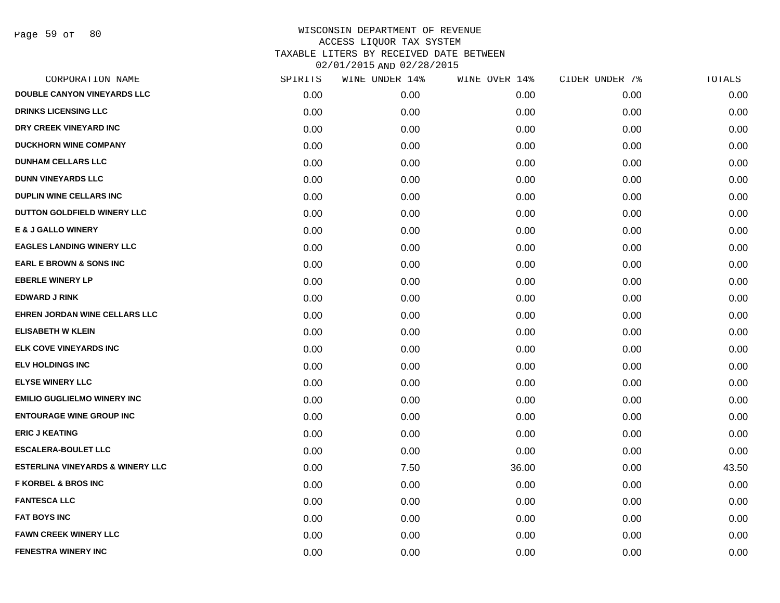Page 59 of 80

| CORPORATION NAME                            | SPIRITS | WINE UNDER 14% | WINE OVER 14% | CIDER UNDER 7% | TOTALS |
|---------------------------------------------|---------|----------------|---------------|----------------|--------|
| <b>DOUBLE CANYON VINEYARDS LLC</b>          | 0.00    | 0.00           | 0.00          | 0.00           | 0.00   |
| <b>DRINKS LICENSING LLC</b>                 | 0.00    | 0.00           | 0.00          | 0.00           | 0.00   |
| DRY CREEK VINEYARD INC                      | 0.00    | 0.00           | 0.00          | 0.00           | 0.00   |
| <b>DUCKHORN WINE COMPANY</b>                | 0.00    | 0.00           | 0.00          | 0.00           | 0.00   |
| <b>DUNHAM CELLARS LLC</b>                   | 0.00    | 0.00           | 0.00          | 0.00           | 0.00   |
| <b>DUNN VINEYARDS LLC</b>                   | 0.00    | 0.00           | 0.00          | 0.00           | 0.00   |
| <b>DUPLIN WINE CELLARS INC</b>              | 0.00    | 0.00           | 0.00          | 0.00           | 0.00   |
| DUTTON GOLDFIELD WINERY LLC                 | 0.00    | 0.00           | 0.00          | 0.00           | 0.00   |
| <b>E &amp; J GALLO WINERY</b>               | 0.00    | 0.00           | 0.00          | 0.00           | 0.00   |
| <b>EAGLES LANDING WINERY LLC</b>            | 0.00    | 0.00           | 0.00          | 0.00           | 0.00   |
| <b>EARL E BROWN &amp; SONS INC</b>          | 0.00    | 0.00           | 0.00          | 0.00           | 0.00   |
| <b>EBERLE WINERY LP</b>                     | 0.00    | 0.00           | 0.00          | 0.00           | 0.00   |
| <b>EDWARD J RINK</b>                        | 0.00    | 0.00           | 0.00          | 0.00           | 0.00   |
| EHREN JORDAN WINE CELLARS LLC               | 0.00    | 0.00           | 0.00          | 0.00           | 0.00   |
| <b>ELISABETH W KLEIN</b>                    | 0.00    | 0.00           | 0.00          | 0.00           | 0.00   |
| ELK COVE VINEYARDS INC                      | 0.00    | 0.00           | 0.00          | 0.00           | 0.00   |
| <b>ELV HOLDINGS INC</b>                     | 0.00    | 0.00           | 0.00          | 0.00           | 0.00   |
| <b>ELYSE WINERY LLC</b>                     | 0.00    | 0.00           | 0.00          | 0.00           | 0.00   |
| <b>EMILIO GUGLIELMO WINERY INC</b>          | 0.00    | 0.00           | 0.00          | 0.00           | 0.00   |
| <b>ENTOURAGE WINE GROUP INC</b>             | 0.00    | 0.00           | 0.00          | 0.00           | 0.00   |
| <b>ERIC J KEATING</b>                       | 0.00    | 0.00           | 0.00          | 0.00           | 0.00   |
| <b>ESCALERA-BOULET LLC</b>                  | 0.00    | 0.00           | 0.00          | 0.00           | 0.00   |
| <b>ESTERLINA VINEYARDS &amp; WINERY LLC</b> | 0.00    | 7.50           | 36.00         | 0.00           | 43.50  |
| <b>F KORBEL &amp; BROS INC</b>              | 0.00    | 0.00           | 0.00          | 0.00           | 0.00   |
| <b>FANTESCA LLC</b>                         | 0.00    | 0.00           | 0.00          | 0.00           | 0.00   |
| <b>FAT BOYS INC</b>                         | 0.00    | 0.00           | 0.00          | 0.00           | 0.00   |
| <b>FAWN CREEK WINERY LLC</b>                | 0.00    | 0.00           | 0.00          | 0.00           | 0.00   |
| <b>FENESTRA WINERY INC</b>                  | 0.00    | 0.00           | 0.00          | 0.00           | 0.00   |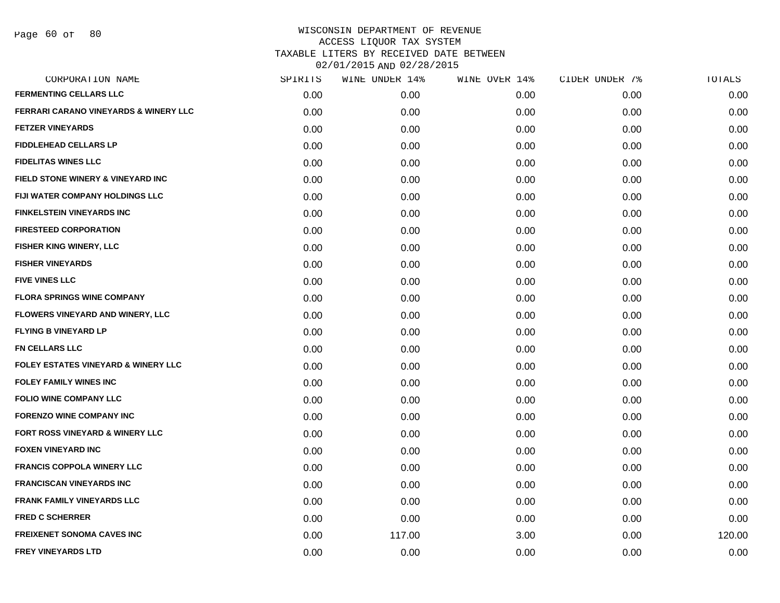Page 60 of 80

| CORPORATION NAME                                 | SPIRITS | WINE UNDER 14% | WINE OVER 14% | CIDER UNDER 7% | TOTALS |
|--------------------------------------------------|---------|----------------|---------------|----------------|--------|
| <b>FERMENTING CELLARS LLC</b>                    | 0.00    | 0.00           | 0.00          | 0.00           | 0.00   |
| <b>FERRARI CARANO VINEYARDS &amp; WINERY LLC</b> | 0.00    | 0.00           | 0.00          | 0.00           | 0.00   |
| <b>FETZER VINEYARDS</b>                          | 0.00    | 0.00           | 0.00          | 0.00           | 0.00   |
| <b>FIDDLEHEAD CELLARS LP</b>                     | 0.00    | 0.00           | 0.00          | 0.00           | 0.00   |
| <b>FIDELITAS WINES LLC</b>                       | 0.00    | 0.00           | 0.00          | 0.00           | 0.00   |
| FIELD STONE WINERY & VINEYARD INC                | 0.00    | 0.00           | 0.00          | 0.00           | 0.00   |
| FIJI WATER COMPANY HOLDINGS LLC                  | 0.00    | 0.00           | 0.00          | 0.00           | 0.00   |
| <b>FINKELSTEIN VINEYARDS INC</b>                 | 0.00    | 0.00           | 0.00          | 0.00           | 0.00   |
| <b>FIRESTEED CORPORATION</b>                     | 0.00    | 0.00           | 0.00          | 0.00           | 0.00   |
| FISHER KING WINERY, LLC                          | 0.00    | 0.00           | 0.00          | 0.00           | 0.00   |
| <b>FISHER VINEYARDS</b>                          | 0.00    | 0.00           | 0.00          | 0.00           | 0.00   |
| <b>FIVE VINES LLC</b>                            | 0.00    | 0.00           | 0.00          | 0.00           | 0.00   |
| <b>FLORA SPRINGS WINE COMPANY</b>                | 0.00    | 0.00           | 0.00          | 0.00           | 0.00   |
| FLOWERS VINEYARD AND WINERY, LLC                 | 0.00    | 0.00           | 0.00          | 0.00           | 0.00   |
| <b>FLYING B VINEYARD LP</b>                      | 0.00    | 0.00           | 0.00          | 0.00           | 0.00   |
| <b>FN CELLARS LLC</b>                            | 0.00    | 0.00           | 0.00          | 0.00           | 0.00   |
| <b>FOLEY ESTATES VINEYARD &amp; WINERY LLC</b>   | 0.00    | 0.00           | 0.00          | 0.00           | 0.00   |
| <b>FOLEY FAMILY WINES INC</b>                    | 0.00    | 0.00           | 0.00          | 0.00           | 0.00   |
| <b>FOLIO WINE COMPANY LLC</b>                    | 0.00    | 0.00           | 0.00          | 0.00           | 0.00   |
| <b>FORENZO WINE COMPANY INC</b>                  | 0.00    | 0.00           | 0.00          | 0.00           | 0.00   |
| <b>FORT ROSS VINEYARD &amp; WINERY LLC</b>       | 0.00    | 0.00           | 0.00          | 0.00           | 0.00   |
| <b>FOXEN VINEYARD INC</b>                        | 0.00    | 0.00           | 0.00          | 0.00           | 0.00   |
| <b>FRANCIS COPPOLA WINERY LLC</b>                | 0.00    | 0.00           | 0.00          | 0.00           | 0.00   |
| <b>FRANCISCAN VINEYARDS INC</b>                  | 0.00    | 0.00           | 0.00          | 0.00           | 0.00   |
| <b>FRANK FAMILY VINEYARDS LLC</b>                | 0.00    | 0.00           | 0.00          | 0.00           | 0.00   |
| <b>FRED C SCHERRER</b>                           | 0.00    | 0.00           | 0.00          | 0.00           | 0.00   |
| <b>FREIXENET SONOMA CAVES INC</b>                | 0.00    | 117.00         | 3.00          | 0.00           | 120.00 |
| <b>FREY VINEYARDS LTD</b>                        | 0.00    | 0.00           | 0.00          | 0.00           | 0.00   |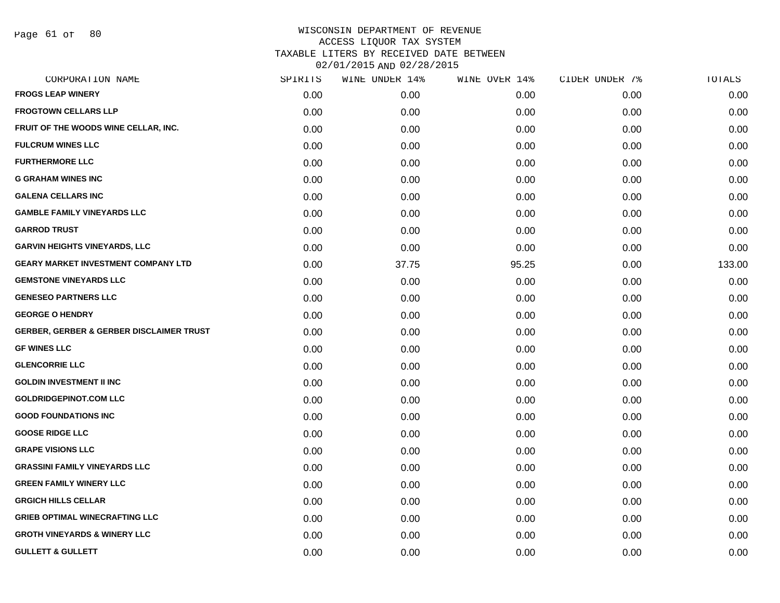Page 61 of 80

|      | WINE UNDER 14% |       |               | TOTALS         |
|------|----------------|-------|---------------|----------------|
| 0.00 | 0.00           | 0.00  | 0.00          | 0.00           |
| 0.00 | 0.00           | 0.00  | 0.00          | 0.00           |
| 0.00 | 0.00           | 0.00  | 0.00          | 0.00           |
| 0.00 | 0.00           | 0.00  | 0.00          | 0.00           |
| 0.00 | 0.00           | 0.00  | 0.00          | 0.00           |
| 0.00 | 0.00           | 0.00  | 0.00          | 0.00           |
| 0.00 | 0.00           | 0.00  | 0.00          | 0.00           |
| 0.00 | 0.00           | 0.00  | 0.00          | 0.00           |
| 0.00 | 0.00           | 0.00  | 0.00          | 0.00           |
| 0.00 | 0.00           | 0.00  | 0.00          | 0.00           |
| 0.00 | 37.75          | 95.25 | 0.00          | 133.00         |
| 0.00 | 0.00           | 0.00  | 0.00          | 0.00           |
| 0.00 | 0.00           | 0.00  | 0.00          | 0.00           |
| 0.00 | 0.00           | 0.00  | 0.00          | 0.00           |
| 0.00 | 0.00           | 0.00  | 0.00          | 0.00           |
| 0.00 | 0.00           | 0.00  | 0.00          | 0.00           |
| 0.00 | 0.00           | 0.00  | 0.00          | 0.00           |
| 0.00 | 0.00           | 0.00  | 0.00          | 0.00           |
| 0.00 | 0.00           | 0.00  | 0.00          | 0.00           |
| 0.00 | 0.00           | 0.00  | 0.00          | 0.00           |
| 0.00 | 0.00           | 0.00  | 0.00          | 0.00           |
| 0.00 | 0.00           | 0.00  | 0.00          | 0.00           |
| 0.00 | 0.00           | 0.00  | 0.00          | 0.00           |
| 0.00 | 0.00           | 0.00  | 0.00          | 0.00           |
| 0.00 | 0.00           | 0.00  | 0.00          | 0.00           |
| 0.00 | 0.00           | 0.00  | 0.00          | 0.00           |
| 0.00 | 0.00           | 0.00  | 0.00          | 0.00           |
| 0.00 | 0.00           | 0.00  | 0.00          | 0.00           |
|      | SPIRITS        |       | WINE OVER 14% | CIDER UNDER 7% |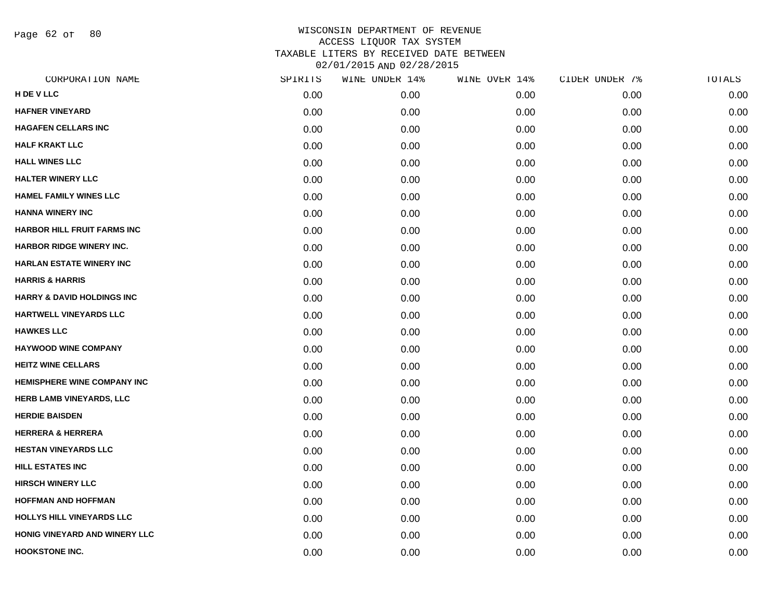Page 62 of 80

| CORPORATION NAME                      | SPIRITS | WINE UNDER 14% | WINE OVER 14% | CIDER UNDER 7% | TOTALS |
|---------------------------------------|---------|----------------|---------------|----------------|--------|
| H DE V LLC                            | 0.00    | 0.00           | 0.00          | 0.00           | 0.00   |
| <b>HAFNER VINEYARD</b>                | 0.00    | 0.00           | 0.00          | 0.00           | 0.00   |
| <b>HAGAFEN CELLARS INC</b>            | 0.00    | 0.00           | 0.00          | 0.00           | 0.00   |
| <b>HALF KRAKT LLC</b>                 | 0.00    | 0.00           | 0.00          | 0.00           | 0.00   |
| <b>HALL WINES LLC</b>                 | 0.00    | 0.00           | 0.00          | 0.00           | 0.00   |
| <b>HALTER WINERY LLC</b>              | 0.00    | 0.00           | 0.00          | 0.00           | 0.00   |
| <b>HAMEL FAMILY WINES LLC</b>         | 0.00    | 0.00           | 0.00          | 0.00           | 0.00   |
| <b>HANNA WINERY INC</b>               | 0.00    | 0.00           | 0.00          | 0.00           | 0.00   |
| <b>HARBOR HILL FRUIT FARMS INC</b>    | 0.00    | 0.00           | 0.00          | 0.00           | 0.00   |
| <b>HARBOR RIDGE WINERY INC.</b>       | 0.00    | 0.00           | 0.00          | 0.00           | 0.00   |
| <b>HARLAN ESTATE WINERY INC</b>       | 0.00    | 0.00           | 0.00          | 0.00           | 0.00   |
| <b>HARRIS &amp; HARRIS</b>            | 0.00    | 0.00           | 0.00          | 0.00           | 0.00   |
| <b>HARRY &amp; DAVID HOLDINGS INC</b> | 0.00    | 0.00           | 0.00          | 0.00           | 0.00   |
| HARTWELL VINEYARDS LLC                | 0.00    | 0.00           | 0.00          | 0.00           | 0.00   |
| <b>HAWKES LLC</b>                     | 0.00    | 0.00           | 0.00          | 0.00           | 0.00   |
| <b>HAYWOOD WINE COMPANY</b>           | 0.00    | 0.00           | 0.00          | 0.00           | 0.00   |
| <b>HEITZ WINE CELLARS</b>             | 0.00    | 0.00           | 0.00          | 0.00           | 0.00   |
| <b>HEMISPHERE WINE COMPANY INC</b>    | 0.00    | 0.00           | 0.00          | 0.00           | 0.00   |
| HERB LAMB VINEYARDS, LLC              | 0.00    | 0.00           | 0.00          | 0.00           | 0.00   |
| <b>HERDIE BAISDEN</b>                 | 0.00    | 0.00           | 0.00          | 0.00           | 0.00   |
| <b>HERRERA &amp; HERRERA</b>          | 0.00    | 0.00           | 0.00          | 0.00           | 0.00   |
| <b>HESTAN VINEYARDS LLC</b>           | 0.00    | 0.00           | 0.00          | 0.00           | 0.00   |
| HILL ESTATES INC                      | 0.00    | 0.00           | 0.00          | 0.00           | 0.00   |
| <b>HIRSCH WINERY LLC</b>              | 0.00    | 0.00           | 0.00          | 0.00           | 0.00   |
| <b>HOFFMAN AND HOFFMAN</b>            | 0.00    | 0.00           | 0.00          | 0.00           | 0.00   |
| HOLLYS HILL VINEYARDS LLC             | 0.00    | 0.00           | 0.00          | 0.00           | 0.00   |
| HONIG VINEYARD AND WINERY LLC         | 0.00    | 0.00           | 0.00          | 0.00           | 0.00   |
| <b>HOOKSTONE INC.</b>                 | 0.00    | 0.00           | 0.00          | 0.00           | 0.00   |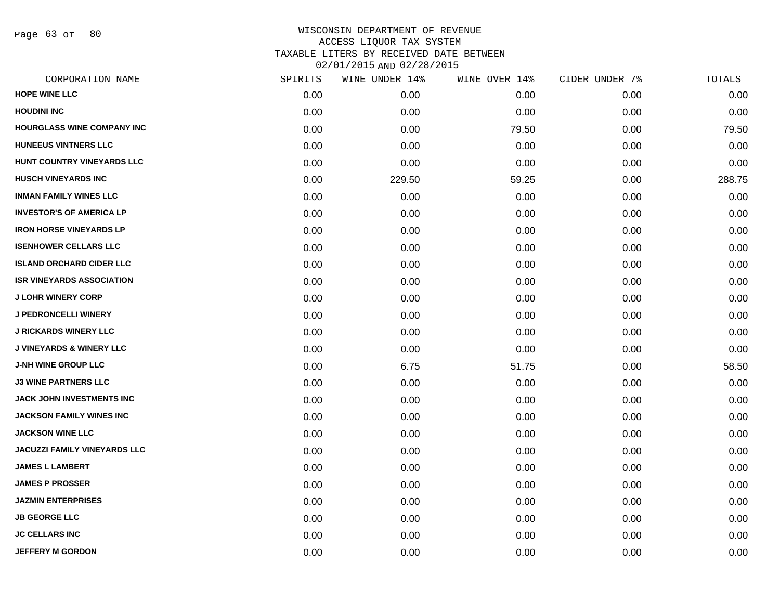Page 63 of 80

| CORPORATION NAME                    | SPIRITS | WINE UNDER 14% | WINE OVER 14% | CIDER UNDER 7% | TOTALS |
|-------------------------------------|---------|----------------|---------------|----------------|--------|
| <b>HOPE WINE LLC</b>                | 0.00    | 0.00           | 0.00          | 0.00           | 0.00   |
| <b>HOUDINI INC</b>                  | 0.00    | 0.00           | 0.00          | 0.00           | 0.00   |
| HOURGLASS WINE COMPANY INC          | 0.00    | 0.00           | 79.50         | 0.00           | 79.50  |
| <b>HUNEEUS VINTNERS LLC</b>         | 0.00    | 0.00           | 0.00          | 0.00           | 0.00   |
| HUNT COUNTRY VINEYARDS LLC          | 0.00    | 0.00           | 0.00          | 0.00           | 0.00   |
| <b>HUSCH VINEYARDS INC</b>          | 0.00    | 229.50         | 59.25         | 0.00           | 288.75 |
| <b>INMAN FAMILY WINES LLC</b>       | 0.00    | 0.00           | 0.00          | 0.00           | 0.00   |
| <b>INVESTOR'S OF AMERICA LP</b>     | 0.00    | 0.00           | 0.00          | 0.00           | 0.00   |
| <b>IRON HORSE VINEYARDS LP</b>      | 0.00    | 0.00           | 0.00          | 0.00           | 0.00   |
| <b>ISENHOWER CELLARS LLC</b>        | 0.00    | 0.00           | 0.00          | 0.00           | 0.00   |
| <b>ISLAND ORCHARD CIDER LLC</b>     | 0.00    | 0.00           | 0.00          | 0.00           | 0.00   |
| <b>ISR VINEYARDS ASSOCIATION</b>    | 0.00    | 0.00           | 0.00          | 0.00           | 0.00   |
| <b>J LOHR WINERY CORP</b>           | 0.00    | 0.00           | 0.00          | 0.00           | 0.00   |
| <b>J PEDRONCELLI WINERY</b>         | 0.00    | 0.00           | 0.00          | 0.00           | 0.00   |
| <b>J RICKARDS WINERY LLC</b>        | 0.00    | 0.00           | 0.00          | 0.00           | 0.00   |
| <b>J VINEYARDS &amp; WINERY LLC</b> | 0.00    | 0.00           | 0.00          | 0.00           | 0.00   |
| <b>J-NH WINE GROUP LLC</b>          | 0.00    | 6.75           | 51.75         | 0.00           | 58.50  |
| <b>J3 WINE PARTNERS LLC</b>         | 0.00    | 0.00           | 0.00          | 0.00           | 0.00   |
| <b>JACK JOHN INVESTMENTS INC</b>    | 0.00    | 0.00           | 0.00          | 0.00           | 0.00   |
| <b>JACKSON FAMILY WINES INC</b>     | 0.00    | 0.00           | 0.00          | 0.00           | 0.00   |
| <b>JACKSON WINE LLC</b>             | 0.00    | 0.00           | 0.00          | 0.00           | 0.00   |
| <b>JACUZZI FAMILY VINEYARDS LLC</b> | 0.00    | 0.00           | 0.00          | 0.00           | 0.00   |
| <b>JAMES L LAMBERT</b>              | 0.00    | 0.00           | 0.00          | 0.00           | 0.00   |
| <b>JAMES P PROSSER</b>              | 0.00    | 0.00           | 0.00          | 0.00           | 0.00   |
| <b>JAZMIN ENTERPRISES</b>           | 0.00    | 0.00           | 0.00          | 0.00           | 0.00   |
| <b>JB GEORGE LLC</b>                | 0.00    | 0.00           | 0.00          | 0.00           | 0.00   |
| <b>JC CELLARS INC</b>               | 0.00    | 0.00           | 0.00          | 0.00           | 0.00   |
| <b>JEFFERY M GORDON</b>             | 0.00    | 0.00           | 0.00          | 0.00           | 0.00   |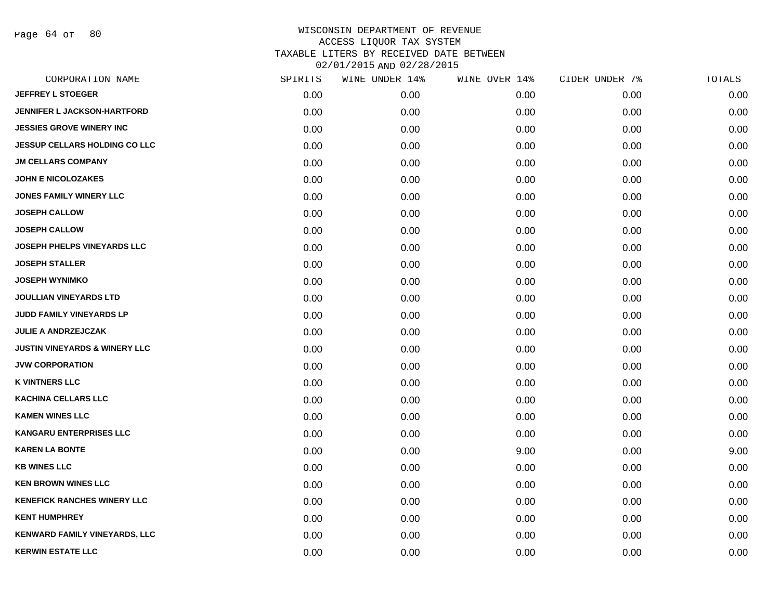Page 64 of 80

| CORPORATION NAME                         | SPIRITS | WINE UNDER 14% | WINE OVER 14% | CIDER UNDER 7% | TOTALS |
|------------------------------------------|---------|----------------|---------------|----------------|--------|
| <b>JEFFREY L STOEGER</b>                 | 0.00    | 0.00           | 0.00          | 0.00           | 0.00   |
| <b>JENNIFER L JACKSON-HARTFORD</b>       | 0.00    | 0.00           | 0.00          | 0.00           | 0.00   |
| <b>JESSIES GROVE WINERY INC</b>          | 0.00    | 0.00           | 0.00          | 0.00           | 0.00   |
| <b>JESSUP CELLARS HOLDING CO LLC</b>     | 0.00    | 0.00           | 0.00          | 0.00           | 0.00   |
| <b>JM CELLARS COMPANY</b>                | 0.00    | 0.00           | 0.00          | 0.00           | 0.00   |
| <b>JOHN E NICOLOZAKES</b>                | 0.00    | 0.00           | 0.00          | 0.00           | 0.00   |
| <b>JONES FAMILY WINERY LLC</b>           | 0.00    | 0.00           | 0.00          | 0.00           | 0.00   |
| <b>JOSEPH CALLOW</b>                     | 0.00    | 0.00           | 0.00          | 0.00           | 0.00   |
| <b>JOSEPH CALLOW</b>                     | 0.00    | 0.00           | 0.00          | 0.00           | 0.00   |
| <b>JOSEPH PHELPS VINEYARDS LLC</b>       | 0.00    | 0.00           | 0.00          | 0.00           | 0.00   |
| <b>JOSEPH STALLER</b>                    | 0.00    | 0.00           | 0.00          | 0.00           | 0.00   |
| <b>JOSEPH WYNIMKO</b>                    | 0.00    | 0.00           | 0.00          | 0.00           | 0.00   |
| <b>JOULLIAN VINEYARDS LTD</b>            | 0.00    | 0.00           | 0.00          | 0.00           | 0.00   |
| JUDD FAMILY VINEYARDS LP                 | 0.00    | 0.00           | 0.00          | 0.00           | 0.00   |
| <b>JULIE A ANDRZEJCZAK</b>               | 0.00    | 0.00           | 0.00          | 0.00           | 0.00   |
| <b>JUSTIN VINEYARDS &amp; WINERY LLC</b> | 0.00    | 0.00           | 0.00          | 0.00           | 0.00   |
| <b>JVW CORPORATION</b>                   | 0.00    | 0.00           | 0.00          | 0.00           | 0.00   |
| <b>K VINTNERS LLC</b>                    | 0.00    | 0.00           | 0.00          | 0.00           | 0.00   |
| <b>KACHINA CELLARS LLC</b>               | 0.00    | 0.00           | 0.00          | 0.00           | 0.00   |
| <b>KAMEN WINES LLC</b>                   | 0.00    | 0.00           | 0.00          | 0.00           | 0.00   |
| <b>KANGARU ENTERPRISES LLC</b>           | 0.00    | 0.00           | 0.00          | 0.00           | 0.00   |
| <b>KAREN LA BONTE</b>                    | 0.00    | 0.00           | 9.00          | 0.00           | 9.00   |
| <b>KB WINES LLC</b>                      | 0.00    | 0.00           | 0.00          | 0.00           | 0.00   |
| <b>KEN BROWN WINES LLC</b>               | 0.00    | 0.00           | 0.00          | 0.00           | 0.00   |
| <b>KENEFICK RANCHES WINERY LLC</b>       | 0.00    | 0.00           | 0.00          | 0.00           | 0.00   |
| <b>KENT HUMPHREY</b>                     | 0.00    | 0.00           | 0.00          | 0.00           | 0.00   |
| <b>KENWARD FAMILY VINEYARDS, LLC</b>     | 0.00    | 0.00           | 0.00          | 0.00           | 0.00   |
| <b>KERWIN ESTATE LLC</b>                 | 0.00    | 0.00           | 0.00          | 0.00           | 0.00   |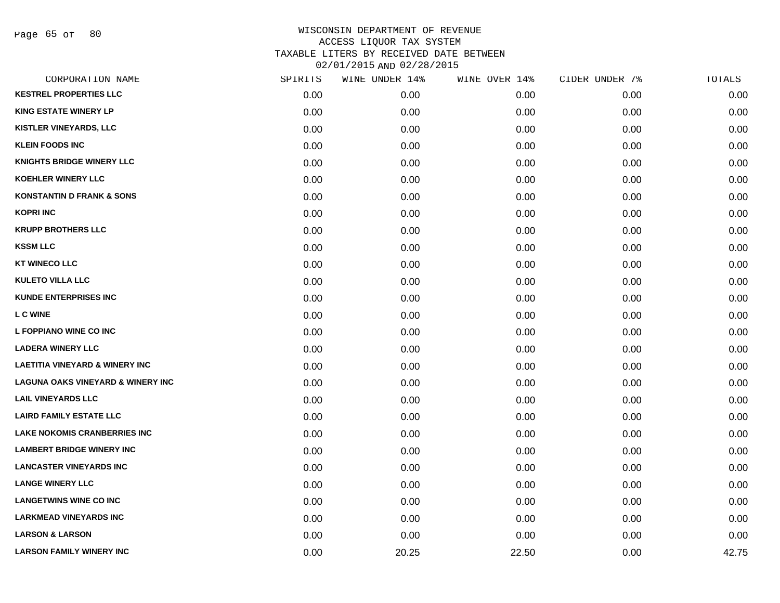Page 65 of 80

| CORPORATION NAME                             | SPIRITS | WINE UNDER 14% | WINE OVER 14% | CIDER UNDER 7% | TOTALS |
|----------------------------------------------|---------|----------------|---------------|----------------|--------|
| <b>KESTREL PROPERTIES LLC</b>                | 0.00    | 0.00           | 0.00          | 0.00           | 0.00   |
| <b>KING ESTATE WINERY LP</b>                 | 0.00    | 0.00           | 0.00          | 0.00           | 0.00   |
| <b>KISTLER VINEYARDS, LLC</b>                | 0.00    | 0.00           | 0.00          | 0.00           | 0.00   |
| <b>KLEIN FOODS INC</b>                       | 0.00    | 0.00           | 0.00          | 0.00           | 0.00   |
| <b>KNIGHTS BRIDGE WINERY LLC</b>             | 0.00    | 0.00           | 0.00          | 0.00           | 0.00   |
| <b>KOEHLER WINERY LLC</b>                    | 0.00    | 0.00           | 0.00          | 0.00           | 0.00   |
| <b>KONSTANTIN D FRANK &amp; SONS</b>         | 0.00    | 0.00           | 0.00          | 0.00           | 0.00   |
| <b>KOPRI INC</b>                             | 0.00    | 0.00           | 0.00          | 0.00           | 0.00   |
| <b>KRUPP BROTHERS LLC</b>                    | 0.00    | 0.00           | 0.00          | 0.00           | 0.00   |
| <b>KSSM LLC</b>                              | 0.00    | 0.00           | 0.00          | 0.00           | 0.00   |
| <b>KT WINECO LLC</b>                         | 0.00    | 0.00           | 0.00          | 0.00           | 0.00   |
| <b>KULETO VILLA LLC</b>                      | 0.00    | 0.00           | 0.00          | 0.00           | 0.00   |
| <b>KUNDE ENTERPRISES INC</b>                 | 0.00    | 0.00           | 0.00          | 0.00           | 0.00   |
| <b>LC WINE</b>                               | 0.00    | 0.00           | 0.00          | 0.00           | 0.00   |
| L FOPPIANO WINE CO INC                       | 0.00    | 0.00           | 0.00          | 0.00           | 0.00   |
| <b>LADERA WINERY LLC</b>                     | 0.00    | 0.00           | 0.00          | 0.00           | 0.00   |
| <b>LAETITIA VINEYARD &amp; WINERY INC</b>    | 0.00    | 0.00           | 0.00          | 0.00           | 0.00   |
| <b>LAGUNA OAKS VINEYARD &amp; WINERY INC</b> | 0.00    | 0.00           | 0.00          | 0.00           | 0.00   |
| <b>LAIL VINEYARDS LLC</b>                    | 0.00    | 0.00           | 0.00          | 0.00           | 0.00   |
| <b>LAIRD FAMILY ESTATE LLC</b>               | 0.00    | 0.00           | 0.00          | 0.00           | 0.00   |
| <b>LAKE NOKOMIS CRANBERRIES INC</b>          | 0.00    | 0.00           | 0.00          | 0.00           | 0.00   |
| <b>LAMBERT BRIDGE WINERY INC</b>             | 0.00    | 0.00           | 0.00          | 0.00           | 0.00   |
| <b>LANCASTER VINEYARDS INC</b>               | 0.00    | 0.00           | 0.00          | 0.00           | 0.00   |
| <b>LANGE WINERY LLC</b>                      | 0.00    | 0.00           | 0.00          | 0.00           | 0.00   |
| <b>LANGETWINS WINE CO INC</b>                | 0.00    | 0.00           | 0.00          | 0.00           | 0.00   |
| <b>LARKMEAD VINEYARDS INC</b>                | 0.00    | 0.00           | 0.00          | 0.00           | 0.00   |
| <b>LARSON &amp; LARSON</b>                   | 0.00    | 0.00           | 0.00          | 0.00           | 0.00   |
| <b>LARSON FAMILY WINERY INC</b>              | 0.00    | 20.25          | 22.50         | 0.00           | 42.75  |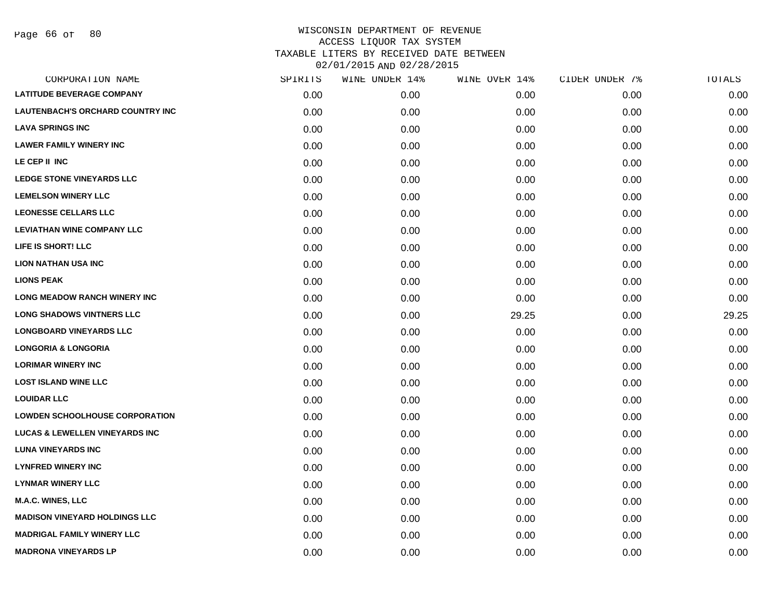| <b>LATITUDE BEVERAGE COMPANY</b><br>0.00<br>0.00<br>0.00<br><b>LAUTENBACH'S ORCHARD COUNTRY INC</b><br>0.00<br>0.00<br>0.00<br><b>LAVA SPRINGS INC</b><br>0.00<br>0.00<br>0.00<br><b>LAWER FAMILY WINERY INC</b><br>0.00<br>0.00<br>0.00<br>LE CEP II INC<br>0.00<br>0.00<br>0.00<br><b>LEDGE STONE VINEYARDS LLC</b><br>0.00<br>0.00<br>0.00<br><b>LEMELSON WINERY LLC</b><br>0.00<br>0.00<br>0.00<br><b>LEONESSE CELLARS LLC</b><br>0.00<br>0.00<br>0.00<br><b>LEVIATHAN WINE COMPANY LLC</b><br>0.00<br>0.00<br>0.00<br>LIFE IS SHORT! LLC<br>0.00<br>0.00<br>0.00<br><b>LION NATHAN USA INC</b><br>0.00<br>0.00<br>0.00<br><b>LIONS PEAK</b><br>0.00<br>0.00<br>0.00<br><b>LONG MEADOW RANCH WINERY INC</b><br>0.00<br>0.00<br>0.00<br><b>LONG SHADOWS VINTNERS LLC</b><br>0.00<br>0.00<br>29.25<br><b>LONGBOARD VINEYARDS LLC</b><br>0.00<br>0.00<br>0.00<br><b>LONGORIA &amp; LONGORIA</b><br>0.00<br>0.00<br>0.00<br><b>LORIMAR WINERY INC</b><br>0.00<br>0.00<br>0.00<br><b>LOST ISLAND WINE LLC</b><br>0.00<br>0.00<br>0.00<br><b>LOUIDAR LLC</b><br>0.00<br>0.00<br>0.00<br><b>LOWDEN SCHOOLHOUSE CORPORATION</b><br>0.00<br>0.00<br>0.00<br><b>LUCAS &amp; LEWELLEN VINEYARDS INC</b><br>0.00<br>0.00<br>0.00<br><b>LUNA VINEYARDS INC</b><br>0.00<br>0.00<br>0.00<br><b>LYNFRED WINERY INC</b><br>0.00<br>0.00<br>0.00<br><b>LYNMAR WINERY LLC</b><br>0.00<br>0.00<br>0.00<br><b>M.A.C. WINES, LLC</b><br>0.00<br>0.00<br>0.00<br><b>MADISON VINEYARD HOLDINGS LLC</b><br>0.00<br>0.00<br>0.00<br><b>MADRIGAL FAMILY WINERY LLC</b><br>0.00<br>0.00<br>0.00 | CIDER UNDER 7%<br>TOTALS |       |
|-------------------------------------------------------------------------------------------------------------------------------------------------------------------------------------------------------------------------------------------------------------------------------------------------------------------------------------------------------------------------------------------------------------------------------------------------------------------------------------------------------------------------------------------------------------------------------------------------------------------------------------------------------------------------------------------------------------------------------------------------------------------------------------------------------------------------------------------------------------------------------------------------------------------------------------------------------------------------------------------------------------------------------------------------------------------------------------------------------------------------------------------------------------------------------------------------------------------------------------------------------------------------------------------------------------------------------------------------------------------------------------------------------------------------------------------------------------------------------------------------------------------------------------------------------------------------|--------------------------|-------|
|                                                                                                                                                                                                                                                                                                                                                                                                                                                                                                                                                                                                                                                                                                                                                                                                                                                                                                                                                                                                                                                                                                                                                                                                                                                                                                                                                                                                                                                                                                                                                                         | 0.00                     | 0.00  |
|                                                                                                                                                                                                                                                                                                                                                                                                                                                                                                                                                                                                                                                                                                                                                                                                                                                                                                                                                                                                                                                                                                                                                                                                                                                                                                                                                                                                                                                                                                                                                                         | 0.00                     | 0.00  |
|                                                                                                                                                                                                                                                                                                                                                                                                                                                                                                                                                                                                                                                                                                                                                                                                                                                                                                                                                                                                                                                                                                                                                                                                                                                                                                                                                                                                                                                                                                                                                                         | 0.00                     | 0.00  |
|                                                                                                                                                                                                                                                                                                                                                                                                                                                                                                                                                                                                                                                                                                                                                                                                                                                                                                                                                                                                                                                                                                                                                                                                                                                                                                                                                                                                                                                                                                                                                                         | 0.00                     | 0.00  |
|                                                                                                                                                                                                                                                                                                                                                                                                                                                                                                                                                                                                                                                                                                                                                                                                                                                                                                                                                                                                                                                                                                                                                                                                                                                                                                                                                                                                                                                                                                                                                                         | 0.00                     | 0.00  |
|                                                                                                                                                                                                                                                                                                                                                                                                                                                                                                                                                                                                                                                                                                                                                                                                                                                                                                                                                                                                                                                                                                                                                                                                                                                                                                                                                                                                                                                                                                                                                                         | 0.00                     | 0.00  |
|                                                                                                                                                                                                                                                                                                                                                                                                                                                                                                                                                                                                                                                                                                                                                                                                                                                                                                                                                                                                                                                                                                                                                                                                                                                                                                                                                                                                                                                                                                                                                                         | 0.00                     | 0.00  |
|                                                                                                                                                                                                                                                                                                                                                                                                                                                                                                                                                                                                                                                                                                                                                                                                                                                                                                                                                                                                                                                                                                                                                                                                                                                                                                                                                                                                                                                                                                                                                                         | 0.00                     | 0.00  |
|                                                                                                                                                                                                                                                                                                                                                                                                                                                                                                                                                                                                                                                                                                                                                                                                                                                                                                                                                                                                                                                                                                                                                                                                                                                                                                                                                                                                                                                                                                                                                                         | 0.00                     | 0.00  |
|                                                                                                                                                                                                                                                                                                                                                                                                                                                                                                                                                                                                                                                                                                                                                                                                                                                                                                                                                                                                                                                                                                                                                                                                                                                                                                                                                                                                                                                                                                                                                                         | 0.00                     | 0.00  |
|                                                                                                                                                                                                                                                                                                                                                                                                                                                                                                                                                                                                                                                                                                                                                                                                                                                                                                                                                                                                                                                                                                                                                                                                                                                                                                                                                                                                                                                                                                                                                                         | 0.00                     | 0.00  |
|                                                                                                                                                                                                                                                                                                                                                                                                                                                                                                                                                                                                                                                                                                                                                                                                                                                                                                                                                                                                                                                                                                                                                                                                                                                                                                                                                                                                                                                                                                                                                                         | 0.00                     | 0.00  |
|                                                                                                                                                                                                                                                                                                                                                                                                                                                                                                                                                                                                                                                                                                                                                                                                                                                                                                                                                                                                                                                                                                                                                                                                                                                                                                                                                                                                                                                                                                                                                                         | 0.00                     | 0.00  |
|                                                                                                                                                                                                                                                                                                                                                                                                                                                                                                                                                                                                                                                                                                                                                                                                                                                                                                                                                                                                                                                                                                                                                                                                                                                                                                                                                                                                                                                                                                                                                                         | 0.00                     | 29.25 |
|                                                                                                                                                                                                                                                                                                                                                                                                                                                                                                                                                                                                                                                                                                                                                                                                                                                                                                                                                                                                                                                                                                                                                                                                                                                                                                                                                                                                                                                                                                                                                                         | 0.00                     | 0.00  |
|                                                                                                                                                                                                                                                                                                                                                                                                                                                                                                                                                                                                                                                                                                                                                                                                                                                                                                                                                                                                                                                                                                                                                                                                                                                                                                                                                                                                                                                                                                                                                                         | 0.00                     | 0.00  |
|                                                                                                                                                                                                                                                                                                                                                                                                                                                                                                                                                                                                                                                                                                                                                                                                                                                                                                                                                                                                                                                                                                                                                                                                                                                                                                                                                                                                                                                                                                                                                                         | 0.00                     | 0.00  |
|                                                                                                                                                                                                                                                                                                                                                                                                                                                                                                                                                                                                                                                                                                                                                                                                                                                                                                                                                                                                                                                                                                                                                                                                                                                                                                                                                                                                                                                                                                                                                                         | 0.00                     | 0.00  |
|                                                                                                                                                                                                                                                                                                                                                                                                                                                                                                                                                                                                                                                                                                                                                                                                                                                                                                                                                                                                                                                                                                                                                                                                                                                                                                                                                                                                                                                                                                                                                                         | 0.00                     | 0.00  |
|                                                                                                                                                                                                                                                                                                                                                                                                                                                                                                                                                                                                                                                                                                                                                                                                                                                                                                                                                                                                                                                                                                                                                                                                                                                                                                                                                                                                                                                                                                                                                                         | 0.00                     | 0.00  |
|                                                                                                                                                                                                                                                                                                                                                                                                                                                                                                                                                                                                                                                                                                                                                                                                                                                                                                                                                                                                                                                                                                                                                                                                                                                                                                                                                                                                                                                                                                                                                                         | 0.00                     | 0.00  |
|                                                                                                                                                                                                                                                                                                                                                                                                                                                                                                                                                                                                                                                                                                                                                                                                                                                                                                                                                                                                                                                                                                                                                                                                                                                                                                                                                                                                                                                                                                                                                                         | 0.00                     | 0.00  |
|                                                                                                                                                                                                                                                                                                                                                                                                                                                                                                                                                                                                                                                                                                                                                                                                                                                                                                                                                                                                                                                                                                                                                                                                                                                                                                                                                                                                                                                                                                                                                                         | 0.00                     | 0.00  |
|                                                                                                                                                                                                                                                                                                                                                                                                                                                                                                                                                                                                                                                                                                                                                                                                                                                                                                                                                                                                                                                                                                                                                                                                                                                                                                                                                                                                                                                                                                                                                                         | 0.00                     | 0.00  |
|                                                                                                                                                                                                                                                                                                                                                                                                                                                                                                                                                                                                                                                                                                                                                                                                                                                                                                                                                                                                                                                                                                                                                                                                                                                                                                                                                                                                                                                                                                                                                                         | 0.00                     | 0.00  |
|                                                                                                                                                                                                                                                                                                                                                                                                                                                                                                                                                                                                                                                                                                                                                                                                                                                                                                                                                                                                                                                                                                                                                                                                                                                                                                                                                                                                                                                                                                                                                                         | 0.00                     | 0.00  |
|                                                                                                                                                                                                                                                                                                                                                                                                                                                                                                                                                                                                                                                                                                                                                                                                                                                                                                                                                                                                                                                                                                                                                                                                                                                                                                                                                                                                                                                                                                                                                                         | 0.00                     | 0.00  |
| <b>MADRONA VINEYARDS LP</b><br>0.00<br>0.00<br>0.00                                                                                                                                                                                                                                                                                                                                                                                                                                                                                                                                                                                                                                                                                                                                                                                                                                                                                                                                                                                                                                                                                                                                                                                                                                                                                                                                                                                                                                                                                                                     | 0.00                     | 0.00  |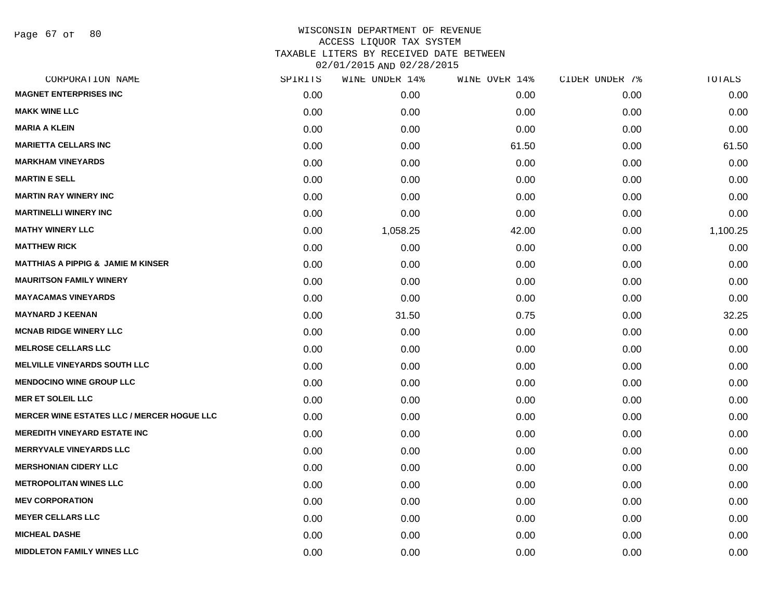Page 67 of 80

| CORPORATION NAME                                  | SPIRITS | WINE UNDER 14% | WINE OVER 14% | CIDER UNDER 7% | TOTALS   |
|---------------------------------------------------|---------|----------------|---------------|----------------|----------|
| <b>MAGNET ENTERPRISES INC</b>                     | 0.00    | 0.00           | 0.00          | 0.00           | 0.00     |
| <b>MAKK WINE LLC</b>                              | 0.00    | 0.00           | 0.00          | 0.00           | 0.00     |
| <b>MARIA A KLEIN</b>                              | 0.00    | 0.00           | 0.00          | 0.00           | 0.00     |
| <b>MARIETTA CELLARS INC</b>                       | 0.00    | 0.00           | 61.50         | 0.00           | 61.50    |
| <b>MARKHAM VINEYARDS</b>                          | 0.00    | 0.00           | 0.00          | 0.00           | 0.00     |
| <b>MARTIN E SELL</b>                              | 0.00    | 0.00           | 0.00          | 0.00           | 0.00     |
| <b>MARTIN RAY WINERY INC</b>                      | 0.00    | 0.00           | 0.00          | 0.00           | 0.00     |
| <b>MARTINELLI WINERY INC</b>                      | 0.00    | 0.00           | 0.00          | 0.00           | 0.00     |
| <b>MATHY WINERY LLC</b>                           | 0.00    | 1,058.25       | 42.00         | 0.00           | 1,100.25 |
| <b>MATTHEW RICK</b>                               | 0.00    | 0.00           | 0.00          | 0.00           | 0.00     |
| <b>MATTHIAS A PIPPIG &amp; JAMIE M KINSER</b>     | 0.00    | 0.00           | 0.00          | 0.00           | 0.00     |
| <b>MAURITSON FAMILY WINERY</b>                    | 0.00    | 0.00           | 0.00          | 0.00           | 0.00     |
| <b>MAYACAMAS VINEYARDS</b>                        | 0.00    | 0.00           | 0.00          | 0.00           | 0.00     |
| <b>MAYNARD J KEENAN</b>                           | 0.00    | 31.50          | 0.75          | 0.00           | 32.25    |
| <b>MCNAB RIDGE WINERY LLC</b>                     | 0.00    | 0.00           | 0.00          | 0.00           | 0.00     |
| <b>MELROSE CELLARS LLC</b>                        | 0.00    | 0.00           | 0.00          | 0.00           | 0.00     |
| <b>MELVILLE VINEYARDS SOUTH LLC</b>               | 0.00    | 0.00           | 0.00          | 0.00           | 0.00     |
| <b>MENDOCINO WINE GROUP LLC</b>                   | 0.00    | 0.00           | 0.00          | 0.00           | 0.00     |
| <b>MER ET SOLEIL LLC</b>                          | 0.00    | 0.00           | 0.00          | 0.00           | 0.00     |
| <b>MERCER WINE ESTATES LLC / MERCER HOGUE LLC</b> | 0.00    | 0.00           | 0.00          | 0.00           | 0.00     |
| <b>MEREDITH VINEYARD ESTATE INC</b>               | 0.00    | 0.00           | 0.00          | 0.00           | 0.00     |
| <b>MERRYVALE VINEYARDS LLC</b>                    | 0.00    | 0.00           | 0.00          | 0.00           | 0.00     |
| <b>MERSHONIAN CIDERY LLC</b>                      | 0.00    | 0.00           | 0.00          | 0.00           | 0.00     |
| <b>METROPOLITAN WINES LLC</b>                     | 0.00    | 0.00           | 0.00          | 0.00           | 0.00     |
| <b>MEV CORPORATION</b>                            | 0.00    | 0.00           | 0.00          | 0.00           | 0.00     |
| <b>MEYER CELLARS LLC</b>                          | 0.00    | 0.00           | 0.00          | 0.00           | 0.00     |
| <b>MICHEAL DASHE</b>                              | 0.00    | 0.00           | 0.00          | 0.00           | 0.00     |
| <b>MIDDLETON FAMILY WINES LLC</b>                 | 0.00    | 0.00           | 0.00          | 0.00           | 0.00     |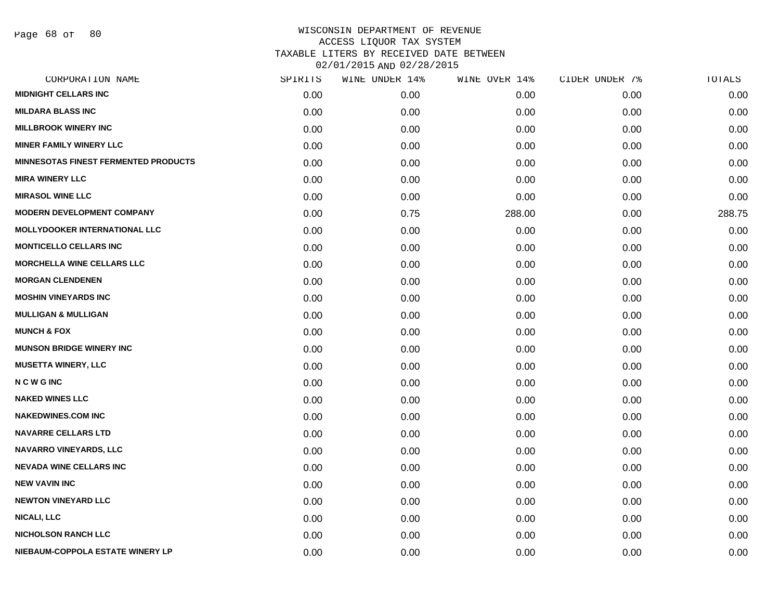Page 68 of 80

| CORPORATION NAME                            | SPIRITS | WINE UNDER 14% | WINE OVER 14% | CIDER UNDER 7% | TOTALS |
|---------------------------------------------|---------|----------------|---------------|----------------|--------|
| <b>MIDNIGHT CELLARS INC</b>                 | 0.00    | 0.00           | 0.00          | 0.00           | 0.00   |
| <b>MILDARA BLASS INC</b>                    | 0.00    | 0.00           | 0.00          | 0.00           | 0.00   |
| <b>MILLBROOK WINERY INC</b>                 | 0.00    | 0.00           | 0.00          | 0.00           | 0.00   |
| <b>MINER FAMILY WINERY LLC</b>              | 0.00    | 0.00           | 0.00          | 0.00           | 0.00   |
| <b>MINNESOTAS FINEST FERMENTED PRODUCTS</b> | 0.00    | 0.00           | 0.00          | 0.00           | 0.00   |
| <b>MIRA WINERY LLC</b>                      | 0.00    | 0.00           | 0.00          | 0.00           | 0.00   |
| <b>MIRASOL WINE LLC</b>                     | 0.00    | 0.00           | 0.00          | 0.00           | 0.00   |
| <b>MODERN DEVELOPMENT COMPANY</b>           | 0.00    | 0.75           | 288.00        | 0.00           | 288.75 |
| <b>MOLLYDOOKER INTERNATIONAL LLC</b>        | 0.00    | 0.00           | 0.00          | 0.00           | 0.00   |
| <b>MONTICELLO CELLARS INC</b>               | 0.00    | 0.00           | 0.00          | 0.00           | 0.00   |
| <b>MORCHELLA WINE CELLARS LLC</b>           | 0.00    | 0.00           | 0.00          | 0.00           | 0.00   |
| <b>MORGAN CLENDENEN</b>                     | 0.00    | 0.00           | 0.00          | 0.00           | 0.00   |
| <b>MOSHIN VINEYARDS INC</b>                 | 0.00    | 0.00           | 0.00          | 0.00           | 0.00   |
| <b>MULLIGAN &amp; MULLIGAN</b>              | 0.00    | 0.00           | 0.00          | 0.00           | 0.00   |
| <b>MUNCH &amp; FOX</b>                      | 0.00    | 0.00           | 0.00          | 0.00           | 0.00   |
| <b>MUNSON BRIDGE WINERY INC</b>             | 0.00    | 0.00           | 0.00          | 0.00           | 0.00   |
| <b>MUSETTA WINERY, LLC</b>                  | 0.00    | 0.00           | 0.00          | 0.00           | 0.00   |
| <b>NCWGINC</b>                              | 0.00    | 0.00           | 0.00          | 0.00           | 0.00   |
| <b>NAKED WINES LLC</b>                      | 0.00    | 0.00           | 0.00          | 0.00           | 0.00   |
| <b>NAKEDWINES.COM INC</b>                   | 0.00    | 0.00           | 0.00          | 0.00           | 0.00   |
| <b>NAVARRE CELLARS LTD</b>                  | 0.00    | 0.00           | 0.00          | 0.00           | 0.00   |
| NAVARRO VINEYARDS, LLC                      | 0.00    | 0.00           | 0.00          | 0.00           | 0.00   |
| <b>NEVADA WINE CELLARS INC</b>              | 0.00    | 0.00           | 0.00          | 0.00           | 0.00   |
| <b>NEW VAVIN INC</b>                        | 0.00    | 0.00           | 0.00          | 0.00           | 0.00   |
| <b>NEWTON VINEYARD LLC</b>                  | 0.00    | 0.00           | 0.00          | 0.00           | 0.00   |
| <b>NICALI, LLC</b>                          | 0.00    | 0.00           | 0.00          | 0.00           | 0.00   |
| <b>NICHOLSON RANCH LLC</b>                  | 0.00    | 0.00           | 0.00          | 0.00           | 0.00   |
| NIEBAUM-COPPOLA ESTATE WINERY LP            | 0.00    | 0.00           | 0.00          | 0.00           | 0.00   |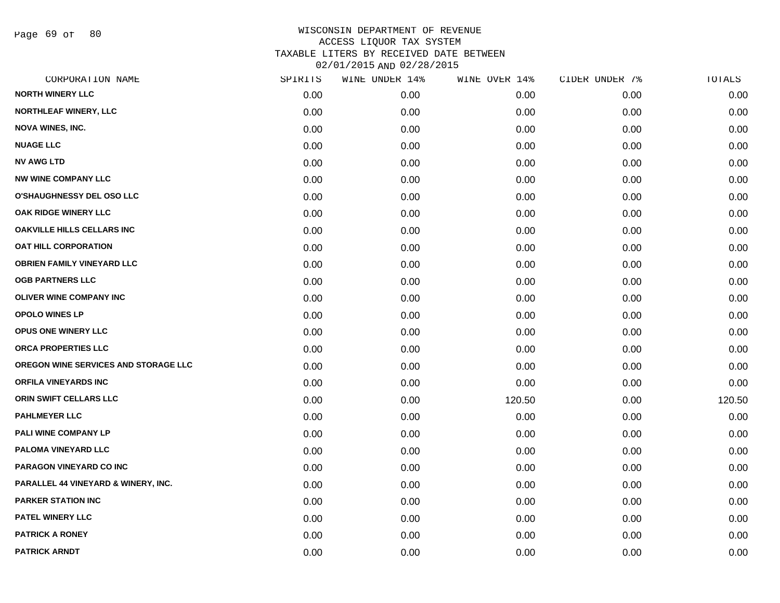Page 69 of 80

| CORPORATION NAME                               | SPIRITS | WINE UNDER 14% | WINE OVER 14% | CIDER UNDER 7% | TOTALS |
|------------------------------------------------|---------|----------------|---------------|----------------|--------|
| <b>NORTH WINERY LLC</b>                        | 0.00    | 0.00           | 0.00          | 0.00           | 0.00   |
| <b>NORTHLEAF WINERY, LLC</b>                   | 0.00    | 0.00           | 0.00          | 0.00           | 0.00   |
| <b>NOVA WINES, INC.</b>                        | 0.00    | 0.00           | 0.00          | 0.00           | 0.00   |
| <b>NUAGE LLC</b>                               | 0.00    | 0.00           | 0.00          | 0.00           | 0.00   |
| <b>NV AWG LTD</b>                              | 0.00    | 0.00           | 0.00          | 0.00           | 0.00   |
| <b>NW WINE COMPANY LLC</b>                     | 0.00    | 0.00           | 0.00          | 0.00           | 0.00   |
| <b>O'SHAUGHNESSY DEL OSO LLC</b>               | 0.00    | 0.00           | 0.00          | 0.00           | 0.00   |
| OAK RIDGE WINERY LLC                           | 0.00    | 0.00           | 0.00          | 0.00           | 0.00   |
| <b>OAKVILLE HILLS CELLARS INC</b>              | 0.00    | 0.00           | 0.00          | 0.00           | 0.00   |
| <b>OAT HILL CORPORATION</b>                    | 0.00    | 0.00           | 0.00          | 0.00           | 0.00   |
| <b>OBRIEN FAMILY VINEYARD LLC</b>              | 0.00    | 0.00           | 0.00          | 0.00           | 0.00   |
| <b>OGB PARTNERS LLC</b>                        | 0.00    | 0.00           | 0.00          | 0.00           | 0.00   |
| OLIVER WINE COMPANY INC                        | 0.00    | 0.00           | 0.00          | 0.00           | 0.00   |
| <b>OPOLO WINES LP</b>                          | 0.00    | 0.00           | 0.00          | 0.00           | 0.00   |
| <b>OPUS ONE WINERY LLC</b>                     | 0.00    | 0.00           | 0.00          | 0.00           | 0.00   |
| ORCA PROPERTIES LLC                            | 0.00    | 0.00           | 0.00          | 0.00           | 0.00   |
| OREGON WINE SERVICES AND STORAGE LLC           | 0.00    | 0.00           | 0.00          | 0.00           | 0.00   |
| <b>ORFILA VINEYARDS INC</b>                    | 0.00    | 0.00           | 0.00          | 0.00           | 0.00   |
| ORIN SWIFT CELLARS LLC                         | 0.00    | 0.00           | 120.50        | 0.00           | 120.50 |
| <b>PAHLMEYER LLC</b>                           | 0.00    | 0.00           | 0.00          | 0.00           | 0.00   |
| PALI WINE COMPANY LP                           | 0.00    | 0.00           | 0.00          | 0.00           | 0.00   |
| PALOMA VINEYARD LLC                            | 0.00    | 0.00           | 0.00          | 0.00           | 0.00   |
| PARAGON VINEYARD CO INC                        | 0.00    | 0.00           | 0.00          | 0.00           | 0.00   |
| <b>PARALLEL 44 VINEYARD &amp; WINERY, INC.</b> | 0.00    | 0.00           | 0.00          | 0.00           | 0.00   |
| <b>PARKER STATION INC</b>                      | 0.00    | 0.00           | 0.00          | 0.00           | 0.00   |
| <b>PATEL WINERY LLC</b>                        | 0.00    | 0.00           | 0.00          | 0.00           | 0.00   |
| <b>PATRICK A RONEY</b>                         | 0.00    | 0.00           | 0.00          | 0.00           | 0.00   |
| <b>PATRICK ARNDT</b>                           | 0.00    | 0.00           | 0.00          | 0.00           | 0.00   |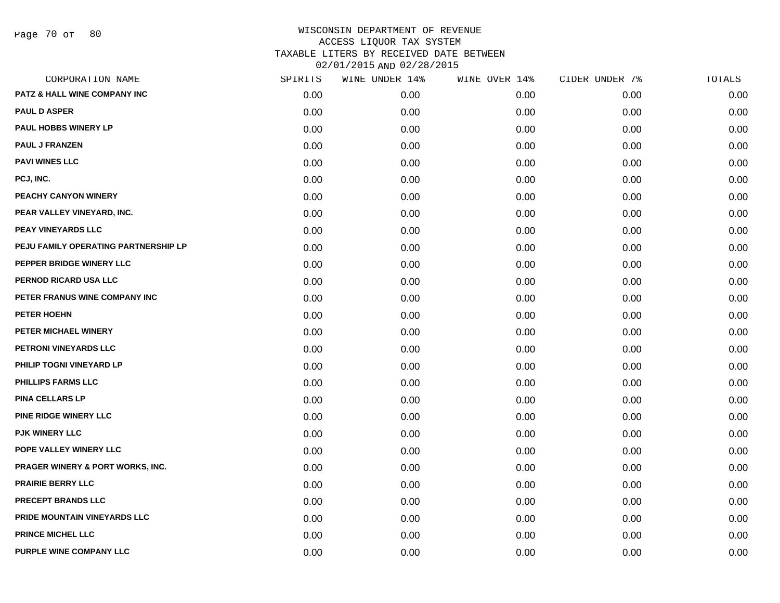Page 70 of 80

| CORPORATION NAME                            | SPIRITS | WINE UNDER 14% | WINE OVER 14% | CIDER UNDER 7% | TOTALS |
|---------------------------------------------|---------|----------------|---------------|----------------|--------|
| PATZ & HALL WINE COMPANY INC                | 0.00    | 0.00           | 0.00          | 0.00           | 0.00   |
| <b>PAUL D ASPER</b>                         | 0.00    | 0.00           | 0.00          | 0.00           | 0.00   |
| PAUL HOBBS WINERY LP                        | 0.00    | 0.00           | 0.00          | 0.00           | 0.00   |
| <b>PAUL J FRANZEN</b>                       | 0.00    | 0.00           | 0.00          | 0.00           | 0.00   |
| <b>PAVI WINES LLC</b>                       | 0.00    | 0.00           | 0.00          | 0.00           | 0.00   |
| PCJ, INC.                                   | 0.00    | 0.00           | 0.00          | 0.00           | 0.00   |
| PEACHY CANYON WINERY                        | 0.00    | 0.00           | 0.00          | 0.00           | 0.00   |
| PEAR VALLEY VINEYARD, INC.                  | 0.00    | 0.00           | 0.00          | 0.00           | 0.00   |
| <b>PEAY VINEYARDS LLC</b>                   | 0.00    | 0.00           | 0.00          | 0.00           | 0.00   |
| PEJU FAMILY OPERATING PARTNERSHIP LP        | 0.00    | 0.00           | 0.00          | 0.00           | 0.00   |
| PEPPER BRIDGE WINERY LLC                    | 0.00    | 0.00           | 0.00          | 0.00           | 0.00   |
| PERNOD RICARD USA LLC                       | 0.00    | 0.00           | 0.00          | 0.00           | 0.00   |
| PETER FRANUS WINE COMPANY INC               | 0.00    | 0.00           | 0.00          | 0.00           | 0.00   |
| PETER HOEHN                                 | 0.00    | 0.00           | 0.00          | 0.00           | 0.00   |
| PETER MICHAEL WINERY                        | 0.00    | 0.00           | 0.00          | 0.00           | 0.00   |
| PETRONI VINEYARDS LLC                       | 0.00    | 0.00           | 0.00          | 0.00           | 0.00   |
| PHILIP TOGNI VINEYARD LP                    | 0.00    | 0.00           | 0.00          | 0.00           | 0.00   |
| <b>PHILLIPS FARMS LLC</b>                   | 0.00    | 0.00           | 0.00          | 0.00           | 0.00   |
| <b>PINA CELLARS LP</b>                      | 0.00    | 0.00           | 0.00          | 0.00           | 0.00   |
| <b>PINE RIDGE WINERY LLC</b>                | 0.00    | 0.00           | 0.00          | 0.00           | 0.00   |
| <b>PJK WINERY LLC</b>                       | 0.00    | 0.00           | 0.00          | 0.00           | 0.00   |
| POPE VALLEY WINERY LLC                      | 0.00    | 0.00           | 0.00          | 0.00           | 0.00   |
| <b>PRAGER WINERY &amp; PORT WORKS, INC.</b> | 0.00    | 0.00           | 0.00          | 0.00           | 0.00   |
| <b>PRAIRIE BERRY LLC</b>                    | 0.00    | 0.00           | 0.00          | 0.00           | 0.00   |
| <b>PRECEPT BRANDS LLC</b>                   | 0.00    | 0.00           | 0.00          | 0.00           | 0.00   |
| PRIDE MOUNTAIN VINEYARDS LLC                | 0.00    | 0.00           | 0.00          | 0.00           | 0.00   |
| PRINCE MICHEL LLC                           | 0.00    | 0.00           | 0.00          | 0.00           | 0.00   |
| PURPLE WINE COMPANY LLC                     | 0.00    | 0.00           | 0.00          | 0.00           | 0.00   |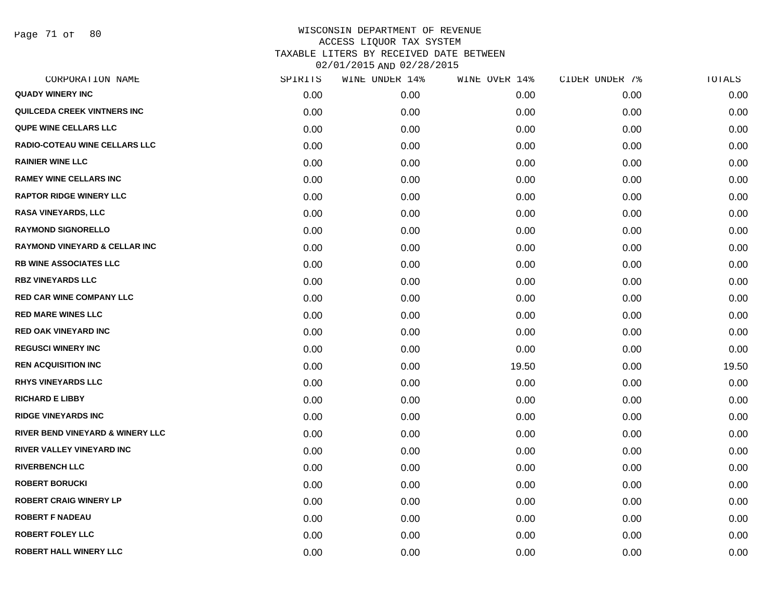Page 71 of 80

| CORPORATION NAME                         | SPIRITS | WINE UNDER 14% | WINE OVER 14% | CIDER UNDER 7% | TOTALS |
|------------------------------------------|---------|----------------|---------------|----------------|--------|
| <b>QUADY WINERY INC</b>                  | 0.00    | 0.00           | 0.00          | 0.00           | 0.00   |
| QUILCEDA CREEK VINTNERS INC              | 0.00    | 0.00           | 0.00          | 0.00           | 0.00   |
| QUPE WINE CELLARS LLC                    | 0.00    | 0.00           | 0.00          | 0.00           | 0.00   |
| RADIO-COTEAU WINE CELLARS LLC            | 0.00    | 0.00           | 0.00          | 0.00           | 0.00   |
| <b>RAINIER WINE LLC</b>                  | 0.00    | 0.00           | 0.00          | 0.00           | 0.00   |
| <b>RAMEY WINE CELLARS INC</b>            | 0.00    | 0.00           | 0.00          | 0.00           | 0.00   |
| <b>RAPTOR RIDGE WINERY LLC</b>           | 0.00    | 0.00           | 0.00          | 0.00           | 0.00   |
| <b>RASA VINEYARDS, LLC</b>               | 0.00    | 0.00           | 0.00          | 0.00           | 0.00   |
| <b>RAYMOND SIGNORELLO</b>                | 0.00    | 0.00           | 0.00          | 0.00           | 0.00   |
| <b>RAYMOND VINEYARD &amp; CELLAR INC</b> | 0.00    | 0.00           | 0.00          | 0.00           | 0.00   |
| <b>RB WINE ASSOCIATES LLC</b>            | 0.00    | 0.00           | 0.00          | 0.00           | 0.00   |
| <b>RBZ VINEYARDS LLC</b>                 | 0.00    | 0.00           | 0.00          | 0.00           | 0.00   |
| <b>RED CAR WINE COMPANY LLC</b>          | 0.00    | 0.00           | 0.00          | 0.00           | 0.00   |
| <b>RED MARE WINES LLC</b>                | 0.00    | 0.00           | 0.00          | 0.00           | 0.00   |
| <b>RED OAK VINEYARD INC</b>              | 0.00    | 0.00           | 0.00          | 0.00           | 0.00   |
| <b>REGUSCI WINERY INC</b>                | 0.00    | 0.00           | 0.00          | 0.00           | 0.00   |
| <b>REN ACQUISITION INC</b>               | 0.00    | 0.00           | 19.50         | 0.00           | 19.50  |
| <b>RHYS VINEYARDS LLC</b>                | 0.00    | 0.00           | 0.00          | 0.00           | 0.00   |
| <b>RICHARD E LIBBY</b>                   | 0.00    | 0.00           | 0.00          | 0.00           | 0.00   |
| <b>RIDGE VINEYARDS INC</b>               | 0.00    | 0.00           | 0.00          | 0.00           | 0.00   |
| RIVER BEND VINEYARD & WINERY LLC         | 0.00    | 0.00           | 0.00          | 0.00           | 0.00   |
| <b>RIVER VALLEY VINEYARD INC</b>         | 0.00    | 0.00           | 0.00          | 0.00           | 0.00   |
| <b>RIVERBENCH LLC</b>                    | 0.00    | 0.00           | 0.00          | 0.00           | 0.00   |
| <b>ROBERT BORUCKI</b>                    | 0.00    | 0.00           | 0.00          | 0.00           | 0.00   |
| <b>ROBERT CRAIG WINERY LP</b>            | 0.00    | 0.00           | 0.00          | 0.00           | 0.00   |
| <b>ROBERT F NADEAU</b>                   | 0.00    | 0.00           | 0.00          | 0.00           | 0.00   |
| <b>ROBERT FOLEY LLC</b>                  | 0.00    | 0.00           | 0.00          | 0.00           | 0.00   |
| <b>ROBERT HALL WINERY LLC</b>            | 0.00    | 0.00           | 0.00          | 0.00           | 0.00   |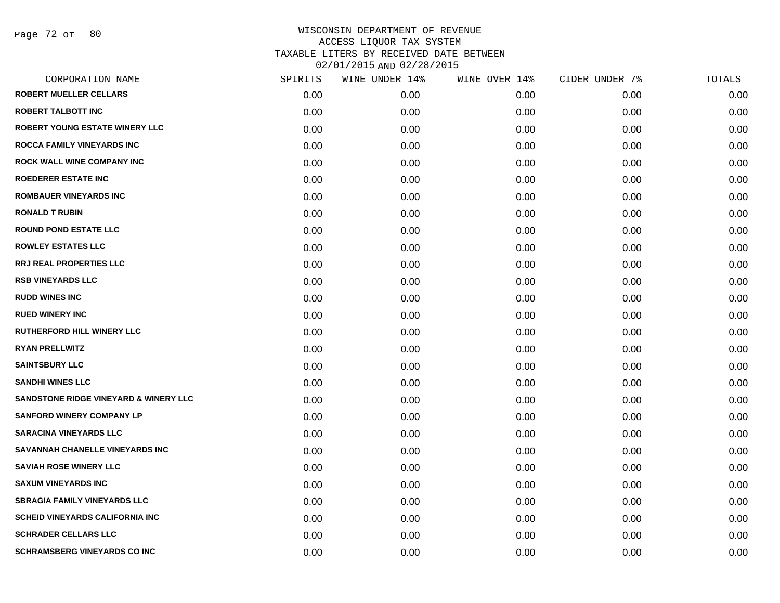| CORPORATION NAME                       | SPIRITS | WINE UNDER 14% | WINE OVER 14% | CIDER UNDER 7% | TOTALS |
|----------------------------------------|---------|----------------|---------------|----------------|--------|
| <b>ROBERT MUELLER CELLARS</b>          | 0.00    | 0.00           | 0.00          | 0.00           | 0.00   |
| <b>ROBERT TALBOTT INC</b>              | 0.00    | 0.00           | 0.00          | 0.00           | 0.00   |
| <b>ROBERT YOUNG ESTATE WINERY LLC</b>  | 0.00    | 0.00           | 0.00          | 0.00           | 0.00   |
| ROCCA FAMILY VINEYARDS INC             | 0.00    | 0.00           | 0.00          | 0.00           | 0.00   |
| <b>ROCK WALL WINE COMPANY INC</b>      | 0.00    | 0.00           | 0.00          | 0.00           | 0.00   |
| <b>ROEDERER ESTATE INC</b>             | 0.00    | 0.00           | 0.00          | 0.00           | 0.00   |
| <b>ROMBAUER VINEYARDS INC</b>          | 0.00    | 0.00           | 0.00          | 0.00           | 0.00   |
| <b>RONALD T RUBIN</b>                  | 0.00    | 0.00           | 0.00          | 0.00           | 0.00   |
| <b>ROUND POND ESTATE LLC</b>           | 0.00    | 0.00           | 0.00          | 0.00           | 0.00   |
| <b>ROWLEY ESTATES LLC</b>              | 0.00    | 0.00           | 0.00          | 0.00           | 0.00   |
| <b>RRJ REAL PROPERTIES LLC</b>         | 0.00    | 0.00           | 0.00          | 0.00           | 0.00   |
| <b>RSB VINEYARDS LLC</b>               | 0.00    | 0.00           | 0.00          | 0.00           | 0.00   |
| <b>RUDD WINES INC</b>                  | 0.00    | 0.00           | 0.00          | 0.00           | 0.00   |
| <b>RUED WINERY INC</b>                 | 0.00    | 0.00           | 0.00          | 0.00           | 0.00   |
| <b>RUTHERFORD HILL WINERY LLC</b>      | 0.00    | 0.00           | 0.00          | 0.00           | 0.00   |
| <b>RYAN PRELLWITZ</b>                  | 0.00    | 0.00           | 0.00          | 0.00           | 0.00   |
| <b>SAINTSBURY LLC</b>                  | 0.00    | 0.00           | 0.00          | 0.00           | 0.00   |
| <b>SANDHI WINES LLC</b>                | 0.00    | 0.00           | 0.00          | 0.00           | 0.00   |
| SANDSTONE RIDGE VINEYARD & WINERY LLC  | 0.00    | 0.00           | 0.00          | 0.00           | 0.00   |
| <b>SANFORD WINERY COMPANY LP</b>       | 0.00    | 0.00           | 0.00          | 0.00           | 0.00   |
| <b>SARACINA VINEYARDS LLC</b>          | 0.00    | 0.00           | 0.00          | 0.00           | 0.00   |
| SAVANNAH CHANELLE VINEYARDS INC        | 0.00    | 0.00           | 0.00          | 0.00           | 0.00   |
| <b>SAVIAH ROSE WINERY LLC</b>          | 0.00    | 0.00           | 0.00          | 0.00           | 0.00   |
| <b>SAXUM VINEYARDS INC</b>             | 0.00    | 0.00           | 0.00          | 0.00           | 0.00   |
| <b>SBRAGIA FAMILY VINEYARDS LLC</b>    | 0.00    | 0.00           | 0.00          | 0.00           | 0.00   |
| <b>SCHEID VINEYARDS CALIFORNIA INC</b> | 0.00    | 0.00           | 0.00          | 0.00           | 0.00   |
| <b>SCHRADER CELLARS LLC</b>            | 0.00    | 0.00           | 0.00          | 0.00           | 0.00   |
| <b>SCHRAMSBERG VINEYARDS CO INC</b>    | 0.00    | 0.00           | 0.00          | 0.00           | 0.00   |
|                                        |         |                |               |                |        |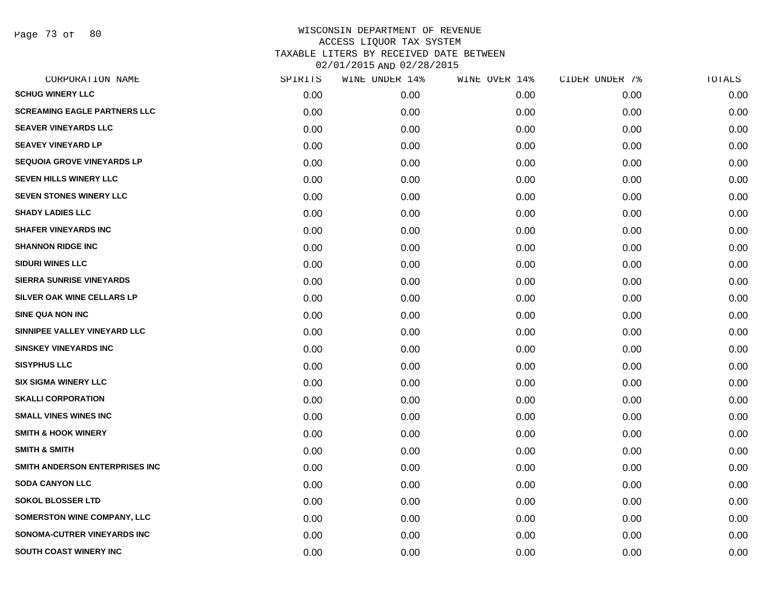Page 73 of 80

| CORPORATION NAME                    | SPIRITS | WINE UNDER 14% | WINE OVER 14% | CIDER UNDER 7% | TOTALS |
|-------------------------------------|---------|----------------|---------------|----------------|--------|
| <b>SCHUG WINERY LLC</b>             | 0.00    | 0.00           | 0.00          | 0.00           | 0.00   |
| <b>SCREAMING EAGLE PARTNERS LLC</b> | 0.00    | 0.00           | 0.00          | 0.00           | 0.00   |
| <b>SEAVER VINEYARDS LLC</b>         | 0.00    | 0.00           | 0.00          | 0.00           | 0.00   |
| <b>SEAVEY VINEYARD LP</b>           | 0.00    | 0.00           | 0.00          | 0.00           | 0.00   |
| <b>SEQUOIA GROVE VINEYARDS LP</b>   | 0.00    | 0.00           | 0.00          | 0.00           | 0.00   |
| SEVEN HILLS WINERY LLC              | 0.00    | 0.00           | 0.00          | 0.00           | 0.00   |
| <b>SEVEN STONES WINERY LLC</b>      | 0.00    | 0.00           | 0.00          | 0.00           | 0.00   |
| <b>SHADY LADIES LLC</b>             | 0.00    | 0.00           | 0.00          | 0.00           | 0.00   |
| <b>SHAFER VINEYARDS INC</b>         | 0.00    | 0.00           | 0.00          | 0.00           | 0.00   |
| <b>SHANNON RIDGE INC</b>            | 0.00    | 0.00           | 0.00          | 0.00           | 0.00   |
| <b>SIDURI WINES LLC</b>             | 0.00    | 0.00           | 0.00          | 0.00           | 0.00   |
| <b>SIERRA SUNRISE VINEYARDS</b>     | 0.00    | 0.00           | 0.00          | 0.00           | 0.00   |
| SILVER OAK WINE CELLARS LP          | 0.00    | 0.00           | 0.00          | 0.00           | 0.00   |
| <b>SINE QUA NON INC</b>             | 0.00    | 0.00           | 0.00          | 0.00           | 0.00   |
| SINNIPEE VALLEY VINEYARD LLC        | 0.00    | 0.00           | 0.00          | 0.00           | 0.00   |
| <b>SINSKEY VINEYARDS INC</b>        | 0.00    | 0.00           | 0.00          | 0.00           | 0.00   |
| <b>SISYPHUS LLC</b>                 | 0.00    | 0.00           | 0.00          | 0.00           | 0.00   |
| <b>SIX SIGMA WINERY LLC</b>         | 0.00    | 0.00           | 0.00          | 0.00           | 0.00   |
| <b>SKALLI CORPORATION</b>           | 0.00    | 0.00           | 0.00          | 0.00           | 0.00   |
| <b>SMALL VINES WINES INC</b>        | 0.00    | 0.00           | 0.00          | 0.00           | 0.00   |
| <b>SMITH &amp; HOOK WINERY</b>      | 0.00    | 0.00           | 0.00          | 0.00           | 0.00   |
| <b>SMITH &amp; SMITH</b>            | 0.00    | 0.00           | 0.00          | 0.00           | 0.00   |
| SMITH ANDERSON ENTERPRISES INC      | 0.00    | 0.00           | 0.00          | 0.00           | 0.00   |
| <b>SODA CANYON LLC</b>              | 0.00    | 0.00           | 0.00          | 0.00           | 0.00   |
| <b>SOKOL BLOSSER LTD</b>            | 0.00    | 0.00           | 0.00          | 0.00           | 0.00   |
| <b>SOMERSTON WINE COMPANY, LLC</b>  | 0.00    | 0.00           | 0.00          | 0.00           | 0.00   |
| SONOMA-CUTRER VINEYARDS INC         | 0.00    | 0.00           | 0.00          | 0.00           | 0.00   |
| SOUTH COAST WINERY INC              | 0.00    | 0.00           | 0.00          | 0.00           | 0.00   |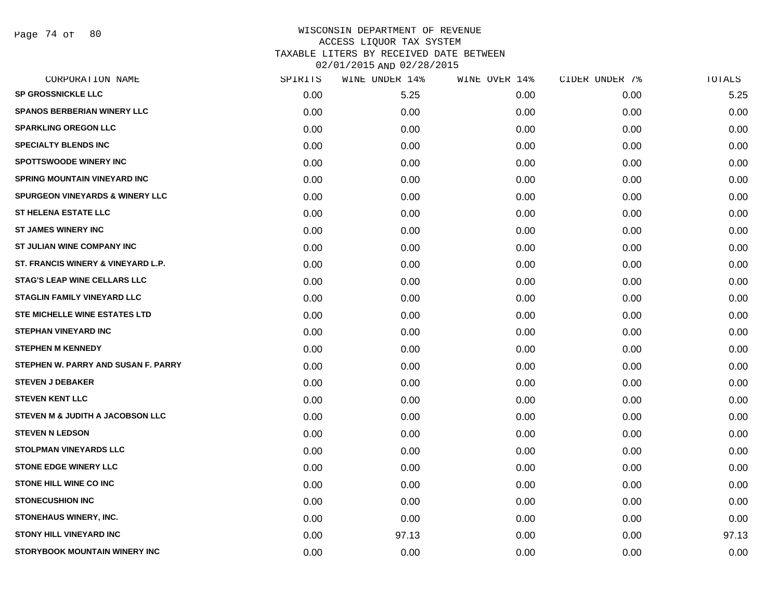Page 74 of 80

| CORPORATION NAME                           | SPIRITS | WINE UNDER 14% | WINE OVER 14% | CIDER UNDER 7% | TOTALS |
|--------------------------------------------|---------|----------------|---------------|----------------|--------|
| <b>SP GROSSNICKLE LLC</b>                  | 0.00    | 5.25           | 0.00          | 0.00           | 5.25   |
| SPANOS BERBERIAN WINERY LLC                | 0.00    | 0.00           | 0.00          | 0.00           | 0.00   |
| <b>SPARKLING OREGON LLC</b>                | 0.00    | 0.00           | 0.00          | 0.00           | 0.00   |
| <b>SPECIALTY BLENDS INC</b>                | 0.00    | 0.00           | 0.00          | 0.00           | 0.00   |
| <b>SPOTTSWOODE WINERY INC</b>              | 0.00    | 0.00           | 0.00          | 0.00           | 0.00   |
| <b>SPRING MOUNTAIN VINEYARD INC</b>        | 0.00    | 0.00           | 0.00          | 0.00           | 0.00   |
| <b>SPURGEON VINEYARDS &amp; WINERY LLC</b> | 0.00    | 0.00           | 0.00          | 0.00           | 0.00   |
| <b>ST HELENA ESTATE LLC</b>                | 0.00    | 0.00           | 0.00          | 0.00           | 0.00   |
| <b>ST JAMES WINERY INC</b>                 | 0.00    | 0.00           | 0.00          | 0.00           | 0.00   |
| ST JULIAN WINE COMPANY INC                 | 0.00    | 0.00           | 0.00          | 0.00           | 0.00   |
| ST. FRANCIS WINERY & VINEYARD L.P.         | 0.00    | 0.00           | 0.00          | 0.00           | 0.00   |
| <b>STAG'S LEAP WINE CELLARS LLC</b>        | 0.00    | 0.00           | 0.00          | 0.00           | 0.00   |
| <b>STAGLIN FAMILY VINEYARD LLC</b>         | 0.00    | 0.00           | 0.00          | 0.00           | 0.00   |
| <b>STE MICHELLE WINE ESTATES LTD</b>       | 0.00    | 0.00           | 0.00          | 0.00           | 0.00   |
| <b>STEPHAN VINEYARD INC</b>                | 0.00    | 0.00           | 0.00          | 0.00           | 0.00   |
| <b>STEPHEN M KENNEDY</b>                   | 0.00    | 0.00           | 0.00          | 0.00           | 0.00   |
| STEPHEN W. PARRY AND SUSAN F. PARRY        | 0.00    | 0.00           | 0.00          | 0.00           | 0.00   |
| <b>STEVEN J DEBAKER</b>                    | 0.00    | 0.00           | 0.00          | 0.00           | 0.00   |
| <b>STEVEN KENT LLC</b>                     | 0.00    | 0.00           | 0.00          | 0.00           | 0.00   |
| STEVEN M & JUDITH A JACOBSON LLC           | 0.00    | 0.00           | 0.00          | 0.00           | 0.00   |
| <b>STEVEN N LEDSON</b>                     | 0.00    | 0.00           | 0.00          | 0.00           | 0.00   |
| <b>STOLPMAN VINEYARDS LLC</b>              | 0.00    | 0.00           | 0.00          | 0.00           | 0.00   |
| <b>STONE EDGE WINERY LLC</b>               | 0.00    | 0.00           | 0.00          | 0.00           | 0.00   |
| STONE HILL WINE CO INC                     | 0.00    | 0.00           | 0.00          | 0.00           | 0.00   |
| <b>STONECUSHION INC</b>                    | 0.00    | 0.00           | 0.00          | 0.00           | 0.00   |
| STONEHAUS WINERY, INC.                     | 0.00    | 0.00           | 0.00          | 0.00           | 0.00   |
| <b>STONY HILL VINEYARD INC</b>             | 0.00    | 97.13          | 0.00          | 0.00           | 97.13  |
| STORYBOOK MOUNTAIN WINERY INC              | 0.00    | 0.00           | 0.00          | 0.00           | 0.00   |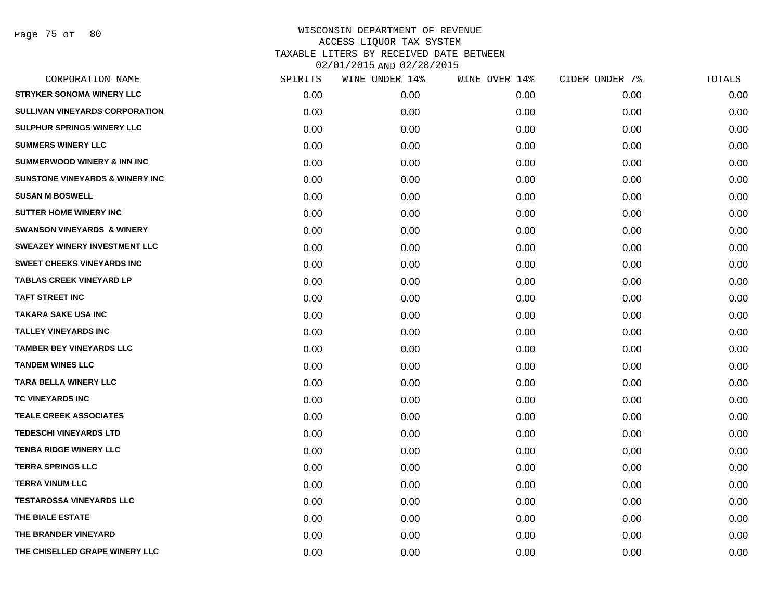| CORPORATION NAME                           | SPIRITS   | WINE UNDER 14% | WINE OVER 14% | CIDER UNDER 7% | TOTALS |
|--------------------------------------------|-----------|----------------|---------------|----------------|--------|
| <b>STRYKER SONOMA WINERY LLC</b>           | $0.00 \,$ | 0.00           | 0.00          | 0.00           | 0.00   |
| SULLIVAN VINEYARDS CORPORATION             | 0.00      | 0.00           | 0.00          | 0.00           | 0.00   |
| <b>SULPHUR SPRINGS WINERY LLC</b>          | 0.00      | 0.00           | 0.00          | 0.00           | 0.00   |
| <b>SUMMERS WINERY LLC</b>                  | 0.00      | 0.00           | 0.00          | 0.00           | 0.00   |
| <b>SUMMERWOOD WINERY &amp; INN INC</b>     | 0.00      | 0.00           | 0.00          | 0.00           | 0.00   |
| <b>SUNSTONE VINEYARDS &amp; WINERY INC</b> | 0.00      | 0.00           | 0.00          | 0.00           | 0.00   |
| <b>SUSAN M BOSWELL</b>                     | 0.00      | 0.00           | 0.00          | 0.00           | 0.00   |
| <b>SUTTER HOME WINERY INC</b>              | 0.00      | 0.00           | 0.00          | 0.00           | 0.00   |
| <b>SWANSON VINEYARDS &amp; WINERY</b>      | 0.00      | 0.00           | 0.00          | 0.00           | 0.00   |
| SWEAZEY WINERY INVESTMENT LLC              | 0.00      | 0.00           | 0.00          | 0.00           | 0.00   |
| <b>SWEET CHEEKS VINEYARDS INC</b>          | 0.00      | 0.00           | 0.00          | 0.00           | 0.00   |
| <b>TABLAS CREEK VINEYARD LP</b>            | 0.00      | 0.00           | 0.00          | 0.00           | 0.00   |
| <b>TAFT STREET INC</b>                     | 0.00      | 0.00           | 0.00          | 0.00           | 0.00   |
| <b>TAKARA SAKE USA INC</b>                 | 0.00      | 0.00           | 0.00          | 0.00           | 0.00   |
| <b>TALLEY VINEYARDS INC</b>                | 0.00      | 0.00           | 0.00          | 0.00           | 0.00   |
| <b>TAMBER BEY VINEYARDS LLC</b>            | 0.00      | 0.00           | 0.00          | 0.00           | 0.00   |
| <b>TANDEM WINES LLC</b>                    | 0.00      | 0.00           | 0.00          | 0.00           | 0.00   |
| <b>TARA BELLA WINERY LLC</b>               | 0.00      | 0.00           | 0.00          | 0.00           | 0.00   |
| TC VINEYARDS INC                           | 0.00      | 0.00           | 0.00          | 0.00           | 0.00   |
| <b>TEALE CREEK ASSOCIATES</b>              | 0.00      | 0.00           | 0.00          | 0.00           | 0.00   |
| <b>TEDESCHI VINEYARDS LTD</b>              | 0.00      | 0.00           | 0.00          | 0.00           | 0.00   |
| <b>TENBA RIDGE WINERY LLC</b>              | 0.00      | 0.00           | 0.00          | 0.00           | 0.00   |
| <b>TERRA SPRINGS LLC</b>                   | 0.00      | 0.00           | 0.00          | 0.00           | 0.00   |
| <b>TERRA VINUM LLC</b>                     | 0.00      | 0.00           | 0.00          | 0.00           | 0.00   |
| <b>TESTAROSSA VINEYARDS LLC</b>            | 0.00      | 0.00           | 0.00          | 0.00           | 0.00   |
| THE BIALE ESTATE                           | 0.00      | 0.00           | 0.00          | 0.00           | 0.00   |
| THE BRANDER VINEYARD                       | 0.00      | 0.00           | 0.00          | 0.00           | 0.00   |
| THE CHISELLED GRAPE WINERY LLC             | 0.00      | 0.00           | 0.00          | 0.00           | 0.00   |
|                                            |           |                |               |                |        |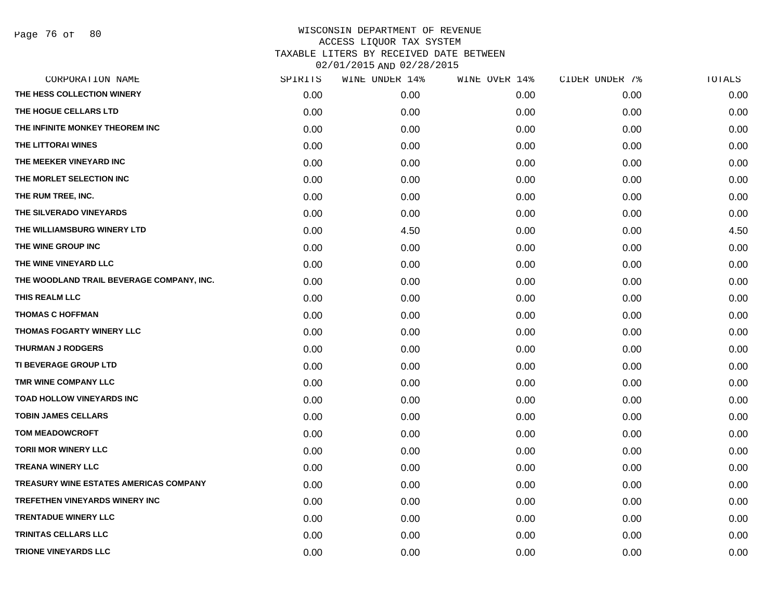|      | WINE UNDER 14% | WINE OVER 14% |      | TOTALS         |
|------|----------------|---------------|------|----------------|
| 0.00 | 0.00           | 0.00          | 0.00 | 0.00           |
| 0.00 | 0.00           | 0.00          | 0.00 | 0.00           |
| 0.00 | 0.00           | 0.00          | 0.00 | 0.00           |
| 0.00 | 0.00           | 0.00          | 0.00 | 0.00           |
| 0.00 | 0.00           | 0.00          | 0.00 | 0.00           |
| 0.00 | 0.00           | 0.00          | 0.00 | 0.00           |
| 0.00 | 0.00           | 0.00          | 0.00 | 0.00           |
| 0.00 | 0.00           | 0.00          | 0.00 | 0.00           |
| 0.00 | 4.50           | 0.00          | 0.00 | 4.50           |
| 0.00 | 0.00           | 0.00          | 0.00 | 0.00           |
| 0.00 | 0.00           | 0.00          | 0.00 | 0.00           |
| 0.00 | 0.00           | 0.00          | 0.00 | 0.00           |
| 0.00 | 0.00           | 0.00          | 0.00 | 0.00           |
| 0.00 | 0.00           | 0.00          | 0.00 | 0.00           |
| 0.00 | 0.00           | 0.00          | 0.00 | 0.00           |
| 0.00 | 0.00           | 0.00          | 0.00 | 0.00           |
| 0.00 | 0.00           | 0.00          | 0.00 | 0.00           |
| 0.00 | 0.00           | 0.00          | 0.00 | 0.00           |
| 0.00 | 0.00           | 0.00          | 0.00 | 0.00           |
| 0.00 | 0.00           | 0.00          | 0.00 | 0.00           |
| 0.00 | 0.00           | 0.00          | 0.00 | 0.00           |
| 0.00 | 0.00           | 0.00          | 0.00 | 0.00           |
| 0.00 | 0.00           | 0.00          | 0.00 | 0.00           |
| 0.00 | 0.00           | 0.00          | 0.00 | 0.00           |
| 0.00 | 0.00           | 0.00          | 0.00 | 0.00           |
| 0.00 | 0.00           | 0.00          | 0.00 | 0.00           |
| 0.00 | 0.00           | 0.00          | 0.00 | 0.00           |
| 0.00 | 0.00           | 0.00          | 0.00 | 0.00           |
|      | SPIRITS        |               |      | CIDER UNDER 7% |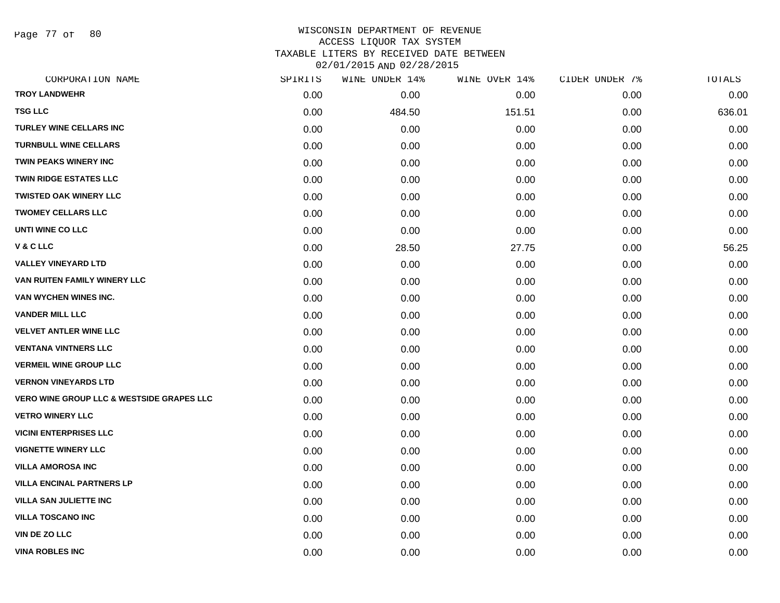Page 77 of 80

| CORPORATION NAME                                     | SPIRITS | WINE UNDER 14% | WINE OVER 14% | CIDER UNDER 7% | TOTALS |
|------------------------------------------------------|---------|----------------|---------------|----------------|--------|
| <b>TROY LANDWEHR</b>                                 | 0.00    | 0.00           | 0.00          | 0.00           | 0.00   |
| <b>TSG LLC</b>                                       | 0.00    | 484.50         | 151.51        | 0.00           | 636.01 |
| TURLEY WINE CELLARS INC                              | 0.00    | 0.00           | 0.00          | 0.00           | 0.00   |
| <b>TURNBULL WINE CELLARS</b>                         | 0.00    | 0.00           | 0.00          | 0.00           | 0.00   |
| TWIN PEAKS WINERY INC                                | 0.00    | 0.00           | 0.00          | 0.00           | 0.00   |
| <b>TWIN RIDGE ESTATES LLC</b>                        | 0.00    | 0.00           | 0.00          | 0.00           | 0.00   |
| <b>TWISTED OAK WINERY LLC</b>                        | 0.00    | 0.00           | 0.00          | 0.00           | 0.00   |
| <b>TWOMEY CELLARS LLC</b>                            | 0.00    | 0.00           | 0.00          | 0.00           | 0.00   |
| <b>UNTI WINE CO LLC</b>                              | 0.00    | 0.00           | 0.00          | 0.00           | 0.00   |
| V & C LLC                                            | 0.00    | 28.50          | 27.75         | 0.00           | 56.25  |
| <b>VALLEY VINEYARD LTD</b>                           | 0.00    | 0.00           | 0.00          | 0.00           | 0.00   |
| VAN RUITEN FAMILY WINERY LLC                         | 0.00    | 0.00           | 0.00          | 0.00           | 0.00   |
| VAN WYCHEN WINES INC.                                | 0.00    | 0.00           | 0.00          | 0.00           | 0.00   |
| <b>VANDER MILL LLC</b>                               | 0.00    | 0.00           | 0.00          | 0.00           | 0.00   |
| <b>VELVET ANTLER WINE LLC</b>                        | 0.00    | 0.00           | 0.00          | 0.00           | 0.00   |
| <b>VENTANA VINTNERS LLC</b>                          | 0.00    | 0.00           | 0.00          | 0.00           | 0.00   |
| <b>VERMEIL WINE GROUP LLC</b>                        | 0.00    | 0.00           | 0.00          | 0.00           | 0.00   |
| <b>VERNON VINEYARDS LTD</b>                          | 0.00    | 0.00           | 0.00          | 0.00           | 0.00   |
| <b>VERO WINE GROUP LLC &amp; WESTSIDE GRAPES LLC</b> | 0.00    | 0.00           | 0.00          | 0.00           | 0.00   |
| <b>VETRO WINERY LLC</b>                              | 0.00    | 0.00           | 0.00          | 0.00           | 0.00   |
| <b>VICINI ENTERPRISES LLC</b>                        | 0.00    | 0.00           | 0.00          | 0.00           | 0.00   |
| <b>VIGNETTE WINERY LLC</b>                           | 0.00    | 0.00           | 0.00          | 0.00           | 0.00   |
| <b>VILLA AMOROSA INC</b>                             | 0.00    | 0.00           | 0.00          | 0.00           | 0.00   |
| <b>VILLA ENCINAL PARTNERS LP</b>                     | 0.00    | 0.00           | 0.00          | 0.00           | 0.00   |
| <b>VILLA SAN JULIETTE INC</b>                        | 0.00    | 0.00           | 0.00          | 0.00           | 0.00   |
| <b>VILLA TOSCANO INC</b>                             | 0.00    | 0.00           | 0.00          | 0.00           | 0.00   |
| VIN DE ZO LLC                                        | 0.00    | 0.00           | 0.00          | 0.00           | 0.00   |
| <b>VINA ROBLES INC</b>                               | 0.00    | 0.00           | 0.00          | 0.00           | 0.00   |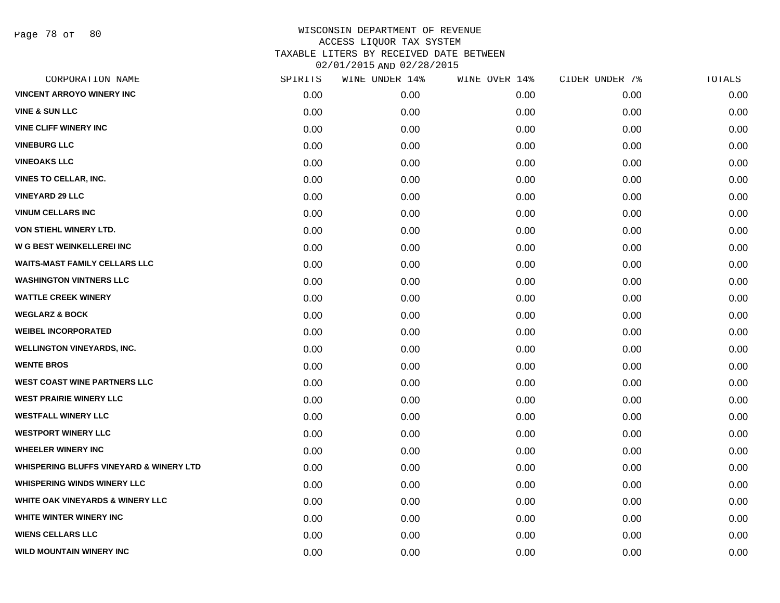Page 78 of 80

| CORPORATION NAME                                   | SPIRITS | WINE UNDER 14% | WINE OVER 14% | CIDER UNDER 7% | TOTALS |
|----------------------------------------------------|---------|----------------|---------------|----------------|--------|
| <b>VINCENT ARROYO WINERY INC</b>                   | 0.00    | 0.00           | 0.00          | 0.00           | 0.00   |
| <b>VINE &amp; SUN LLC</b>                          | 0.00    | 0.00           | 0.00          | 0.00           | 0.00   |
| <b>VINE CLIFF WINERY INC</b>                       | 0.00    | 0.00           | 0.00          | 0.00           | 0.00   |
| <b>VINEBURG LLC</b>                                | 0.00    | 0.00           | 0.00          | 0.00           | 0.00   |
| <b>VINEOAKS LLC</b>                                | 0.00    | 0.00           | 0.00          | 0.00           | 0.00   |
| <b>VINES TO CELLAR, INC.</b>                       | 0.00    | 0.00           | 0.00          | 0.00           | 0.00   |
| <b>VINEYARD 29 LLC</b>                             | 0.00    | 0.00           | 0.00          | 0.00           | 0.00   |
| <b>VINUM CELLARS INC</b>                           | 0.00    | 0.00           | 0.00          | 0.00           | 0.00   |
| <b>VON STIEHL WINERY LTD.</b>                      | 0.00    | 0.00           | 0.00          | 0.00           | 0.00   |
| W G BEST WEINKELLEREI INC                          | 0.00    | 0.00           | 0.00          | 0.00           | 0.00   |
| <b>WAITS-MAST FAMILY CELLARS LLC</b>               | 0.00    | 0.00           | 0.00          | 0.00           | 0.00   |
| <b>WASHINGTON VINTNERS LLC</b>                     | 0.00    | 0.00           | 0.00          | 0.00           | 0.00   |
| <b>WATTLE CREEK WINERY</b>                         | 0.00    | 0.00           | 0.00          | 0.00           | 0.00   |
| <b>WEGLARZ &amp; BOCK</b>                          | 0.00    | 0.00           | 0.00          | 0.00           | 0.00   |
| <b>WEIBEL INCORPORATED</b>                         | 0.00    | 0.00           | 0.00          | 0.00           | 0.00   |
| <b>WELLINGTON VINEYARDS, INC.</b>                  | 0.00    | 0.00           | 0.00          | 0.00           | 0.00   |
| <b>WENTE BROS</b>                                  | 0.00    | 0.00           | 0.00          | 0.00           | 0.00   |
| <b>WEST COAST WINE PARTNERS LLC</b>                | 0.00    | 0.00           | 0.00          | 0.00           | 0.00   |
| <b>WEST PRAIRIE WINERY LLC</b>                     | 0.00    | 0.00           | 0.00          | 0.00           | 0.00   |
| <b>WESTFALL WINERY LLC</b>                         | 0.00    | 0.00           | 0.00          | 0.00           | 0.00   |
| <b>WESTPORT WINERY LLC</b>                         | 0.00    | 0.00           | 0.00          | 0.00           | 0.00   |
| <b>WHEELER WINERY INC</b>                          | 0.00    | 0.00           | 0.00          | 0.00           | 0.00   |
| <b>WHISPERING BLUFFS VINEYARD &amp; WINERY LTD</b> | 0.00    | 0.00           | 0.00          | 0.00           | 0.00   |
| <b>WHISPERING WINDS WINERY LLC</b>                 | 0.00    | 0.00           | 0.00          | 0.00           | 0.00   |
| <b>WHITE OAK VINEYARDS &amp; WINERY LLC</b>        | 0.00    | 0.00           | 0.00          | 0.00           | 0.00   |
| WHITE WINTER WINERY INC                            | 0.00    | 0.00           | 0.00          | 0.00           | 0.00   |
| <b>WIENS CELLARS LLC</b>                           | 0.00    | 0.00           | 0.00          | 0.00           | 0.00   |
| <b>WILD MOUNTAIN WINERY INC</b>                    | 0.00    | 0.00           | 0.00          | 0.00           | 0.00   |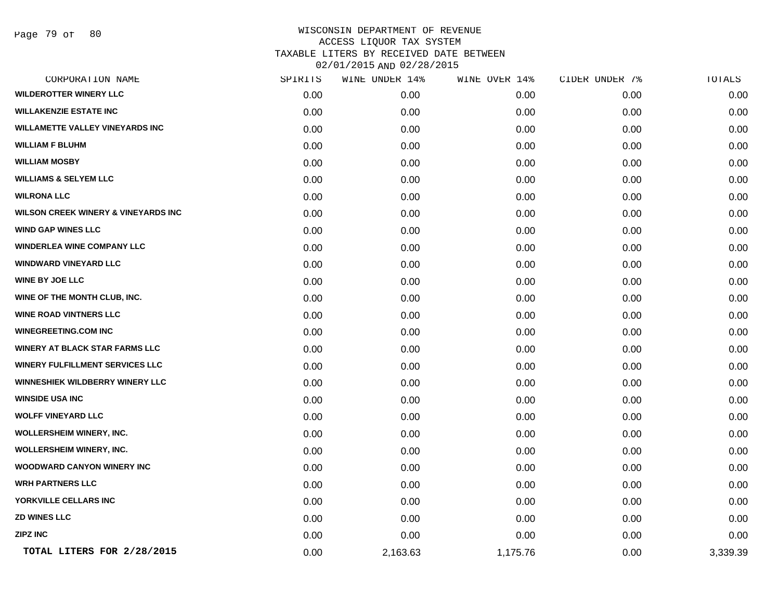| CORPORATION NAME                               | SPIRITS | WINE UNDER 14% | WINE OVER 14% | CIDER UNDER 7% | <b>TOTALS</b> |
|------------------------------------------------|---------|----------------|---------------|----------------|---------------|
| <b>WILDEROTTER WINERY LLC</b>                  | 0.00    | 0.00           | 0.00          | 0.00           | 0.00          |
| <b>WILLAKENZIE ESTATE INC</b>                  | 0.00    | 0.00           | 0.00          | 0.00           | 0.00          |
| <b>WILLAMETTE VALLEY VINEYARDS INC</b>         | 0.00    | 0.00           | 0.00          | 0.00           | 0.00          |
| <b>WILLIAM F BLUHM</b>                         | 0.00    | 0.00           | 0.00          | 0.00           | 0.00          |
| <b>WILLIAM MOSBY</b>                           | 0.00    | 0.00           | 0.00          | 0.00           | 0.00          |
| <b>WILLIAMS &amp; SELYEM LLC</b>               | 0.00    | 0.00           | 0.00          | 0.00           | 0.00          |
| <b>WILRONA LLC</b>                             | 0.00    | 0.00           | 0.00          | 0.00           | 0.00          |
| <b>WILSON CREEK WINERY &amp; VINEYARDS INC</b> | 0.00    | 0.00           | 0.00          | 0.00           | 0.00          |
| <b>WIND GAP WINES LLC</b>                      | 0.00    | 0.00           | 0.00          | 0.00           | 0.00          |
| <b>WINDERLEA WINE COMPANY LLC</b>              | 0.00    | 0.00           | 0.00          | 0.00           | 0.00          |
| <b>WINDWARD VINEYARD LLC</b>                   | 0.00    | 0.00           | 0.00          | 0.00           | 0.00          |
| <b>WINE BY JOE LLC</b>                         | 0.00    | 0.00           | 0.00          | 0.00           | 0.00          |
| WINE OF THE MONTH CLUB, INC.                   | 0.00    | 0.00           | 0.00          | 0.00           | 0.00          |
| <b>WINE ROAD VINTNERS LLC</b>                  | 0.00    | 0.00           | 0.00          | 0.00           | 0.00          |
| <b>WINEGREETING.COM INC</b>                    | 0.00    | 0.00           | 0.00          | 0.00           | 0.00          |
| <b>WINERY AT BLACK STAR FARMS LLC</b>          | 0.00    | 0.00           | 0.00          | 0.00           | 0.00          |
| <b>WINERY FULFILLMENT SERVICES LLC</b>         | 0.00    | 0.00           | 0.00          | 0.00           | 0.00          |
| <b>WINNESHIEK WILDBERRY WINERY LLC</b>         | 0.00    | 0.00           | 0.00          | 0.00           | 0.00          |
| <b>WINSIDE USA INC</b>                         | 0.00    | 0.00           | 0.00          | 0.00           | 0.00          |
| <b>WOLFF VINEYARD LLC</b>                      | 0.00    | 0.00           | 0.00          | 0.00           | 0.00          |
| WOLLERSHEIM WINERY, INC.                       | 0.00    | 0.00           | 0.00          | 0.00           | 0.00          |
| <b>WOLLERSHEIM WINERY, INC.</b>                | 0.00    | 0.00           | 0.00          | 0.00           | 0.00          |
| <b>WOODWARD CANYON WINERY INC</b>              | 0.00    | 0.00           | 0.00          | 0.00           | 0.00          |
| <b>WRH PARTNERS LLC</b>                        | 0.00    | 0.00           | 0.00          | 0.00           | 0.00          |
| YORKVILLE CELLARS INC                          | 0.00    | 0.00           | 0.00          | 0.00           | 0.00          |
| <b>ZD WINES LLC</b>                            | 0.00    | 0.00           | 0.00          | 0.00           | 0.00          |
| <b>ZIPZ INC</b>                                | 0.00    | 0.00           | 0.00          | 0.00           | 0.00          |
| TOTAL LITERS FOR 2/28/2015                     | 0.00    | 2,163.63       | 1,175.76      | 0.00           | 3,339.39      |